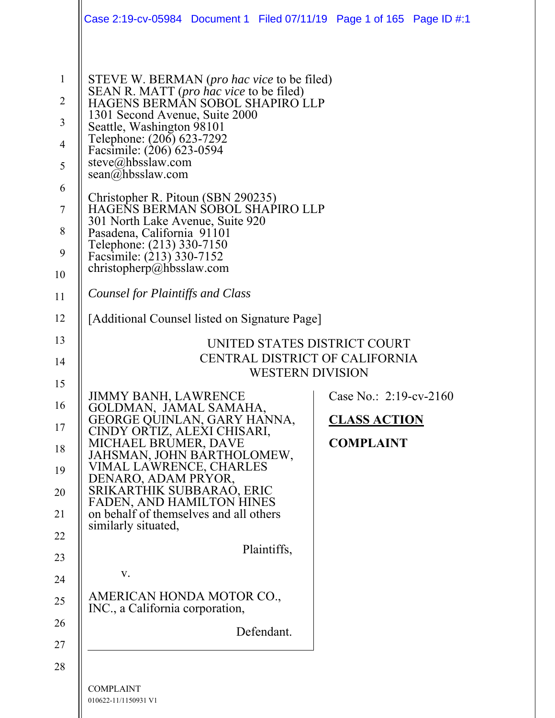|                                                                                                                                                                                                                                                                                                                                                                                                                                                                                                                                                 |  |             | Case 2:19-cv-05984 Document 1 Filed 07/11/19 Page 1 of 165 Page ID #:1 |  |  |
|-------------------------------------------------------------------------------------------------------------------------------------------------------------------------------------------------------------------------------------------------------------------------------------------------------------------------------------------------------------------------------------------------------------------------------------------------------------------------------------------------------------------------------------------------|--|-------------|------------------------------------------------------------------------|--|--|
| STEVE W. BERMAN ( <i>pro hac vice</i> to be filed)<br>SEAN R. MATT (pro hac vice to be filed)<br>HAGENS BERMAN SOBOL SHAPIRO LLP<br>1301 Second Avenue, Suite 2000<br>Seattle, Washington 98101<br>Telephone: (206) 623-7292<br>Facsimile: (206) 623-0594<br>steve@hbsslaw.com<br>$\text{scan}(a)$ hbsslaw.com<br>Christopher R. Pitoun (SBN 290235)<br>HAGENS BERMAN SOBOL SHAPIRO LLP<br>301 North Lake Avenue, Suite 920<br>Pasadena, California 91101<br>Telephone: (213) 330-7150<br>Facsimile: (213) 330-7152<br>christopherp@hbsslaw.com |  |             |                                                                        |  |  |
| Counsel for Plaintiffs and Class                                                                                                                                                                                                                                                                                                                                                                                                                                                                                                                |  |             |                                                                        |  |  |
| [Additional Counsel listed on Signature Page]                                                                                                                                                                                                                                                                                                                                                                                                                                                                                                   |  |             |                                                                        |  |  |
| UNITED STATES DISTRICT COURT<br>CENTRAL DISTRICT OF CALIFORNIA<br><b>WESTERN DIVISION</b>                                                                                                                                                                                                                                                                                                                                                                                                                                                       |  |             |                                                                        |  |  |
| <b>JIMMY BANH, LAWRENCE</b><br>GOLDMAN, JAMAL SAMAHA,<br>GEORGE QUINLAN, GARY HANNA,<br>CINDY ORTIZ, ALEXI CHISARI,<br>MICHAEL BRUMER, DAVE<br>JAHSMAN, JOHN BARTHOLOMEW,<br>VIMAL LAWRENCE, CHARLES<br>DENARO, ADAM PRYOR,<br>SRIKARTHIK SUBBARAO, ERIC<br><b>FADEN, AND HAMILTON HINES</b><br>on behalf of themselves and all others<br>similarly situated,                                                                                                                                                                                   |  | Plaintiffs, | Case No.: 2:19-cv-2160<br><b>CLASS ACTION</b><br><b>COMPLAINT</b>      |  |  |

 $\mathsf{l}$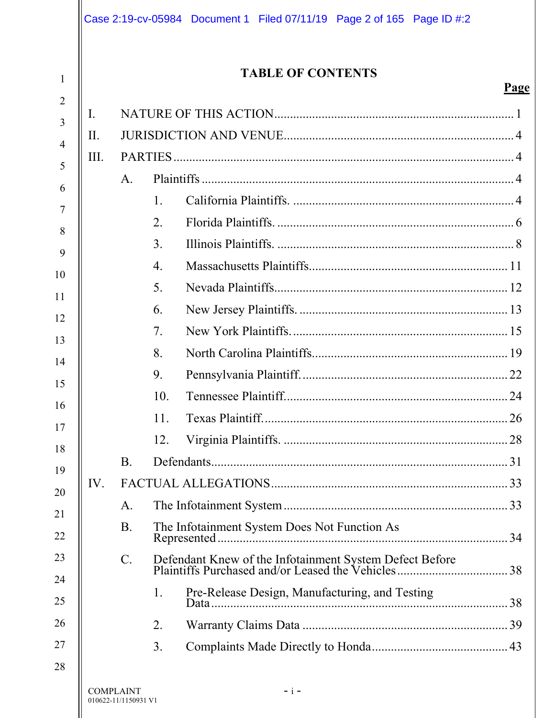|                     |     |                  |                | Case 2:19-cv-05984 Document 1 Filed 07/11/19 Page 2 of 165 Page ID #:2 |  |             |
|---------------------|-----|------------------|----------------|------------------------------------------------------------------------|--|-------------|
| 1                   |     |                  |                | <b>TABLE OF CONTENTS</b>                                               |  | <u>Page</u> |
| $\overline{2}$      | I.  |                  |                |                                                                        |  |             |
| 3<br>$\overline{4}$ | Η.  |                  |                |                                                                        |  |             |
| 5                   | Ш.  |                  |                |                                                                        |  |             |
| 6                   |     | A.               |                |                                                                        |  |             |
| 7                   |     |                  | $\mathbf{1}$ . |                                                                        |  |             |
| 8                   |     |                  | 2.             |                                                                        |  |             |
| 9                   |     |                  | 3.             |                                                                        |  |             |
| 10                  |     |                  | 4.             |                                                                        |  |             |
| 11                  |     |                  | 5.             |                                                                        |  |             |
| 12                  |     |                  | 6.             |                                                                        |  |             |
| 13                  |     |                  | 7.             |                                                                        |  |             |
| 14                  |     |                  | 8.             |                                                                        |  |             |
| 15                  |     |                  | 9.             |                                                                        |  |             |
| 16                  |     |                  | 10.            |                                                                        |  |             |
| 17                  |     |                  | 11.            |                                                                        |  |             |
| 18                  |     |                  | 12.            |                                                                        |  |             |
| 19                  |     | <b>B.</b>        |                |                                                                        |  |             |
| 20                  | IV. |                  |                |                                                                        |  |             |
| 21                  |     | A.               |                |                                                                        |  |             |
| 22                  |     | <b>B.</b>        |                | The Infotainment System Does Not Function As                           |  |             |
| 23                  |     | $C$ .            |                |                                                                        |  |             |
| 24<br>25            |     |                  | 1.             | Pre-Release Design, Manufacturing, and Testing                         |  |             |
| 26                  |     |                  | 2.             |                                                                        |  |             |
| 27                  |     |                  | 3.             |                                                                        |  |             |
| 28                  |     |                  |                |                                                                        |  |             |
|                     |     | <b>COMPLAINT</b> |                | $- i -$                                                                |  |             |

 $\overline{\phantom{a}}$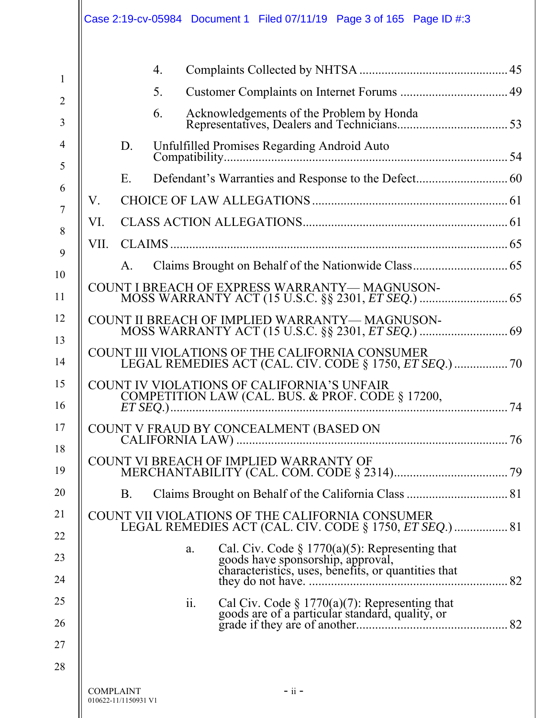|                     | Case 2:19-cv-05984 Document 1 Filed 07/11/19 Page 3 of 165 Page ID #:3                                                                        |    |
|---------------------|-----------------------------------------------------------------------------------------------------------------------------------------------|----|
| $\mathbf{1}$        | 4.                                                                                                                                            |    |
| $\overline{2}$      | 5.                                                                                                                                            |    |
| 3                   | 6.                                                                                                                                            |    |
| $\overline{4}$<br>5 | Unfulfilled Promises Regarding Android Auto<br>D.                                                                                             |    |
| 6                   | Defendant's Warranties and Response to the Defect 60<br>E.                                                                                    |    |
| 7                   | V.                                                                                                                                            |    |
| 8                   | VI.                                                                                                                                           |    |
| 9                   | VII.                                                                                                                                          |    |
| 10                  | Claims Brought on Behalf of the Nationwide Class 65<br>$A_{\cdot}$                                                                            |    |
| 11                  | COUNT I BREACH OF EXPRESS WARRANTY—MAGNUSON-                                                                                                  |    |
| 12<br>13            | COUNT II BREACH OF IMPLIED WARRANTY-MAGNUSON-                                                                                                 |    |
| 14                  | COUNT III VIOLATIONS OF THE CALIFORNIA CONSUMER<br>LEGAL REMEDIES ACT (CAL. CIV. CODE § 1750, ET SEQ.)  70                                    |    |
| 15<br>16            | COUNT IV VIOLATIONS OF CALIFORNIA'S UNFAIR<br>COMPETITION LAW (CAL. BUS. & PROF. CODE § 17200,                                                | 74 |
| 17<br>18            |                                                                                                                                               |    |
| 19                  | COUNT VI BREACH OF IMPLIED WARRANTY OF                                                                                                        |    |
| 20                  | B.                                                                                                                                            |    |
| 21<br>22            | COUNT VII VIOLATIONS OF THE CALIFORNIA CONSUMER<br>LEGAL REMEDIES ACT (CAL. CIV. CODE § 1750, ET SEQ.)  81                                    |    |
| 23                  | a.                                                                                                                                            |    |
| 24                  | Cal. Civ. Code $\S$ 1770(a)(5): Representing that<br>goods have sponsorship, approval,<br>characteristics, uses, benefits, or quantities that |    |
| 25                  | ii.                                                                                                                                           |    |
| 26                  |                                                                                                                                               |    |
| 27                  |                                                                                                                                               |    |
| 28                  | $-$ ii $-$<br><b>COMPLAINT</b><br>010622-11/1150931 V1                                                                                        |    |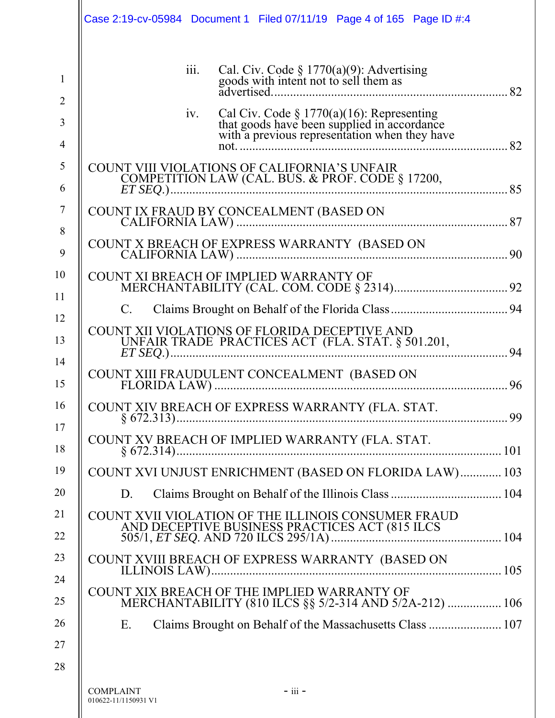|                                | Case 2:19-cv-05984 Document 1 Filed 07/11/19 Page 4 of 165 Page ID #:4                                                                                                                                                                                                                                                                 |
|--------------------------------|----------------------------------------------------------------------------------------------------------------------------------------------------------------------------------------------------------------------------------------------------------------------------------------------------------------------------------------|
| $\mathbf{1}$<br>$\overline{2}$ | Cal. Civ. Code $\S$ 1770(a)(9): Advertising goods with intent not to sell them as<br>111.                                                                                                                                                                                                                                              |
| 3<br>4                         | Cal Civ. Code $\S$ 1770(a)(16): Representing<br>that goods have been supplied in accordance<br>with a previous representation when they have<br>iv.<br>not                                                                                                                                                                             |
| 5<br>6                         | COUNT VIII VIOLATIONS OF CALIFORNIA'S UNFAIR<br>COMPETITION LAW (CAL. BUS. & PROF. CODE § 17200,<br>$ET$ SEQ.) $\ldots$ $\ldots$ $\ldots$ $\ldots$ $\ldots$ $\ldots$ $\ldots$ $\ldots$ $\ldots$ $\ldots$ $\ldots$ $\ldots$ $\ldots$ $\ldots$ $\ldots$ $\ldots$ $\ldots$ $\ldots$ $\ldots$ $\ldots$ $\ldots$ $\ldots$ $\ldots$ $\ldots$ |
| $\tau$<br>8                    |                                                                                                                                                                                                                                                                                                                                        |
| 9                              | COUNT X BREACH OF EXPRESS WARRANTY (BASED ON                                                                                                                                                                                                                                                                                           |
| 10                             | COUNT XI BREACH OF IMPLIED WARRANTY OF                                                                                                                                                                                                                                                                                                 |
| 11<br>12                       | C.                                                                                                                                                                                                                                                                                                                                     |
| 13                             | COUNT XII VIOLATIONS OF FLORIDA DECEPTIVE AND<br>UNFAIR TRADE PRACTICES ACT (FLA. STAT. § 501.201,<br>94                                                                                                                                                                                                                               |
| 14<br>15                       | COUNT XIII FRAUDULENT CONCEALMENT (BASED ON<br>96                                                                                                                                                                                                                                                                                      |
| 16                             | COUNT XIV BREACH OF EXPRESS WARRANTY (FLA. STAT.<br>99<br>$\S$ 672.313)                                                                                                                                                                                                                                                                |
| 17<br>18                       | COUNT XV BREACH OF IMPLIED WARRANTY (FLA. STAT.                                                                                                                                                                                                                                                                                        |
| 19                             | COUNT XVI UNJUST ENRICHMENT (BASED ON FLORIDA LAW) 103                                                                                                                                                                                                                                                                                 |
| 20                             | D.                                                                                                                                                                                                                                                                                                                                     |
| 21<br>22                       | COUNT XVII VIOLATION OF THE ILLINOIS CONSUMER FRAUD                                                                                                                                                                                                                                                                                    |
| 23                             | COUNT XVIII BREACH OF EXPRESS WARRANTY (BASED ON                                                                                                                                                                                                                                                                                       |
| 24                             | COUNT XIX BREACH OF THE IMPLIED WARRANTY OF                                                                                                                                                                                                                                                                                            |
| 25                             | MERCHANTABILITY (810 ILCS §§ 5/2-314 AND 5/2A-212)  106                                                                                                                                                                                                                                                                                |
| 26                             | E.                                                                                                                                                                                                                                                                                                                                     |
| 27                             |                                                                                                                                                                                                                                                                                                                                        |
| 28                             | $-$ iii $-$<br><b>COMPLAINT</b><br>010622-11/1150931 V1                                                                                                                                                                                                                                                                                |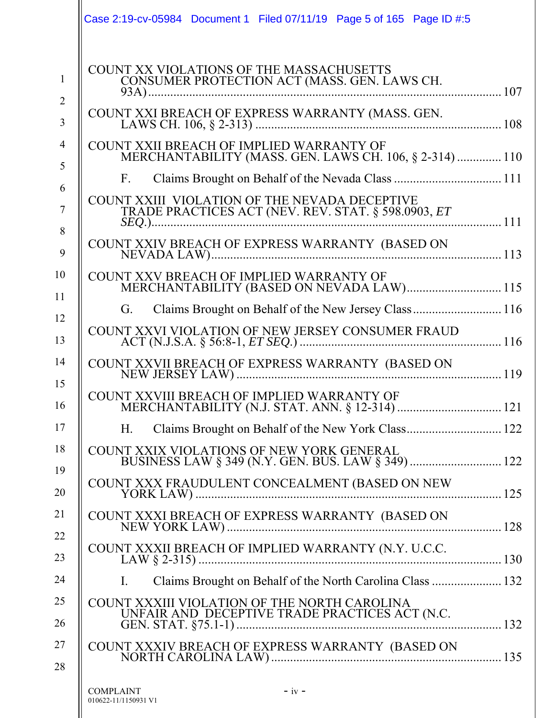|                               | Case 2:19-cv-05984 Document 1 Filed 07/11/19 Page 5 of 165 Page ID #:5                               |
|-------------------------------|------------------------------------------------------------------------------------------------------|
| $\mathbf{1}$                  | COUNT XX VIOLATIONS OF THE MASSACHUSETTS<br>CONSUMER PROTECTION ACT (MASS. GEN. LAWS CH.             |
| $\overline{2}$<br>3           |                                                                                                      |
| $\overline{\mathcal{A}}$<br>5 | COUNT XXII BREACH OF IMPLIED WARRANTY OF<br>MERCHANTABILITY (MASS. GEN. LAWS CH. 106, § 2-314)  110  |
| 6                             | $F_{\rm{L}}$                                                                                         |
| $\overline{7}$                | COUNT XXIII VIOLATION OF THE NEVADA DECEPTIVE<br>TRADE PRACTICES ACT (NEV. REV. STAT. § 598.0903, ET |
| 8<br>9                        |                                                                                                      |
| 10<br>11                      | COUNT XXV BREACH OF IMPLIED WARRANTY OF<br>MERCHANTABILITY (BASED ON NEVADA LAW) 115                 |
|                               | Claims Brought on Behalf of the New Jersey Class 116<br>G.                                           |
| 12<br>13                      | COUNT XXVI VIOLATION OF NEW JERSEY CONSUMER FRAUD                                                    |
| 14<br>15                      | COUNT XXVII BREACH OF EXPRESS WARRANTY (BASED ON                                                     |
| 16                            | COUNT XXVIII BREACH OF IMPLIED WARRANTY OF                                                           |
| 17                            | H.                                                                                                   |
| 18<br>19                      | COUNT XXIX VIOLATIONS OF NEW YORK GENERAL<br>BUSINESS LAW § 349 (N.Y. GEN. BUS. LAW § 349)  122      |
| 20                            | COUNT XXX FRAUDULENT CONCEALMENT (BASED ON NEW                                                       |
| 21<br>22                      |                                                                                                      |
| 23                            |                                                                                                      |
| 24                            | Claims Brought on Behalf of the North Carolina Class  132<br>Ι.                                      |
| 25                            | COUNT XXXIII VIOLATION OF THE NORTH CAROLINA                                                         |
| 26                            |                                                                                                      |
| 27                            |                                                                                                      |
| 28                            |                                                                                                      |
|                               | $-iv -$<br><b>COMPLAINT</b><br>010622-11/1150931 V1                                                  |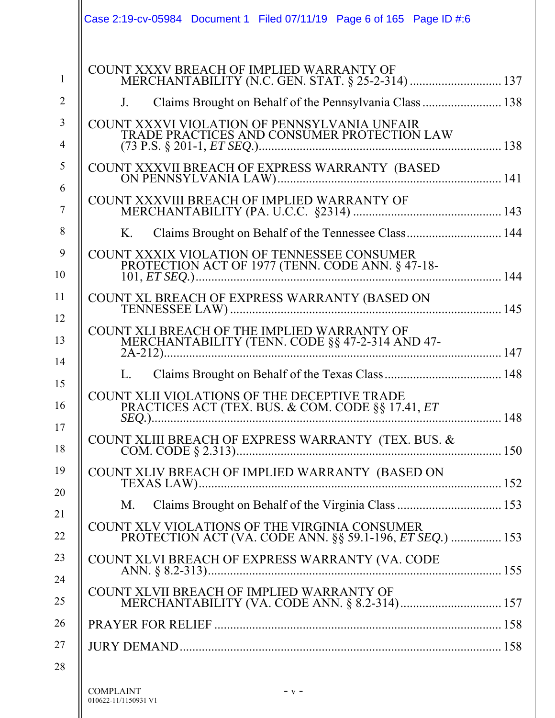|                                          | Case 2:19-cv-05984 Document 1 Filed 07/11/19 Page 6 of 165 Page ID #:6                                              |         |  |     |
|------------------------------------------|---------------------------------------------------------------------------------------------------------------------|---------|--|-----|
|                                          | COUNT XXXV BREACH OF IMPLIED WARRANTY OF<br>MERCHANTABILITY (N.C. GEN. STAT. § 25-2-314)  137                       |         |  |     |
| $J_{-}$                                  | Claims Brought on Behalf of the Pennsylvania Class  138                                                             |         |  |     |
|                                          | COUNT XXXVI VIOLATION OF PENNSYLVANIA UNFAIR                                                                        |         |  |     |
|                                          | TRADE PRACTICES AND CONSUMER PROTECTION LAW                                                                         |         |  |     |
|                                          |                                                                                                                     |         |  |     |
|                                          | COUNT XXXVIII BREACH OF IMPLIED WARRANTY OF                                                                         |         |  |     |
| K.                                       | Claims Brought on Behalf of the Tennessee Class 144                                                                 |         |  |     |
|                                          | COUNT XXXIX VIOLATION OF TENNESSEE CONSUMER<br>PROTECTION ACT OF 1977 (TENN. CODE ANN. § 47-18-<br>$101, ET SEQ.$ ) |         |  |     |
|                                          | COUNT XL BREACH OF EXPRESS WARRANTY (BASED ON                                                                       |         |  |     |
|                                          | COUNT XLI BREACH OF THE IMPLIED WARRANTY OF<br>MERCHANTABILITY (TENN. CODE §§ 47-2-314 AND 47-                      |         |  |     |
| L.                                       |                                                                                                                     |         |  |     |
| $SEQ.$ ).                                | COUNT XLII VIOLATIONS OF THE DECEPTIVE TRADE<br>PRACTICES ACT (TEX. BUS. & COM. CODE §§ 17.41, ET                   |         |  | 148 |
|                                          |                                                                                                                     |         |  |     |
|                                          | COUNT XLIV BREACH OF IMPLIED WARRANTY (BASED ON                                                                     |         |  |     |
| M.                                       |                                                                                                                     |         |  |     |
|                                          | COUNT XLV VIOLATIONS OF THE VIRGINIA CONSUMER<br>PROTECTION ACT (VA. CODE ANN. §§ 59.1-196, ET SEQ.)  153           |         |  |     |
|                                          | COUNT XLVI BREACH OF EXPRESS WARRANTY (VA. CODE                                                                     |         |  |     |
|                                          | COUNT XLVII BREACH OF IMPLIED WARRANTY OF                                                                           |         |  |     |
|                                          |                                                                                                                     |         |  |     |
|                                          |                                                                                                                     |         |  |     |
|                                          |                                                                                                                     |         |  |     |
| <b>COMPLAINT</b><br>010622-11/1150931 V1 |                                                                                                                     | $- v -$ |  |     |

 $\overline{\phantom{a}}$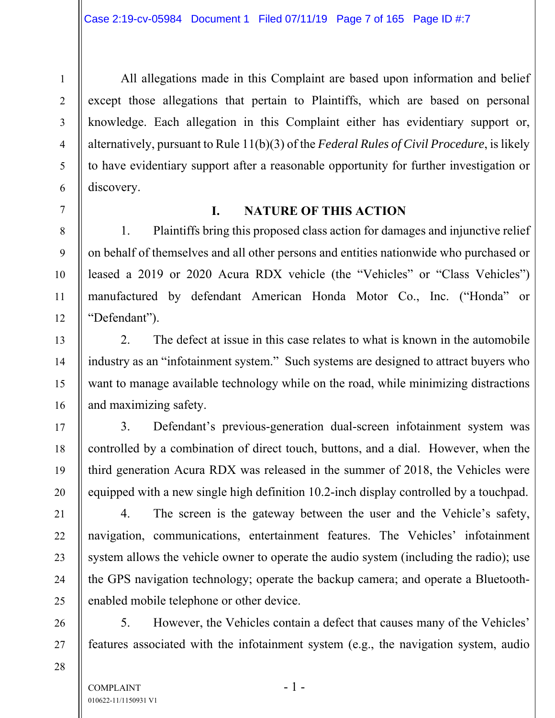All allegations made in this Complaint are based upon information and belief except those allegations that pertain to Plaintiffs, which are based on personal knowledge. Each allegation in this Complaint either has evidentiary support or, alternatively, pursuant to Rule 11(b)(3) of the *Federal Rules of Civil Procedure*, is likely to have evidentiary support after a reasonable opportunity for further investigation or discovery.

1

2

3

4

5

6

7

8

9

10

11

12

13

14

15

16

17

18

19

20

21

22

23

24

25

26

27

28

### **I. NATURE OF THIS ACTION**

1. Plaintiffs bring this proposed class action for damages and injunctive relief on behalf of themselves and all other persons and entities nationwide who purchased or leased a 2019 or 2020 Acura RDX vehicle (the "Vehicles" or "Class Vehicles") manufactured by defendant American Honda Motor Co., Inc. ("Honda" or "Defendant").

2. The defect at issue in this case relates to what is known in the automobile industry as an "infotainment system." Such systems are designed to attract buyers who want to manage available technology while on the road, while minimizing distractions and maximizing safety.

3. Defendant's previous-generation dual-screen infotainment system was controlled by a combination of direct touch, buttons, and a dial. However, when the third generation Acura RDX was released in the summer of 2018, the Vehicles were equipped with a new single high definition 10.2-inch display controlled by a touchpad.

4. The screen is the gateway between the user and the Vehicle's safety, navigation, communications, entertainment features. The Vehicles' infotainment system allows the vehicle owner to operate the audio system (including the radio); use the GPS navigation technology; operate the backup camera; and operate a Bluetoothenabled mobile telephone or other device.

5. However, the Vehicles contain a defect that causes many of the Vehicles' features associated with the infotainment system (e.g., the navigation system, audio

COMPLAINT - 1 -010622-11/1150931 V1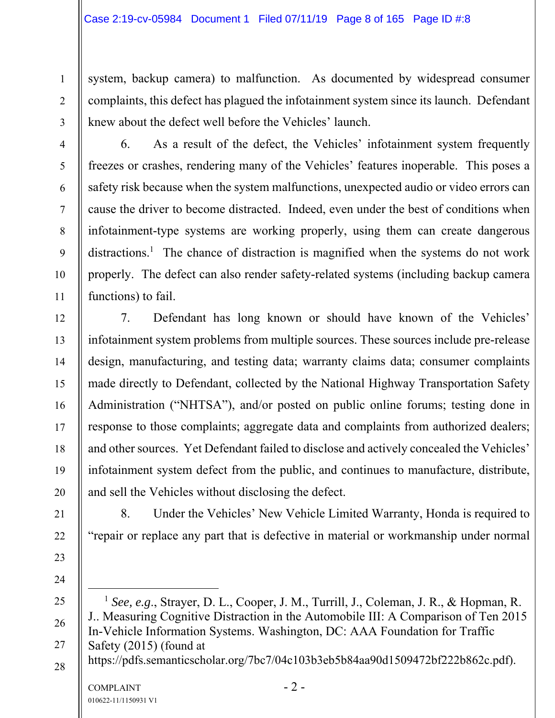system, backup camera) to malfunction. As documented by widespread consumer complaints, this defect has plagued the infotainment system since its launch. Defendant knew about the defect well before the Vehicles' launch.

4 5 6 7 8 9 10 11 6. As a result of the defect, the Vehicles' infotainment system frequently freezes or crashes, rendering many of the Vehicles' features inoperable. This poses a safety risk because when the system malfunctions, unexpected audio or video errors can cause the driver to become distracted. Indeed, even under the best of conditions when infotainment-type systems are working properly, using them can create dangerous distractions.<sup>1</sup> The chance of distraction is magnified when the systems do not work properly. The defect can also render safety-related systems (including backup camera functions) to fail.

7. Defendant has long known or should have known of the Vehicles' infotainment system problems from multiple sources. These sources include pre-release design, manufacturing, and testing data; warranty claims data; consumer complaints made directly to Defendant, collected by the National Highway Transportation Safety Administration ("NHTSA"), and/or posted on public online forums; testing done in response to those complaints; aggregate data and complaints from authorized dealers; and other sources. Yet Defendant failed to disclose and actively concealed the Vehicles' infotainment system defect from the public, and continues to manufacture, distribute, and sell the Vehicles without disclosing the defect.

8. Under the Vehicles' New Vehicle Limited Warranty, Honda is required to "repair or replace any part that is defective in material or workmanship under normal

 $COMPLANT$  - 2 -25 26 27 28 1 *See, e.g*., Strayer, D. L., Cooper, J. M., Turrill, J., Coleman, J. R., & Hopman, R. J.. Measuring Cognitive Distraction in the Automobile III: A Comparison of Ten 2015 In-Vehicle Information Systems. Washington, DC: AAA Foundation for Traffic Safety (2015) (found at https://pdfs.semanticscholar.org/7bc7/04c103b3eb5b84aa90d1509472bf222b862c.pdf).

1

2

3

12

13

14

15

16

17

18

19

20

21

22

23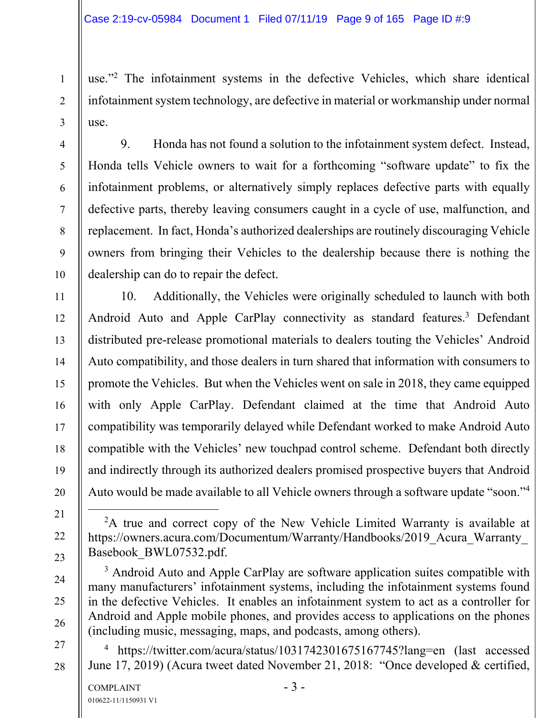use."2 The infotainment systems in the defective Vehicles, which share identical infotainment system technology, are defective in material or workmanship under normal use.

9. Honda has not found a solution to the infotainment system defect. Instead, Honda tells Vehicle owners to wait for a forthcoming "software update" to fix the infotainment problems, or alternatively simply replaces defective parts with equally defective parts, thereby leaving consumers caught in a cycle of use, malfunction, and replacement. In fact, Honda's authorized dealerships are routinely discouraging Vehicle owners from bringing their Vehicles to the dealership because there is nothing the dealership can do to repair the defect.

10. Additionally, the Vehicles were originally scheduled to launch with both Android Auto and Apple CarPlay connectivity as standard features.<sup>3</sup> Defendant distributed pre-release promotional materials to dealers touting the Vehicles' Android Auto compatibility, and those dealers in turn shared that information with consumers to promote the Vehicles. But when the Vehicles went on sale in 2018, they came equipped with only Apple CarPlay. Defendant claimed at the time that Android Auto compatibility was temporarily delayed while Defendant worked to make Android Auto compatible with the Vehicles' new touchpad control scheme. Defendant both directly and indirectly through its authorized dealers promised prospective buyers that Android Auto would be made available to all Vehicle owners through a software update "soon."<sup>4</sup>

1

2

3

4

5

6

7

8

9

10

11

12

13

14

15

16

17

18

19

20

- 22
- 23
- 24
- 25



27

28

<sup>2</sup>A true and correct copy of the New Vehicle Limited Warranty is available at https://owners.acura.com/Documentum/Warranty/Handbooks/2019\_Acura\_Warranty\_ Basebook\_BWL07532.pdf.

 $3$  Android Auto and Apple CarPlay are software application suites compatible with many manufacturers' infotainment systems, including the infotainment systems found in the defective Vehicles. It enables an infotainment system to act as a controller for Android and Apple mobile phones, and provides access to applications on the phones (including music, messaging, maps, and podcasts, among others).

4 https://twitter.com/acura/status/1031742301675167745?lang=en (last accessed June 17, 2019) (Acura tweet dated November 21, 2018: "Once developed & certified,

<sup>21</sup>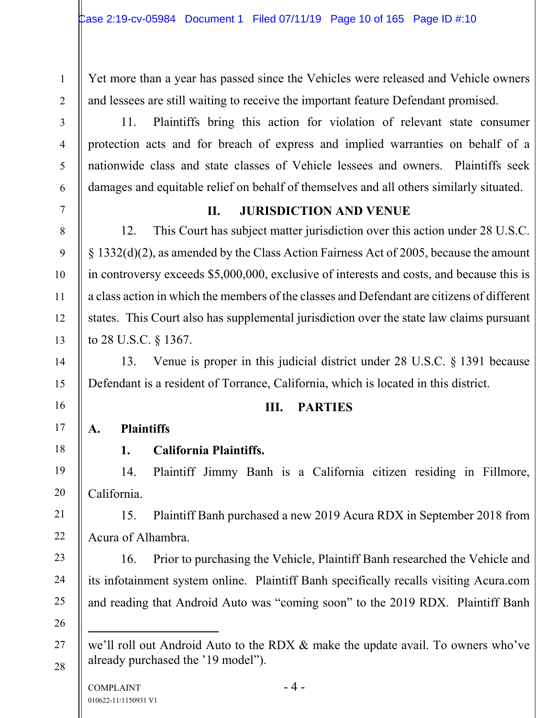Yet more than a year has passed since the Vehicles were released and Vehicle owners and lessees are still waiting to receive the important feature Defendant promised.

11. Plaintiffs bring this action for violation of relevant state consumer protection acts and for breach of express and implied warranties on behalf of a nationwide class and state classes of Vehicle lessees and owners. Plaintiffs seek damages and equitable relief on behalf of themselves and all others similarly situated.

1

2

3

4

5

6

7

8

9

10

11

12

13

14

15

16

17

18

19

20

21

22

23

24

25

# **II. JURISDICTION AND VENUE**

12. This Court has subject matter jurisdiction over this action under 28 U.S.C. § 1332(d)(2), as amended by the Class Action Fairness Act of 2005, because the amount in controversy exceeds \$5,000,000, exclusive of interests and costs, and because this is a class action in which the members of the classes and Defendant are citizens of different states. This Court also has supplemental jurisdiction over the state law claims pursuant to 28 U.S.C. § 1367.

13. Venue is proper in this judicial district under 28 U.S.C. § 1391 because Defendant is a resident of Torrance, California, which is located in this district.

#### **III. PARTIES**

**A. Plaintiffs** 

# **1. California Plaintiffs.**

14. Plaintiff Jimmy Banh is a California citizen residing in Fillmore, California.

15. Plaintiff Banh purchased a new 2019 Acura RDX in September 2018 from Acura of Alhambra.

16. Prior to purchasing the Vehicle, Plaintiff Banh researched the Vehicle and its infotainment system online. Plaintiff Banh specifically recalls visiting Acura.com and reading that Android Auto was "coming soon" to the 2019 RDX. Plaintiff Banh

 $\overline{a}$ 

<sup>26</sup>  27

we'll roll out Android Auto to the RDX & make the update avail. To owners who've already purchased the '19 model").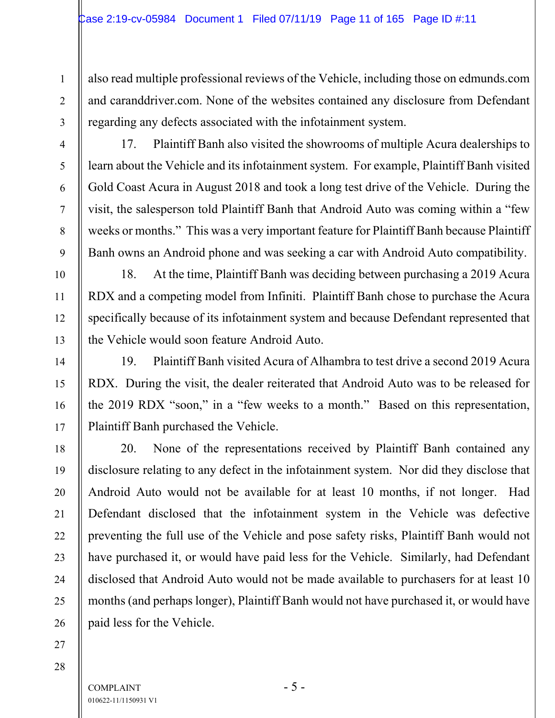also read multiple professional reviews of the Vehicle, including those on edmunds.com and caranddriver.com. None of the websites contained any disclosure from Defendant regarding any defects associated with the infotainment system.

17. Plaintiff Banh also visited the showrooms of multiple Acura dealerships to learn about the Vehicle and its infotainment system. For example, Plaintiff Banh visited Gold Coast Acura in August 2018 and took a long test drive of the Vehicle. During the visit, the salesperson told Plaintiff Banh that Android Auto was coming within a "few weeks or months." This was a very important feature for Plaintiff Banh because Plaintiff Banh owns an Android phone and was seeking a car with Android Auto compatibility.

18. At the time, Plaintiff Banh was deciding between purchasing a 2019 Acura RDX and a competing model from Infiniti. Plaintiff Banh chose to purchase the Acura specifically because of its infotainment system and because Defendant represented that the Vehicle would soon feature Android Auto.

19. Plaintiff Banh visited Acura of Alhambra to test drive a second 2019 Acura RDX. During the visit, the dealer reiterated that Android Auto was to be released for the 2019 RDX "soon," in a "few weeks to a month." Based on this representation, Plaintiff Banh purchased the Vehicle.

20. None of the representations received by Plaintiff Banh contained any disclosure relating to any defect in the infotainment system. Nor did they disclose that Android Auto would not be available for at least 10 months, if not longer. Had Defendant disclosed that the infotainment system in the Vehicle was defective preventing the full use of the Vehicle and pose safety risks, Plaintiff Banh would not have purchased it, or would have paid less for the Vehicle. Similarly, had Defendant disclosed that Android Auto would not be made available to purchasers for at least 10 months (and perhaps longer), Plaintiff Banh would not have purchased it, or would have paid less for the Vehicle.

27 28

1

2

3

4

5

6

7

8

9

10

11

12

13

14

15

16

17

18

19

20

21

22

23

24

25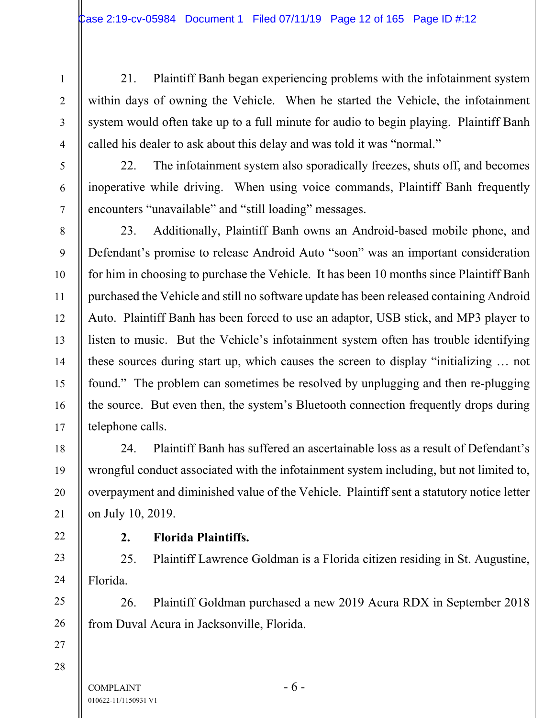21. Plaintiff Banh began experiencing problems with the infotainment system within days of owning the Vehicle. When he started the Vehicle, the infotainment system would often take up to a full minute for audio to begin playing. Plaintiff Banh called his dealer to ask about this delay and was told it was "normal."

22. The infotainment system also sporadically freezes, shuts off, and becomes inoperative while driving. When using voice commands, Plaintiff Banh frequently encounters "unavailable" and "still loading" messages.

23. Additionally, Plaintiff Banh owns an Android-based mobile phone, and Defendant's promise to release Android Auto "soon" was an important consideration for him in choosing to purchase the Vehicle. It has been 10 months since Plaintiff Banh purchased the Vehicle and still no software update has been released containing Android Auto. Plaintiff Banh has been forced to use an adaptor, USB stick, and MP3 player to listen to music. But the Vehicle's infotainment system often has trouble identifying these sources during start up, which causes the screen to display "initializing … not found." The problem can sometimes be resolved by unplugging and then re-plugging the source. But even then, the system's Bluetooth connection frequently drops during telephone calls.

24. Plaintiff Banh has suffered an ascertainable loss as a result of Defendant's wrongful conduct associated with the infotainment system including, but not limited to, overpayment and diminished value of the Vehicle. Plaintiff sent a statutory notice letter on July 10, 2019.

# 22

1

2

3

4

5

6

7

8

9

10

11

12

13

14

15

16

17

18

19

20

21

23

24

25

26

27

#### **2. Florida Plaintiffs.**

25. Plaintiff Lawrence Goldman is a Florida citizen residing in St. Augustine, Florida.

26. Plaintiff Goldman purchased a new 2019 Acura RDX in September 2018 from Duval Acura in Jacksonville, Florida.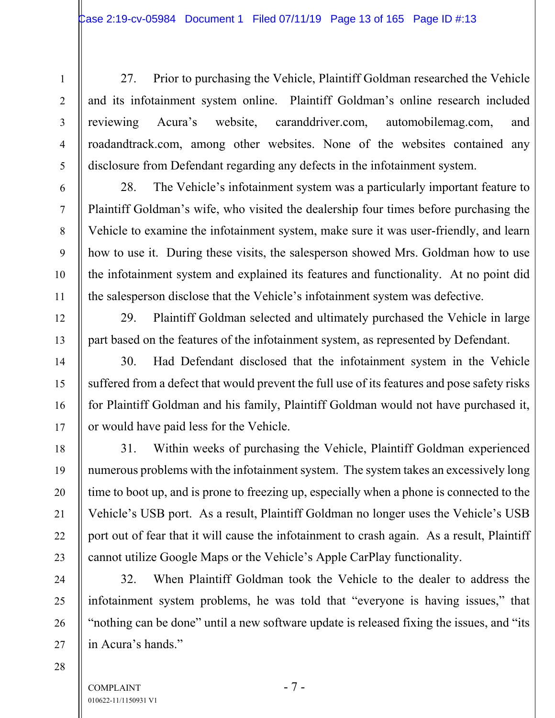27. Prior to purchasing the Vehicle, Plaintiff Goldman researched the Vehicle and its infotainment system online. Plaintiff Goldman's online research included reviewing Acura's website, caranddriver.com, automobilemag.com, and roadandtrack.com, among other websites. None of the websites contained any disclosure from Defendant regarding any defects in the infotainment system.

28. The Vehicle's infotainment system was a particularly important feature to Plaintiff Goldman's wife, who visited the dealership four times before purchasing the Vehicle to examine the infotainment system, make sure it was user-friendly, and learn how to use it. During these visits, the salesperson showed Mrs. Goldman how to use the infotainment system and explained its features and functionality. At no point did the salesperson disclose that the Vehicle's infotainment system was defective.

29. Plaintiff Goldman selected and ultimately purchased the Vehicle in large part based on the features of the infotainment system, as represented by Defendant.

30. Had Defendant disclosed that the infotainment system in the Vehicle suffered from a defect that would prevent the full use of its features and pose safety risks for Plaintiff Goldman and his family, Plaintiff Goldman would not have purchased it, or would have paid less for the Vehicle.

31. Within weeks of purchasing the Vehicle, Plaintiff Goldman experienced numerous problems with the infotainment system. The system takes an excessively long time to boot up, and is prone to freezing up, especially when a phone is connected to the Vehicle's USB port. As a result, Plaintiff Goldman no longer uses the Vehicle's USB port out of fear that it will cause the infotainment to crash again. As a result, Plaintiff cannot utilize Google Maps or the Vehicle's Apple CarPlay functionality.

32. When Plaintiff Goldman took the Vehicle to the dealer to address the infotainment system problems, he was told that "everyone is having issues," that "nothing can be done" until a new software update is released fixing the issues, and "its in Acura's hands."

1

2

3

4

5

6

7

8

9

10

11

12

13

14

15

16

17

18

19

20

21

22

23

24

25

26

27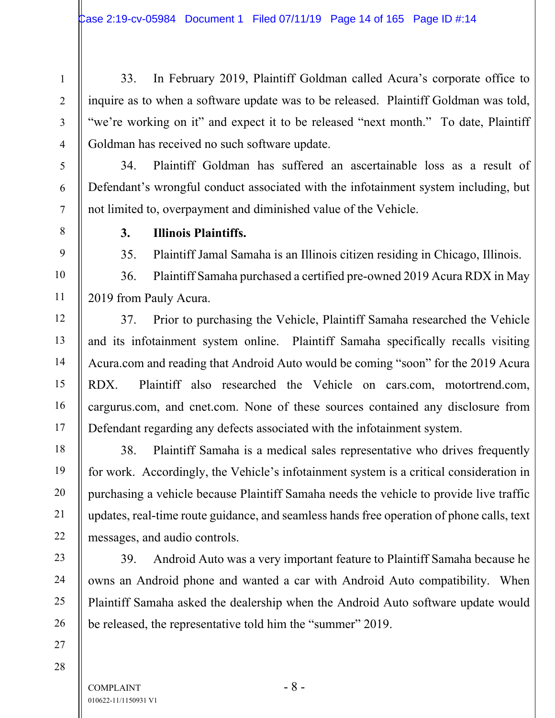33. In February 2019, Plaintiff Goldman called Acura's corporate office to inquire as to when a software update was to be released. Plaintiff Goldman was told, "we're working on it" and expect it to be released "next month." To date, Plaintiff Goldman has received no such software update.

34. Plaintiff Goldman has suffered an ascertainable loss as a result of Defendant's wrongful conduct associated with the infotainment system including, but not limited to, overpayment and diminished value of the Vehicle.

1

2

3

4

5

6

7

8

9

10

11

12

13

14

15

16

17

18

19

20

21

22

23

24

25

26

27

28

### **3. Illinois Plaintiffs.**

35. Plaintiff Jamal Samaha is an Illinois citizen residing in Chicago, Illinois.

36. Plaintiff Samaha purchased a certified pre-owned 2019 Acura RDX in May 2019 from Pauly Acura.

37. Prior to purchasing the Vehicle, Plaintiff Samaha researched the Vehicle and its infotainment system online. Plaintiff Samaha specifically recalls visiting Acura.com and reading that Android Auto would be coming "soon" for the 2019 Acura RDX. Plaintiff also researched the Vehicle on cars.com, motortrend.com, cargurus.com, and cnet.com. None of these sources contained any disclosure from Defendant regarding any defects associated with the infotainment system.

38. Plaintiff Samaha is a medical sales representative who drives frequently for work. Accordingly, the Vehicle's infotainment system is a critical consideration in purchasing a vehicle because Plaintiff Samaha needs the vehicle to provide live traffic updates, real-time route guidance, and seamless hands free operation of phone calls, text messages, and audio controls.

39. Android Auto was a very important feature to Plaintiff Samaha because he owns an Android phone and wanted a car with Android Auto compatibility. When Plaintiff Samaha asked the dealership when the Android Auto software update would be released, the representative told him the "summer" 2019.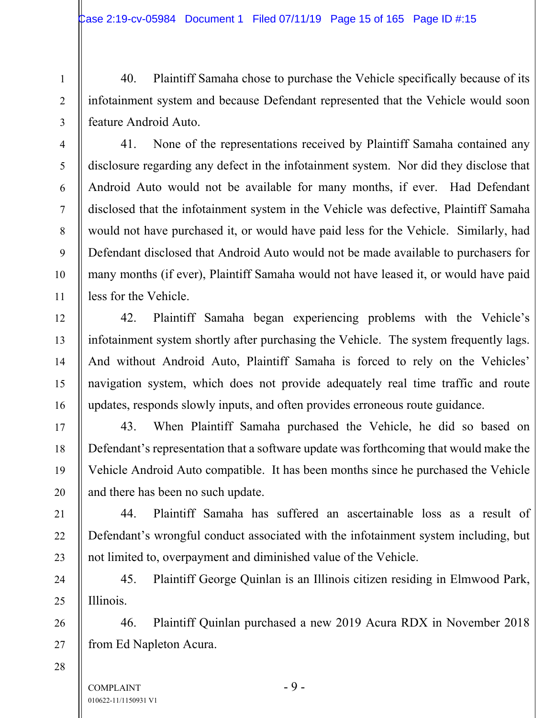40. Plaintiff Samaha chose to purchase the Vehicle specifically because of its infotainment system and because Defendant represented that the Vehicle would soon feature Android Auto.

41. None of the representations received by Plaintiff Samaha contained any disclosure regarding any defect in the infotainment system. Nor did they disclose that Android Auto would not be available for many months, if ever. Had Defendant disclosed that the infotainment system in the Vehicle was defective, Plaintiff Samaha would not have purchased it, or would have paid less for the Vehicle. Similarly, had Defendant disclosed that Android Auto would not be made available to purchasers for many months (if ever), Plaintiff Samaha would not have leased it, or would have paid less for the Vehicle.

42. Plaintiff Samaha began experiencing problems with the Vehicle's infotainment system shortly after purchasing the Vehicle. The system frequently lags. And without Android Auto, Plaintiff Samaha is forced to rely on the Vehicles' navigation system, which does not provide adequately real time traffic and route updates, responds slowly inputs, and often provides erroneous route guidance.

43. When Plaintiff Samaha purchased the Vehicle, he did so based on Defendant's representation that a software update was forthcoming that would make the Vehicle Android Auto compatible. It has been months since he purchased the Vehicle and there has been no such update.

44. Plaintiff Samaha has suffered an ascertainable loss as a result of Defendant's wrongful conduct associated with the infotainment system including, but not limited to, overpayment and diminished value of the Vehicle.

45. Plaintiff George Quinlan is an Illinois citizen residing in Elmwood Park, Illinois.

46. Plaintiff Quinlan purchased a new 2019 Acura RDX in November 2018 from Ed Napleton Acura.

28

1

2

3

4

5

6

7

8

9

10

11

12

13

14

15

16

17

18

19

20

21

22

23

24

25

26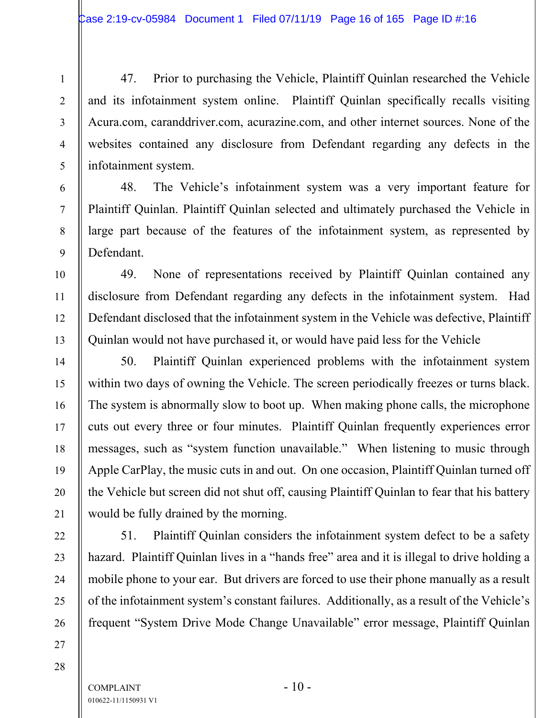47. Prior to purchasing the Vehicle, Plaintiff Quinlan researched the Vehicle and its infotainment system online. Plaintiff Quinlan specifically recalls visiting Acura.com, caranddriver.com, acurazine.com, and other internet sources. None of the websites contained any disclosure from Defendant regarding any defects in the infotainment system.

48. The Vehicle's infotainment system was a very important feature for Plaintiff Quinlan. Plaintiff Quinlan selected and ultimately purchased the Vehicle in large part because of the features of the infotainment system, as represented by Defendant.

49. None of representations received by Plaintiff Quinlan contained any disclosure from Defendant regarding any defects in the infotainment system. Had Defendant disclosed that the infotainment system in the Vehicle was defective, Plaintiff Quinlan would not have purchased it, or would have paid less for the Vehicle

50. Plaintiff Quinlan experienced problems with the infotainment system within two days of owning the Vehicle. The screen periodically freezes or turns black. The system is abnormally slow to boot up. When making phone calls, the microphone cuts out every three or four minutes. Plaintiff Quinlan frequently experiences error messages, such as "system function unavailable." When listening to music through Apple CarPlay, the music cuts in and out. On one occasion, Plaintiff Quinlan turned off the Vehicle but screen did not shut off, causing Plaintiff Quinlan to fear that his battery would be fully drained by the morning.

51. Plaintiff Quinlan considers the infotainment system defect to be a safety hazard. Plaintiff Quinlan lives in a "hands free" area and it is illegal to drive holding a mobile phone to your ear. But drivers are forced to use their phone manually as a result of the infotainment system's constant failures. Additionally, as a result of the Vehicle's frequent "System Drive Mode Change Unavailable" error message, Plaintiff Quinlan

28

27

1

2

3

4

5

6

7

8

9

10

11

12

13

14

15

16

17

18

19

20

21

22

23

24

25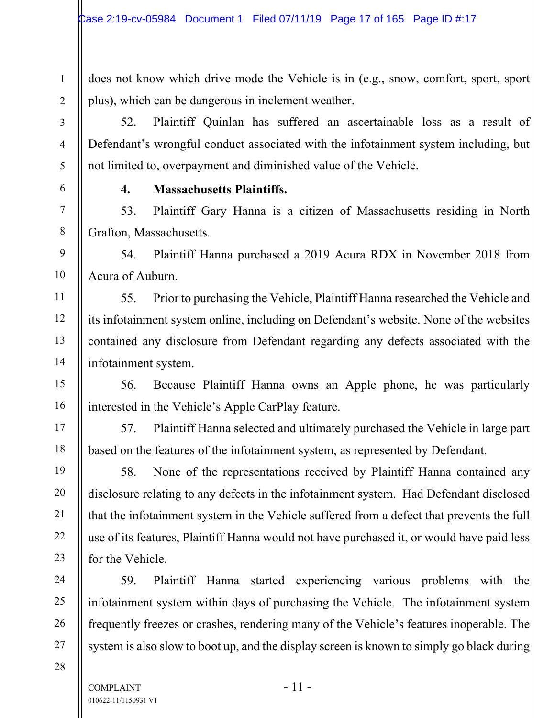does not know which drive mode the Vehicle is in (e.g., snow, comfort, sport, sport plus), which can be dangerous in inclement weather.

52. Plaintiff Quinlan has suffered an ascertainable loss as a result of Defendant's wrongful conduct associated with the infotainment system including, but not limited to, overpayment and diminished value of the Vehicle.

**4. Massachusetts Plaintiffs.** 

1

2

3

4

5

6

7

8

9

10

11

12

13

14

15

16

17

18

19

20

21

22

23

24

25

26

27

28

53. Plaintiff Gary Hanna is a citizen of Massachusetts residing in North Grafton, Massachusetts.

54. Plaintiff Hanna purchased a 2019 Acura RDX in November 2018 from Acura of Auburn.

55. Prior to purchasing the Vehicle, Plaintiff Hanna researched the Vehicle and its infotainment system online, including on Defendant's website. None of the websites contained any disclosure from Defendant regarding any defects associated with the infotainment system.

56. Because Plaintiff Hanna owns an Apple phone, he was particularly interested in the Vehicle's Apple CarPlay feature.

57. Plaintiff Hanna selected and ultimately purchased the Vehicle in large part based on the features of the infotainment system, as represented by Defendant.

58. None of the representations received by Plaintiff Hanna contained any disclosure relating to any defects in the infotainment system. Had Defendant disclosed that the infotainment system in the Vehicle suffered from a defect that prevents the full use of its features, Plaintiff Hanna would not have purchased it, or would have paid less for the Vehicle.

59. Plaintiff Hanna started experiencing various problems with the infotainment system within days of purchasing the Vehicle. The infotainment system frequently freezes or crashes, rendering many of the Vehicle's features inoperable. The system is also slow to boot up, and the display screen is known to simply go black during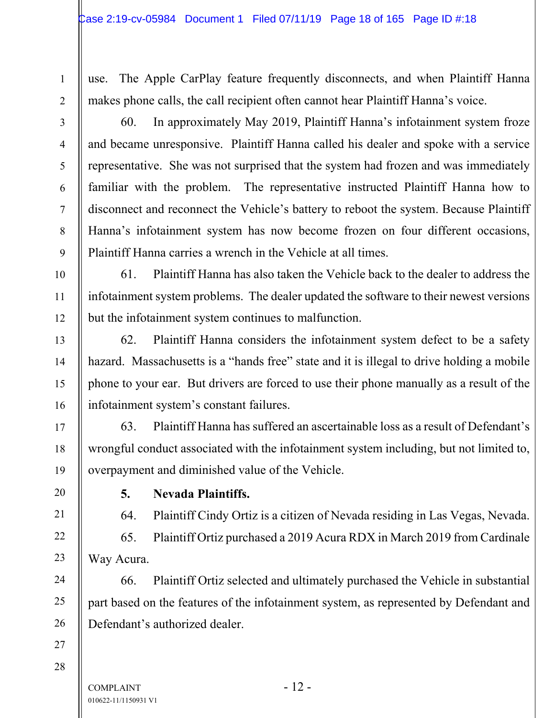1

use. The Apple CarPlay feature frequently disconnects, and when Plaintiff Hanna makes phone calls, the call recipient often cannot hear Plaintiff Hanna's voice.

60. In approximately May 2019, Plaintiff Hanna's infotainment system froze and became unresponsive. Plaintiff Hanna called his dealer and spoke with a service representative. She was not surprised that the system had frozen and was immediately familiar with the problem. The representative instructed Plaintiff Hanna how to disconnect and reconnect the Vehicle's battery to reboot the system. Because Plaintiff Hanna's infotainment system has now become frozen on four different occasions, Plaintiff Hanna carries a wrench in the Vehicle at all times.

61. Plaintiff Hanna has also taken the Vehicle back to the dealer to address the infotainment system problems. The dealer updated the software to their newest versions but the infotainment system continues to malfunction.

62. Plaintiff Hanna considers the infotainment system defect to be a safety hazard. Massachusetts is a "hands free" state and it is illegal to drive holding a mobile phone to your ear. But drivers are forced to use their phone manually as a result of the infotainment system's constant failures.

63. Plaintiff Hanna has suffered an ascertainable loss as a result of Defendant's wrongful conduct associated with the infotainment system including, but not limited to, overpayment and diminished value of the Vehicle.

**5. Nevada Plaintiffs.** 

64. Plaintiff Cindy Ortiz is a citizen of Nevada residing in Las Vegas, Nevada.

65. Plaintiff Ortiz purchased a 2019 Acura RDX in March 2019 from Cardinale Way Acura.

66. Plaintiff Ortiz selected and ultimately purchased the Vehicle in substantial part based on the features of the infotainment system, as represented by Defendant and Defendant's authorized dealer.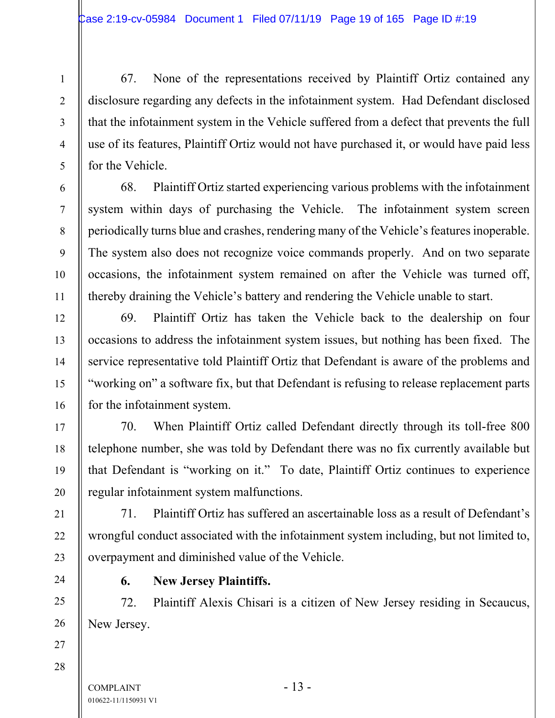67. None of the representations received by Plaintiff Ortiz contained any disclosure regarding any defects in the infotainment system. Had Defendant disclosed that the infotainment system in the Vehicle suffered from a defect that prevents the full use of its features, Plaintiff Ortiz would not have purchased it, or would have paid less for the Vehicle.

68. Plaintiff Ortiz started experiencing various problems with the infotainment system within days of purchasing the Vehicle. The infotainment system screen periodically turns blue and crashes, rendering many of the Vehicle's features inoperable. The system also does not recognize voice commands properly. And on two separate occasions, the infotainment system remained on after the Vehicle was turned off, thereby draining the Vehicle's battery and rendering the Vehicle unable to start.

69. Plaintiff Ortiz has taken the Vehicle back to the dealership on four occasions to address the infotainment system issues, but nothing has been fixed. The service representative told Plaintiff Ortiz that Defendant is aware of the problems and "working on" a software fix, but that Defendant is refusing to release replacement parts for the infotainment system.

70. When Plaintiff Ortiz called Defendant directly through its toll-free 800 telephone number, she was told by Defendant there was no fix currently available but that Defendant is "working on it." To date, Plaintiff Ortiz continues to experience regular infotainment system malfunctions.

71. Plaintiff Ortiz has suffered an ascertainable loss as a result of Defendant's wrongful conduct associated with the infotainment system including, but not limited to, overpayment and diminished value of the Vehicle.

**6. New Jersey Plaintiffs.** 

72. Plaintiff Alexis Chisari is a citizen of New Jersey residing in Secaucus, New Jersey.

28

1

2

3

4

5

6

7

8

9

10

11

12

13

14

15

16

17

18

19

20

21

22

23

24

25

26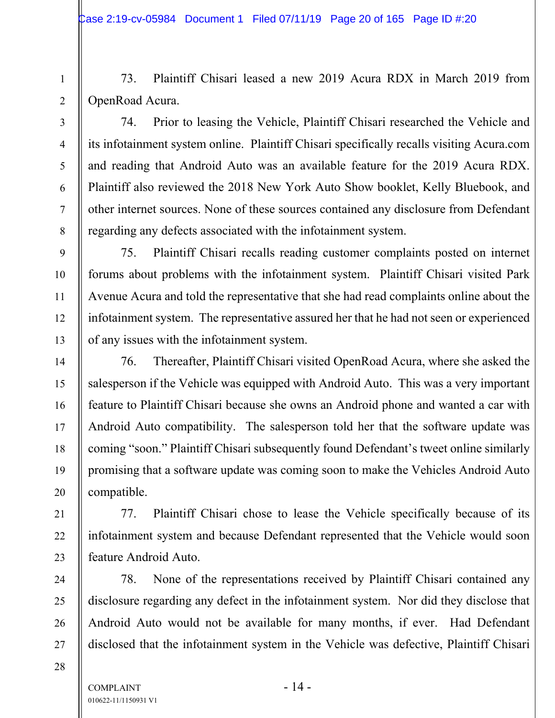73. Plaintiff Chisari leased a new 2019 Acura RDX in March 2019 from OpenRoad Acura.

1

2

3

4

5

6

7

8

9

10

11

12

13

14

15

16

17

18

19

20

21

22

23

24

25

26

27

74. Prior to leasing the Vehicle, Plaintiff Chisari researched the Vehicle and its infotainment system online. Plaintiff Chisari specifically recalls visiting Acura.com and reading that Android Auto was an available feature for the 2019 Acura RDX. Plaintiff also reviewed the 2018 New York Auto Show booklet, Kelly Bluebook, and other internet sources. None of these sources contained any disclosure from Defendant regarding any defects associated with the infotainment system.

75. Plaintiff Chisari recalls reading customer complaints posted on internet forums about problems with the infotainment system. Plaintiff Chisari visited Park Avenue Acura and told the representative that she had read complaints online about the infotainment system. The representative assured her that he had not seen or experienced of any issues with the infotainment system.

76. Thereafter, Plaintiff Chisari visited OpenRoad Acura, where she asked the salesperson if the Vehicle was equipped with Android Auto. This was a very important feature to Plaintiff Chisari because she owns an Android phone and wanted a car with Android Auto compatibility. The salesperson told her that the software update was coming "soon." Plaintiff Chisari subsequently found Defendant's tweet online similarly promising that a software update was coming soon to make the Vehicles Android Auto compatible.

77. Plaintiff Chisari chose to lease the Vehicle specifically because of its infotainment system and because Defendant represented that the Vehicle would soon feature Android Auto.

78. None of the representations received by Plaintiff Chisari contained any disclosure regarding any defect in the infotainment system. Nor did they disclose that Android Auto would not be available for many months, if ever. Had Defendant disclosed that the infotainment system in the Vehicle was defective, Plaintiff Chisari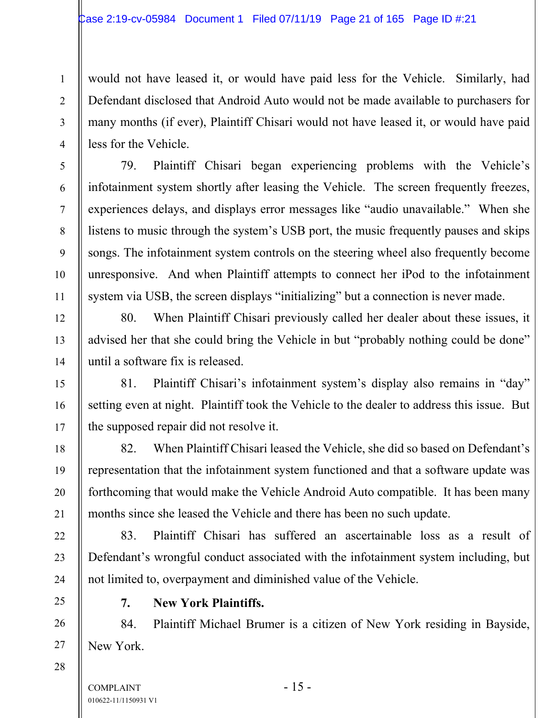would not have leased it, or would have paid less for the Vehicle. Similarly, had Defendant disclosed that Android Auto would not be made available to purchasers for many months (if ever), Plaintiff Chisari would not have leased it, or would have paid less for the Vehicle.

79. Plaintiff Chisari began experiencing problems with the Vehicle's infotainment system shortly after leasing the Vehicle. The screen frequently freezes, experiences delays, and displays error messages like "audio unavailable." When she listens to music through the system's USB port, the music frequently pauses and skips songs. The infotainment system controls on the steering wheel also frequently become unresponsive. And when Plaintiff attempts to connect her iPod to the infotainment system via USB, the screen displays "initializing" but a connection is never made.

80. When Plaintiff Chisari previously called her dealer about these issues, it advised her that she could bring the Vehicle in but "probably nothing could be done" until a software fix is released.

81. Plaintiff Chisari's infotainment system's display also remains in "day" setting even at night. Plaintiff took the Vehicle to the dealer to address this issue. But the supposed repair did not resolve it.

82. When Plaintiff Chisari leased the Vehicle, she did so based on Defendant's representation that the infotainment system functioned and that a software update was forthcoming that would make the Vehicle Android Auto compatible. It has been many months since she leased the Vehicle and there has been no such update.

83. Plaintiff Chisari has suffered an ascertainable loss as a result of Defendant's wrongful conduct associated with the infotainment system including, but not limited to, overpayment and diminished value of the Vehicle.

#### **7. New York Plaintiffs.**

84. Plaintiff Michael Brumer is a citizen of New York residing in Bayside, New York.

1

2

3

4

5

6

7

8

9

10

11

12

13

14

15

16

17

18

19

20

21

22

23

24

25

26

27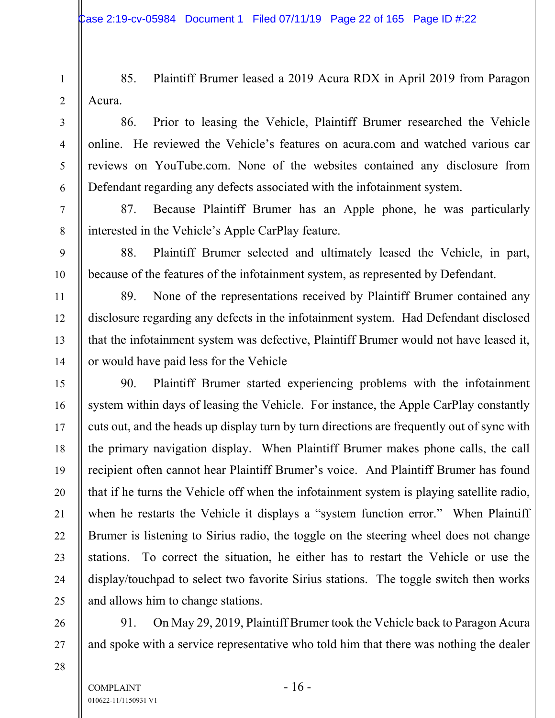85. Plaintiff Brumer leased a 2019 Acura RDX in April 2019 from Paragon Acura.

86. Prior to leasing the Vehicle, Plaintiff Brumer researched the Vehicle online. He reviewed the Vehicle's features on acura.com and watched various car reviews on YouTube.com. None of the websites contained any disclosure from Defendant regarding any defects associated with the infotainment system.

87. Because Plaintiff Brumer has an Apple phone, he was particularly interested in the Vehicle's Apple CarPlay feature.

88. Plaintiff Brumer selected and ultimately leased the Vehicle, in part, because of the features of the infotainment system, as represented by Defendant.

89. None of the representations received by Plaintiff Brumer contained any disclosure regarding any defects in the infotainment system. Had Defendant disclosed that the infotainment system was defective, Plaintiff Brumer would not have leased it, or would have paid less for the Vehicle

90. Plaintiff Brumer started experiencing problems with the infotainment system within days of leasing the Vehicle. For instance, the Apple CarPlay constantly cuts out, and the heads up display turn by turn directions are frequently out of sync with the primary navigation display. When Plaintiff Brumer makes phone calls, the call recipient often cannot hear Plaintiff Brumer's voice. And Plaintiff Brumer has found that if he turns the Vehicle off when the infotainment system is playing satellite radio, when he restarts the Vehicle it displays a "system function error." When Plaintiff Brumer is listening to Sirius radio, the toggle on the steering wheel does not change stations. To correct the situation, he either has to restart the Vehicle or use the display/touchpad to select two favorite Sirius stations. The toggle switch then works and allows him to change stations.

91. On May 29, 2019, Plaintiff Brumer took the Vehicle back to Paragon Acura and spoke with a service representative who told him that there was nothing the dealer

1

2

3

4

5

6

7

8

9

10

11

12

13

14

15

16

17

18

19

20

21

22

23

24

25

26

27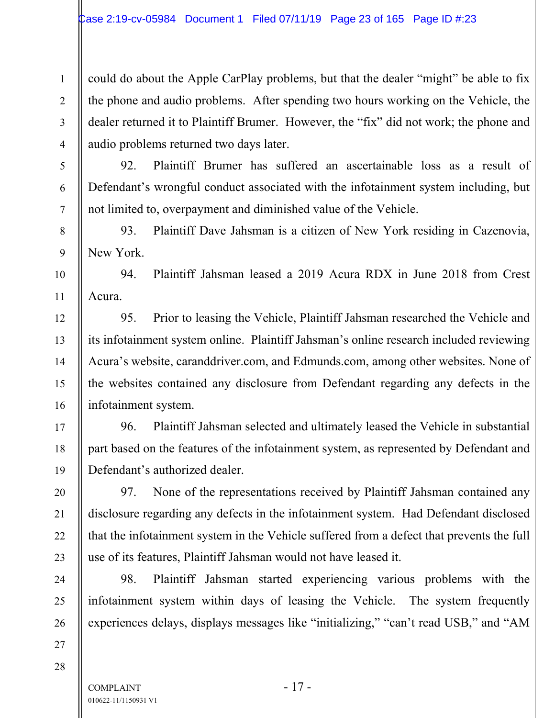could do about the Apple CarPlay problems, but that the dealer "might" be able to fix the phone and audio problems. After spending two hours working on the Vehicle, the dealer returned it to Plaintiff Brumer. However, the "fix" did not work; the phone and audio problems returned two days later.

92. Plaintiff Brumer has suffered an ascertainable loss as a result of Defendant's wrongful conduct associated with the infotainment system including, but not limited to, overpayment and diminished value of the Vehicle.

93. Plaintiff Dave Jahsman is a citizen of New York residing in Cazenovia, New York.

94. Plaintiff Jahsman leased a 2019 Acura RDX in June 2018 from Crest Acura.

95. Prior to leasing the Vehicle, Plaintiff Jahsman researched the Vehicle and its infotainment system online. Plaintiff Jahsman's online research included reviewing Acura's website, caranddriver.com, and Edmunds.com, among other websites. None of the websites contained any disclosure from Defendant regarding any defects in the infotainment system.

96. Plaintiff Jahsman selected and ultimately leased the Vehicle in substantial part based on the features of the infotainment system, as represented by Defendant and Defendant's authorized dealer.

97. None of the representations received by Plaintiff Jahsman contained any disclosure regarding any defects in the infotainment system. Had Defendant disclosed that the infotainment system in the Vehicle suffered from a defect that prevents the full use of its features, Plaintiff Jahsman would not have leased it.

98. Plaintiff Jahsman started experiencing various problems with the infotainment system within days of leasing the Vehicle. The system frequently experiences delays, displays messages like "initializing," "can't read USB," and "AM

28

27

1

2

3

4

5

6

7

8

9

10

11

12

13

14

15

16

17

18

19

20

21

22

23

24

25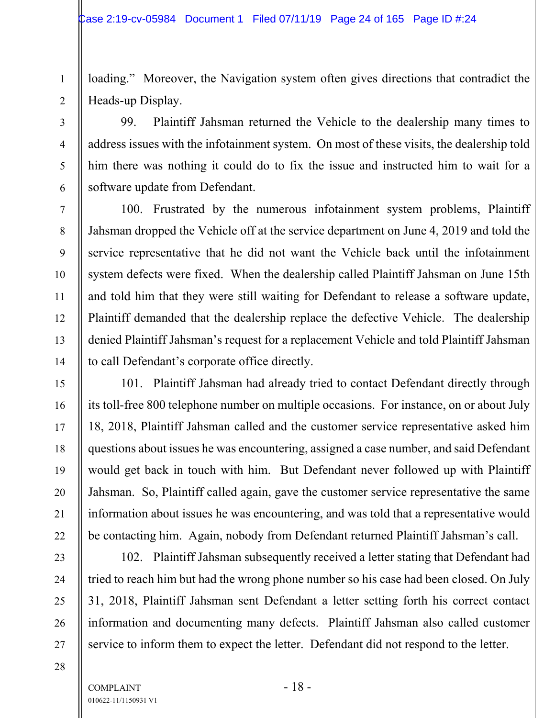loading." Moreover, the Navigation system often gives directions that contradict the Heads-up Display.

99. Plaintiff Jahsman returned the Vehicle to the dealership many times to address issues with the infotainment system. On most of these visits, the dealership told him there was nothing it could do to fix the issue and instructed him to wait for a software update from Defendant.

100. Frustrated by the numerous infotainment system problems, Plaintiff Jahsman dropped the Vehicle off at the service department on June 4, 2019 and told the service representative that he did not want the Vehicle back until the infotainment system defects were fixed. When the dealership called Plaintiff Jahsman on June 15th and told him that they were still waiting for Defendant to release a software update, Plaintiff demanded that the dealership replace the defective Vehicle. The dealership denied Plaintiff Jahsman's request for a replacement Vehicle and told Plaintiff Jahsman to call Defendant's corporate office directly.

101. Plaintiff Jahsman had already tried to contact Defendant directly through its toll-free 800 telephone number on multiple occasions. For instance, on or about July 18, 2018, Plaintiff Jahsman called and the customer service representative asked him questions about issues he was encountering, assigned a case number, and said Defendant would get back in touch with him. But Defendant never followed up with Plaintiff Jahsman. So, Plaintiff called again, gave the customer service representative the same information about issues he was encountering, and was told that a representative would be contacting him. Again, nobody from Defendant returned Plaintiff Jahsman's call.

102. Plaintiff Jahsman subsequently received a letter stating that Defendant had tried to reach him but had the wrong phone number so his case had been closed. On July 31, 2018, Plaintiff Jahsman sent Defendant a letter setting forth his correct contact information and documenting many defects. Plaintiff Jahsman also called customer service to inform them to expect the letter. Defendant did not respond to the letter.

1

2

3

4

5

6

7

8

9

10

11

12

13

14

15

16

17

18

19

20

21

22

23

24

25

26

27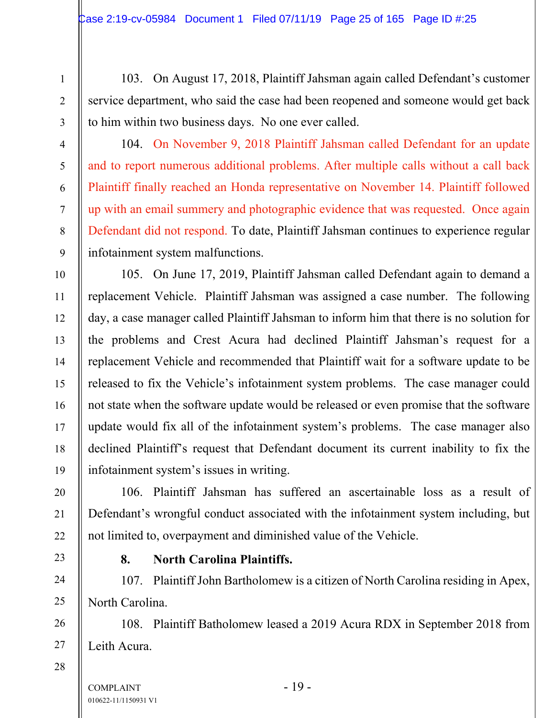103. On August 17, 2018, Plaintiff Jahsman again called Defendant's customer service department, who said the case had been reopened and someone would get back to him within two business days. No one ever called.

104. On November 9, 2018 Plaintiff Jahsman called Defendant for an update and to report numerous additional problems. After multiple calls without a call back Plaintiff finally reached an Honda representative on November 14. Plaintiff followed up with an email summery and photographic evidence that was requested. Once again Defendant did not respond. To date, Plaintiff Jahsman continues to experience regular infotainment system malfunctions.

105. On June 17, 2019, Plaintiff Jahsman called Defendant again to demand a replacement Vehicle. Plaintiff Jahsman was assigned a case number. The following day, a case manager called Plaintiff Jahsman to inform him that there is no solution for the problems and Crest Acura had declined Plaintiff Jahsman's request for a replacement Vehicle and recommended that Plaintiff wait for a software update to be released to fix the Vehicle's infotainment system problems. The case manager could not state when the software update would be released or even promise that the software update would fix all of the infotainment system's problems. The case manager also declined Plaintiff's request that Defendant document its current inability to fix the infotainment system's issues in writing.

106. Plaintiff Jahsman has suffered an ascertainable loss as a result of Defendant's wrongful conduct associated with the infotainment system including, but not limited to, overpayment and diminished value of the Vehicle.

**8. North Carolina Plaintiffs.** 

107. Plaintiff John Bartholomew is a citizen of North Carolina residing in Apex, North Carolina.

108. Plaintiff Batholomew leased a 2019 Acura RDX in September 2018 from Leith Acura.

28

1

2

3

4

5

6

7

8

9

10

11

12

13

14

15

16

17

18

19

20

21

22

23

24

25

26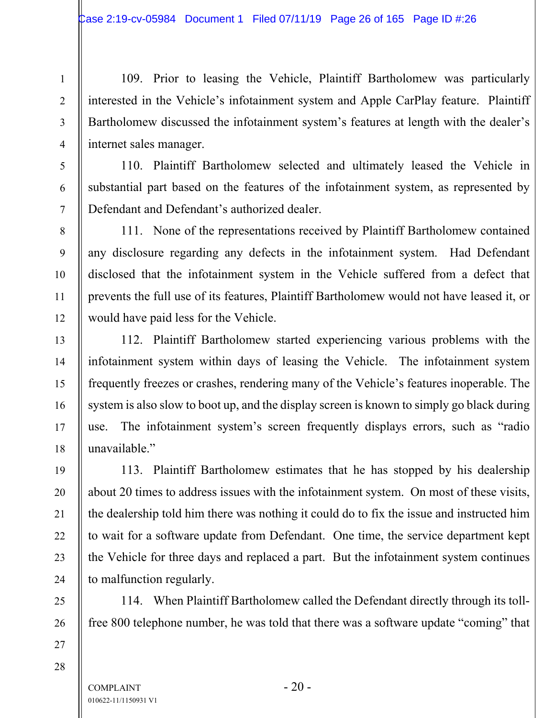109. Prior to leasing the Vehicle, Plaintiff Bartholomew was particularly interested in the Vehicle's infotainment system and Apple CarPlay feature. Plaintiff Bartholomew discussed the infotainment system's features at length with the dealer's internet sales manager.

110. Plaintiff Bartholomew selected and ultimately leased the Vehicle in substantial part based on the features of the infotainment system, as represented by Defendant and Defendant's authorized dealer.

111. None of the representations received by Plaintiff Bartholomew contained any disclosure regarding any defects in the infotainment system. Had Defendant disclosed that the infotainment system in the Vehicle suffered from a defect that prevents the full use of its features, Plaintiff Bartholomew would not have leased it, or would have paid less for the Vehicle.

112. Plaintiff Bartholomew started experiencing various problems with the infotainment system within days of leasing the Vehicle. The infotainment system frequently freezes or crashes, rendering many of the Vehicle's features inoperable. The system is also slow to boot up, and the display screen is known to simply go black during use. The infotainment system's screen frequently displays errors, such as "radio unavailable."

113. Plaintiff Bartholomew estimates that he has stopped by his dealership about 20 times to address issues with the infotainment system. On most of these visits, the dealership told him there was nothing it could do to fix the issue and instructed him to wait for a software update from Defendant. One time, the service department kept the Vehicle for three days and replaced a part. But the infotainment system continues to malfunction regularly.

114. When Plaintiff Bartholomew called the Defendant directly through its tollfree 800 telephone number, he was told that there was a software update "coming" that

28

1

2

3

4

5

6

7

8

9

10

11

12

13

14

15

16

17

18

19

20

21

22

23

24

25

26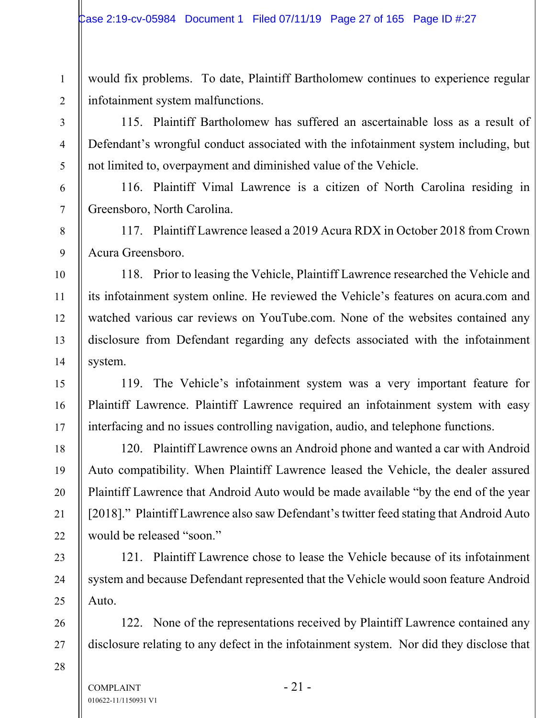would fix problems. To date, Plaintiff Bartholomew continues to experience regular infotainment system malfunctions.

115. Plaintiff Bartholomew has suffered an ascertainable loss as a result of Defendant's wrongful conduct associated with the infotainment system including, but not limited to, overpayment and diminished value of the Vehicle.

116. Plaintiff Vimal Lawrence is a citizen of North Carolina residing in Greensboro, North Carolina.

117. Plaintiff Lawrence leased a 2019 Acura RDX in October 2018 from Crown Acura Greensboro.

118. Prior to leasing the Vehicle, Plaintiff Lawrence researched the Vehicle and its infotainment system online. He reviewed the Vehicle's features on acura.com and watched various car reviews on YouTube.com. None of the websites contained any disclosure from Defendant regarding any defects associated with the infotainment system.

119. The Vehicle's infotainment system was a very important feature for Plaintiff Lawrence. Plaintiff Lawrence required an infotainment system with easy interfacing and no issues controlling navigation, audio, and telephone functions.

120. Plaintiff Lawrence owns an Android phone and wanted a car with Android Auto compatibility. When Plaintiff Lawrence leased the Vehicle, the dealer assured Plaintiff Lawrence that Android Auto would be made available "by the end of the year [2018]." Plaintiff Lawrence also saw Defendant's twitter feed stating that Android Auto would be released "soon."

121. Plaintiff Lawrence chose to lease the Vehicle because of its infotainment system and because Defendant represented that the Vehicle would soon feature Android Auto.

122. None of the representations received by Plaintiff Lawrence contained any disclosure relating to any defect in the infotainment system. Nor did they disclose that

 $COMPLANT$  - 21 -010622-11/1150931 V1

1

2

3

4

5

6

7

8

9

10

11

12

13

14

15

16

17

18

19

20

21

22

23

24

25

26

27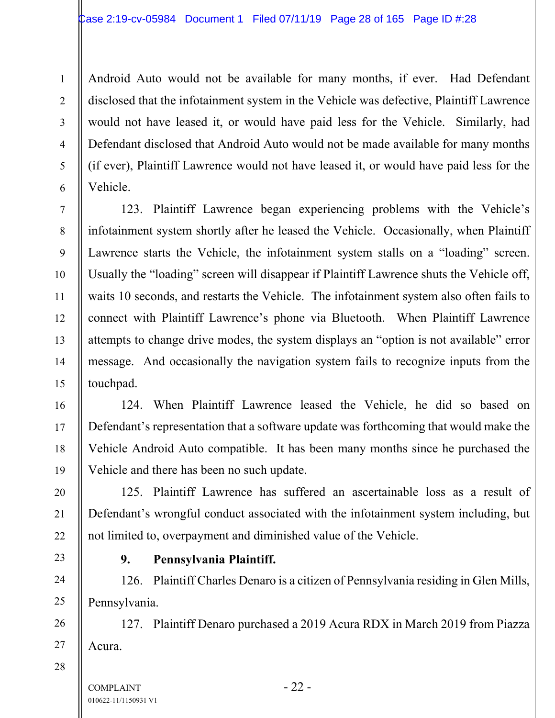Android Auto would not be available for many months, if ever. Had Defendant disclosed that the infotainment system in the Vehicle was defective, Plaintiff Lawrence would not have leased it, or would have paid less for the Vehicle. Similarly, had Defendant disclosed that Android Auto would not be made available for many months (if ever), Plaintiff Lawrence would not have leased it, or would have paid less for the Vehicle.

123. Plaintiff Lawrence began experiencing problems with the Vehicle's infotainment system shortly after he leased the Vehicle. Occasionally, when Plaintiff Lawrence starts the Vehicle, the infotainment system stalls on a "loading" screen. Usually the "loading" screen will disappear if Plaintiff Lawrence shuts the Vehicle off, waits 10 seconds, and restarts the Vehicle. The infotainment system also often fails to connect with Plaintiff Lawrence's phone via Bluetooth. When Plaintiff Lawrence attempts to change drive modes, the system displays an "option is not available" error message. And occasionally the navigation system fails to recognize inputs from the touchpad.

124. When Plaintiff Lawrence leased the Vehicle, he did so based on Defendant's representation that a software update was forthcoming that would make the Vehicle Android Auto compatible. It has been many months since he purchased the Vehicle and there has been no such update.

125. Plaintiff Lawrence has suffered an ascertainable loss as a result of Defendant's wrongful conduct associated with the infotainment system including, but not limited to, overpayment and diminished value of the Vehicle.

# **9. Pennsylvania Plaintiff.**

126. Plaintiff Charles Denaro is a citizen of Pennsylvania residing in Glen Mills, Pennsylvania.

127. Plaintiff Denaro purchased a 2019 Acura RDX in March 2019 from Piazza Acura.

28

1

2

3

4

5

6

7

8

9

10

11

12

13

14

15

16

17

18

19

20

21

22

23

24

25

26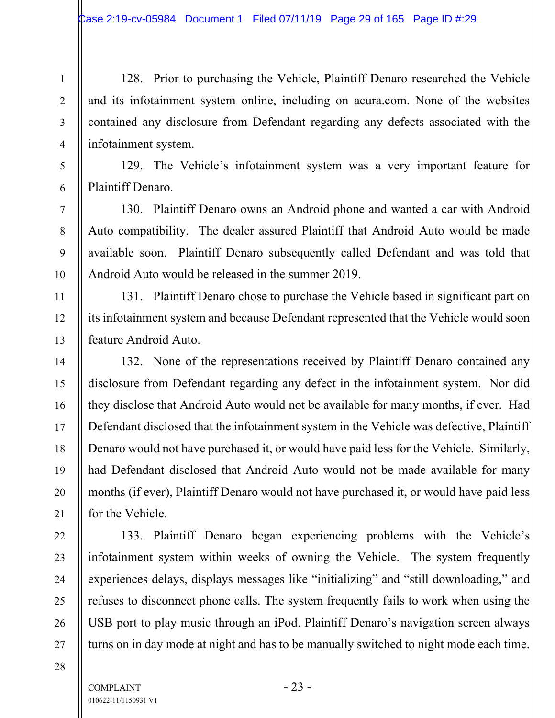128. Prior to purchasing the Vehicle, Plaintiff Denaro researched the Vehicle and its infotainment system online, including on acura.com. None of the websites contained any disclosure from Defendant regarding any defects associated with the infotainment system.

129. The Vehicle's infotainment system was a very important feature for Plaintiff Denaro.

130. Plaintiff Denaro owns an Android phone and wanted a car with Android Auto compatibility. The dealer assured Plaintiff that Android Auto would be made available soon. Plaintiff Denaro subsequently called Defendant and was told that Android Auto would be released in the summer 2019.

131. Plaintiff Denaro chose to purchase the Vehicle based in significant part on its infotainment system and because Defendant represented that the Vehicle would soon feature Android Auto.

132. None of the representations received by Plaintiff Denaro contained any disclosure from Defendant regarding any defect in the infotainment system. Nor did they disclose that Android Auto would not be available for many months, if ever. Had Defendant disclosed that the infotainment system in the Vehicle was defective, Plaintiff Denaro would not have purchased it, or would have paid less for the Vehicle. Similarly, had Defendant disclosed that Android Auto would not be made available for many months (if ever), Plaintiff Denaro would not have purchased it, or would have paid less for the Vehicle.

133. Plaintiff Denaro began experiencing problems with the Vehicle's infotainment system within weeks of owning the Vehicle. The system frequently experiences delays, displays messages like "initializing" and "still downloading," and refuses to disconnect phone calls. The system frequently fails to work when using the USB port to play music through an iPod. Plaintiff Denaro's navigation screen always turns on in day mode at night and has to be manually switched to night mode each time.

1

2

3

4

5

6

7

8

9

10

11

12

13

14

15

16

17

18

19

20

21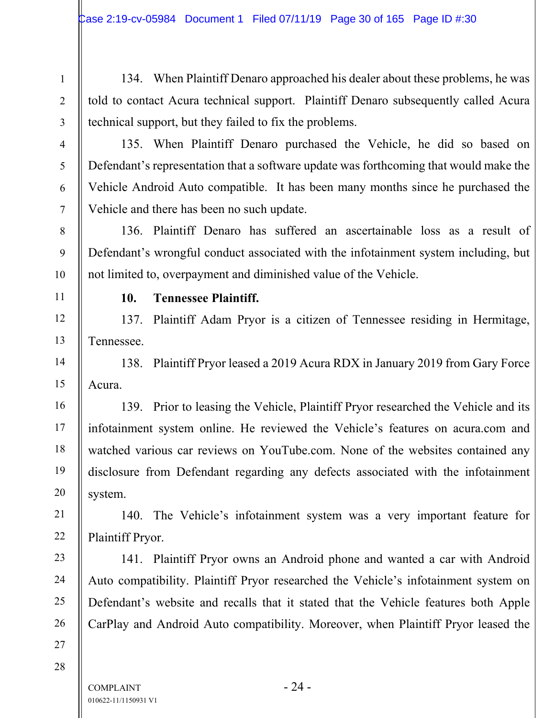134. When Plaintiff Denaro approached his dealer about these problems, he was told to contact Acura technical support. Plaintiff Denaro subsequently called Acura technical support, but they failed to fix the problems.

135. When Plaintiff Denaro purchased the Vehicle, he did so based on Defendant's representation that a software update was forthcoming that would make the Vehicle Android Auto compatible. It has been many months since he purchased the Vehicle and there has been no such update.

136. Plaintiff Denaro has suffered an ascertainable loss as a result of Defendant's wrongful conduct associated with the infotainment system including, but not limited to, overpayment and diminished value of the Vehicle.

1

2

3

4

5

6

7

8

9

10

11

12

13

14

15

16

17

18

19

20

21

22

23

24

25

26

### **10. Tennessee Plaintiff.**

137. Plaintiff Adam Pryor is a citizen of Tennessee residing in Hermitage, Tennessee.

138. Plaintiff Pryor leased a 2019 Acura RDX in January 2019 from Gary Force Acura.

139. Prior to leasing the Vehicle, Plaintiff Pryor researched the Vehicle and its infotainment system online. He reviewed the Vehicle's features on acura.com and watched various car reviews on YouTube.com. None of the websites contained any disclosure from Defendant regarding any defects associated with the infotainment system.

140. The Vehicle's infotainment system was a very important feature for Plaintiff Pryor.

141. Plaintiff Pryor owns an Android phone and wanted a car with Android Auto compatibility. Plaintiff Pryor researched the Vehicle's infotainment system on Defendant's website and recalls that it stated that the Vehicle features both Apple CarPlay and Android Auto compatibility. Moreover, when Plaintiff Pryor leased the

28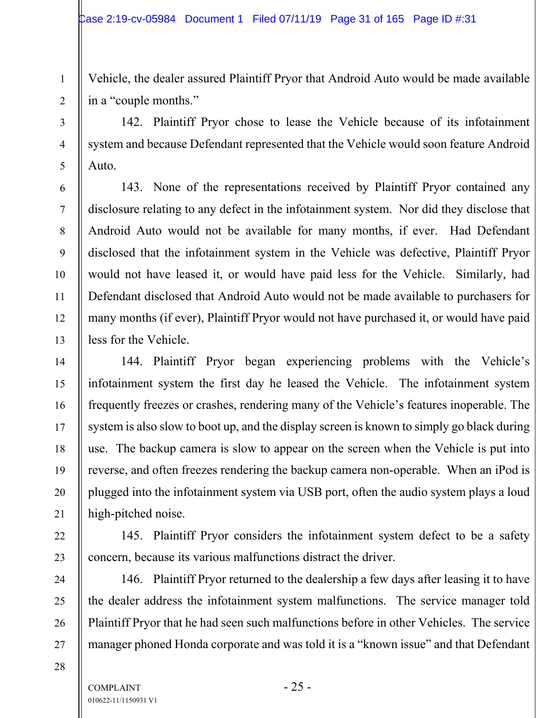Vehicle, the dealer assured Plaintiff Pryor that Android Auto would be made available in a "couple months."

142. Plaintiff Pryor chose to lease the Vehicle because of its infotainment system and because Defendant represented that the Vehicle would soon feature Android Auto.

143. None of the representations received by Plaintiff Pryor contained any disclosure relating to any defect in the infotainment system. Nor did they disclose that Android Auto would not be available for many months, if ever. Had Defendant disclosed that the infotainment system in the Vehicle was defective, Plaintiff Pryor would not have leased it, or would have paid less for the Vehicle. Similarly, had Defendant disclosed that Android Auto would not be made available to purchasers for many months (if ever), Plaintiff Pryor would not have purchased it, or would have paid less for the Vehicle.

144. Plaintiff Pryor began experiencing problems with the Vehicle's infotainment system the first day he leased the Vehicle. The infotainment system frequently freezes or crashes, rendering many of the Vehicle's features inoperable. The system is also slow to boot up, and the display screen is known to simply go black during use. The backup camera is slow to appear on the screen when the Vehicle is put into reverse, and often freezes rendering the backup camera non-operable. When an iPod is plugged into the infotainment system via USB port, often the audio system plays a loud high-pitched noise.

145. Plaintiff Pryor considers the infotainment system defect to be a safety concern, because its various malfunctions distract the driver.

146. Plaintiff Pryor returned to the dealership a few days after leasing it to have the dealer address the infotainment system malfunctions. The service manager told Plaintiff Pryor that he had seen such malfunctions before in other Vehicles. The service manager phoned Honda corporate and was told it is a "known issue" and that Defendant

1

2

3

4

5

6

7

8

9

10

11

12

13

14

15

16

17

18

19

20

21

22

23

24

25

26

27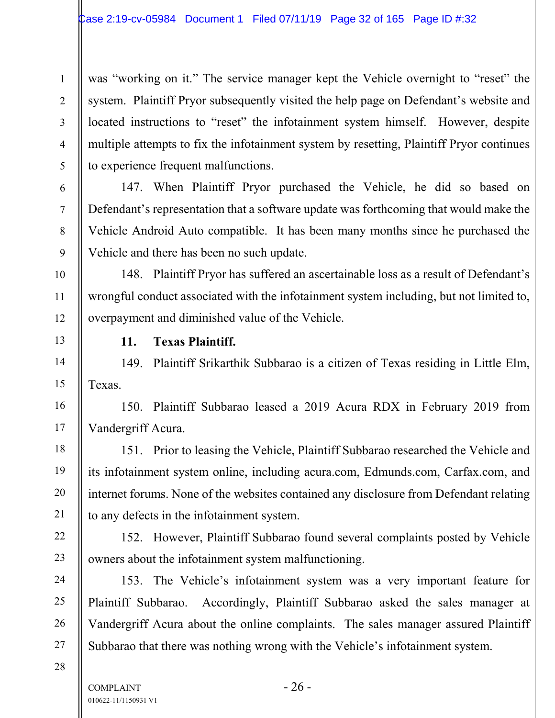was "working on it." The service manager kept the Vehicle overnight to "reset" the system. Plaintiff Pryor subsequently visited the help page on Defendant's website and located instructions to "reset" the infotainment system himself. However, despite multiple attempts to fix the infotainment system by resetting, Plaintiff Pryor continues to experience frequent malfunctions.

147. When Plaintiff Pryor purchased the Vehicle, he did so based on Defendant's representation that a software update was forthcoming that would make the Vehicle Android Auto compatible. It has been many months since he purchased the Vehicle and there has been no such update.

148. Plaintiff Pryor has suffered an ascertainable loss as a result of Defendant's wrongful conduct associated with the infotainment system including, but not limited to, overpayment and diminished value of the Vehicle.

**11. Texas Plaintiff.** 

149. Plaintiff Srikarthik Subbarao is a citizen of Texas residing in Little Elm, Texas.

150. Plaintiff Subbarao leased a 2019 Acura RDX in February 2019 from Vandergriff Acura.

151. Prior to leasing the Vehicle, Plaintiff Subbarao researched the Vehicle and its infotainment system online, including acura.com, Edmunds.com, Carfax.com, and internet forums. None of the websites contained any disclosure from Defendant relating to any defects in the infotainment system.

152. However, Plaintiff Subbarao found several complaints posted by Vehicle owners about the infotainment system malfunctioning.

153. The Vehicle's infotainment system was a very important feature for Plaintiff Subbarao. Accordingly, Plaintiff Subbarao asked the sales manager at Vandergriff Acura about the online complaints. The sales manager assured Plaintiff Subbarao that there was nothing wrong with the Vehicle's infotainment system.

28

1

2

3

4

5

6

7

8

9

10

11

12

13

14

15

16

17

18

19

20

21

22

23

24

25

26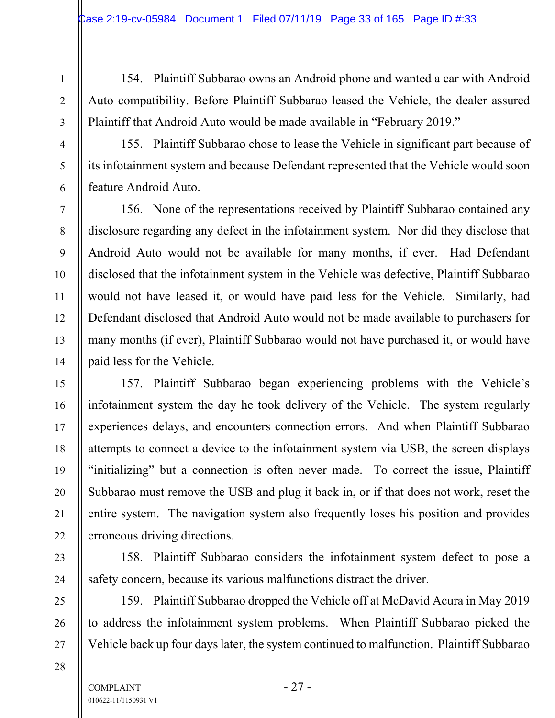154. Plaintiff Subbarao owns an Android phone and wanted a car with Android Auto compatibility. Before Plaintiff Subbarao leased the Vehicle, the dealer assured Plaintiff that Android Auto would be made available in "February 2019."

155. Plaintiff Subbarao chose to lease the Vehicle in significant part because of its infotainment system and because Defendant represented that the Vehicle would soon feature Android Auto.

156. None of the representations received by Plaintiff Subbarao contained any disclosure regarding any defect in the infotainment system. Nor did they disclose that Android Auto would not be available for many months, if ever. Had Defendant disclosed that the infotainment system in the Vehicle was defective, Plaintiff Subbarao would not have leased it, or would have paid less for the Vehicle. Similarly, had Defendant disclosed that Android Auto would not be made available to purchasers for many months (if ever), Plaintiff Subbarao would not have purchased it, or would have paid less for the Vehicle.

157. Plaintiff Subbarao began experiencing problems with the Vehicle's infotainment system the day he took delivery of the Vehicle. The system regularly experiences delays, and encounters connection errors. And when Plaintiff Subbarao attempts to connect a device to the infotainment system via USB, the screen displays "initializing" but a connection is often never made. To correct the issue, Plaintiff Subbarao must remove the USB and plug it back in, or if that does not work, reset the entire system. The navigation system also frequently loses his position and provides erroneous driving directions.

158. Plaintiff Subbarao considers the infotainment system defect to pose a safety concern, because its various malfunctions distract the driver.

159. Plaintiff Subbarao dropped the Vehicle off at McDavid Acura in May 2019 to address the infotainment system problems. When Plaintiff Subbarao picked the Vehicle back up four days later, the system continued to malfunction. Plaintiff Subbarao

28

1

2

3

4

5

6

7

8

9

10

11

12

13

14

15

16

17

18

19

20

21

22

23

24

25

26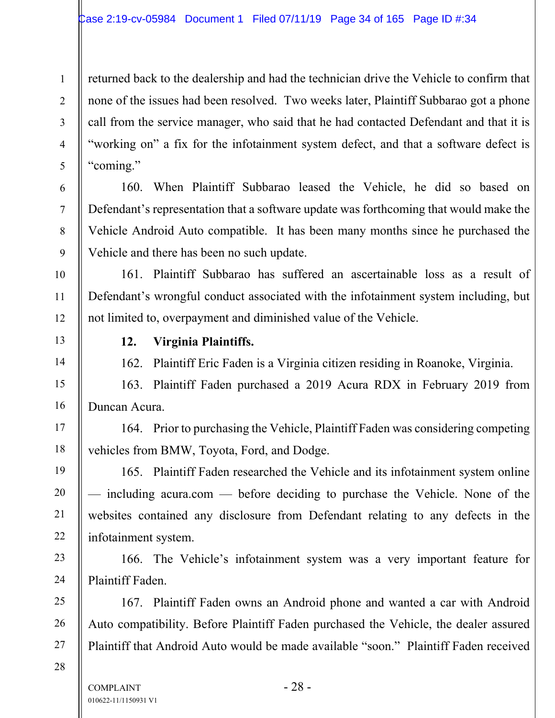returned back to the dealership and had the technician drive the Vehicle to confirm that none of the issues had been resolved. Two weeks later, Plaintiff Subbarao got a phone call from the service manager, who said that he had contacted Defendant and that it is "working on" a fix for the infotainment system defect, and that a software defect is "coming."

160. When Plaintiff Subbarao leased the Vehicle, he did so based on Defendant's representation that a software update was forthcoming that would make the Vehicle Android Auto compatible. It has been many months since he purchased the Vehicle and there has been no such update.

161. Plaintiff Subbarao has suffered an ascertainable loss as a result of Defendant's wrongful conduct associated with the infotainment system including, but not limited to, overpayment and diminished value of the Vehicle.

# **12. Virginia Plaintiffs.**

162. Plaintiff Eric Faden is a Virginia citizen residing in Roanoke, Virginia.

163. Plaintiff Faden purchased a 2019 Acura RDX in February 2019 from Duncan Acura.

164. Prior to purchasing the Vehicle, Plaintiff Faden was considering competing vehicles from BMW, Toyota, Ford, and Dodge.

165. Plaintiff Faden researched the Vehicle and its infotainment system online — including acura.com — before deciding to purchase the Vehicle. None of the websites contained any disclosure from Defendant relating to any defects in the infotainment system.

166. The Vehicle's infotainment system was a very important feature for Plaintiff Faden.

167. Plaintiff Faden owns an Android phone and wanted a car with Android Auto compatibility. Before Plaintiff Faden purchased the Vehicle, the dealer assured Plaintiff that Android Auto would be made available "soon." Plaintiff Faden received

28

1

2

3

4

5

6

7

8

9

10

11

12

13

14

15

16

17

18

19

20

21

22

23

24

25

26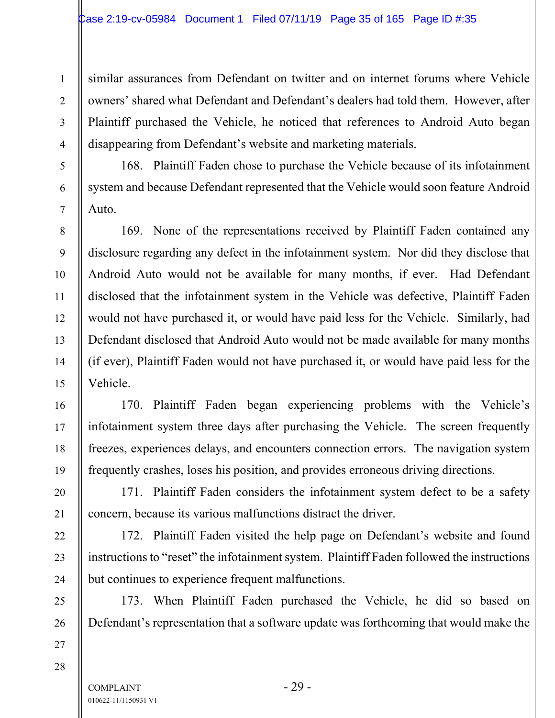similar assurances from Defendant on twitter and on internet forums where Vehicle owners' shared what Defendant and Defendant's dealers had told them. However, after Plaintiff purchased the Vehicle, he noticed that references to Android Auto began disappearing from Defendant's website and marketing materials.

168. Plaintiff Faden chose to purchase the Vehicle because of its infotainment system and because Defendant represented that the Vehicle would soon feature Android Auto.

169. None of the representations received by Plaintiff Faden contained any disclosure regarding any defect in the infotainment system. Nor did they disclose that Android Auto would not be available for many months, if ever. Had Defendant disclosed that the infotainment system in the Vehicle was defective, Plaintiff Faden would not have purchased it, or would have paid less for the Vehicle. Similarly, had Defendant disclosed that Android Auto would not be made available for many months (if ever), Plaintiff Faden would not have purchased it, or would have paid less for the Vehicle.

170. Plaintiff Faden began experiencing problems with the Vehicle's infotainment system three days after purchasing the Vehicle. The screen frequently freezes, experiences delays, and encounters connection errors. The navigation system frequently crashes, loses his position, and provides erroneous driving directions.

171. Plaintiff Faden considers the infotainment system defect to be a safety concern, because its various malfunctions distract the driver.

172. Plaintiff Faden visited the help page on Defendant's website and found instructions to "reset" the infotainment system. Plaintiff Faden followed the instructions but continues to experience frequent malfunctions.

173. When Plaintiff Faden purchased the Vehicle, he did so based on Defendant's representation that a software update was forthcoming that would make the

27 28

1

2

3

4

5

6

7

8

9

10

11

12

13

14

15

16

17

18

19

20

21

22

23

24

25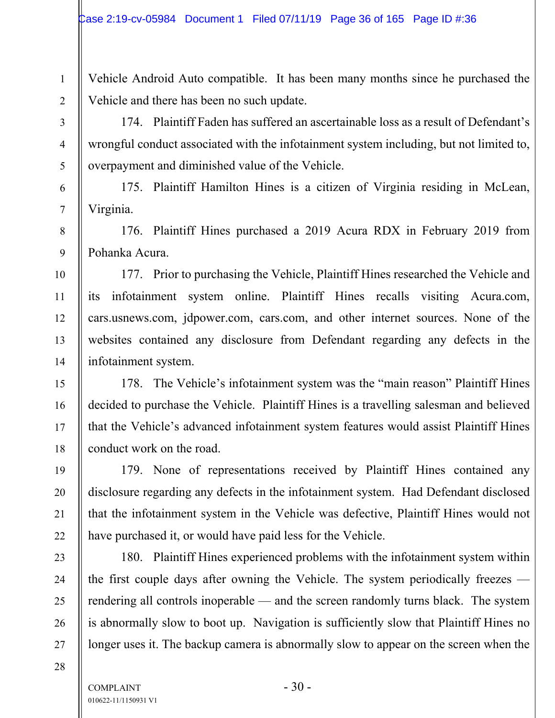Vehicle Android Auto compatible. It has been many months since he purchased the Vehicle and there has been no such update.

174. Plaintiff Faden has suffered an ascertainable loss as a result of Defendant's wrongful conduct associated with the infotainment system including, but not limited to, overpayment and diminished value of the Vehicle.

175. Plaintiff Hamilton Hines is a citizen of Virginia residing in McLean, Virginia.

176. Plaintiff Hines purchased a 2019 Acura RDX in February 2019 from Pohanka Acura.

177. Prior to purchasing the Vehicle, Plaintiff Hines researched the Vehicle and its infotainment system online. Plaintiff Hines recalls visiting Acura.com, cars.usnews.com, jdpower.com, cars.com, and other internet sources. None of the websites contained any disclosure from Defendant regarding any defects in the infotainment system.

178. The Vehicle's infotainment system was the "main reason" Plaintiff Hines decided to purchase the Vehicle. Plaintiff Hines is a travelling salesman and believed that the Vehicle's advanced infotainment system features would assist Plaintiff Hines conduct work on the road.

179. None of representations received by Plaintiff Hines contained any disclosure regarding any defects in the infotainment system. Had Defendant disclosed that the infotainment system in the Vehicle was defective, Plaintiff Hines would not have purchased it, or would have paid less for the Vehicle.

180. Plaintiff Hines experienced problems with the infotainment system within the first couple days after owning the Vehicle. The system periodically freezes rendering all controls inoperable — and the screen randomly turns black. The system is abnormally slow to boot up. Navigation is sufficiently slow that Plaintiff Hines no longer uses it. The backup camera is abnormally slow to appear on the screen when the

1

2

3

4

5

6

7

8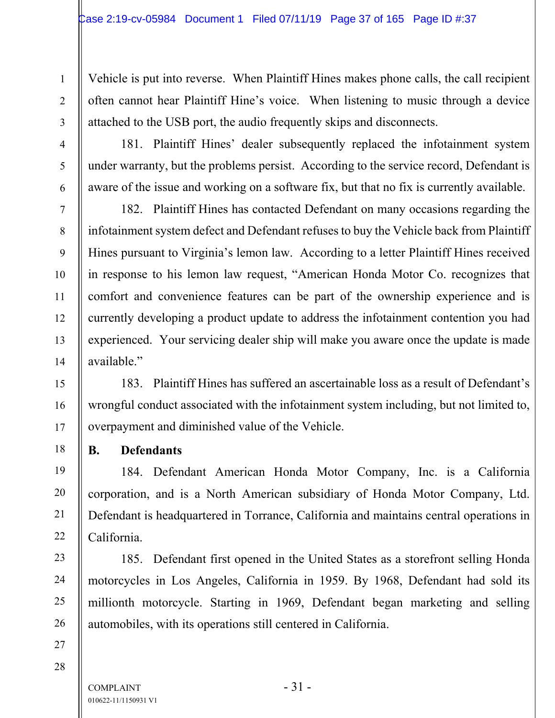Vehicle is put into reverse. When Plaintiff Hines makes phone calls, the call recipient often cannot hear Plaintiff Hine's voice. When listening to music through a device attached to the USB port, the audio frequently skips and disconnects.

181. Plaintiff Hines' dealer subsequently replaced the infotainment system under warranty, but the problems persist. According to the service record, Defendant is aware of the issue and working on a software fix, but that no fix is currently available.

182. Plaintiff Hines has contacted Defendant on many occasions regarding the infotainment system defect and Defendant refuses to buy the Vehicle back from Plaintiff Hines pursuant to Virginia's lemon law. According to a letter Plaintiff Hines received in response to his lemon law request, "American Honda Motor Co. recognizes that comfort and convenience features can be part of the ownership experience and is currently developing a product update to address the infotainment contention you had experienced. Your servicing dealer ship will make you aware once the update is made available."

183. Plaintiff Hines has suffered an ascertainable loss as a result of Defendant's wrongful conduct associated with the infotainment system including, but not limited to, overpayment and diminished value of the Vehicle.

**B. Defendants** 

184. Defendant American Honda Motor Company, Inc. is a California corporation, and is a North American subsidiary of Honda Motor Company, Ltd. Defendant is headquartered in Torrance, California and maintains central operations in California.

185. Defendant first opened in the United States as a storefront selling Honda motorcycles in Los Angeles, California in 1959. By 1968, Defendant had sold its millionth motorcycle. Starting in 1969, Defendant began marketing and selling automobiles, with its operations still centered in California.

28

1

2

3

4

5

6

7

8

9

10

11

12

13

14

15

16

17

18

19

20

21

22

23

24

25

26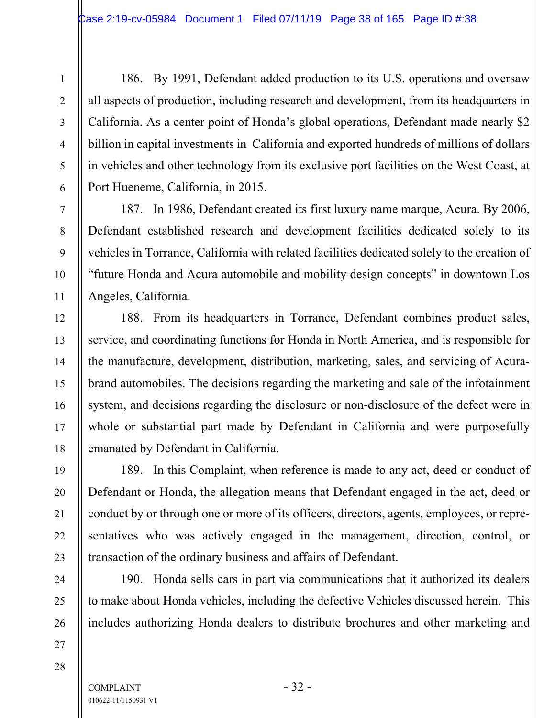186. By 1991, Defendant added production to its U.S. operations and oversaw all aspects of production, including research and development, from its headquarters in California. As a center point of Honda's global operations, Defendant made nearly \$2 billion in capital investments in California and exported hundreds of millions of dollars in vehicles and other technology from its exclusive port facilities on the West Coast, at Port Hueneme, California, in 2015.

187. In 1986, Defendant created its first luxury name marque, Acura. By 2006, Defendant established research and development facilities dedicated solely to its vehicles in Torrance, California with related facilities dedicated solely to the creation of "future Honda and Acura automobile and mobility design concepts" in downtown Los Angeles, California.

188. From its headquarters in Torrance, Defendant combines product sales, service, and coordinating functions for Honda in North America, and is responsible for the manufacture, development, distribution, marketing, sales, and servicing of Acurabrand automobiles. The decisions regarding the marketing and sale of the infotainment system, and decisions regarding the disclosure or non-disclosure of the defect were in whole or substantial part made by Defendant in California and were purposefully emanated by Defendant in California.

189. In this Complaint, when reference is made to any act, deed or conduct of Defendant or Honda, the allegation means that Defendant engaged in the act, deed or conduct by or through one or more of its officers, directors, agents, employees, or representatives who was actively engaged in the management, direction, control, or transaction of the ordinary business and affairs of Defendant.

190. Honda sells cars in part via communications that it authorized its dealers to make about Honda vehicles, including the defective Vehicles discussed herein. This includes authorizing Honda dealers to distribute brochures and other marketing and

28

27

1

2

3

4

5

6

7

8

9

10

11

12

13

14

15

16

17

18

19

20

21

22

23

24

25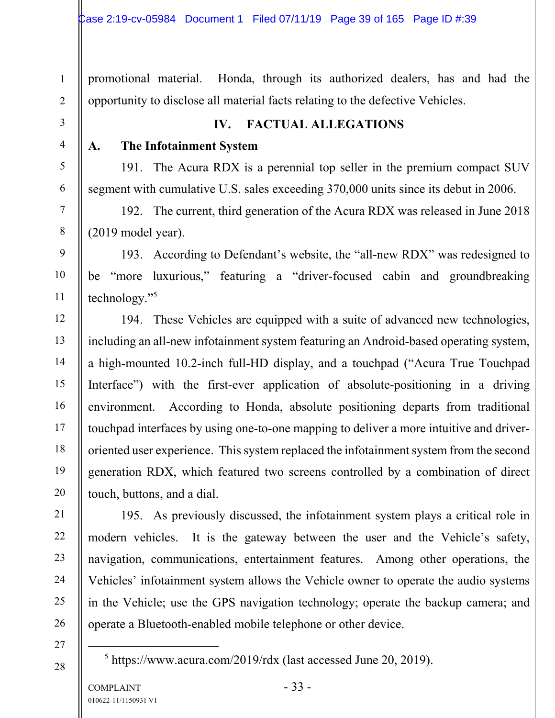promotional material. Honda, through its authorized dealers, has and had the opportunity to disclose all material facts relating to the defective Vehicles.

### **IV. FACTUAL ALLEGATIONS**

1

2

3

4

5

6

7

8

9

10

11

12

13

14

15

16

17

18

19

20

21

22

23

24

25

26

#### **A. The Infotainment System**

191. The Acura RDX is a perennial top seller in the premium compact SUV segment with cumulative U.S. sales exceeding 370,000 units since its debut in 2006.

192. The current, third generation of the Acura RDX was released in June 2018 (2019 model year).

193. According to Defendant's website, the "all-new RDX" was redesigned to be "more luxurious," featuring a "driver-focused cabin and groundbreaking technology."5

194. These Vehicles are equipped with a suite of advanced new technologies, including an all-new infotainment system featuring an Android-based operating system, a high-mounted 10.2-inch full-HD display, and a touchpad ("Acura True Touchpad Interface") with the first-ever application of absolute-positioning in a driving environment. According to Honda, absolute positioning departs from traditional touchpad interfaces by using one-to-one mapping to deliver a more intuitive and driveroriented user experience. This system replaced the infotainment system from the second generation RDX, which featured two screens controlled by a combination of direct touch, buttons, and a dial.

195. As previously discussed, the infotainment system plays a critical role in modern vehicles. It is the gateway between the user and the Vehicle's safety, navigation, communications, entertainment features. Among other operations, the Vehicles' infotainment system allows the Vehicle owner to operate the audio systems in the Vehicle; use the GPS navigation technology; operate the backup camera; and operate a Bluetooth-enabled mobile telephone or other device.

27 28

5 https://www.acura.com/2019/rdx (last accessed June 20, 2019).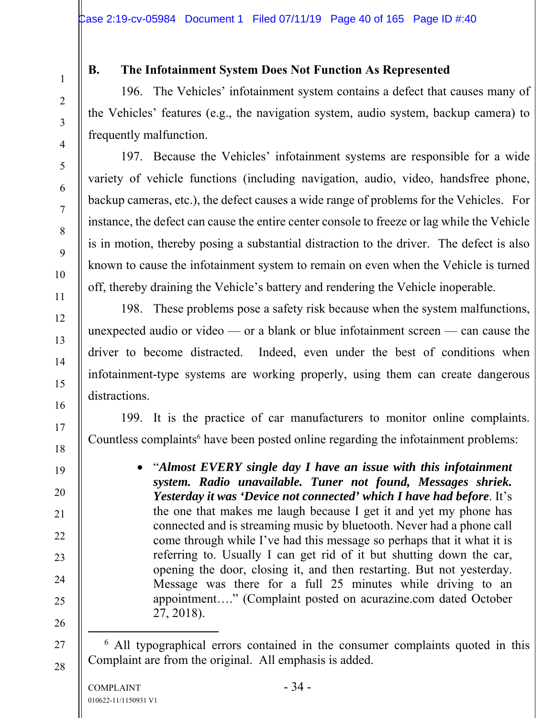1

2

3

4

5

6

7

8

9

10

11

12

13

14

15

16

17

18

19

20

21

22

23

24

25

26

27

28

#### **B. The Infotainment System Does Not Function As Represented**

196. The Vehicles' infotainment system contains a defect that causes many of the Vehicles' features (e.g., the navigation system, audio system, backup camera) to frequently malfunction.

197. Because the Vehicles' infotainment systems are responsible for a wide variety of vehicle functions (including navigation, audio, video, handsfree phone, backup cameras, etc.), the defect causes a wide range of problems for the Vehicles. For instance, the defect can cause the entire center console to freeze or lag while the Vehicle is in motion, thereby posing a substantial distraction to the driver. The defect is also known to cause the infotainment system to remain on even when the Vehicle is turned off, thereby draining the Vehicle's battery and rendering the Vehicle inoperable.

198. These problems pose a safety risk because when the system malfunctions, unexpected audio or video — or a blank or blue infotainment screen — can cause the driver to become distracted. Indeed, even under the best of conditions when infotainment-type systems are working properly, using them can create dangerous distractions.

199. It is the practice of car manufacturers to monitor online complaints. Countless complaints<sup>6</sup> have been posted online regarding the infotainment problems:

> "*Almost EVERY single day I have an issue with this infotainment system. Radio unavailable. Tuner not found, Messages shriek. Yesterday it was 'Device not connected' which I have had before*. It's the one that makes me laugh because I get it and yet my phone has connected and is streaming music by bluetooth. Never had a phone call come through while I've had this message so perhaps that it what it is referring to. Usually I can get rid of it but shutting down the car, opening the door, closing it, and then restarting. But not yesterday. Message was there for a full 25 minutes while driving to an appointment…." (Complaint posted on acurazine.com dated October 27, 2018).

 <sup>6</sup> All typographical errors contained in the consumer complaints quoted in this Complaint are from the original. All emphasis is added.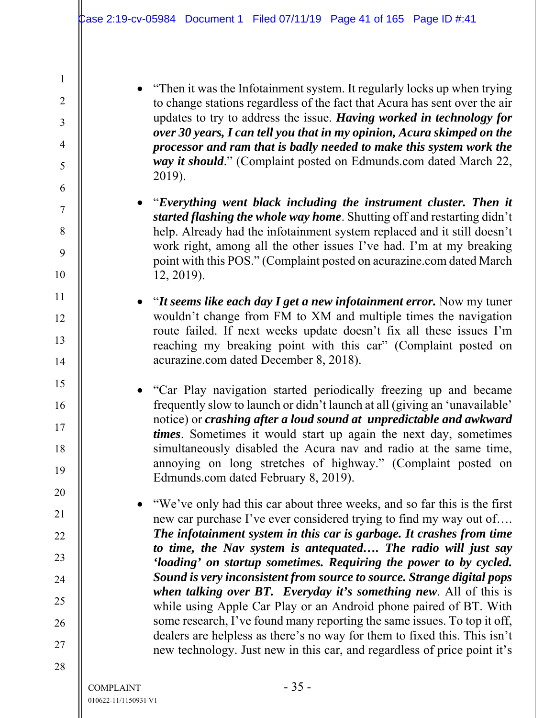"Then it was the Infotainment system. It regularly locks up when trying to change stations regardless of the fact that Acura has sent over the air updates to try to address the issue. *Having worked in technology for over 30 years, I can tell you that in my opinion, Acura skimped on the processor and ram that is badly needed to make this system work the way it should*." (Complaint posted on Edmunds.com dated March 22, 2019).

- "*Everything went black including the instrument cluster. Then it started flashing the whole way home*. Shutting off and restarting didn't help. Already had the infotainment system replaced and it still doesn't work right, among all the other issues I've had. I'm at my breaking point with this POS." (Complaint posted on acurazine.com dated March 12, 2019).
- "*It seems like each day I get a new infotainment error.* Now my tuner wouldn't change from FM to XM and multiple times the navigation route failed. If next weeks update doesn't fix all these issues I'm reaching my breaking point with this car" (Complaint posted on acurazine.com dated December 8, 2018).
- "Car Play navigation started periodically freezing up and became frequently slow to launch or didn't launch at all (giving an 'unavailable' notice) or *crashing after a loud sound at unpredictable and awkward times*. Sometimes it would start up again the next day, sometimes simultaneously disabled the Acura nav and radio at the same time, annoying on long stretches of highway." (Complaint posted on Edmunds.com dated February 8, 2019).
- "We've only had this car about three weeks, and so far this is the first new car purchase I've ever considered trying to find my way out of…. *The infotainment system in this car is garbage. It crashes from time to time, the Nav system is antequated…. The radio will just say 'loading' on startup sometimes. Requiring the power to by cycled. Sound is very inconsistent from source to source. Strange digital pops when talking over BT. Everyday it's something new*. All of this is while using Apple Car Play or an Android phone paired of BT. With some research, I've found many reporting the same issues. To top it off, dealers are helpless as there's no way for them to fixed this. This isn't new technology. Just new in this car, and regardless of price point it's

1

2

3

4

5

6

7

8

9

10

11

12

13

14

15

16

17

18

19

20

21

22

23

24

25

26

27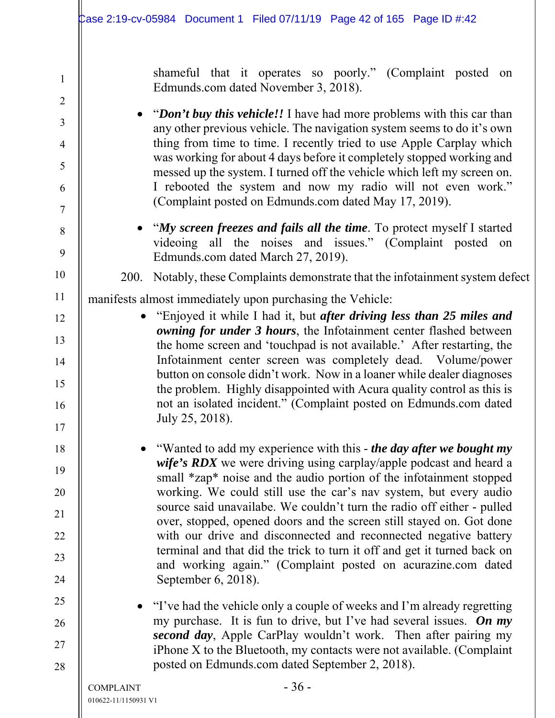shameful that it operates so poorly." (Complaint posted on Edmunds.com dated November 3, 2018).

• "*Don't buy this vehicle!!* I have had more problems with this car than any other previous vehicle. The navigation system seems to do it's own thing from time to time. I recently tried to use Apple Carplay which was working for about 4 days before it completely stopped working and messed up the system. I turned off the vehicle which left my screen on. I rebooted the system and now my radio will not even work." (Complaint posted on Edmunds.com dated May 17, 2019).

 "*My screen freezes and fails all the time*. To protect myself I started videoing all the noises and issues." (Complaint posted on Edmunds.com dated March 27, 2019).

200. Notably, these Complaints demonstrate that the infotainment system defect

manifests almost immediately upon purchasing the Vehicle:

- "Enjoyed it while I had it, but *after driving less than 25 miles and owning for under 3 hours*, the Infotainment center flashed between the home screen and 'touchpad is not available.' After restarting, the Infotainment center screen was completely dead. Volume/power button on console didn't work. Now in a loaner while dealer diagnoses the problem. Highly disappointed with Acura quality control as this is not an isolated incident." (Complaint posted on Edmunds.com dated July 25, 2018).
	- "Wanted to add my experience with this *the day after we bought my wife's RDX* we were driving using carplay/apple podcast and heard a small \*zap\* noise and the audio portion of the infotainment stopped working. We could still use the car's nav system, but every audio source said unavailabe. We couldn't turn the radio off either - pulled over, stopped, opened doors and the screen still stayed on. Got done with our drive and disconnected and reconnected negative battery terminal and that did the trick to turn it off and get it turned back on and working again." (Complaint posted on acurazine.com dated September 6, 2018).
- "I've had the vehicle only a couple of weeks and I'm already regretting my purchase. It is fun to drive, but I've had several issues. *On my second day*, Apple CarPlay wouldn't work. Then after pairing my iPhone X to the Bluetooth, my contacts were not available. (Complaint posted on Edmunds.com dated September 2, 2018).

1

2

3

4

5

6

7

8

9

10

11

12

13

14

15

16

17

18

19

20

21

22

23

24

25

26

27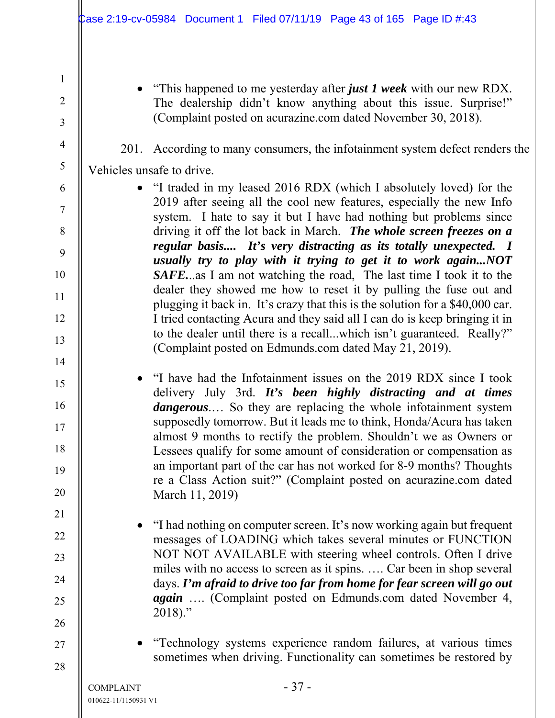"This happened to me yesterday after *just 1 week* with our new RDX. The dealership didn't know anything about this issue. Surprise!" (Complaint posted on acurazine.com dated November 30, 2018).

201. According to many consumers, the infotainment system defect renders the

Vehicles unsafe to drive.

1

2

3

4

5

6

7

8

9

10

11

12

13

14

15

16

17

18

19

20

21

22

23

24

25

26

- "I traded in my leased 2016 RDX (which I absolutely loved) for the 2019 after seeing all the cool new features, especially the new Info system. I hate to say it but I have had nothing but problems since driving it off the lot back in March. *The whole screen freezes on a regular basis.... It's very distracting as its totally unexpected. I usually try to play with it trying to get it to work again...NOT SAFE.*..as I am not watching the road, The last time I took it to the dealer they showed me how to reset it by pulling the fuse out and plugging it back in. It's crazy that this is the solution for a \$40,000 car. I tried contacting Acura and they said all I can do is keep bringing it in to the dealer until there is a recall...which isn't guaranteed. Really?" (Complaint posted on Edmunds.com dated May 21, 2019).
- "I have had the Infotainment issues on the 2019 RDX since I took delivery July 3rd. *It's been highly distracting and at times dangerous*.… So they are replacing the whole infotainment system supposedly tomorrow. But it leads me to think, Honda/Acura has taken almost 9 months to rectify the problem. Shouldn't we as Owners or Lessees qualify for some amount of consideration or compensation as an important part of the car has not worked for 8-9 months? Thoughts re a Class Action suit?" (Complaint posted on acurazine.com dated March 11, 2019)
	- "I had nothing on computer screen. It's now working again but frequent messages of LOADING which takes several minutes or FUNCTION NOT NOT AVAILABLE with steering wheel controls. Often I drive miles with no access to screen as it spins. …. Car been in shop several days. *I'm afraid to drive too far from home for fear screen will go out again* …. (Complaint posted on Edmunds.com dated November 4, 2018)."

27 28

 "Technology systems experience random failures, at various times sometimes when driving. Functionality can sometimes be restored by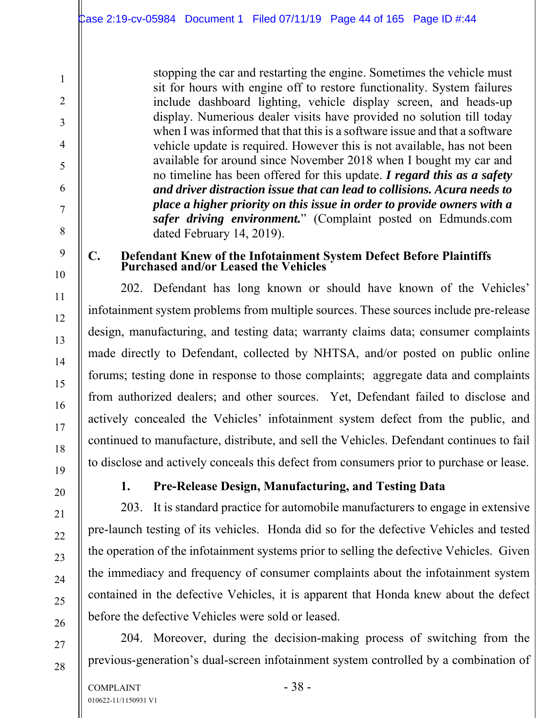stopping the car and restarting the engine. Sometimes the vehicle must sit for hours with engine off to restore functionality. System failures include dashboard lighting, vehicle display screen, and heads-up display. Numerious dealer visits have provided no solution till today when I was informed that that this is a software issue and that a software vehicle update is required. However this is not available, has not been available for around since November 2018 when I bought my car and no timeline has been offered for this update. *I regard this as a safety and driver distraction issue that can lead to collisions. Acura needs to place a higher priority on this issue in order to provide owners with a safer driving environment.*" (Complaint posted on Edmunds.com dated February 14, 2019).

#### **C. Defendant Knew of the Infotainment System Defect Before Plaintiffs Purchased and/or Leased the Vehicles**

202. Defendant has long known or should have known of the Vehicles' infotainment system problems from multiple sources. These sources include pre-release design, manufacturing, and testing data; warranty claims data; consumer complaints made directly to Defendant, collected by NHTSA, and/or posted on public online forums; testing done in response to those complaints; aggregate data and complaints from authorized dealers; and other sources. Yet, Defendant failed to disclose and actively concealed the Vehicles' infotainment system defect from the public, and continued to manufacture, distribute, and sell the Vehicles. Defendant continues to fail to disclose and actively conceals this defect from consumers prior to purchase or lease.

# 20

1

2

3

4

5

6

7

8

9

10

11

12

13

14

15

16

17

18

19

21

22

23

24

25

26

27

28

### **1. Pre-Release Design, Manufacturing, and Testing Data**

203. It is standard practice for automobile manufacturers to engage in extensive pre-launch testing of its vehicles. Honda did so for the defective Vehicles and tested the operation of the infotainment systems prior to selling the defective Vehicles. Given the immediacy and frequency of consumer complaints about the infotainment system contained in the defective Vehicles, it is apparent that Honda knew about the defect before the defective Vehicles were sold or leased.

204. Moreover, during the decision-making process of switching from the previous-generation's dual-screen infotainment system controlled by a combination of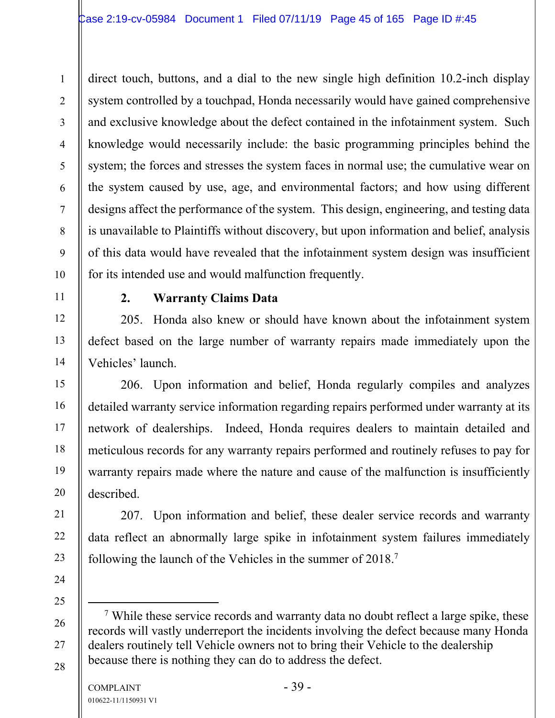direct touch, buttons, and a dial to the new single high definition 10.2-inch display system controlled by a touchpad, Honda necessarily would have gained comprehensive and exclusive knowledge about the defect contained in the infotainment system. Such knowledge would necessarily include: the basic programming principles behind the system; the forces and stresses the system faces in normal use; the cumulative wear on the system caused by use, age, and environmental factors; and how using different designs affect the performance of the system. This design, engineering, and testing data is unavailable to Plaintiffs without discovery, but upon information and belief, analysis of this data would have revealed that the infotainment system design was insufficient for its intended use and would malfunction frequently.

1

2

3

4

5

6

7

8

9

10

11

12

13

14

15

16

17

18

19

20

21

22

23

24

25

26

27

28

#### **2. Warranty Claims Data**

205. Honda also knew or should have known about the infotainment system defect based on the large number of warranty repairs made immediately upon the Vehicles' launch.

206. Upon information and belief, Honda regularly compiles and analyzes detailed warranty service information regarding repairs performed under warranty at its network of dealerships. Indeed, Honda requires dealers to maintain detailed and meticulous records for any warranty repairs performed and routinely refuses to pay for warranty repairs made where the nature and cause of the malfunction is insufficiently described.

207. Upon information and belief, these dealer service records and warranty data reflect an abnormally large spike in infotainment system failures immediately following the launch of the Vehicles in the summer of 2018.7

 $\overline{7}$ <sup>7</sup> While these service records and warranty data no doubt reflect a large spike, these records will vastly underreport the incidents involving the defect because many Honda dealers routinely tell Vehicle owners not to bring their Vehicle to the dealership because there is nothing they can do to address the defect.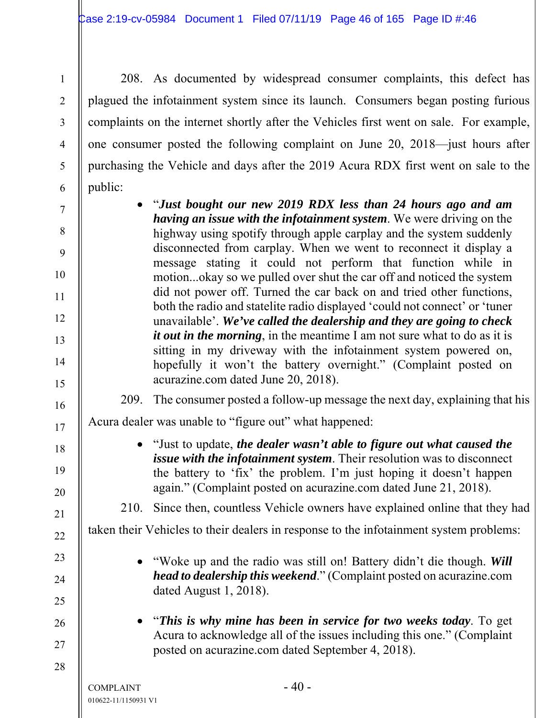208. As documented by widespread consumer complaints, this defect has plagued the infotainment system since its launch. Consumers began posting furious complaints on the internet shortly after the Vehicles first went on sale. For example, one consumer posted the following complaint on June 20, 2018—just hours after purchasing the Vehicle and days after the 2019 Acura RDX first went on sale to the public:

 "*Just bought our new 2019 RDX less than 24 hours ago and am having an issue with the infotainment system*. We were driving on the highway using spotify through apple carplay and the system suddenly disconnected from carplay. When we went to reconnect it display a message stating it could not perform that function while in motion...okay so we pulled over shut the car off and noticed the system did not power off. Turned the car back on and tried other functions, both the radio and statelite radio displayed 'could not connect' or 'tuner unavailable'. *We've called the dealership and they are going to check it out in the morning*, in the meantime I am not sure what to do as it is sitting in my driveway with the infotainment system powered on, hopefully it won't the battery overnight." (Complaint posted on acurazine.com dated June 20, 2018).

209. The consumer posted a follow-up message the next day, explaining that his

Acura dealer was unable to "figure out" what happened:

 "Just to update, *the dealer wasn't able to figure out what caused the issue with the infotainment system*. Their resolution was to disconnect the battery to 'fix' the problem. I'm just hoping it doesn't happen again." (Complaint posted on acurazine.com dated June 21, 2018).

210. Since then, countless Vehicle owners have explained online that they had

taken their Vehicles to their dealers in response to the infotainment system problems:

- "Woke up and the radio was still on! Battery didn't die though. *Will head to dealership this weekend*." (Complaint posted on acurazine.com dated August 1, 2018).
- "*This is why mine has been in service for two weeks today*. To get Acura to acknowledge all of the issues including this one." (Complaint posted on acurazine.com dated September 4, 2018).

1

2

3

4

5

6

7

8

9

10

11

12

13

14

15

16

17

18

19

20

21

22

23

24

25

26

27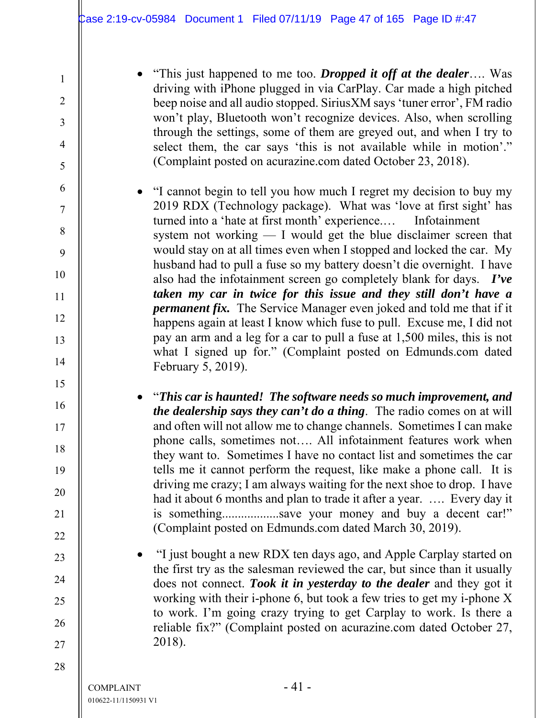"This just happened to me too. *Dropped it off at the dealer*…. Was driving with iPhone plugged in via CarPlay. Car made a high pitched beep noise and all audio stopped. SiriusXM says 'tuner error', FM radio won't play, Bluetooth won't recognize devices. Also, when scrolling through the settings, some of them are greyed out, and when I try to select them, the car says 'this is not available while in motion'." (Complaint posted on acurazine.com dated October 23, 2018).

 "I cannot begin to tell you how much I regret my decision to buy my 2019 RDX (Technology package). What was 'love at first sight' has turned into a 'hate at first month' experience.… Infotainment system not working — I would get the blue disclaimer screen that would stay on at all times even when I stopped and locked the car. My husband had to pull a fuse so my battery doesn't die overnight. I have also had the infotainment screen go completely blank for days. *I've taken my car in twice for this issue and they still don't have a permanent fix.* The Service Manager even joked and told me that if it happens again at least I know which fuse to pull. Excuse me, I did not pay an arm and a leg for a car to pull a fuse at 1,500 miles, this is not what I signed up for." (Complaint posted on Edmunds.com dated February 5, 2019).

 "*This car is haunted! The software needs so much improvement, and the dealership says they can't do a thing*. The radio comes on at will and often will not allow me to change channels. Sometimes I can make phone calls, sometimes not…. All infotainment features work when they want to. Sometimes I have no contact list and sometimes the car tells me it cannot perform the request, like make a phone call. It is driving me crazy; I am always waiting for the next shoe to drop. I have had it about 6 months and plan to trade it after a year. …. Every day it is something...................save your money and buy a decent car!" (Complaint posted on Edmunds.com dated March 30, 2019).

 "I just bought a new RDX ten days ago, and Apple Carplay started on the first try as the salesman reviewed the car, but since than it usually does not connect. *Took it in yesterday to the dealer* and they got it working with their i-phone 6, but took a few tries to get my i-phone X to work. I'm going crazy trying to get Carplay to work. Is there a reliable fix?" (Complaint posted on acurazine.com dated October 27, 2018).

1

2

3

4

5

6

7

8

9

10

11

12

13

14

15

16

17

18

19

20

21

22

23

24

25

26

27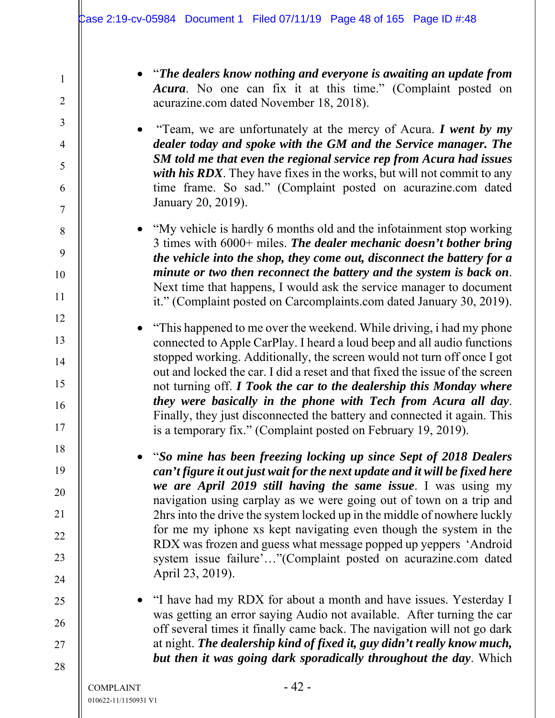| $\mathbf{1}$             |  |
|--------------------------|--|
| $\overline{c}$           |  |
| 3                        |  |
| $\overline{\mathcal{L}}$ |  |
| 5                        |  |
| 6                        |  |
| $\overline{7}$           |  |
| 8                        |  |
| 9                        |  |
| 10                       |  |
| <sup>1</sup>             |  |
| 12                       |  |
| 13                       |  |
| 14                       |  |
| 15                       |  |
| 16                       |  |
| 17                       |  |
| 18                       |  |
| 19                       |  |
| 20                       |  |
| $\overline{21}$          |  |
| 22                       |  |
| 23                       |  |
| 24                       |  |
| 25                       |  |
| 26                       |  |
| 27                       |  |
| 28                       |  |

 "*The dealers know nothing and everyone is awaiting an update from Acura*. No one can fix it at this time." (Complaint posted on acurazine.com dated November 18, 2018).

 "Team, we are unfortunately at the mercy of Acura. *I went by my dealer today and spoke with the GM and the Service manager. The SM told me that even the regional service rep from Acura had issues with his RDX*. They have fixes in the works, but will not commit to any time frame. So sad." (Complaint posted on acurazine.com dated January 20, 2019).

• "My vehicle is hardly 6 months old and the infotainment stop working 3 times with 6000+ miles. *The dealer mechanic doesn't bother bring the vehicle into the shop, they come out, disconnect the battery for a minute or two then reconnect the battery and the system is back on*. Next time that happens, I would ask the service manager to document it." (Complaint posted on Carcomplaints.com dated January 30, 2019).

 "This happened to me over the weekend. While driving, i had my phone connected to Apple CarPlay. I heard a loud beep and all audio functions stopped working. Additionally, the screen would not turn off once I got out and locked the car. I did a reset and that fixed the issue of the screen not turning off. *I Took the car to the dealership this Monday where they were basically in the phone with Tech from Acura all day*. Finally, they just disconnected the battery and connected it again. This is a temporary fix." (Complaint posted on February 19, 2019).

 "*So mine has been freezing locking up since Sept of 2018 Dealers can't figure it out just wait for the next update and it will be fixed here we are April 2019 still having the same issue*. I was using my navigation using carplay as we were going out of town on a trip and 2hrs into the drive the system locked up in the middle of nowhere luckly for me my iphone xs kept navigating even though the system in the RDX was frozen and guess what message popped up yeppers 'Android system issue failure'…"(Complaint posted on acurazine.com dated April 23, 2019).

 "I have had my RDX for about a month and have issues. Yesterday I was getting an error saying Audio not available. After turning the car off several times it finally came back. The navigation will not go dark at night. *The dealership kind of fixed it, guy didn't really know much, but then it was going dark sporadically throughout the day*. Which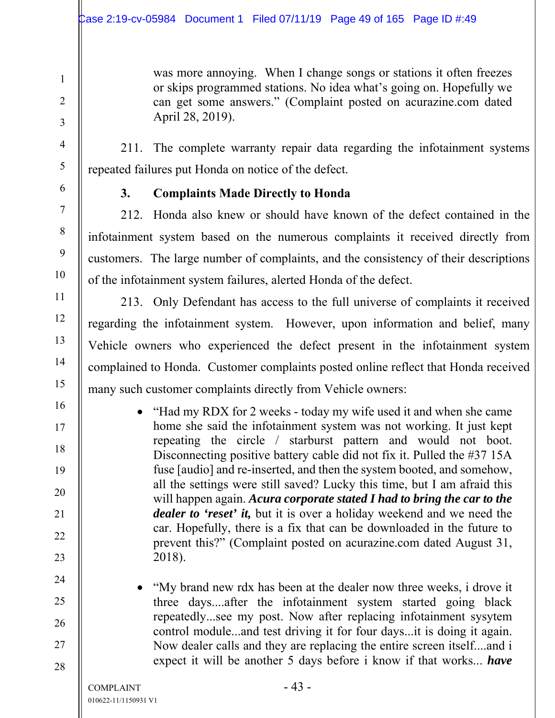was more annoying. When I change songs or stations it often freezes or skips programmed stations. No idea what's going on. Hopefully we can get some answers." (Complaint posted on acurazine.com dated April 28, 2019).

211. The complete warranty repair data regarding the infotainment systems repeated failures put Honda on notice of the defect.

#### **3. Complaints Made Directly to Honda**

212. Honda also knew or should have known of the defect contained in the infotainment system based on the numerous complaints it received directly from customers. The large number of complaints, and the consistency of their descriptions of the infotainment system failures, alerted Honda of the defect.

213. Only Defendant has access to the full universe of complaints it received regarding the infotainment system. However, upon information and belief, many Vehicle owners who experienced the defect present in the infotainment system complained to Honda. Customer complaints posted online reflect that Honda received many such customer complaints directly from Vehicle owners:

- "Had my RDX for 2 weeks today my wife used it and when she came home she said the infotainment system was not working. It just kept repeating the circle / starburst pattern and would not boot. Disconnecting positive battery cable did not fix it. Pulled the #37 15A fuse [audio] and re-inserted, and then the system booted, and somehow, all the settings were still saved? Lucky this time, but I am afraid this will happen again. *Acura corporate stated I had to bring the car to the dealer to 'reset' it,* but it is over a holiday weekend and we need the car. Hopefully, there is a fix that can be downloaded in the future to prevent this?" (Complaint posted on acurazine.com dated August 31, 2018).
- "My brand new rdx has been at the dealer now three weeks, i drove it three days....after the infotainment system started going black repeatedly...see my post. Now after replacing infotainment sysytem control module...and test driving it for four days...it is doing it again. Now dealer calls and they are replacing the entire screen itself....and i expect it will be another 5 days before i know if that works... *have*

1

2

3

4

5

6

7

8

9

10

11

12

13

14

15

16

17

18

19

20

21

22

23

24

25

26

27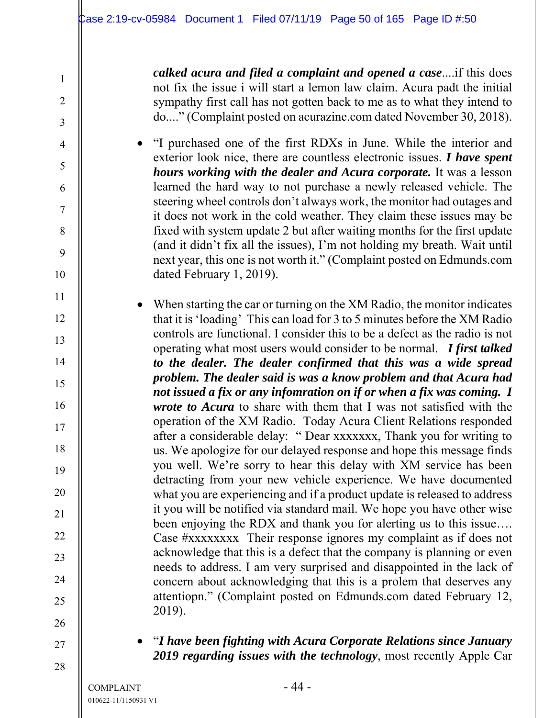*calked acura and filed a complaint and opened a case*....if this does not fix the issue i will start a lemon law claim. Acura padt the initial sympathy first call has not gotten back to me as to what they intend to do...." (Complaint posted on acurazine.com dated November 30, 2018).

 "I purchased one of the first RDXs in June. While the interior and exterior look nice, there are countless electronic issues. *I have spent hours working with the dealer and Acura corporate.* It was a lesson learned the hard way to not purchase a newly released vehicle. The steering wheel controls don't always work, the monitor had outages and it does not work in the cold weather. They claim these issues may be fixed with system update 2 but after waiting months for the first update (and it didn't fix all the issues), I'm not holding my breath. Wait until next year, this one is not worth it." (Complaint posted on Edmunds.com dated February 1, 2019).

 When starting the car or turning on the XM Radio, the monitor indicates that it is 'loading' This can load for 3 to 5 minutes before the XM Radio controls are functional. I consider this to be a defect as the radio is not operating what most users would consider to be normal. *I first talked to the dealer. The dealer confirmed that this was a wide spread problem. The dealer said is was a know problem and that Acura had not issued a fix or any infomration on if or when a fix was coming. I wrote to Acura* to share with them that I was not satisfied with the operation of the XM Radio. Today Acura Client Relations responded after a considerable delay: " Dear xxxxxxx, Thank you for writing to us. We apologize for our delayed response and hope this message finds you well. We're sorry to hear this delay with XM service has been detracting from your new vehicle experience. We have documented what you are experiencing and if a product update is released to address it you will be notified via standard mail. We hope you have other wise been enjoying the RDX and thank you for alerting us to this issue…. Case #xxxxxxxx Their response ignores my complaint as if does not acknowledge that this is a defect that the company is planning or even needs to address. I am very surprised and disappointed in the lack of concern about acknowledging that this is a prolem that deserves any attentiopn." (Complaint posted on Edmunds.com dated February 12, 2019).

27 28

1

2

3

4

5

6

7

8

9

10

11

12

13

14

15

16

17

18

19

20

21

22

23

24

25

26

 "*I have been fighting with Acura Corporate Relations since January 2019 regarding issues with the technology*, most recently Apple Car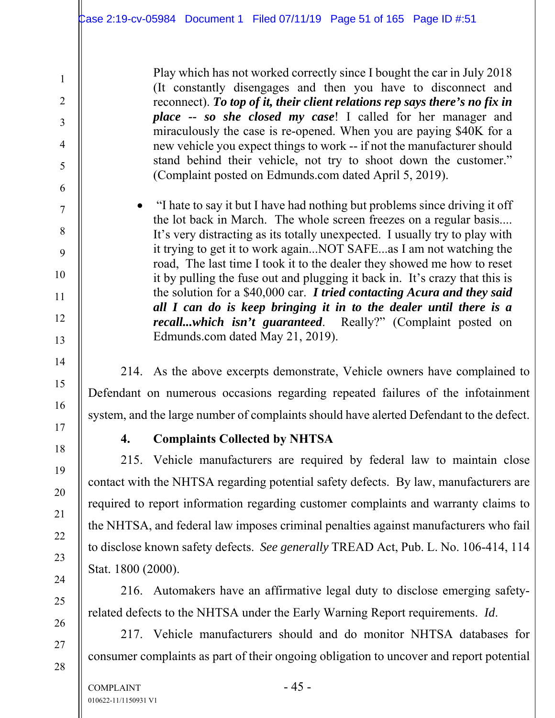Play which has not worked correctly since I bought the car in July 2018 (It constantly disengages and then you have to disconnect and reconnect). *To top of it, their client relations rep says there's no fix in place -- so she closed my case*! I called for her manager and miraculously the case is re-opened. When you are paying \$40K for a new vehicle you expect things to work -- if not the manufacturer should stand behind their vehicle, not try to shoot down the customer." (Complaint posted on Edmunds.com dated April 5, 2019).

• "I hate to say it but I have had nothing but problems since driving it off the lot back in March. The whole screen freezes on a regular basis.... It's very distracting as its totally unexpected. I usually try to play with it trying to get it to work again...NOT SAFE...as I am not watching the road, The last time I took it to the dealer they showed me how to reset it by pulling the fuse out and plugging it back in. It's crazy that this is the solution for a \$40,000 car. *I tried contacting Acura and they said all I can do is keep bringing it in to the dealer until there is a recall...which isn't guaranteed*. Really?" (Complaint posted on Edmunds.com dated May 21, 2019).

214. As the above excerpts demonstrate, Vehicle owners have complained to Defendant on numerous occasions regarding repeated failures of the infotainment system, and the large number of complaints should have alerted Defendant to the defect.

1

2

3

4

5

6

7

8

9

10

11

12

13

14

15

16

17

18

19

20

21

22

23

24

25

26

27

28

#### **4. Complaints Collected by NHTSA**

215. Vehicle manufacturers are required by federal law to maintain close contact with the NHTSA regarding potential safety defects. By law, manufacturers are required to report information regarding customer complaints and warranty claims to the NHTSA, and federal law imposes criminal penalties against manufacturers who fail to disclose known safety defects. *See generally* TREAD Act, Pub. L. No. 106-414, 114 Stat. 1800 (2000).

216. Automakers have an affirmative legal duty to disclose emerging safetyrelated defects to the NHTSA under the Early Warning Report requirements. *Id*.

217. Vehicle manufacturers should and do monitor NHTSA databases for consumer complaints as part of their ongoing obligation to uncover and report potential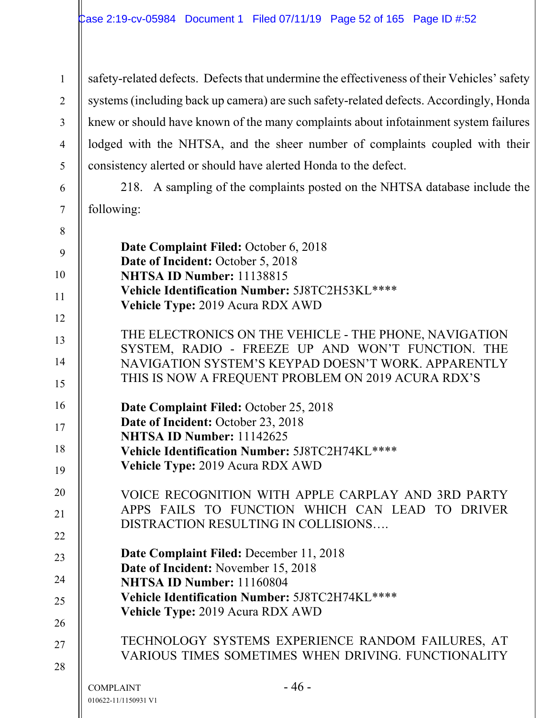safety-related defects. Defects that undermine the effectiveness of their Vehicles' safety systems (including back up camera) are such safety-related defects. Accordingly, Honda knew or should have known of the many complaints about infotainment system failures lodged with the NHTSA, and the sheer number of complaints coupled with their consistency alerted or should have alerted Honda to the defect.

218. A sampling of the complaints posted on the NHTSA database include the following:

 $COMPLANT$  - 46 -8 9 10 11 12 13 14 15 16 17 18 19 20 21 22 23 24 25 26 27 28 **Date Complaint Filed:** October 6, 2018 Date of Incident: October 5, 2018 **NHTSA ID Number:** 11138815 **Vehicle Identification Number:** 5J8TC2H53KL\*\*\*\* **Vehicle Type:** 2019 Acura RDX AWD THE ELECTRONICS ON THE VEHICLE - THE PHONE, NAVIGATION SYSTEM, RADIO - FREEZE UP AND WON'T FUNCTION. THE NAVIGATION SYSTEM'S KEYPAD DOESN'T WORK. APPARENTLY THIS IS NOW A FREQUENT PROBLEM ON 2019 ACURA RDX'S **Date Complaint Filed:** October 25, 2018 Date of Incident: October 23, 2018 **NHTSA ID Number:** 11142625 **Vehicle Identification Number:** 5J8TC2H74KL\*\*\*\* **Vehicle Type:** 2019 Acura RDX AWD VOICE RECOGNITION WITH APPLE CARPLAY AND 3RD PARTY APPS FAILS TO FUNCTION WHICH CAN LEAD TO DRIVER DISTRACTION RESULTING IN COLLISIONS…. **Date Complaint Filed:** December 11, 2018 **Date of Incident:** November 15, 2018 **NHTSA ID Number:** 11160804 **Vehicle Identification Number:** 5J8TC2H74KL\*\*\*\* **Vehicle Type:** 2019 Acura RDX AWD TECHNOLOGY SYSTEMS EXPERIENCE RANDOM FAILURES, AT VARIOUS TIMES SOMETIMES WHEN DRIVING. FUNCTIONALITY

1

2

3

4

5

6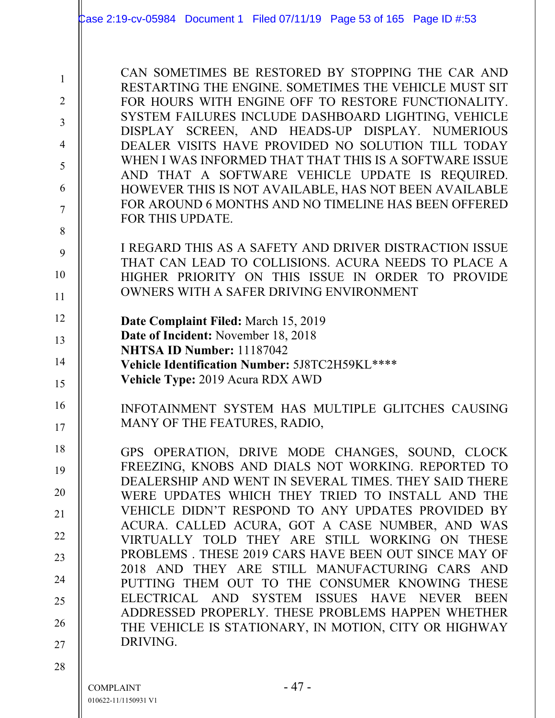|                                                                                                     | Case 2:19-cv-05984 Document 1 Filed 07/11/19 Page 53 of 165 Page ID #:53                                                                                                                                                                                                                                                                                                                                                                                                                                                                                                                           |
|-----------------------------------------------------------------------------------------------------|----------------------------------------------------------------------------------------------------------------------------------------------------------------------------------------------------------------------------------------------------------------------------------------------------------------------------------------------------------------------------------------------------------------------------------------------------------------------------------------------------------------------------------------------------------------------------------------------------|
| $\mathbf{1}$<br>$\overline{2}$<br>$\overline{3}$<br>$\overline{4}$<br>5<br>6<br>$\overline{7}$<br>8 | CAN SOMETIMES BE RESTORED BY STOPPING THE CAR AND<br>RESTARTING THE ENGINE. SOMETIMES THE VEHICLE MUST SIT<br>FOR HOURS WITH ENGINE OFF TO RESTORE FUNCTIONALITY.<br>SYSTEM FAILURES INCLUDE DASHBOARD LIGHTING, VEHICLE<br>DISPLAY SCREEN, AND HEADS-UP DISPLAY. NUMERIOUS<br>DEALER VISITS HAVE PROVIDED NO SOLUTION TILL TODAY<br>WHEN I WAS INFORMED THAT THAT THIS IS A SOFTWARE ISSUE<br>AND THAT A SOFTWARE VEHICLE UPDATE IS REQUIRED.<br>HOWEVER THIS IS NOT AVAILABLE, HAS NOT BEEN AVAILABLE<br>FOR AROUND 6 MONTHS AND NO TIMELINE HAS BEEN OFFERED<br>FOR THIS UPDATE.                |
| 9<br>10<br>11                                                                                       | I REGARD THIS AS A SAFETY AND DRIVER DISTRACTION ISSUE<br>THAT CAN LEAD TO COLLISIONS. ACURA NEEDS TO PLACE A<br>HIGHER PRIORITY ON THIS ISSUE IN ORDER TO PROVIDE<br>OWNERS WITH A SAFER DRIVING ENVIRONMENT                                                                                                                                                                                                                                                                                                                                                                                      |
| 12<br>13<br>14<br>15                                                                                | Date Complaint Filed: March 15, 2019<br>Date of Incident: November 18, 2018<br>NHTSA ID Number: 11187042<br>Vehicle Identification Number: 5J8TC2H59KL****<br>Vehicle Type: 2019 Acura RDX AWD                                                                                                                                                                                                                                                                                                                                                                                                     |
| 16<br>17                                                                                            | INFOTAINMENT SYSTEM HAS MULTIPLE GLITCHES CAUSING<br>MANY OF THE FEATURES, RADIO,                                                                                                                                                                                                                                                                                                                                                                                                                                                                                                                  |
| 18<br>19<br>20<br>21<br>22<br>23<br>24<br>25                                                        | GPS OPERATION, DRIVE MODE CHANGES, SOUND, CLOCK<br>FREEZING, KNOBS AND DIALS NOT WORKING. REPORTED TO<br>DEALERSHIP AND WENT IN SEVERAL TIMES. THEY SAID THERE<br>WERE UPDATES WHICH THEY TRIED TO INSTALL AND THE<br>VEHICLE DIDN'T RESPOND TO ANY UPDATES PROVIDED BY<br>ACURA. CALLED ACURA, GOT A CASE NUMBER, AND WAS<br>VIRTUALLY TOLD THEY ARE STILL WORKING ON THESE<br>PROBLEMS. THESE 2019 CARS HAVE BEEN OUT SINCE MAY OF<br>2018 AND THEY ARE STILL MANUFACTURING CARS AND<br>PUTTING THEM OUT TO THE CONSUMER KNOWING THESE<br>ELECTRICAL AND SYSTEM ISSUES HAVE NEVER<br><b>BEEN</b> |
| 26<br>27                                                                                            | ADDRESSED PROPERLY. THESE PROBLEMS HAPPEN WHETHER<br>THE VEHICLE IS STATIONARY, IN MOTION, CITY OR HIGHWAY<br>DRIVING.                                                                                                                                                                                                                                                                                                                                                                                                                                                                             |
| 28                                                                                                  | - 47 -<br><b>COMPLAINT</b><br>010622-11/1150931 V1                                                                                                                                                                                                                                                                                                                                                                                                                                                                                                                                                 |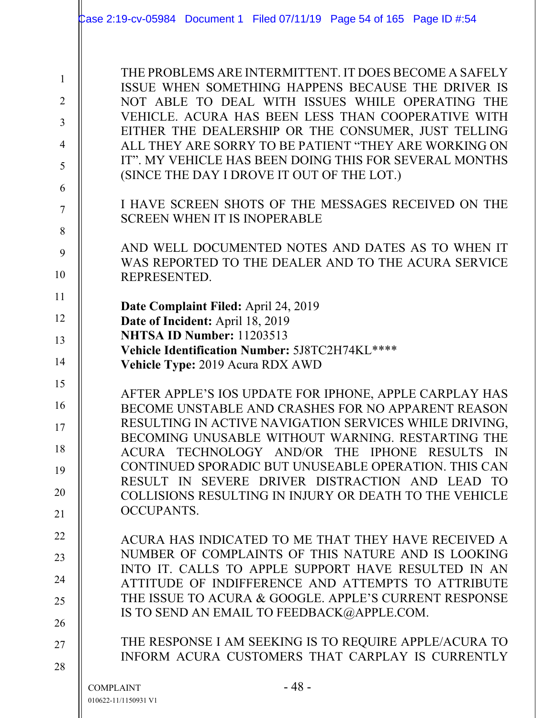|                | Case 2:19-cv-05984 Document 1 Filed 07/11/19 Page 54 of 165 Page ID #:54                                     |
|----------------|--------------------------------------------------------------------------------------------------------------|
|                |                                                                                                              |
| $\mathbf{1}$   | THE PROBLEMS ARE INTERMITTENT. IT DOES BECOME A SAFELY                                                       |
| $\overline{2}$ | ISSUE WHEN SOMETHING HAPPENS BECAUSE THE DRIVER IS<br>NOT ABLE TO DEAL WITH ISSUES WHILE OPERATING THE       |
| 3              | VEHICLE. ACURA HAS BEEN LESS THAN COOPERATIVE WITH                                                           |
| $\overline{4}$ | EITHER THE DEALERSHIP OR THE CONSUMER, JUST TELLING<br>ALL THEY ARE SORRY TO BE PATIENT "THEY ARE WORKING ON |
| 5              | IT". MY VEHICLE HAS BEEN DOING THIS FOR SEVERAL MONTHS                                                       |
| 6              | (SINCE THE DAY I DROVE IT OUT OF THE LOT.)                                                                   |
| 7              | I HAVE SCREEN SHOTS OF THE MESSAGES RECEIVED ON THE                                                          |
|                | <b>SCREEN WHEN IT IS INOPERABLE</b>                                                                          |
| 8              | AND WELL DOCUMENTED NOTES AND DATES AS TO WHEN IT                                                            |
| 9              | WAS REPORTED TO THE DEALER AND TO THE ACURA SERVICE                                                          |
| 10             | REPRESENTED.                                                                                                 |
| 11             | Date Complaint Filed: April 24, 2019                                                                         |
| 12             | Date of Incident: April 18, 2019<br>NHTSA ID Number: 11203513                                                |
| 13             | Vehicle Identification Number: 5J8TC2H74KL****                                                               |
| 14             | Vehicle Type: 2019 Acura RDX AWD                                                                             |
| 15             | AFTER APPLE'S IOS UPDATE FOR IPHONE, APPLE CARPLAY HAS                                                       |
| 16             | BECOME UNSTABLE AND CRASHES FOR NO APPARENT REASON<br>RESULTING IN ACTIVE NAVIGATION SERVICES WHILE DRIVING, |
| 17             | BECOMING UNUSABLE WITHOUT WARNING. RESTARTING THE                                                            |
| 18             | ACURA TECHNOLOGY AND/OR THE IPHONE RESULTS IN<br>CONTINUED SPORADIC BUT UNUSEABLE OPERATION. THIS CAN        |
| 19             | RESULT IN SEVERE DRIVER DISTRACTION AND LEAD TO                                                              |
| 20             | COLLISIONS RESULTING IN INJURY OR DEATH TO THE VEHICLE                                                       |
| 21             | <b>OCCUPANTS.</b>                                                                                            |
| 22             | ACURA HAS INDICATED TO ME THAT THEY HAVE RECEIVED A                                                          |
| 23             | NUMBER OF COMPLAINTS OF THIS NATURE AND IS LOOKING<br>INTO IT. CALLS TO APPLE SUPPORT HAVE RESULTED IN AN    |
| 24             | ATTITUDE OF INDIFFERENCE AND ATTEMPTS TO ATTRIBUTE                                                           |
| 25             | THE ISSUE TO ACURA & GOOGLE. APPLE'S CURRENT RESPONSE<br>IS TO SEND AN EMAIL TO FEEDBACK@APPLE.COM.          |
| 26             |                                                                                                              |
| 27             | THE RESPONSE I AM SEEKING IS TO REQUIRE APPLE/ACURA TO<br>INFORM ACURA CUSTOMERS THAT CARPLAY IS CURRENTLY   |
| 28             |                                                                                                              |
|                | $-48-$<br><b>COMPLAINT</b>                                                                                   |
|                | 010622-11/1150931 V1                                                                                         |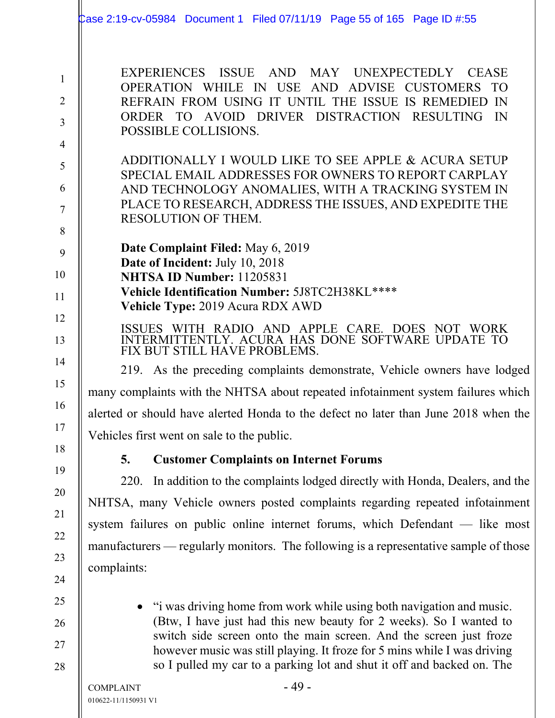|                                                       | Case 2:19-cv-05984 Document 1 Filed 07/11/19 Page 55 of 165 Page ID #:55                                                                                                                                                                                                                                                                                               |  |
|-------------------------------------------------------|------------------------------------------------------------------------------------------------------------------------------------------------------------------------------------------------------------------------------------------------------------------------------------------------------------------------------------------------------------------------|--|
| $\mathbf{1}$<br>$\overline{2}$<br>3<br>$\overline{4}$ | EXPERIENCES ISSUE AND MAY UNEXPECTEDLY CEASE<br>OPERATION WHILE IN USE AND ADVISE CUSTOMERS TO<br>REFRAIN FROM USING IT UNTIL THE ISSUE IS REMEDIED<br>IN<br>ORDER TO AVOID DRIVER DISTRACTION RESULTING<br>- IN<br>POSSIBLE COLLISIONS.                                                                                                                               |  |
| 5<br>6<br>7<br>8                                      | ADDITIONALLY I WOULD LIKE TO SEE APPLE & ACURA SETUP<br>SPECIAL EMAIL ADDRESSES FOR OWNERS TO REPORT CARPLAY<br>AND TECHNOLOGY ANOMALIES, WITH A TRACKING SYSTEM IN<br>PLACE TO RESEARCH, ADDRESS THE ISSUES, AND EXPEDITE THE<br>RESOLUTION OF THEM.                                                                                                                  |  |
| 9<br>10<br>11                                         | Date Complaint Filed: May 6, 2019<br>Date of Incident: July 10, 2018<br><b>NHTSA ID Number: 11205831</b><br>Vehicle Identification Number: 5J8TC2H38KL****<br>Vehicle Type: 2019 Acura RDX AWD                                                                                                                                                                         |  |
| 12<br>13                                              | WITH RADIO AND APPLE CARE. DOES NOT WORK<br><b>ISSUES</b><br>INTERMITTENTLY. ACURA HAS DONE SOFTWARE UPDATE TO<br>FIX BUT STILL HAVE PROBLEMS.                                                                                                                                                                                                                         |  |
| 14                                                    | 219. As the preceding complaints demonstrate, Vehicle owners have lodged                                                                                                                                                                                                                                                                                               |  |
| 15                                                    | many complaints with the NHTSA about repeated infotainment system failures which                                                                                                                                                                                                                                                                                       |  |
| 16                                                    | alerted or should have alerted Honda to the defect no later than June 2018 when the                                                                                                                                                                                                                                                                                    |  |
| 17                                                    | Vehicles first went on sale to the public.                                                                                                                                                                                                                                                                                                                             |  |
| 18                                                    | <b>Customer Complaints on Internet Forums</b><br>5.                                                                                                                                                                                                                                                                                                                    |  |
| 19                                                    | 220.<br>In addition to the complaints lodged directly with Honda, Dealers, and the                                                                                                                                                                                                                                                                                     |  |
| 20                                                    | NHTSA, many Vehicle owners posted complaints regarding repeated infotainment                                                                                                                                                                                                                                                                                           |  |
| 21                                                    | system failures on public online internet forums, which Defendant - like most                                                                                                                                                                                                                                                                                          |  |
| 22                                                    | manufacturers — regularly monitors. The following is a representative sample of those                                                                                                                                                                                                                                                                                  |  |
| 23<br>24                                              | complaints:                                                                                                                                                                                                                                                                                                                                                            |  |
| 25<br>26<br>27<br>28                                  | "i was driving home from work while using both navigation and music.<br>(Btw, I have just had this new beauty for 2 weeks). So I wanted to<br>switch side screen onto the main screen. And the screen just froze<br>however music was still playing. It froze for 5 mins while I was driving<br>so I pulled my car to a parking lot and shut it off and backed on. The |  |
|                                                       | $-49-$<br><b>COMPLAINT</b>                                                                                                                                                                                                                                                                                                                                             |  |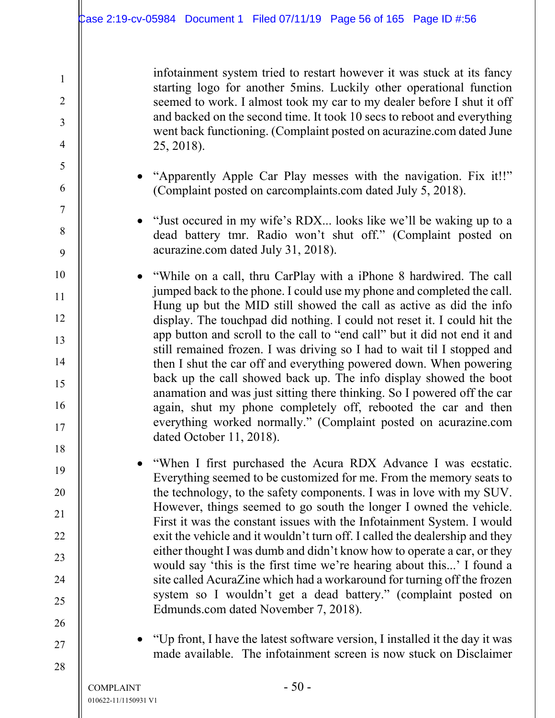infotainment system tried to restart however it was stuck at its fancy starting logo for another 5mins. Luckily other operational function seemed to work. I almost took my car to my dealer before I shut it off and backed on the second time. It took 10 secs to reboot and everything went back functioning. (Complaint posted on acurazine.com dated June 25, 2018).

- "Apparently Apple Car Play messes with the navigation. Fix it!!" (Complaint posted on carcomplaints.com dated July 5, 2018).
- "Just occured in my wife's RDX... looks like we'll be waking up to a dead battery tmr. Radio won't shut off." (Complaint posted on acurazine.com dated July 31, 2018).
- "While on a call, thru CarPlay with a iPhone 8 hardwired. The call jumped back to the phone. I could use my phone and completed the call. Hung up but the MID still showed the call as active as did the info display. The touchpad did nothing. I could not reset it. I could hit the app button and scroll to the call to "end call" but it did not end it and still remained frozen. I was driving so I had to wait til I stopped and then I shut the car off and everything powered down. When powering back up the call showed back up. The info display showed the boot anamation and was just sitting there thinking. So I powered off the car again, shut my phone completely off, rebooted the car and then everything worked normally." (Complaint posted on acurazine.com dated October 11, 2018).
	- "When I first purchased the Acura RDX Advance I was ecstatic. Everything seemed to be customized for me. From the memory seats to the technology, to the safety components. I was in love with my SUV. However, things seemed to go south the longer I owned the vehicle. First it was the constant issues with the Infotainment System. I would exit the vehicle and it wouldn't turn off. I called the dealership and they either thought I was dumb and didn't know how to operate a car, or they would say 'this is the first time we're hearing about this...' I found a site called AcuraZine which had a workaround for turning off the frozen system so I wouldn't get a dead battery." (complaint posted on Edmunds.com dated November 7, 2018).
		- "Up front, I have the latest software version, I installed it the day it was made available. The infotainment screen is now stuck on Disclaimer

1

2

3

4

5

6

7

8

9

10

11

12

13

14

15

16

17

18

19

20

21

22

23

24

25

26

27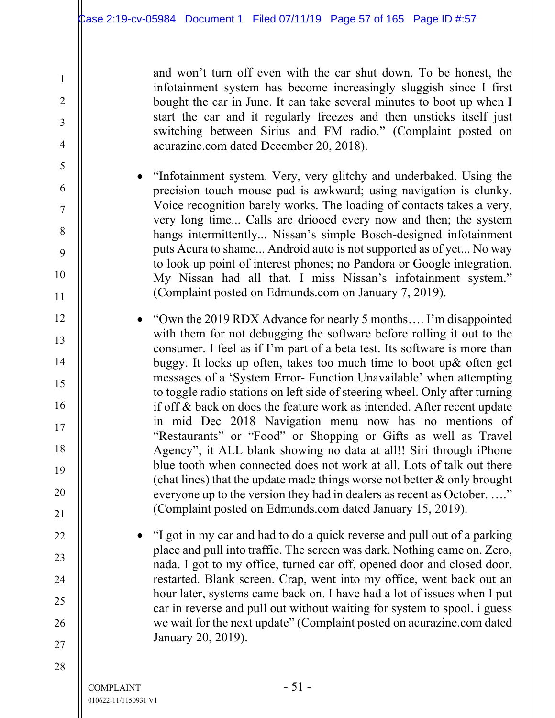and won't turn off even with the car shut down. To be honest, the infotainment system has become increasingly sluggish since I first bought the car in June. It can take several minutes to boot up when I start the car and it regularly freezes and then unsticks itself just switching between Sirius and FM radio." (Complaint posted on acurazine.com dated December 20, 2018).

- "Infotainment system. Very, very glitchy and underbaked. Using the precision touch mouse pad is awkward; using navigation is clunky. Voice recognition barely works. The loading of contacts takes a very, very long time... Calls are driooed every now and then; the system hangs intermittently... Nissan's simple Bosch-designed infotainment puts Acura to shame... Android auto is not supported as of yet... No way to look up point of interest phones; no Pandora or Google integration. My Nissan had all that. I miss Nissan's infotainment system." (Complaint posted on Edmunds.com on January 7, 2019).
- "Own the 2019 RDX Advance for nearly 5 months…. I'm disappointed with them for not debugging the software before rolling it out to the consumer. I feel as if I'm part of a beta test. Its software is more than buggy. It locks up often, takes too much time to boot up& often get messages of a 'System Error- Function Unavailable' when attempting to toggle radio stations on left side of steering wheel. Only after turning if off & back on does the feature work as intended. After recent update in mid Dec 2018 Navigation menu now has no mentions of "Restaurants" or "Food" or Shopping or Gifts as well as Travel Agency"; it ALL blank showing no data at all!! Siri through iPhone blue tooth when connected does not work at all. Lots of talk out there (chat lines) that the update made things worse not better  $\&$  only brought everyone up to the version they had in dealers as recent as October. ...." (Complaint posted on Edmunds.com dated January 15, 2019).
	- "I got in my car and had to do a quick reverse and pull out of a parking place and pull into traffic. The screen was dark. Nothing came on. Zero, nada. I got to my office, turned car off, opened door and closed door, restarted. Blank screen. Crap, went into my office, went back out an hour later, systems came back on. I have had a lot of issues when I put car in reverse and pull out without waiting for system to spool. i guess we wait for the next update" (Complaint posted on acurazine.com dated January 20, 2019).

1

2

3

4

5

6

7

8

9

10

11

12

13

14

15

16

17

18

19

20

21

22

23

24

25

26

27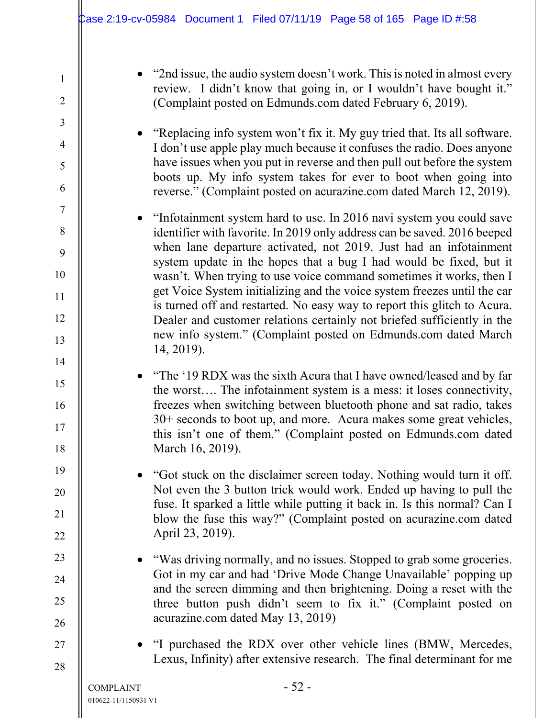10

11

12

13

14

15

16

17

18

19

20

21

22

23

24

25

26

27

28

• "2nd issue, the audio system doesn't work. This is noted in almost every review. I didn't know that going in, or I wouldn't have bought it." (Complaint posted on Edmunds.com dated February 6, 2019).

 "Replacing info system won't fix it. My guy tried that. Its all software. I don't use apple play much because it confuses the radio. Does anyone have issues when you put in reverse and then pull out before the system boots up. My info system takes for ever to boot when going into reverse." (Complaint posted on acurazine.com dated March 12, 2019).

• "Infotainment system hard to use. In 2016 navi system you could save identifier with favorite. In 2019 only address can be saved. 2016 beeped when lane departure activated, not 2019. Just had an infotainment system update in the hopes that a bug I had would be fixed, but it wasn't. When trying to use voice command sometimes it works, then I get Voice System initializing and the voice system freezes until the car is turned off and restarted. No easy way to report this glitch to Acura. Dealer and customer relations certainly not briefed sufficiently in the new info system." (Complaint posted on Edmunds.com dated March 14, 2019).

- "The '19 RDX was the sixth Acura that I have owned/leased and by far the worst…. The infotainment system is a mess: it loses connectivity, freezes when switching between bluetooth phone and sat radio, takes 30+ seconds to boot up, and more. Acura makes some great vehicles, this isn't one of them." (Complaint posted on Edmunds.com dated March 16, 2019).
- "Got stuck on the disclaimer screen today. Nothing would turn it off. Not even the 3 button trick would work. Ended up having to pull the fuse. It sparked a little while putting it back in. Is this normal? Can I blow the fuse this way?" (Complaint posted on acurazine.com dated April 23, 2019).
- "Was driving normally, and no issues. Stopped to grab some groceries. Got in my car and had 'Drive Mode Change Unavailable' popping up and the screen dimming and then brightening. Doing a reset with the three button push didn't seem to fix it." (Complaint posted on acurazine.com dated May 13, 2019)
- "I purchased the RDX over other vehicle lines (BMW, Mercedes, Lexus, Infinity) after extensive research. The final determinant for me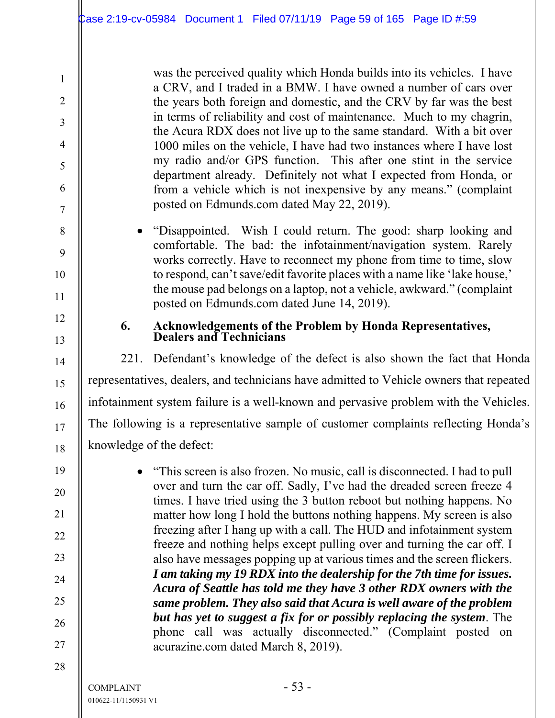was the perceived quality which Honda builds into its vehicles. I have a CRV, and I traded in a BMW. I have owned a number of cars over the years both foreign and domestic, and the CRV by far was the best in terms of reliability and cost of maintenance. Much to my chagrin, the Acura RDX does not live up to the same standard. With a bit over 1000 miles on the vehicle, I have had two instances where I have lost my radio and/or GPS function. This after one stint in the service department already. Definitely not what I expected from Honda, or from a vehicle which is not inexpensive by any means." (complaint posted on Edmunds.com dated May 22, 2019).

 "Disappointed. Wish I could return. The good: sharp looking and comfortable. The bad: the infotainment/navigation system. Rarely works correctly. Have to reconnect my phone from time to time, slow to respond, can't save/edit favorite places with a name like 'lake house,' the mouse pad belongs on a laptop, not a vehicle, awkward." (complaint posted on Edmunds.com dated June 14, 2019).

# **6. Acknowledgements of the Problem by Honda Representatives, Dealers and Technicians**

221. Defendant's knowledge of the defect is also shown the fact that Honda representatives, dealers, and technicians have admitted to Vehicle owners that repeated infotainment system failure is a well-known and pervasive problem with the Vehicles. The following is a representative sample of customer complaints reflecting Honda's knowledge of the defect:

 "This screen is also frozen. No music, call is disconnected. I had to pull over and turn the car off. Sadly, I've had the dreaded screen freeze 4 times. I have tried using the 3 button reboot but nothing happens. No matter how long I hold the buttons nothing happens. My screen is also freezing after I hang up with a call. The HUD and infotainment system freeze and nothing helps except pulling over and turning the car off. I also have messages popping up at various times and the screen flickers. *I am taking my 19 RDX into the dealership for the 7th time for issues. Acura of Seattle has told me they have 3 other RDX owners with the same problem. They also said that Acura is well aware of the problem but has yet to suggest a fix for or possibly replacing the system*. The phone call was actually disconnected." (Complaint posted on acurazine.com dated March 8, 2019).

1

2

3

4

5

6

7

8

9

10

11

12

13

14

15

16

17

18

19

20

21

22

23

24

25

26

27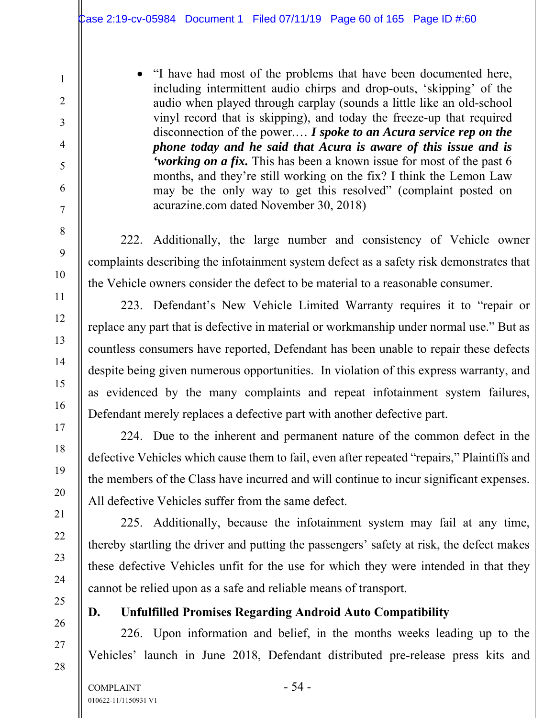• "I have had most of the problems that have been documented here, including intermittent audio chirps and drop-outs, 'skipping' of the audio when played through carplay (sounds a little like an old-school vinyl record that is skipping), and today the freeze-up that required disconnection of the power.… *I spoke to an Acura service rep on the phone today and he said that Acura is aware of this issue and is 'working on a fix.* This has been a known issue for most of the past 6 months, and they're still working on the fix? I think the Lemon Law may be the only way to get this resolved" (complaint posted on acurazine.com dated November 30, 2018)

222. Additionally, the large number and consistency of Vehicle owner complaints describing the infotainment system defect as a safety risk demonstrates that the Vehicle owners consider the defect to be material to a reasonable consumer.

223. Defendant's New Vehicle Limited Warranty requires it to "repair or replace any part that is defective in material or workmanship under normal use." But as countless consumers have reported, Defendant has been unable to repair these defects despite being given numerous opportunities. In violation of this express warranty, and as evidenced by the many complaints and repeat infotainment system failures, Defendant merely replaces a defective part with another defective part.

224. Due to the inherent and permanent nature of the common defect in the defective Vehicles which cause them to fail, even after repeated "repairs," Plaintiffs and the members of the Class have incurred and will continue to incur significant expenses. All defective Vehicles suffer from the same defect.

225. Additionally, because the infotainment system may fail at any time, thereby startling the driver and putting the passengers' safety at risk, the defect makes these defective Vehicles unfit for the use for which they were intended in that they cannot be relied upon as a safe and reliable means of transport.

# **D. Unfulfilled Promises Regarding Android Auto Compatibility**

226. Upon information and belief, in the months weeks leading up to the Vehicles' launch in June 2018, Defendant distributed pre-release press kits and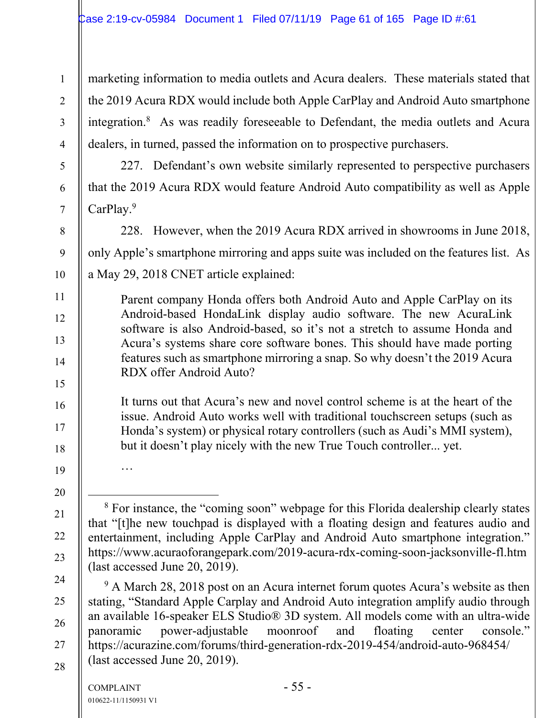marketing information to media outlets and Acura dealers. These materials stated that the 2019 Acura RDX would include both Apple CarPlay and Android Auto smartphone integration.8 As was readily foreseeable to Defendant, the media outlets and Acura dealers, in turned, passed the information on to prospective purchasers.

227. Defendant's own website similarly represented to perspective purchasers that the 2019 Acura RDX would feature Android Auto compatibility as well as Apple CarPlay.<sup>9</sup>

228. However, when the 2019 Acura RDX arrived in showrooms in June 2018, only Apple's smartphone mirroring and apps suite was included on the features list. As a May 29, 2018 CNET article explained:

Parent company Honda offers both Android Auto and Apple CarPlay on its Android-based HondaLink display audio software. The new AcuraLink software is also Android-based, so it's not a stretch to assume Honda and Acura's systems share core software bones. This should have made porting features such as smartphone mirroring a snap. So why doesn't the 2019 Acura RDX offer Android Auto?

It turns out that Acura's new and novel control scheme is at the heart of the issue. Android Auto works well with traditional touchscreen setups (such as Honda's system) or physical rotary controllers (such as Audi's MMI system), but it doesn't play nicely with the new True Touch controller... yet.

<sup>9</sup> A March 28, 2018 post on an Acura internet forum quotes Acura's website as then stating, "Standard Apple Carplay and Android Auto integration amplify audio through an available 16-speaker ELS Studio® 3D system. All models come with an ultra-wide panoramic power-adjustable moonroof and floating center console." https://acurazine.com/forums/third-generation-rdx-2019-454/android-auto-968454/ (last accessed June 20, 2019).

…

1

2

3

4

5

6

7

8

9

10

11

12

13

14

15

16

17

18

19

20

21

22

23

24

25

26

27

<sup>&</sup>lt;sup>8</sup> For instance, the "coming soon" webpage for this Florida dealership clearly states that "[t]he new touchpad is displayed with a floating design and features audio and entertainment, including Apple CarPlay and Android Auto smartphone integration." https://www.acuraoforangepark.com/2019-acura-rdx-coming-soon-jacksonville-fl.htm (last accessed June 20, 2019).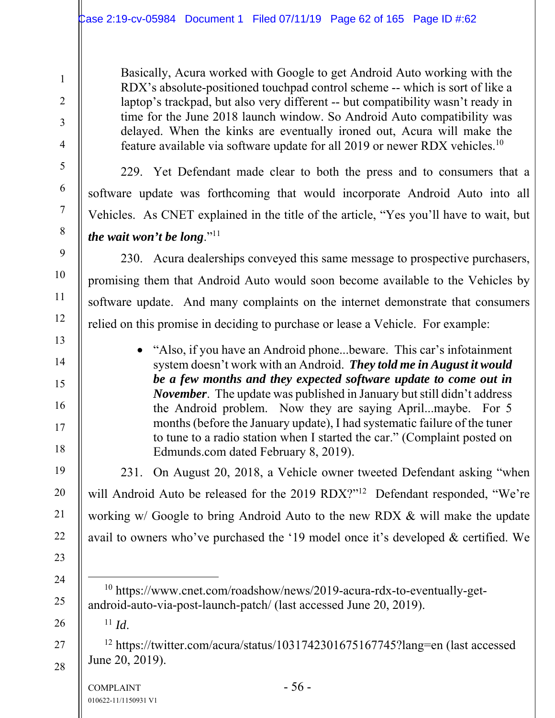Basically, Acura worked with Google to get Android Auto working with the RDX's absolute-positioned touchpad control scheme -- which is sort of like a laptop's trackpad, but also very different -- but compatibility wasn't ready in time for the June 2018 launch window. So Android Auto compatibility was delayed. When the kinks are eventually ironed out, Acura will make the feature available via software update for all 2019 or newer RDX vehicles.10

229. Yet Defendant made clear to both the press and to consumers that a software update was forthcoming that would incorporate Android Auto into all Vehicles. As CNET explained in the title of the article, "Yes you'll have to wait, but *the wait won't be long.*"<sup>11</sup>

230. Acura dealerships conveyed this same message to prospective purchasers, promising them that Android Auto would soon become available to the Vehicles by software update. And many complaints on the internet demonstrate that consumers relied on this promise in deciding to purchase or lease a Vehicle. For example:

> • "Also, if you have an Android phone...beware. This car's infotainment system doesn't work with an Android. *They told me in August it would be a few months and they expected software update to come out in November*. The update was published in January but still didn't address the Android problem. Now they are saying April...maybe. For 5 months (before the January update), I had systematic failure of the tuner to tune to a radio station when I started the car." (Complaint posted on Edmunds.com dated February 8, 2019).

231. On August 20, 2018, a Vehicle owner tweeted Defendant asking "when will Android Auto be released for the 2019 RDX?"<sup>12</sup> Defendant responded, "We're working w/ Google to bring Android Auto to the new RDX & will make the update avail to owners who've purchased the '19 model once it's developed & certified. We

 10 https://www.cnet.com/roadshow/news/2019-acura-rdx-to-eventually-getandroid-auto-via-post-launch-patch/ (last accessed June 20, 2019).

<sup>11</sup> *Id*.

1

2

3

4

5

6

7

8

9

10

11

12

13

14

15

16

17

18

19

20

21

22

23

24

25

26

27

28

12 https://twitter.com/acura/status/1031742301675167745?lang=en (last accessed June 20, 2019).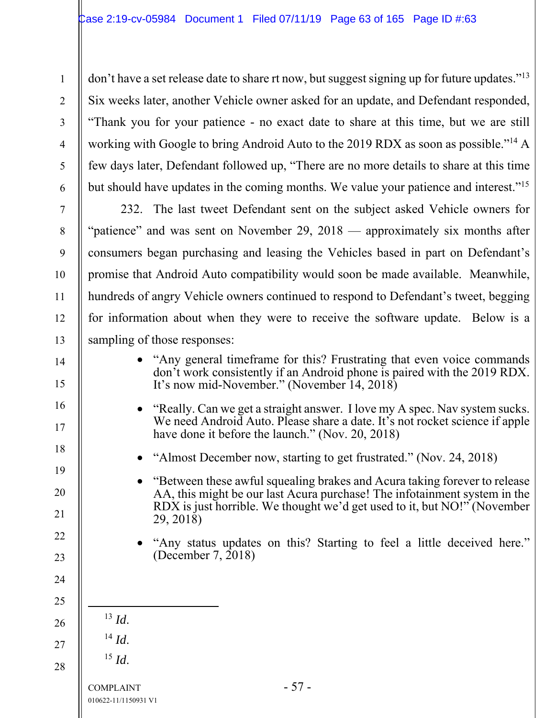don't have a set release date to share rt now, but suggest signing up for future updates."<sup>13</sup> Six weeks later, another Vehicle owner asked for an update, and Defendant responded, "Thank you for your patience - no exact date to share at this time, but we are still working with Google to bring Android Auto to the 2019 RDX as soon as possible."14 A few days later, Defendant followed up, "There are no more details to share at this time but should have updates in the coming months. We value your patience and interest."15

232. The last tweet Defendant sent on the subject asked Vehicle owners for "patience" and was sent on November 29, 2018 — approximately six months after consumers began purchasing and leasing the Vehicles based in part on Defendant's promise that Android Auto compatibility would soon be made available. Meanwhile, hundreds of angry Vehicle owners continued to respond to Defendant's tweet, begging for information about when they were to receive the software update. Below is a sampling of those responses:

- "Any general timeframe for this? Frustrating that even voice commands don't work consistently if an Android phone is paired with the 2019 RDX. It's now mid-November." (November 14, 2018)
- "Really. Can we get a straight answer. I love my A spec. Nav system sucks. We need Android Auto. Please share a date. It's not rocket science if apple have done it before the launch." (Nov. 20, 2018)
- "Almost December now, starting to get frustrated." (Nov. 24, 2018)
- "Between these awful squealing brakes and Acura taking forever to release AA, this might be our last Acura purchase! The infotainment system in the RDX is just horrible. We thought we'd get used to it, but NO!" (November 29, 2018)
- "Any status updates on this? Starting to feel a little deceived here." (December 7, 2018)
- $^{13}$  *Id.*
- <sup>14</sup> *Id*.
- <sup>15</sup> *Id*.
- 28

1

2

3

4

5

6

7

8

9

10

11

12

13

14

15

16

17

18

19

20

21

22

23

24

25

26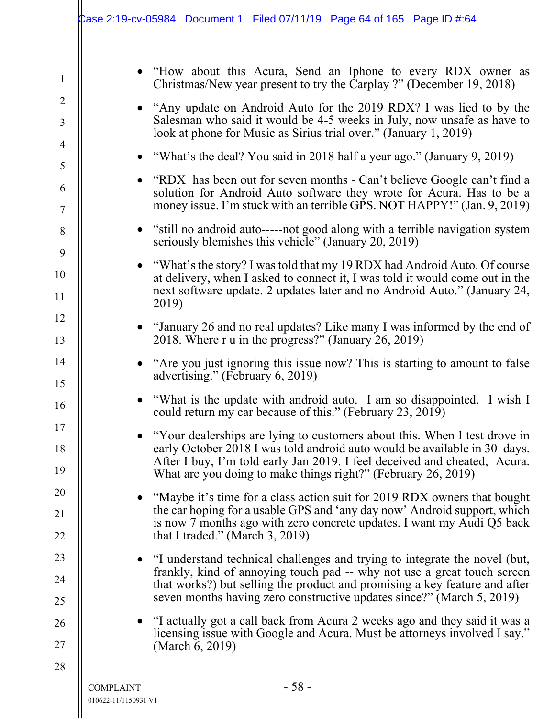|                     |                                          | $\text{Case 2:19-cv-05984}$ Document 1 Filed 07/11/19 Page 64 of 165 Page ID #:64                                                                                                                                                                                                                              |
|---------------------|------------------------------------------|----------------------------------------------------------------------------------------------------------------------------------------------------------------------------------------------------------------------------------------------------------------------------------------------------------------|
| $\mathbf{1}$        |                                          | • "How about this Acura, Send an Iphone to every RDX owner as<br>Christmas/New year present to try the Carplay ?" (December 19, 2018)                                                                                                                                                                          |
| $\overline{2}$<br>3 |                                          | • "Any update on Android Auto for the 2019 RDX? I was lied to by the<br>Salesman who said it would be 4-5 weeks in July, now unsafe as have to<br>look at phone for Music as Sirius trial over." (January 1, 2019)                                                                                             |
| 4<br>5              |                                          | • "What's the deal? You said in 2018 half a year ago." (January 9, 2019)                                                                                                                                                                                                                                       |
| 6<br>$\tau$         |                                          | • "RDX has been out for seven months - Can't believe Google can't find a<br>solution for Android Auto software they wrote for Acura. Has to be a<br>money issue. I'm stuck with an terrible GPS. NOT HAPPY!" (Jan. 9, 2019)                                                                                    |
| 8                   |                                          | • "still no android auto-----not good along with a terrible navigation system<br>seriously blemishes this vehicle" (January 20, 2019)                                                                                                                                                                          |
| 9<br>10<br>11       |                                          | • "What's the story? I was told that my 19 RDX had Android Auto. Of course<br>at delivery, when I asked to connect it, I was told it would come out in the<br>next software update. 2 updates later and no Android Auto." (January 24,<br>2019)                                                                |
| 12<br>13            |                                          | • "January 26 and no real updates? Like many I was informed by the end of<br>2018. Where r u in the progress?" (January 26, 2019)                                                                                                                                                                              |
| 14<br>15            |                                          | • "Are you just ignoring this issue now? This is starting to amount to false<br>advertising." (February 6, 2019)                                                                                                                                                                                               |
| 16                  |                                          | "What is the update with android auto. I am so disappointed. I wish I<br>could return my car because of this." (February 23, 2019)                                                                                                                                                                             |
| 17<br>18<br>19      |                                          | • "Your dealerships are lying to customers about this. When I test drove in<br>early October 2018 I was told android auto would be available in 30 days.<br>After I buy, I'm told early Jan 2019. I feel deceived and cheated, Acura.<br>What are you doing to make things right?" (February 26, 2019)         |
| 20<br>21<br>22      |                                          | "Maybe it's time for a class action suit for 2019 RDX owners that bought<br>the car hoping for a usable GPS and 'any day now' Android support, which<br>is now 7 months ago with zero concrete updates. I want my Audi Q5 back<br>that I traded." (March $3, 2019$ )                                           |
| 23<br>24<br>25      |                                          | • "I understand technical challenges and trying to integrate the novel (but,<br>frankly, kind of annoying touch pad -- why not use a great touch screen<br>that works?) but selling the product and promising a key feature and after<br>seven months having zero constructive updates since?" (March 5, 2019) |
| 26<br>27            |                                          | • "I actually got a call back from Acura 2 weeks ago and they said it was a<br>licensing issue with Google and Acura. Must be attorneys involved I say."<br>(March 6, 2019)                                                                                                                                    |
| 28                  | <b>COMPLAINT</b><br>010622-11/1150931 V1 | $-58-$                                                                                                                                                                                                                                                                                                         |

 $\mathsf{l}$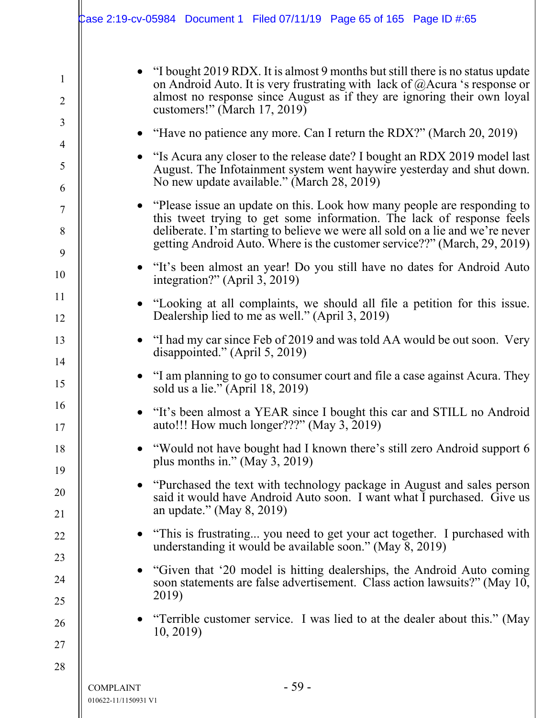|                                          | Case 2:19-cv-05984 Document 1 Filed 07/11/19 Page 65 of 165 Page ID #:65                                                                                                                                                                                                                                        |
|------------------------------------------|-----------------------------------------------------------------------------------------------------------------------------------------------------------------------------------------------------------------------------------------------------------------------------------------------------------------|
|                                          | • "I bought 2019 RDX. It is almost 9 months but still there is no status update<br>on Android Auto. It is very frustrating with lack of $@$ Acura 's response or<br>almost no response since August as if they are ignoring their own loyal<br>customers!" (March $17, 2019$ )                                  |
|                                          | "Have no patience any more. Can I return the RDX?" (March 20, 2019)                                                                                                                                                                                                                                             |
|                                          | • "Is Acura any closer to the release date? I bought an RDX 2019 model last<br>August. The Infotainment system went haywire yesterday and shut down.<br>No new update available." (March 28, 2019)                                                                                                              |
|                                          | • "Please issue an update on this. Look how many people are responding to<br>this tweet trying to get some information. The lack of response feels<br>deliberate. I'm starting to believe we were all sold on a lie and we're never<br>getting Android Auto. Where is the customer service??" (March, 29, 2019) |
|                                          | • "It's been almost an year! Do you still have no dates for Android Auto<br>integration?" (April 3, 2019)                                                                                                                                                                                                       |
|                                          | "Looking at all complaints, we should all file a petition for this issue.<br>Dealership lied to me as well." (April 3, 2019)                                                                                                                                                                                    |
|                                          | "I had my car since Feb of 2019 and was told AA would be out soon. Very<br>disappointed." (April 5, 2019)                                                                                                                                                                                                       |
|                                          | • "I am planning to go to consumer court and file a case against Acura. They<br>sold us a lie." $(Apri 18, 2019)$                                                                                                                                                                                               |
|                                          | "It's been almost a YEAR since I bought this car and STILL no Android<br>auto!!! How much longer???" (May 3, 2019)                                                                                                                                                                                              |
|                                          | "Would not have bought had I known there's still zero Android support 6<br>plus months in." (May 3, 2019)                                                                                                                                                                                                       |
|                                          | "Purchased the text with technology package in August and sales person<br>said it would have Android Auto soon. I want what I purchased. Give us<br>an update." (May $8, 2019$ )                                                                                                                                |
|                                          | • "This is frustrating you need to get your act together. I purchased with<br>understanding it would be available soon." (May 8, 2019)                                                                                                                                                                          |
|                                          | "Given that '20 model is hitting dealerships, the Android Auto coming<br>soon statements are false advertisement. Class action lawsuits?" (May 10,                                                                                                                                                              |
|                                          | 2019)<br>"Terrible customer service. I was lied to at the dealer about this." (May<br>10, 2019                                                                                                                                                                                                                  |
|                                          |                                                                                                                                                                                                                                                                                                                 |
| <b>COMPLAINT</b><br>010622-11/1150931 V1 | - 59 -                                                                                                                                                                                                                                                                                                          |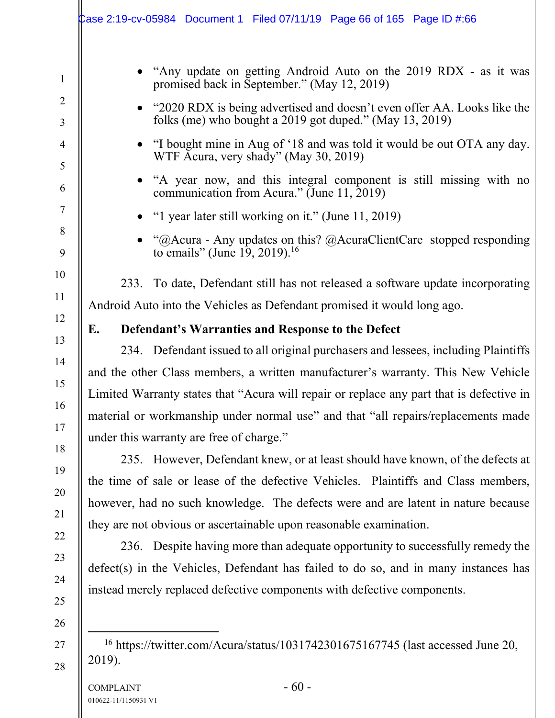|        | Case 2:19-cv-05984 Document 1 Filed 07/11/19 Page 66 of 165 Page ID #:66                                                           |
|--------|------------------------------------------------------------------------------------------------------------------------------------|
|        | "Any update on getting Android Auto on the 2019 RDX - as it was<br>promised back in September." (May 12, 2019)                     |
|        | "2020 RDX is being advertised and doesn't even offer AA. Looks like the<br>folks (me) who bought a 2019 got duped." (May 13, 2019) |
|        | "I bought mine in Aug of '18 and was told it would be out OTA any day.<br>$\bullet$<br>WTF Acura, very shady" (May 30, 2019)       |
|        | "A year now, and this integral component is still missing with no<br>communication from Acura." (June 11, 2019)                    |
|        | "I year later still working on it." (June $11, 2019$ )<br>$\bullet$                                                                |
|        | "@Acura - Any updates on this? @AcuraClientCare stopped responding<br>to emails" (June 19, 2019). <sup>16</sup>                    |
| 233.   | To date, Defendant still has not released a software update incorporating                                                          |
|        | Android Auto into the Vehicles as Defendant promised it would long ago.                                                            |
| E.     | Defendant's Warranties and Response to the Defect                                                                                  |
|        | 234. Defendant issued to all original purchasers and lessees, including Plaintiffs                                                 |
|        | and the other Class members, a written manufacturer's warranty. This New Vehicle                                                   |
|        | Limited Warranty states that "Acura will repair or replace any part that is defective in                                           |
|        | material or workmanship under normal use" and that "all repairs/replacements made                                                  |
|        | under this warranty are free of charge."                                                                                           |
|        | 235. However, Defendant knew, or at least should have known, of the defects at                                                     |
|        | the time of sale or lease of the defective Vehicles. Plaintiffs and Class members,                                                 |
|        | however, had no such knowledge. The defects were and are latent in nature because                                                  |
|        | they are not obvious or ascertainable upon reasonable examination.                                                                 |
|        | 236. Despite having more than adequate opportunity to successfully remedy the                                                      |
|        | defect(s) in the Vehicles, Defendant has failed to do so, and in many instances has                                                |
|        | instead merely replaced defective components with defective components.                                                            |
| 2019). | <sup>16</sup> https://twitter.com/Acura/status/1031742301675167745 (last accessed June 20,                                         |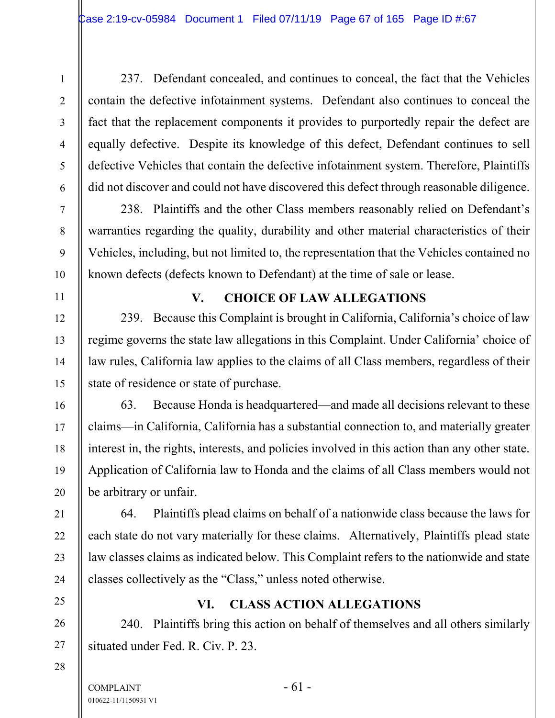237. Defendant concealed, and continues to conceal, the fact that the Vehicles contain the defective infotainment systems. Defendant also continues to conceal the fact that the replacement components it provides to purportedly repair the defect are equally defective. Despite its knowledge of this defect, Defendant continues to sell defective Vehicles that contain the defective infotainment system. Therefore, Plaintiffs did not discover and could not have discovered this defect through reasonable diligence.

238. Plaintiffs and the other Class members reasonably relied on Defendant's warranties regarding the quality, durability and other material characteristics of their Vehicles, including, but not limited to, the representation that the Vehicles contained no known defects (defects known to Defendant) at the time of sale or lease.

## **V. CHOICE OF LAW ALLEGATIONS**

239. Because this Complaint is brought in California, California's choice of law regime governs the state law allegations in this Complaint. Under California' choice of law rules, California law applies to the claims of all Class members, regardless of their state of residence or state of purchase.

63. Because Honda is headquartered—and made all decisions relevant to these claims—in California, California has a substantial connection to, and materially greater interest in, the rights, interests, and policies involved in this action than any other state. Application of California law to Honda and the claims of all Class members would not be arbitrary or unfair.

64. Plaintiffs plead claims on behalf of a nationwide class because the laws for each state do not vary materially for these claims. Alternatively, Plaintiffs plead state law classes claims as indicated below. This Complaint refers to the nationwide and state classes collectively as the "Class," unless noted otherwise.

### **VI. CLASS ACTION ALLEGATIONS**

240. Plaintiffs bring this action on behalf of themselves and all others similarly situated under Fed. R. Civ. P. 23.

1

2

3

4

5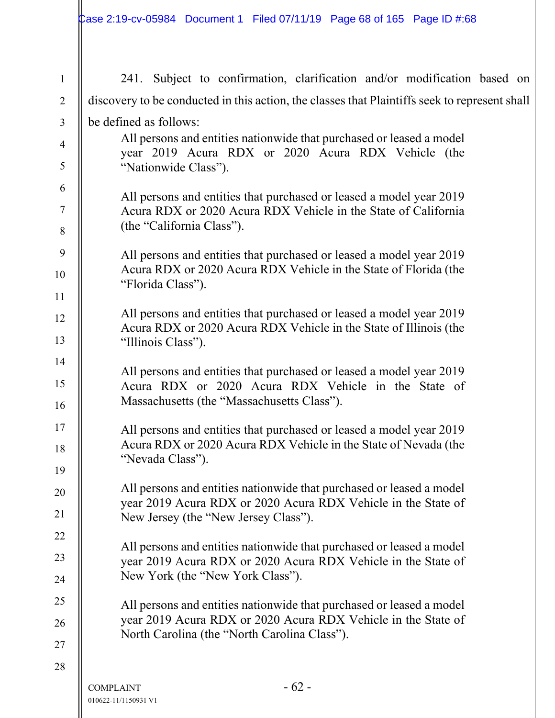$\mathsf{II}$ 

| $\mathbf{1}$   | 241. Subject to confirmation, clarification and/or modification based on                                                                 |  |  |
|----------------|------------------------------------------------------------------------------------------------------------------------------------------|--|--|
| $\overline{2}$ | discovery to be conducted in this action, the classes that Plaintiffs seek to represent shall                                            |  |  |
| $\mathfrak{Z}$ | be defined as follows:                                                                                                                   |  |  |
| $\overline{4}$ | All persons and entities nationwide that purchased or leased a model                                                                     |  |  |
| 5              | year 2019 Acura RDX or 2020 Acura RDX Vehicle (the<br>"Nationwide Class").                                                               |  |  |
| 6<br>$\tau$    | All persons and entities that purchased or leased a model year 2019                                                                      |  |  |
| $8\,$          | Acura RDX or 2020 Acura RDX Vehicle in the State of California<br>(the "California Class").                                              |  |  |
| 9              | All persons and entities that purchased or leased a model year 2019                                                                      |  |  |
| 10             | Acura RDX or 2020 Acura RDX Vehicle in the State of Florida (the<br>"Florida Class").                                                    |  |  |
| 11             |                                                                                                                                          |  |  |
| 12             | All persons and entities that purchased or leased a model year 2019<br>Acura RDX or 2020 Acura RDX Vehicle in the State of Illinois (the |  |  |
| 13             | "Illinois Class").                                                                                                                       |  |  |
| 14             | All persons and entities that purchased or leased a model year 2019                                                                      |  |  |
| 15<br>16       | Acura RDX or 2020 Acura RDX Vehicle in the State of<br>Massachusetts (the "Massachusetts Class").                                        |  |  |
| 17             |                                                                                                                                          |  |  |
| 18             | All persons and entities that purchased or leased a model year 2019<br>Acura RDX or 2020 Acura RDX Vehicle in the State of Nevada (the   |  |  |
| 19             | "Nevada Class").                                                                                                                         |  |  |
| 20             | All persons and entities nationwide that purchased or leased a model                                                                     |  |  |
| 21             | year 2019 Acura RDX or 2020 Acura RDX Vehicle in the State of<br>New Jersey (the "New Jersey Class").                                    |  |  |
| 22             |                                                                                                                                          |  |  |
| 23             | All persons and entities nationwide that purchased or leased a model<br>year 2019 Acura RDX or 2020 Acura RDX Vehicle in the State of    |  |  |
| 24             | New York (the "New York Class").                                                                                                         |  |  |
| 25             | All persons and entities nationwide that purchased or leased a model                                                                     |  |  |
| 26             | year 2019 Acura RDX or 2020 Acura RDX Vehicle in the State of<br>North Carolina (the "North Carolina Class").                            |  |  |
| 27             |                                                                                                                                          |  |  |
| 28             |                                                                                                                                          |  |  |
|                | $-62-$<br><b>COMPLAINT</b><br>010622-11/1150931 V1                                                                                       |  |  |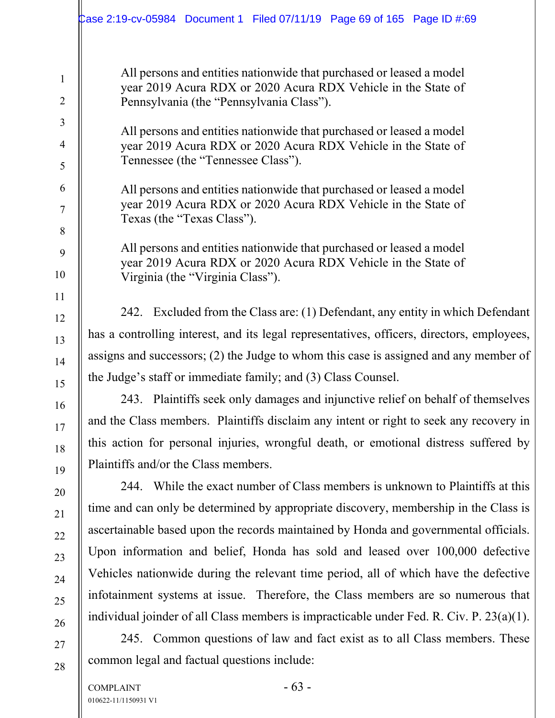All persons and entities nationwide that purchased or leased a model year 2019 Acura RDX or 2020 Acura RDX Vehicle in the State of Pennsylvania (the "Pennsylvania Class").

All persons and entities nationwide that purchased or leased a model year 2019 Acura RDX or 2020 Acura RDX Vehicle in the State of Tennessee (the "Tennessee Class").

All persons and entities nationwide that purchased or leased a model year 2019 Acura RDX or 2020 Acura RDX Vehicle in the State of Texas (the "Texas Class").

All persons and entities nationwide that purchased or leased a model year 2019 Acura RDX or 2020 Acura RDX Vehicle in the State of Virginia (the "Virginia Class").

242. Excluded from the Class are: (1) Defendant, any entity in which Defendant has a controlling interest, and its legal representatives, officers, directors, employees, assigns and successors; (2) the Judge to whom this case is assigned and any member of the Judge's staff or immediate family; and (3) Class Counsel.

243. Plaintiffs seek only damages and injunctive relief on behalf of themselves and the Class members. Plaintiffs disclaim any intent or right to seek any recovery in this action for personal injuries, wrongful death, or emotional distress suffered by Plaintiffs and/or the Class members.

244. While the exact number of Class members is unknown to Plaintiffs at this time and can only be determined by appropriate discovery, membership in the Class is ascertainable based upon the records maintained by Honda and governmental officials. Upon information and belief, Honda has sold and leased over 100,000 defective Vehicles nationwide during the relevant time period, all of which have the defective infotainment systems at issue. Therefore, the Class members are so numerous that individual joinder of all Class members is impracticable under Fed. R. Civ. P. 23(a)(1).

245. Common questions of law and fact exist as to all Class members. These common legal and factual questions include:

1

2

3

4

5

6

7

8

9

10

11

12

13

14

15

16

17

18

19

20

21

22

23

24

25

26

27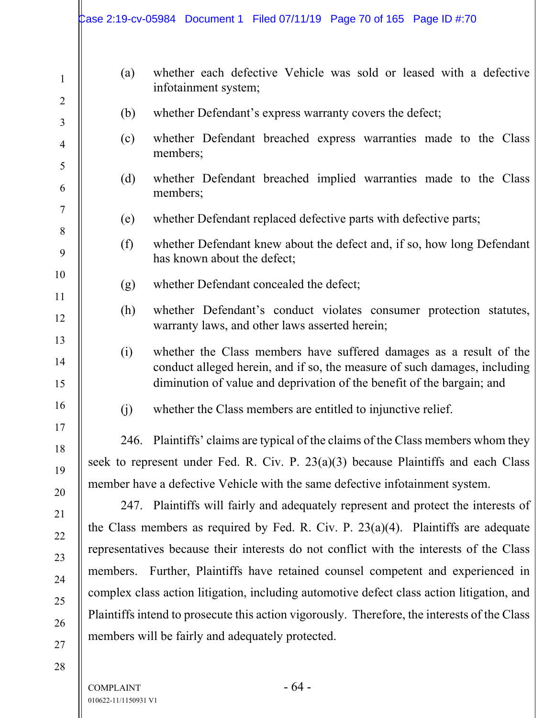|                                |     | Case 2:19-cv-05984 Document 1 Filed 07/11/19 Page 70 of 165 Page ID #:70                                                                                                                                                  |
|--------------------------------|-----|---------------------------------------------------------------------------------------------------------------------------------------------------------------------------------------------------------------------------|
| $\mathbf{1}$<br>$\overline{2}$ | (a) | whether each defective Vehicle was sold or leased with a defective<br>infotainment system;                                                                                                                                |
| $\overline{3}$                 | (b) | whether Defendant's express warranty covers the defect;                                                                                                                                                                   |
| $\overline{4}$                 | (c) | whether Defendant breached express warranties made to the Class<br>members;                                                                                                                                               |
| 5<br>6                         | (d) | whether Defendant breached implied warranties made to the Class<br>members;                                                                                                                                               |
| $\tau$                         | (e) | whether Defendant replaced defective parts with defective parts;                                                                                                                                                          |
| 8<br>9                         | (f) | whether Defendant knew about the defect and, if so, how long Defendant<br>has known about the defect;                                                                                                                     |
| 10<br>11                       | (g) | whether Defendant concealed the defect;                                                                                                                                                                                   |
| 12                             | (h) | whether Defendant's conduct violates consumer protection statutes,<br>warranty laws, and other laws asserted herein;                                                                                                      |
| 13<br>14<br>15                 | (i) | whether the Class members have suffered damages as a result of the<br>conduct alleged herein, and if so, the measure of such damages, including<br>diminution of value and deprivation of the benefit of the bargain; and |
| 16                             | (j) | whether the Class members are entitled to injunctive relief.                                                                                                                                                              |
| 17<br>18                       |     | 246. Plaintiffs' claims are typical of the claims of the Class members whom they<br>seek to represent under Fed. R. Civ. P. $23(a)(3)$ because Plaintiffs and each Class                                                  |
| 19                             |     | member have a defective Vehicle with the same defective infotainment system.                                                                                                                                              |
| 20                             |     | 247. Plaintiffs will fairly and adequately represent and protect the interests of                                                                                                                                         |
| 21<br>22                       |     | the Class members as required by Fed. R. Civ. P. $23(a)(4)$ . Plaintiffs are adequate                                                                                                                                     |
| 23                             |     | representatives because their interests do not conflict with the interests of the Class                                                                                                                                   |
| 24                             |     | members. Further, Plaintiffs have retained counsel competent and experienced in                                                                                                                                           |
| 25                             |     | complex class action litigation, including automotive defect class action litigation, and                                                                                                                                 |
| 26                             |     | Plaintiffs intend to prosecute this action vigorously. Therefore, the interests of the Class                                                                                                                              |
| 27                             |     | members will be fairly and adequately protected.                                                                                                                                                                          |
| 28                             |     |                                                                                                                                                                                                                           |

 $COMPLAINT - 64 -$ 010622-11/1150931 V1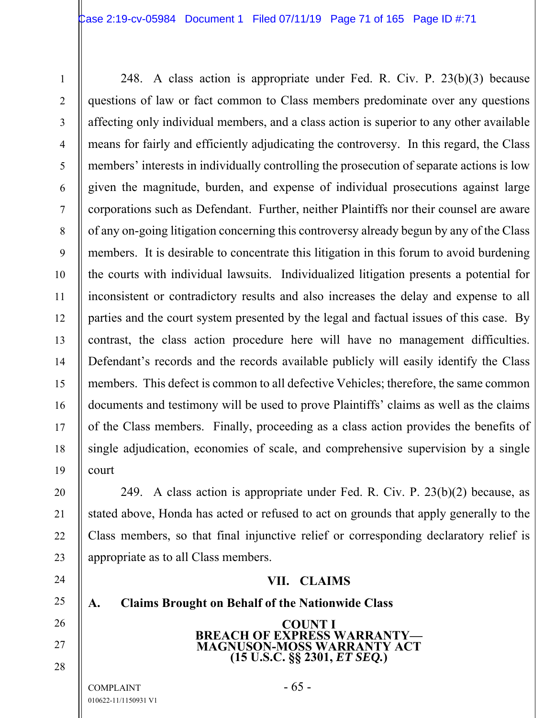248. A class action is appropriate under Fed. R. Civ. P. 23(b)(3) because questions of law or fact common to Class members predominate over any questions affecting only individual members, and a class action is superior to any other available means for fairly and efficiently adjudicating the controversy. In this regard, the Class members' interests in individually controlling the prosecution of separate actions is low given the magnitude, burden, and expense of individual prosecutions against large corporations such as Defendant. Further, neither Plaintiffs nor their counsel are aware of any on-going litigation concerning this controversy already begun by any of the Class members. It is desirable to concentrate this litigation in this forum to avoid burdening the courts with individual lawsuits. Individualized litigation presents a potential for inconsistent or contradictory results and also increases the delay and expense to all parties and the court system presented by the legal and factual issues of this case. By contrast, the class action procedure here will have no management difficulties. Defendant's records and the records available publicly will easily identify the Class members. This defect is common to all defective Vehicles; therefore, the same common documents and testimony will be used to prove Plaintiffs' claims as well as the claims of the Class members. Finally, proceeding as a class action provides the benefits of single adjudication, economies of scale, and comprehensive supervision by a single court

249. A class action is appropriate under Fed. R. Civ. P. 23(b)(2) because, as stated above, Honda has acted or refused to act on grounds that apply generally to the Class members, so that final injunctive relief or corresponding declaratory relief is appropriate as to all Class members.

#### **VII. CLAIMS**

**A. Claims Brought on Behalf of the Nationwide Class** 

**COUNT I BREACH OF EXPRESS WARRANTY-MAGNUSON-MOSS WARRANTY ACT (15 U.S.C. §§ 2301,** *ET SEQ.***)** 

 $COMPLANT$  - 65 -010622-11/1150931 V1

1

2

3

4

5

6

7

8

9

10

11

12

13

14

15

16

17

18

19

20

21

22

23

24

25

26

27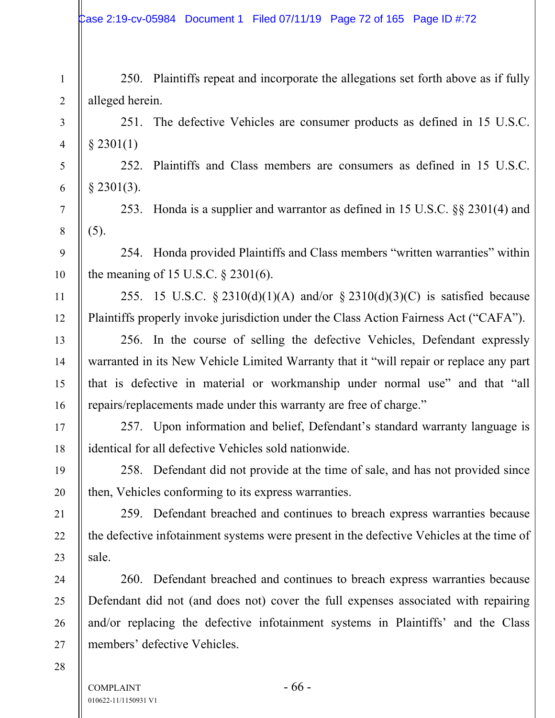Case 2:19-cv-05984 Document 1 Filed 07/11/19 Page 72 of 165 Page ID #:72

250. Plaintiffs repeat and incorporate the allegations set forth above as if fully alleged herein.

251. The defective Vehicles are consumer products as defined in 15 U.S.C.  $§$  2301(1)

252. Plaintiffs and Class members are consumers as defined in 15 U.S.C. § 2301(3).

253. Honda is a supplier and warrantor as defined in 15 U.S.C. §§ 2301(4) and (5).

254. Honda provided Plaintiffs and Class members "written warranties" within the meaning of 15 U.S.C. § 2301(6).

255. 15 U.S.C. § 2310(d)(1)(A) and/or § 2310(d)(3)(C) is satisfied because Plaintiffs properly invoke jurisdiction under the Class Action Fairness Act ("CAFA").

256. In the course of selling the defective Vehicles, Defendant expressly warranted in its New Vehicle Limited Warranty that it "will repair or replace any part that is defective in material or workmanship under normal use" and that "all repairs/replacements made under this warranty are free of charge."

257. Upon information and belief, Defendant's standard warranty language is identical for all defective Vehicles sold nationwide.

258. Defendant did not provide at the time of sale, and has not provided since then, Vehicles conforming to its express warranties.

259. Defendant breached and continues to breach express warranties because the defective infotainment systems were present in the defective Vehicles at the time of sale.

260. Defendant breached and continues to breach express warranties because Defendant did not (and does not) cover the full expenses associated with repairing and/or replacing the defective infotainment systems in Plaintiffs' and the Class members' defective Vehicles.

28

1

2

3

4

5

6

7

8

9

10

11

12

13

14

15

16

17

18

19

20

21

22

23

24

25

26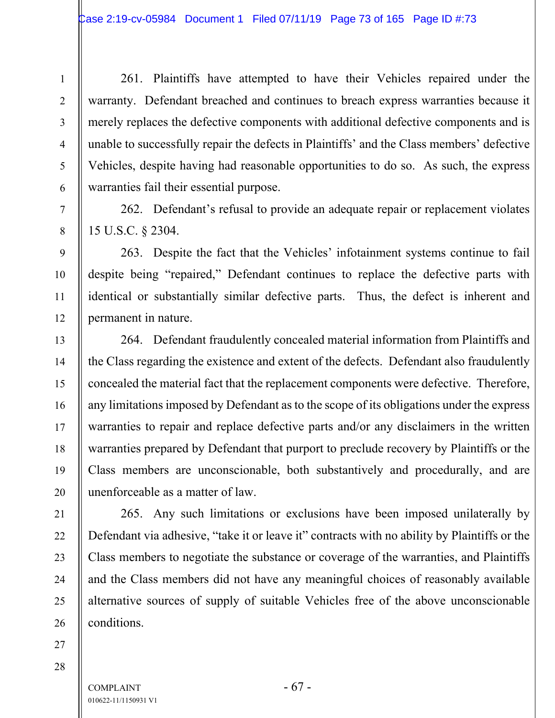261. Plaintiffs have attempted to have their Vehicles repaired under the warranty. Defendant breached and continues to breach express warranties because it merely replaces the defective components with additional defective components and is unable to successfully repair the defects in Plaintiffs' and the Class members' defective Vehicles, despite having had reasonable opportunities to do so. As such, the express warranties fail their essential purpose.

262. Defendant's refusal to provide an adequate repair or replacement violates 15 U.S.C. § 2304.

263. Despite the fact that the Vehicles' infotainment systems continue to fail despite being "repaired," Defendant continues to replace the defective parts with identical or substantially similar defective parts. Thus, the defect is inherent and permanent in nature.

264. Defendant fraudulently concealed material information from Plaintiffs and the Class regarding the existence and extent of the defects. Defendant also fraudulently concealed the material fact that the replacement components were defective. Therefore, any limitations imposed by Defendant as to the scope of its obligations under the express warranties to repair and replace defective parts and/or any disclaimers in the written warranties prepared by Defendant that purport to preclude recovery by Plaintiffs or the Class members are unconscionable, both substantively and procedurally, and are unenforceable as a matter of law.

265. Any such limitations or exclusions have been imposed unilaterally by Defendant via adhesive, "take it or leave it" contracts with no ability by Plaintiffs or the Class members to negotiate the substance or coverage of the warranties, and Plaintiffs and the Class members did not have any meaningful choices of reasonably available alternative sources of supply of suitable Vehicles free of the above unconscionable conditions.

27 28

1

2

3

4

5

6

7

8

9

10

11

12

13

14

15

16

17

18

19

20

21

22

23

24

25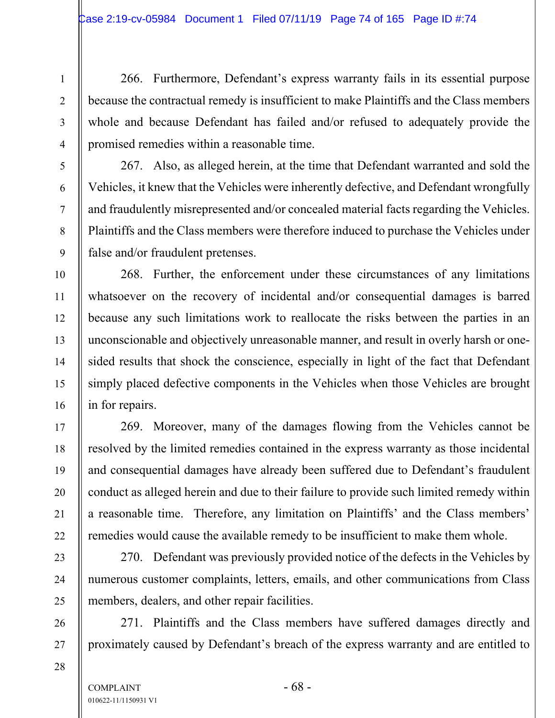266. Furthermore, Defendant's express warranty fails in its essential purpose because the contractual remedy is insufficient to make Plaintiffs and the Class members whole and because Defendant has failed and/or refused to adequately provide the promised remedies within a reasonable time.

267. Also, as alleged herein, at the time that Defendant warranted and sold the Vehicles, it knew that the Vehicles were inherently defective, and Defendant wrongfully and fraudulently misrepresented and/or concealed material facts regarding the Vehicles. Plaintiffs and the Class members were therefore induced to purchase the Vehicles under false and/or fraudulent pretenses.

268. Further, the enforcement under these circumstances of any limitations whatsoever on the recovery of incidental and/or consequential damages is barred because any such limitations work to reallocate the risks between the parties in an unconscionable and objectively unreasonable manner, and result in overly harsh or onesided results that shock the conscience, especially in light of the fact that Defendant simply placed defective components in the Vehicles when those Vehicles are brought in for repairs.

269. Moreover, many of the damages flowing from the Vehicles cannot be resolved by the limited remedies contained in the express warranty as those incidental and consequential damages have already been suffered due to Defendant's fraudulent conduct as alleged herein and due to their failure to provide such limited remedy within a reasonable time. Therefore, any limitation on Plaintiffs' and the Class members' remedies would cause the available remedy to be insufficient to make them whole.

270. Defendant was previously provided notice of the defects in the Vehicles by numerous customer complaints, letters, emails, and other communications from Class members, dealers, and other repair facilities.

271. Plaintiffs and the Class members have suffered damages directly and proximately caused by Defendant's breach of the express warranty and are entitled to

 $COMPLANT$  - 68 -010622-11/1150931 V1

1

2

3

4

5

6

7

8

9

10

11

12

13

14

15

16

17

18

19

20

21

22

23

24

25

26

27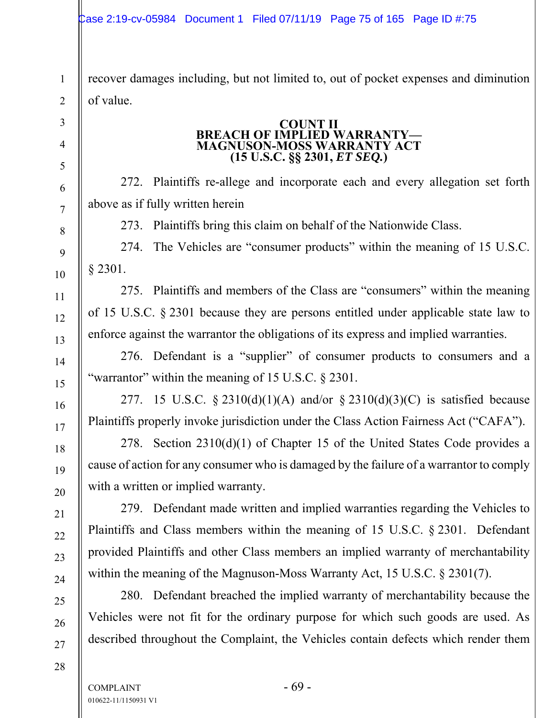recover damages including, but not limited to, out of pocket expenses and diminution of value.

#### **COUNT II BREACH OF IMPLIED WARRANTY-MAGNUSON-MOSS WARRANTY ACT (15 U.S.C. §§ 2301,** *ET SEQ.***)**

272. Plaintiffs re-allege and incorporate each and every allegation set forth above as if fully written herein

273. Plaintiffs bring this claim on behalf of the Nationwide Class.

274. The Vehicles are "consumer products" within the meaning of 15 U.S.C. § 2301.

275. Plaintiffs and members of the Class are "consumers" within the meaning of 15 U.S.C. § 2301 because they are persons entitled under applicable state law to enforce against the warrantor the obligations of its express and implied warranties.

276. Defendant is a "supplier" of consumer products to consumers and a "warrantor" within the meaning of 15 U.S.C. § 2301.

277. 15 U.S.C.  $\S 2310(d)(1)(A)$  and/or  $\S 2310(d)(3)(C)$  is satisfied because Plaintiffs properly invoke jurisdiction under the Class Action Fairness Act ("CAFA").

278. Section 2310(d)(1) of Chapter 15 of the United States Code provides a cause of action for any consumer who is damaged by the failure of a warrantor to comply with a written or implied warranty.

279. Defendant made written and implied warranties regarding the Vehicles to Plaintiffs and Class members within the meaning of 15 U.S.C. § 2301. Defendant provided Plaintiffs and other Class members an implied warranty of merchantability within the meaning of the Magnuson-Moss Warranty Act, 15 U.S.C. § 2301(7).

280. Defendant breached the implied warranty of merchantability because the Vehicles were not fit for the ordinary purpose for which such goods are used. As described throughout the Complaint, the Vehicles contain defects which render them

1

2

3

4

5

6

7

8

9

10

11

12

13

14

15

16

17

18

19

20

21

22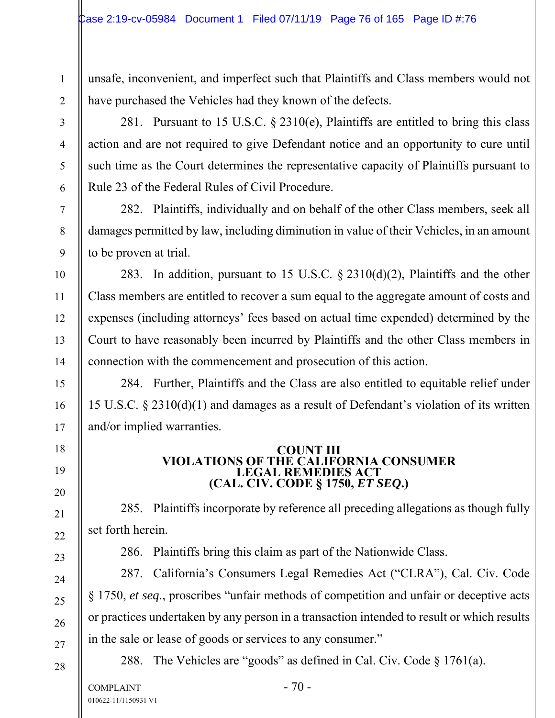unsafe, inconvenient, and imperfect such that Plaintiffs and Class members would not have purchased the Vehicles had they known of the defects.

281. Pursuant to 15 U.S.C.  $\S$  2310(e), Plaintiffs are entitled to bring this class action and are not required to give Defendant notice and an opportunity to cure until such time as the Court determines the representative capacity of Plaintiffs pursuant to Rule 23 of the Federal Rules of Civil Procedure.

282. Plaintiffs, individually and on behalf of the other Class members, seek all damages permitted by law, including diminution in value of their Vehicles, in an amount to be proven at trial.

283. In addition, pursuant to 15 U.S.C. § 2310(d)(2), Plaintiffs and the other Class members are entitled to recover a sum equal to the aggregate amount of costs and expenses (including attorneys' fees based on actual time expended) determined by the Court to have reasonably been incurred by Plaintiffs and the other Class members in connection with the commencement and prosecution of this action.

284. Further, Plaintiffs and the Class are also entitled to equitable relief under 15 U.S.C. § 2310(d)(1) and damages as a result of Defendant's violation of its written and/or implied warranties.

#### **COUNT III VIOLATIONS OF THE CALIFORNIA CONSUMER LEGAL REMEDIES ACT (CAL. CIV. CODE § 1750,** *ET SEQ***.)**

285. Plaintiffs incorporate by reference all preceding allegations as though fully set forth herein.

286. Plaintiffs bring this claim as part of the Nationwide Class.

287. California's Consumers Legal Remedies Act ("CLRA"), Cal. Civ. Code § 1750, *et seq*., proscribes "unfair methods of competition and unfair or deceptive acts or practices undertaken by any person in a transaction intended to result or which results in the sale or lease of goods or services to any consumer."

28

1

2

3

4

5

6

7

8

9

10

11

12

13

14

15

16

17

18

19

20

21

22

23

24

25

26

27

288. The Vehicles are "goods" as defined in Cal. Civ. Code § 1761(a).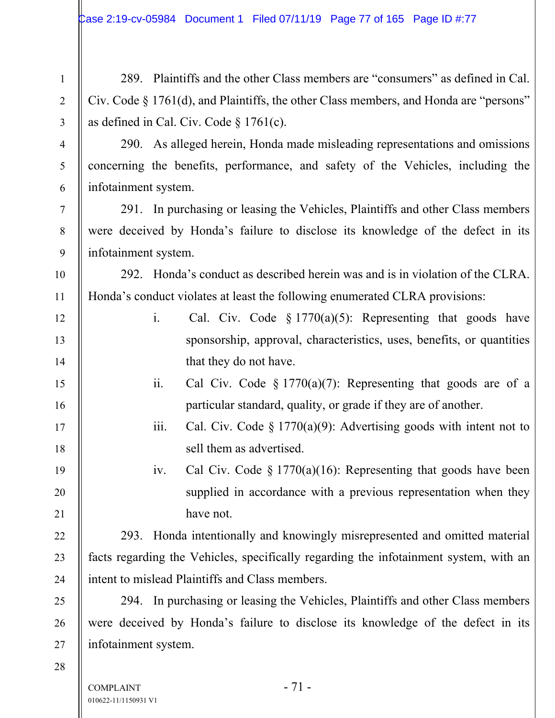289. Plaintiffs and the other Class members are "consumers" as defined in Cal. Civ. Code § 1761(d), and Plaintiffs, the other Class members, and Honda are "persons" as defined in Cal. Civ. Code § 1761(c).

290. As alleged herein, Honda made misleading representations and omissions concerning the benefits, performance, and safety of the Vehicles, including the infotainment system.

291. In purchasing or leasing the Vehicles, Plaintiffs and other Class members were deceived by Honda's failure to disclose its knowledge of the defect in its infotainment system.

292. Honda's conduct as described herein was and is in violation of the CLRA. Honda's conduct violates at least the following enumerated CLRA provisions:

- i. Cal. Civ. Code § 1770(a)(5): Representing that goods have sponsorship, approval, characteristics, uses, benefits, or quantities that they do not have.
	- ii. Cal Civ. Code  $\S 1770(a)(7)$ : Representing that goods are of a particular standard, quality, or grade if they are of another.
	- iii. Cal. Civ. Code § 1770(a)(9): Advertising goods with intent not to sell them as advertised.

iv. Cal Civ. Code § 1770(a)(16): Representing that goods have been supplied in accordance with a previous representation when they have not.

293. Honda intentionally and knowingly misrepresented and omitted material facts regarding the Vehicles, specifically regarding the infotainment system, with an intent to mislead Plaintiffs and Class members.

294. In purchasing or leasing the Vehicles, Plaintiffs and other Class members were deceived by Honda's failure to disclose its knowledge of the defect in its infotainment system.

28

1

2

3

4

5

6

7

8

9

10

11

12

13

14

15

16

17

18

19

20

21

22

23

24

25

26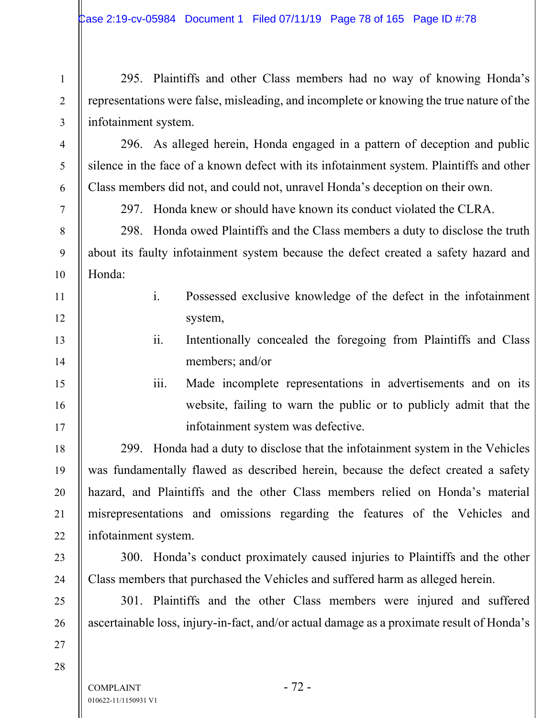295. Plaintiffs and other Class members had no way of knowing Honda's representations were false, misleading, and incomplete or knowing the true nature of the infotainment system.

296. As alleged herein, Honda engaged in a pattern of deception and public silence in the face of a known defect with its infotainment system. Plaintiffs and other Class members did not, and could not, unravel Honda's deception on their own.

1

2

3

4

5

6

7

8

9

10

11

12

13

14

15

16

17

18

19

20

21

22

23

24

25

26

297. Honda knew or should have known its conduct violated the CLRA.

298. Honda owed Plaintiffs and the Class members a duty to disclose the truth about its faulty infotainment system because the defect created a safety hazard and Honda:

- i. Possessed exclusive knowledge of the defect in the infotainment system,
	- ii. Intentionally concealed the foregoing from Plaintiffs and Class members; and/or
	- iii. Made incomplete representations in advertisements and on its website, failing to warn the public or to publicly admit that the infotainment system was defective.

299. Honda had a duty to disclose that the infotainment system in the Vehicles was fundamentally flawed as described herein, because the defect created a safety hazard, and Plaintiffs and the other Class members relied on Honda's material misrepresentations and omissions regarding the features of the Vehicles and infotainment system.

300. Honda's conduct proximately caused injuries to Plaintiffs and the other Class members that purchased the Vehicles and suffered harm as alleged herein.

301. Plaintiffs and the other Class members were injured and suffered ascertainable loss, injury-in-fact, and/or actual damage as a proximate result of Honda's

28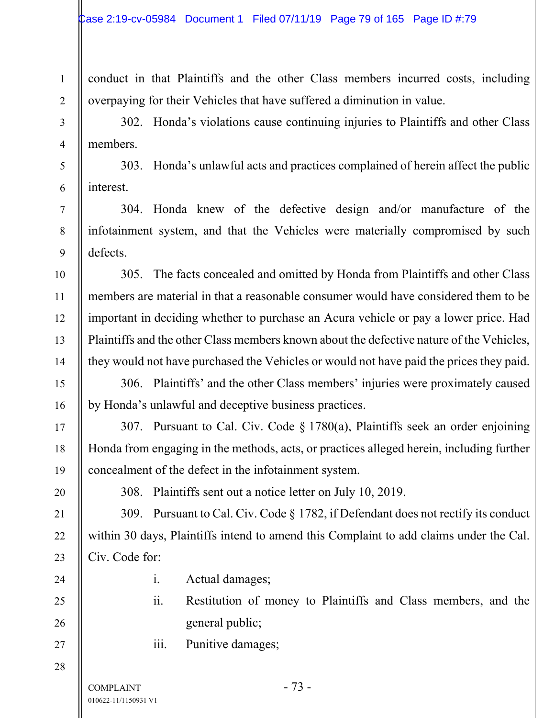conduct in that Plaintiffs and the other Class members incurred costs, including overpaying for their Vehicles that have suffered a diminution in value.

302. Honda's violations cause continuing injuries to Plaintiffs and other Class members.

303. Honda's unlawful acts and practices complained of herein affect the public interest.

304. Honda knew of the defective design and/or manufacture of the infotainment system, and that the Vehicles were materially compromised by such defects.

305. The facts concealed and omitted by Honda from Plaintiffs and other Class members are material in that a reasonable consumer would have considered them to be important in deciding whether to purchase an Acura vehicle or pay a lower price. Had Plaintiffs and the other Class members known about the defective nature of the Vehicles, they would not have purchased the Vehicles or would not have paid the prices they paid.

306. Plaintiffs' and the other Class members' injuries were proximately caused by Honda's unlawful and deceptive business practices.

307. Pursuant to Cal. Civ. Code § 1780(a), Plaintiffs seek an order enjoining Honda from engaging in the methods, acts, or practices alleged herein, including further concealment of the defect in the infotainment system.

308. Plaintiffs sent out a notice letter on July 10, 2019.

309. Pursuant to Cal. Civ. Code § 1782, if Defendant does not rectify its conduct within 30 days, Plaintiffs intend to amend this Complaint to add claims under the Cal. Civ. Code for:

1

2

3

4

5

6

7

8

9

10

11

12

13

14

15

16

17

18

19

20

21

22

23

24

25

26

27

- i. Actual damages;
- ii. Restitution of money to Plaintiffs and Class members, and the general public;
- iii. Punitive damages;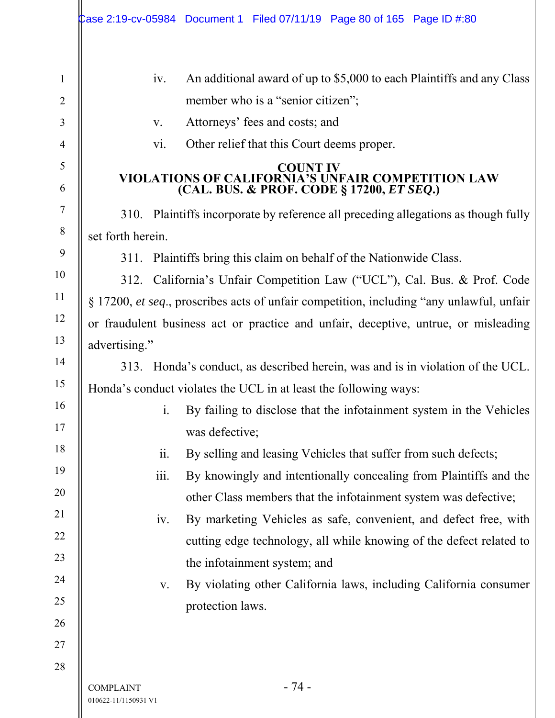| $\mathbf{1}$   |                                                                                                                          | An additional award of up to \$5,000 to each Plaintiffs and any Class<br>iv.          |  |  |  |
|----------------|--------------------------------------------------------------------------------------------------------------------------|---------------------------------------------------------------------------------------|--|--|--|
| $\overline{2}$ |                                                                                                                          | member who is a "senior citizen";                                                     |  |  |  |
| 3              |                                                                                                                          | Attorneys' fees and costs; and<br>V.                                                  |  |  |  |
| 4              |                                                                                                                          | Other relief that this Court deems proper.<br>vi.                                     |  |  |  |
| 5<br>6         | <b>COUNT IV</b><br><b>VIOLATIONS OF CALIFORNIA'S UNFAIR COMPETITION LAW</b><br>(CAL. BUS. & PROF. CODE § 17200, ET SEQ.) |                                                                                       |  |  |  |
| $\overline{7}$ |                                                                                                                          | 310. Plaintiffs incorporate by reference all preceding allegations as though fully    |  |  |  |
| 8              | set forth herein.                                                                                                        |                                                                                       |  |  |  |
| 9              | 311. Plaintiffs bring this claim on behalf of the Nationwide Class.                                                      |                                                                                       |  |  |  |
| 10             |                                                                                                                          | 312. California's Unfair Competition Law ("UCL"), Cal. Bus. & Prof. Code              |  |  |  |
| 11             | § 17200, et seq., proscribes acts of unfair competition, including "any unlawful, unfair                                 |                                                                                       |  |  |  |
| 12             | or fraudulent business act or practice and unfair, deceptive, untrue, or misleading                                      |                                                                                       |  |  |  |
| 13             | advertising."                                                                                                            |                                                                                       |  |  |  |
| 14             | 313. Honda's conduct, as described herein, was and is in violation of the UCL.                                           |                                                                                       |  |  |  |
| 15             | Honda's conduct violates the UCL in at least the following ways:                                                         |                                                                                       |  |  |  |
| 16             |                                                                                                                          | $\mathbf{i}$ .<br>By failing to disclose that the infotainment system in the Vehicles |  |  |  |
| 17             |                                                                                                                          | was defective;                                                                        |  |  |  |
| 18             |                                                                                                                          | By selling and leasing Vehicles that suffer from such defects;<br>11.                 |  |  |  |
| 19             |                                                                                                                          | iii.<br>By knowingly and intentionally concealing from Plaintiffs and the             |  |  |  |
| 20             |                                                                                                                          | other Class members that the infotainment system was defective;                       |  |  |  |
| 21             |                                                                                                                          | By marketing Vehicles as safe, convenient, and defect free, with<br>iv.               |  |  |  |
| 22             |                                                                                                                          | cutting edge technology, all while knowing of the defect related to                   |  |  |  |
| 23             |                                                                                                                          | the infotainment system; and                                                          |  |  |  |
| 24             |                                                                                                                          | By violating other California laws, including California consumer<br>V.               |  |  |  |
| 25             |                                                                                                                          | protection laws.                                                                      |  |  |  |
| 26             |                                                                                                                          |                                                                                       |  |  |  |
| 27             |                                                                                                                          |                                                                                       |  |  |  |
| 28             |                                                                                                                          |                                                                                       |  |  |  |
|                | <b>COMPLAINT</b><br>010622-11/1150931 V1                                                                                 | - 74 -                                                                                |  |  |  |

 $\mathsf{l}$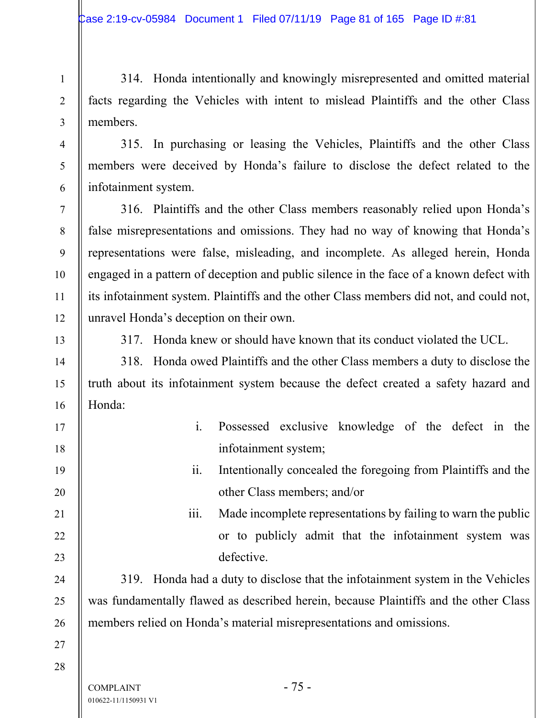314. Honda intentionally and knowingly misrepresented and omitted material facts regarding the Vehicles with intent to mislead Plaintiffs and the other Class members.

315. In purchasing or leasing the Vehicles, Plaintiffs and the other Class members were deceived by Honda's failure to disclose the defect related to the infotainment system.

316. Plaintiffs and the other Class members reasonably relied upon Honda's false misrepresentations and omissions. They had no way of knowing that Honda's representations were false, misleading, and incomplete. As alleged herein, Honda engaged in a pattern of deception and public silence in the face of a known defect with its infotainment system. Plaintiffs and the other Class members did not, and could not, unravel Honda's deception on their own.



1

2

3

4

5

6

7

8

9

10

11

12

14

15

16

17

18

19

20

21

22

23

24

25

26

317. Honda knew or should have known that its conduct violated the UCL.

318. Honda owed Plaintiffs and the other Class members a duty to disclose the truth about its infotainment system because the defect created a safety hazard and Honda:

- i. Possessed exclusive knowledge of the defect in the infotainment system;
	- ii. Intentionally concealed the foregoing from Plaintiffs and the other Class members; and/or
	- iii. Made incomplete representations by failing to warn the public or to publicly admit that the infotainment system was defective.

319. Honda had a duty to disclose that the infotainment system in the Vehicles was fundamentally flawed as described herein, because Plaintiffs and the other Class members relied on Honda's material misrepresentations and omissions.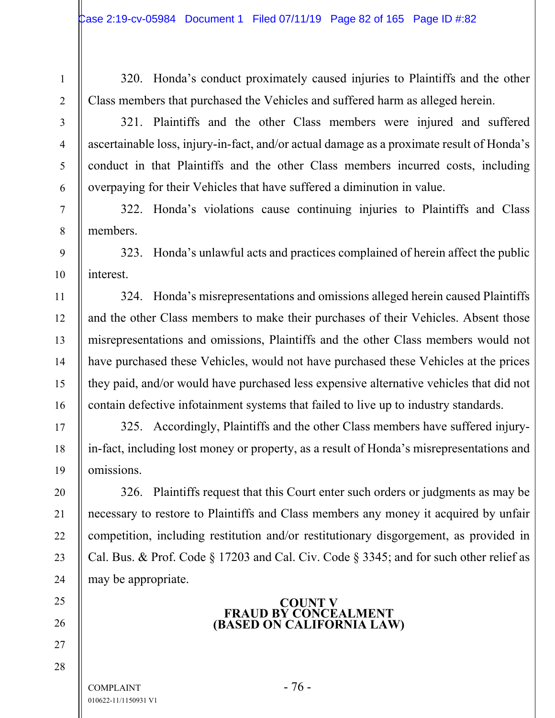320. Honda's conduct proximately caused injuries to Plaintiffs and the other Class members that purchased the Vehicles and suffered harm as alleged herein.

321. Plaintiffs and the other Class members were injured and suffered ascertainable loss, injury-in-fact, and/or actual damage as a proximate result of Honda's conduct in that Plaintiffs and the other Class members incurred costs, including overpaying for their Vehicles that have suffered a diminution in value.

322. Honda's violations cause continuing injuries to Plaintiffs and Class members.

323. Honda's unlawful acts and practices complained of herein affect the public interest.

324. Honda's misrepresentations and omissions alleged herein caused Plaintiffs and the other Class members to make their purchases of their Vehicles. Absent those misrepresentations and omissions, Plaintiffs and the other Class members would not have purchased these Vehicles, would not have purchased these Vehicles at the prices they paid, and/or would have purchased less expensive alternative vehicles that did not contain defective infotainment systems that failed to live up to industry standards.

325. Accordingly, Plaintiffs and the other Class members have suffered injuryin-fact, including lost money or property, as a result of Honda's misrepresentations and omissions.

326. Plaintiffs request that this Court enter such orders or judgments as may be necessary to restore to Plaintiffs and Class members any money it acquired by unfair competition, including restitution and/or restitutionary disgorgement, as provided in Cal. Bus. & Prof. Code § 17203 and Cal. Civ. Code § 3345; and for such other relief as may be appropriate.

## **COUNT V FRAUD BY CONCEALMENT (BASED ON CALIFORNIA LAW)**

 $COMPLANT$  - 76 -010622-11/1150931 V1

1

2

3

4

5

6

7

8

9

10

11

12

13

14

15

16

17

18

19

20

21

22

23

24

25

26

27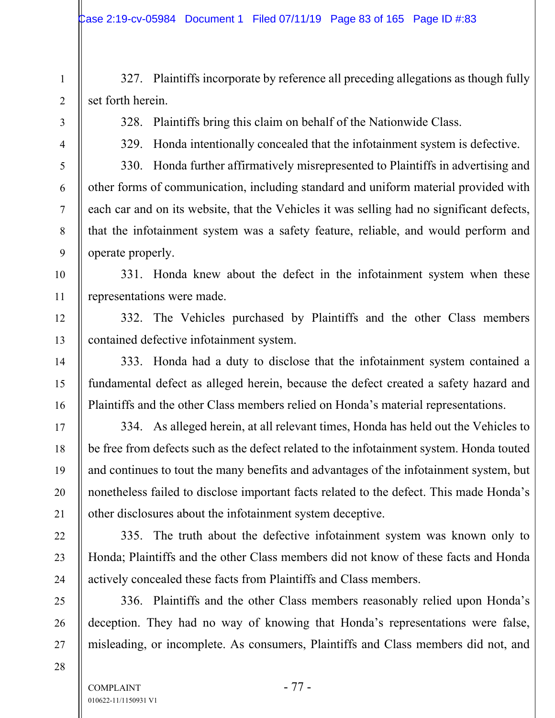327. Plaintiffs incorporate by reference all preceding allegations as though fully set forth herein.

328. Plaintiffs bring this claim on behalf of the Nationwide Class.

329. Honda intentionally concealed that the infotainment system is defective.

330. Honda further affirmatively misrepresented to Plaintiffs in advertising and other forms of communication, including standard and uniform material provided with each car and on its website, that the Vehicles it was selling had no significant defects, that the infotainment system was a safety feature, reliable, and would perform and operate properly.

331. Honda knew about the defect in the infotainment system when these representations were made.

332. The Vehicles purchased by Plaintiffs and the other Class members contained defective infotainment system.

333. Honda had a duty to disclose that the infotainment system contained a fundamental defect as alleged herein, because the defect created a safety hazard and Plaintiffs and the other Class members relied on Honda's material representations.

334. As alleged herein, at all relevant times, Honda has held out the Vehicles to be free from defects such as the defect related to the infotainment system. Honda touted and continues to tout the many benefits and advantages of the infotainment system, but nonetheless failed to disclose important facts related to the defect. This made Honda's other disclosures about the infotainment system deceptive.

335. The truth about the defective infotainment system was known only to Honda; Plaintiffs and the other Class members did not know of these facts and Honda actively concealed these facts from Plaintiffs and Class members.

336. Plaintiffs and the other Class members reasonably relied upon Honda's deception. They had no way of knowing that Honda's representations were false, misleading, or incomplete. As consumers, Plaintiffs and Class members did not, and

28

1

2

3

4

5

6

7

8

9

10

11

12

13

14

15

16

17

18

19

20

21

22

23

24

25

26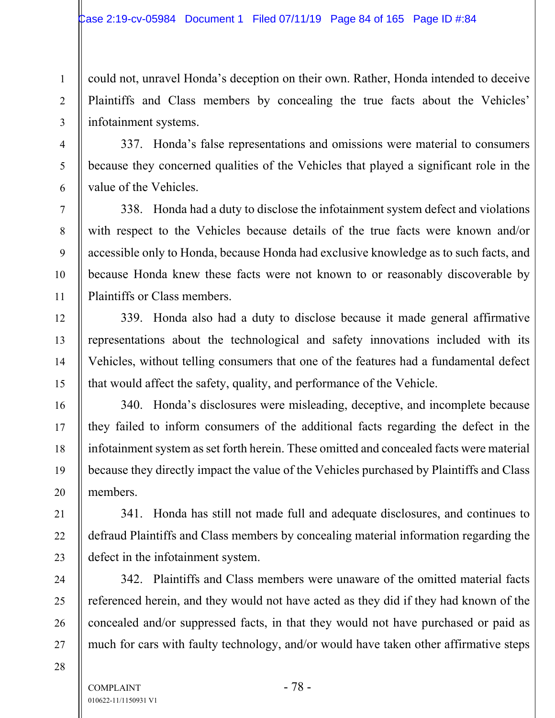could not, unravel Honda's deception on their own. Rather, Honda intended to deceive Plaintiffs and Class members by concealing the true facts about the Vehicles' infotainment systems.

337. Honda's false representations and omissions were material to consumers because they concerned qualities of the Vehicles that played a significant role in the value of the Vehicles.

338. Honda had a duty to disclose the infotainment system defect and violations with respect to the Vehicles because details of the true facts were known and/or accessible only to Honda, because Honda had exclusive knowledge as to such facts, and because Honda knew these facts were not known to or reasonably discoverable by Plaintiffs or Class members.

339. Honda also had a duty to disclose because it made general affirmative representations about the technological and safety innovations included with its Vehicles, without telling consumers that one of the features had a fundamental defect that would affect the safety, quality, and performance of the Vehicle.

340. Honda's disclosures were misleading, deceptive, and incomplete because they failed to inform consumers of the additional facts regarding the defect in the infotainment system as set forth herein. These omitted and concealed facts were material because they directly impact the value of the Vehicles purchased by Plaintiffs and Class members.

341. Honda has still not made full and adequate disclosures, and continues to defraud Plaintiffs and Class members by concealing material information regarding the defect in the infotainment system.

342. Plaintiffs and Class members were unaware of the omitted material facts referenced herein, and they would not have acted as they did if they had known of the concealed and/or suppressed facts, in that they would not have purchased or paid as much for cars with faulty technology, and/or would have taken other affirmative steps

 $COMPLANT$  - 78 -010622-11/1150931 V1

1

2

3

4

5

6

7

8

9

10

11

12

13

14

15

16

17

18

19

20

21

22

23

24

25

26

27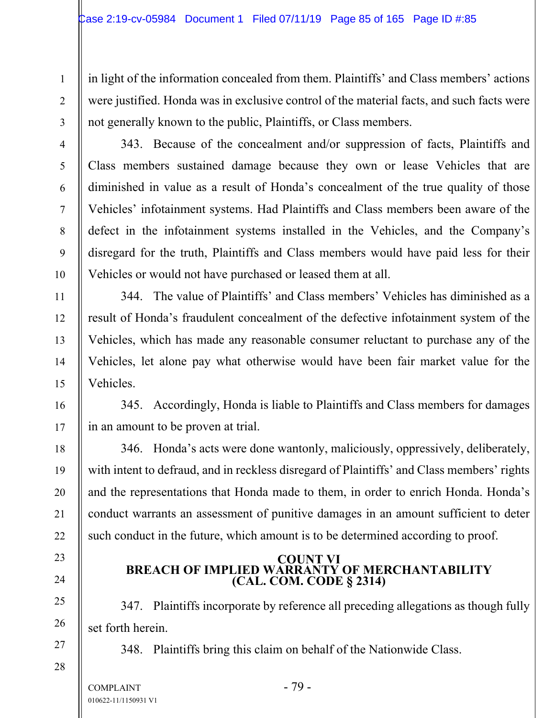in light of the information concealed from them. Plaintiffs' and Class members' actions were justified. Honda was in exclusive control of the material facts, and such facts were not generally known to the public, Plaintiffs, or Class members.

343. Because of the concealment and/or suppression of facts, Plaintiffs and Class members sustained damage because they own or lease Vehicles that are diminished in value as a result of Honda's concealment of the true quality of those Vehicles' infotainment systems. Had Plaintiffs and Class members been aware of the defect in the infotainment systems installed in the Vehicles, and the Company's disregard for the truth, Plaintiffs and Class members would have paid less for their Vehicles or would not have purchased or leased them at all.

344. The value of Plaintiffs' and Class members' Vehicles has diminished as a result of Honda's fraudulent concealment of the defective infotainment system of the Vehicles, which has made any reasonable consumer reluctant to purchase any of the Vehicles, let alone pay what otherwise would have been fair market value for the Vehicles.

345. Accordingly, Honda is liable to Plaintiffs and Class members for damages in an amount to be proven at trial.

346. Honda's acts were done wantonly, maliciously, oppressively, deliberately, with intent to defraud, and in reckless disregard of Plaintiffs' and Class members' rights and the representations that Honda made to them, in order to enrich Honda. Honda's conduct warrants an assessment of punitive damages in an amount sufficient to deter such conduct in the future, which amount is to be determined according to proof.

## **COUNT VI BREACH OF IMPLIED WARRANTY OF MERCHANTABILITY (CAL. COM. CODE § 2314)**

347. Plaintiffs incorporate by reference all preceding allegations as though fully set forth herein.

348. Plaintiffs bring this claim on behalf of the Nationwide Class.

1

2

3

4

5

6

7

8

9

10

11

12

13

14

15

16

17

18

19

20

21

22

23

24

25

26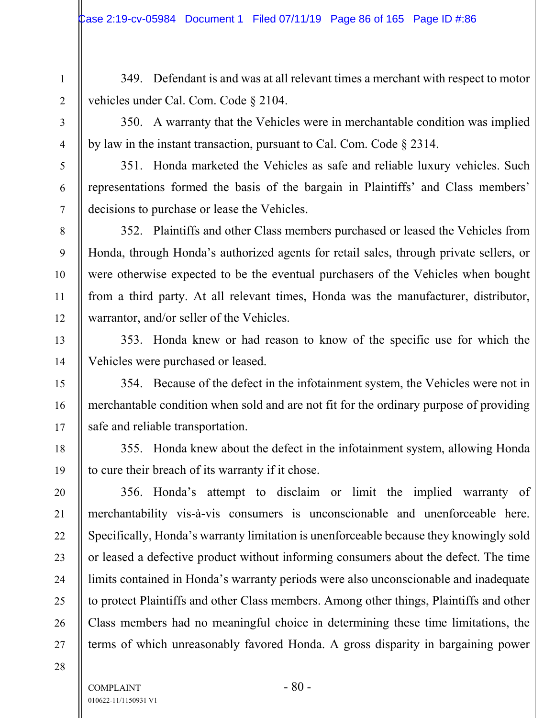349. Defendant is and was at all relevant times a merchant with respect to motor vehicles under Cal. Com. Code § 2104.

350. A warranty that the Vehicles were in merchantable condition was implied by law in the instant transaction, pursuant to Cal. Com. Code § 2314.

351. Honda marketed the Vehicles as safe and reliable luxury vehicles. Such representations formed the basis of the bargain in Plaintiffs' and Class members' decisions to purchase or lease the Vehicles.

352. Plaintiffs and other Class members purchased or leased the Vehicles from Honda, through Honda's authorized agents for retail sales, through private sellers, or were otherwise expected to be the eventual purchasers of the Vehicles when bought from a third party. At all relevant times, Honda was the manufacturer, distributor, warrantor, and/or seller of the Vehicles.

353. Honda knew or had reason to know of the specific use for which the Vehicles were purchased or leased.

354. Because of the defect in the infotainment system, the Vehicles were not in merchantable condition when sold and are not fit for the ordinary purpose of providing safe and reliable transportation.

355. Honda knew about the defect in the infotainment system, allowing Honda to cure their breach of its warranty if it chose.

356. Honda's attempt to disclaim or limit the implied warranty of merchantability vis-à-vis consumers is unconscionable and unenforceable here. Specifically, Honda's warranty limitation is unenforceable because they knowingly sold or leased a defective product without informing consumers about the defect. The time limits contained in Honda's warranty periods were also unconscionable and inadequate to protect Plaintiffs and other Class members. Among other things, Plaintiffs and other Class members had no meaningful choice in determining these time limitations, the terms of which unreasonably favored Honda. A gross disparity in bargaining power

28

1

2

3

4

5

6

7

8

9

10

11

12

13

14

15

16

17

18

19

20

21

22

23

24

25

26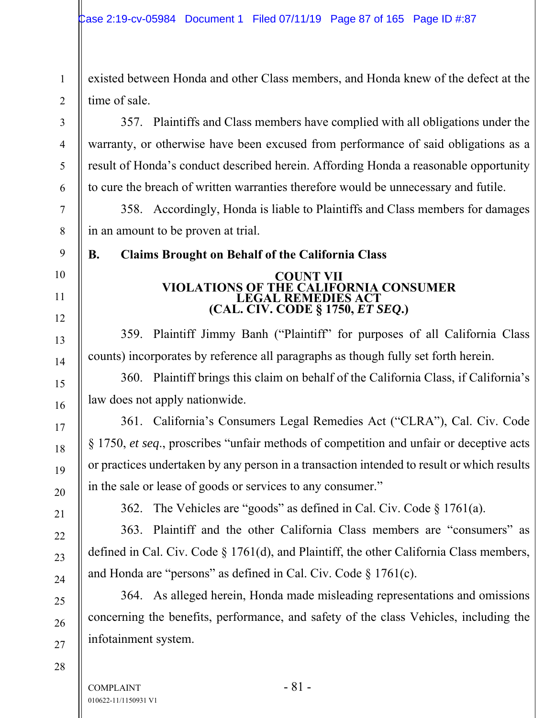existed between Honda and other Class members, and Honda knew of the defect at the time of sale.

357. Plaintiffs and Class members have complied with all obligations under the warranty, or otherwise have been excused from performance of said obligations as a result of Honda's conduct described herein. Affording Honda a reasonable opportunity to cure the breach of written warranties therefore would be unnecessary and futile.

358. Accordingly, Honda is liable to Plaintiffs and Class members for damages in an amount to be proven at trial.

1

2

3

4

5

6

7

8

9

10

11

12

13

14

15

16

17

18

19

20

21

22

23

24

25

26

27

# **B. Claims Brought on Behalf of the California Class**

## **COUNT VII VIOLATIONS OF THE CALIFORNIA CONSUMER LEGAL REMEDIES ACT (CAL. CIV. CODE § 1750,** *ET SEQ***.)**

359. Plaintiff Jimmy Banh ("Plaintiff" for purposes of all California Class counts) incorporates by reference all paragraphs as though fully set forth herein.

360. Plaintiff brings this claim on behalf of the California Class, if California's law does not apply nationwide.

361. California's Consumers Legal Remedies Act ("CLRA"), Cal. Civ. Code § 1750, *et seq*., proscribes "unfair methods of competition and unfair or deceptive acts or practices undertaken by any person in a transaction intended to result or which results in the sale or lease of goods or services to any consumer."

362. The Vehicles are "goods" as defined in Cal. Civ. Code  $\S 1761(a)$ .

363. Plaintiff and the other California Class members are "consumers" as defined in Cal. Civ. Code § 1761(d), and Plaintiff, the other California Class members, and Honda are "persons" as defined in Cal. Civ. Code § 1761(c).

364. As alleged herein, Honda made misleading representations and omissions concerning the benefits, performance, and safety of the class Vehicles, including the infotainment system.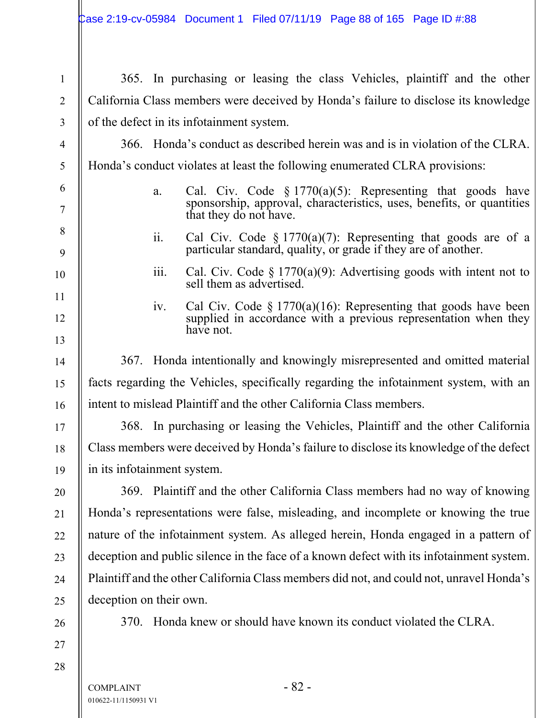| $\mathbf{1}$   |                                                                                          |      | 365. In purchasing or leasing the class Vehicles, plaintiff and the other                                                                                        |  |  |
|----------------|------------------------------------------------------------------------------------------|------|------------------------------------------------------------------------------------------------------------------------------------------------------------------|--|--|
| $\overline{2}$ | California Class members were deceived by Honda's failure to disclose its knowledge      |      |                                                                                                                                                                  |  |  |
| 3              | of the defect in its infotainment system.                                                |      |                                                                                                                                                                  |  |  |
| $\overline{4}$ | 366. Honda's conduct as described herein was and is in violation of the CLRA.            |      |                                                                                                                                                                  |  |  |
| 5              | Honda's conduct violates at least the following enumerated CLRA provisions:              |      |                                                                                                                                                                  |  |  |
| 6<br>7         |                                                                                          | a.   | Cal. Civ. Code $\S 1770(a)(5)$ : Representing that goods have<br>sponsorship, approval, characteristics, uses, benefits, or quantities<br>that they do not have. |  |  |
| 8<br>9         |                                                                                          | ii.  | Cal Civ. Code $\S 1770(a)(7)$ : Representing that goods are of a<br>particular standard, quality, or grade if they are of another.                               |  |  |
| 10             |                                                                                          | 111. | Cal. Civ. Code $\S 1770(a)(9)$ : Advertising goods with intent not to<br>sell them as advertised.                                                                |  |  |
| 11<br>12       |                                                                                          | iv.  | Cal Civ. Code $\S 1770(a)(16)$ : Representing that goods have been<br>supplied in accordance with a previous representation when they<br>have not.               |  |  |
| 13             |                                                                                          |      |                                                                                                                                                                  |  |  |
| 14             |                                                                                          |      | 367. Honda intentionally and knowingly misrepresented and omitted material                                                                                       |  |  |
| 15             | facts regarding the Vehicles, specifically regarding the infotainment system, with an    |      |                                                                                                                                                                  |  |  |
| 16             | intent to mislead Plaintiff and the other California Class members.                      |      |                                                                                                                                                                  |  |  |
| 17             |                                                                                          |      | 368. In purchasing or leasing the Vehicles, Plaintiff and the other California                                                                                   |  |  |
| 18             | Class members were deceived by Honda's failure to disclose its knowledge of the defect   |      |                                                                                                                                                                  |  |  |
| 19             | in its infotainment system.                                                              |      |                                                                                                                                                                  |  |  |
| 20             | 369. Plaintiff and the other California Class members had no way of knowing              |      |                                                                                                                                                                  |  |  |
| 21             | Honda's representations were false, misleading, and incomplete or knowing the true       |      |                                                                                                                                                                  |  |  |
| 22             | nature of the infotainment system. As alleged herein, Honda engaged in a pattern of      |      |                                                                                                                                                                  |  |  |
| 23             | deception and public silence in the face of a known defect with its infotainment system. |      |                                                                                                                                                                  |  |  |
| 24             | Plaintiff and the other California Class members did not, and could not, unravel Honda's |      |                                                                                                                                                                  |  |  |
| 25             | deception on their own.                                                                  |      |                                                                                                                                                                  |  |  |
| 26             | <b>370.</b>                                                                              |      | Honda knew or should have known its conduct violated the CLRA.                                                                                                   |  |  |
| 27             |                                                                                          |      |                                                                                                                                                                  |  |  |
| 28             |                                                                                          |      |                                                                                                                                                                  |  |  |

 $\mathsf{II}$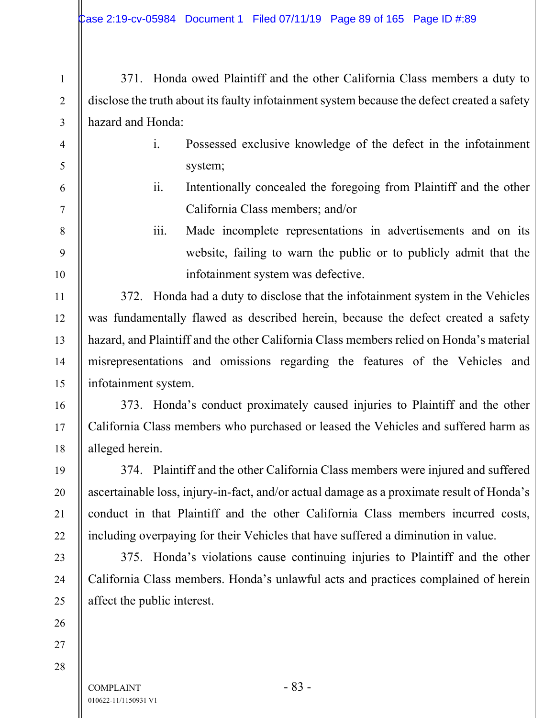371. Honda owed Plaintiff and the other California Class members a duty to disclose the truth about its faulty infotainment system because the defect created a safety hazard and Honda:

1

2

3

4

5

6

7

8

9

10

11

12

13

14

15

16

17

18

19

20

21

22

23

24

25

26

27

- i. Possessed exclusive knowledge of the defect in the infotainment system;
- ii. Intentionally concealed the foregoing from Plaintiff and the other California Class members; and/or
	- iii. Made incomplete representations in advertisements and on its website, failing to warn the public or to publicly admit that the infotainment system was defective.

372. Honda had a duty to disclose that the infotainment system in the Vehicles was fundamentally flawed as described herein, because the defect created a safety hazard, and Plaintiff and the other California Class members relied on Honda's material misrepresentations and omissions regarding the features of the Vehicles and infotainment system.

373. Honda's conduct proximately caused injuries to Plaintiff and the other California Class members who purchased or leased the Vehicles and suffered harm as alleged herein.

374. Plaintiff and the other California Class members were injured and suffered ascertainable loss, injury-in-fact, and/or actual damage as a proximate result of Honda's conduct in that Plaintiff and the other California Class members incurred costs, including overpaying for their Vehicles that have suffered a diminution in value.

375. Honda's violations cause continuing injuries to Plaintiff and the other California Class members. Honda's unlawful acts and practices complained of herein affect the public interest.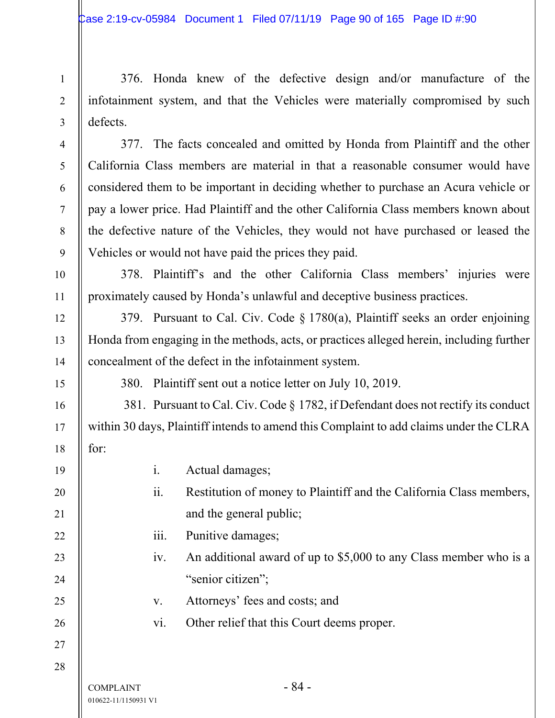376. Honda knew of the defective design and/or manufacture of the infotainment system, and that the Vehicles were materially compromised by such defects.

377. The facts concealed and omitted by Honda from Plaintiff and the other California Class members are material in that a reasonable consumer would have considered them to be important in deciding whether to purchase an Acura vehicle or pay a lower price. Had Plaintiff and the other California Class members known about the defective nature of the Vehicles, they would not have purchased or leased the Vehicles or would not have paid the prices they paid.

378. Plaintiff's and the other California Class members' injuries were proximately caused by Honda's unlawful and deceptive business practices.

379. Pursuant to Cal. Civ. Code § 1780(a), Plaintiff seeks an order enjoining Honda from engaging in the methods, acts, or practices alleged herein, including further concealment of the defect in the infotainment system.

380. Plaintiff sent out a notice letter on July 10, 2019.

 381. Pursuant to Cal. Civ. Code § 1782, if Defendant does not rectify its conduct within 30 days, Plaintiff intends to amend this Complaint to add claims under the CLRA for:

 $COMPLAINT - 84 -$ 010622-11/1150931 V1 i. Actual damages; ii. Restitution of money to Plaintiff and the California Class members, and the general public; iii. Punitive damages; iv. An additional award of up to \$5,000 to any Class member who is a "senior citizen"; v. Attorneys' fees and costs; and vi. Other relief that this Court deems proper.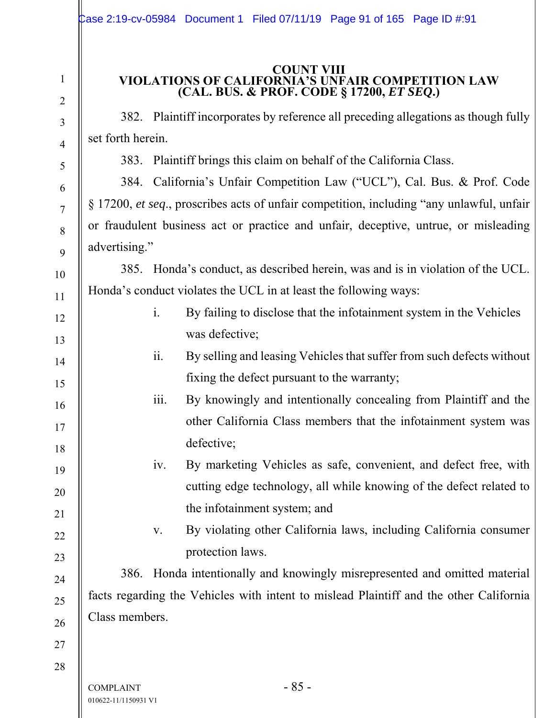## **COUNT VIII VIOLATIONS OF CALIFORNIA'S UNFAIR COMPETITION LAW (CAL. BUS. & PROF. CODE § 17200,** *ET SEQ***.)**

382. Plaintiff incorporates by reference all preceding allegations as though fully set forth herein.

383. Plaintiff brings this claim on behalf of the California Class.

384. California's Unfair Competition Law ("UCL"), Cal. Bus. & Prof. Code § 17200, *et seq*., proscribes acts of unfair competition, including "any unlawful, unfair or fraudulent business act or practice and unfair, deceptive, untrue, or misleading advertising."

385. Honda's conduct, as described herein, was and is in violation of the UCL. Honda's conduct violates the UCL in at least the following ways:

- i. By failing to disclose that the infotainment system in the Vehicles was defective;
	- ii. By selling and leasing Vehicles that suffer from such defects without fixing the defect pursuant to the warranty;
- iii. By knowingly and intentionally concealing from Plaintiff and the other California Class members that the infotainment system was defective;
	- iv. By marketing Vehicles as safe, convenient, and defect free, with cutting edge technology, all while knowing of the defect related to the infotainment system; and
		- v. By violating other California laws, including California consumer protection laws.

386. Honda intentionally and knowingly misrepresented and omitted material facts regarding the Vehicles with intent to mislead Plaintiff and the other California Class members.

27 28

1

2

3

4

5

6

7

8

9

10

11

12

13

14

15

16

17

18

19

20

21

22

23

24

25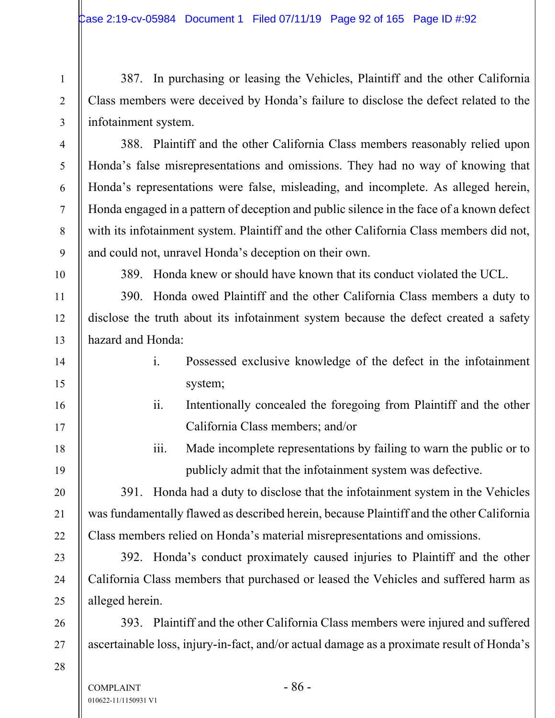387. In purchasing or leasing the Vehicles, Plaintiff and the other California Class members were deceived by Honda's failure to disclose the defect related to the infotainment system.

388. Plaintiff and the other California Class members reasonably relied upon Honda's false misrepresentations and omissions. They had no way of knowing that Honda's representations were false, misleading, and incomplete. As alleged herein, Honda engaged in a pattern of deception and public silence in the face of a known defect with its infotainment system. Plaintiff and the other California Class members did not, and could not, unravel Honda's deception on their own.

10

1

2

3

4

5

6

7

8

9

11

12

13

14

15

16

17

18

19

20

21

22

23

24

25

26

27

389. Honda knew or should have known that its conduct violated the UCL.

390. Honda owed Plaintiff and the other California Class members a duty to disclose the truth about its infotainment system because the defect created a safety hazard and Honda:

- i. Possessed exclusive knowledge of the defect in the infotainment system;
- ii. Intentionally concealed the foregoing from Plaintiff and the other California Class members; and/or
- iii. Made incomplete representations by failing to warn the public or to publicly admit that the infotainment system was defective.

391. Honda had a duty to disclose that the infotainment system in the Vehicles was fundamentally flawed as described herein, because Plaintiff and the other California Class members relied on Honda's material misrepresentations and omissions.

392. Honda's conduct proximately caused injuries to Plaintiff and the other California Class members that purchased or leased the Vehicles and suffered harm as alleged herein.

393. Plaintiff and the other California Class members were injured and suffered ascertainable loss, injury-in-fact, and/or actual damage as a proximate result of Honda's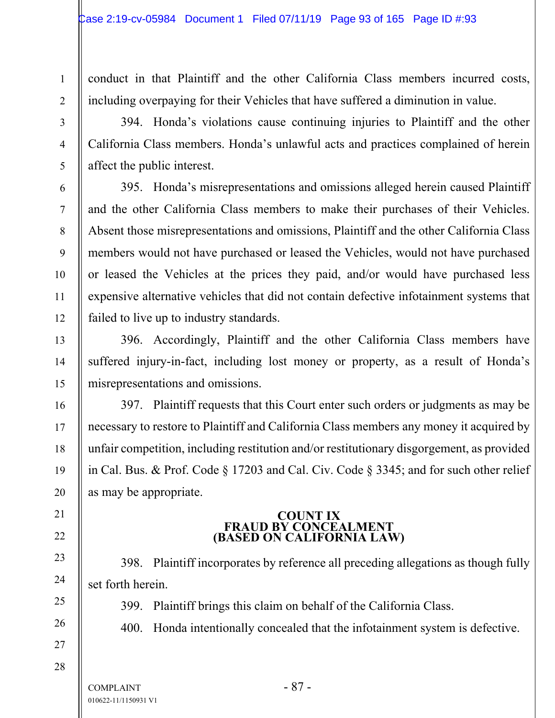conduct in that Plaintiff and the other California Class members incurred costs, including overpaying for their Vehicles that have suffered a diminution in value.

394. Honda's violations cause continuing injuries to Plaintiff and the other California Class members. Honda's unlawful acts and practices complained of herein affect the public interest.

395. Honda's misrepresentations and omissions alleged herein caused Plaintiff and the other California Class members to make their purchases of their Vehicles. Absent those misrepresentations and omissions, Plaintiff and the other California Class members would not have purchased or leased the Vehicles, would not have purchased or leased the Vehicles at the prices they paid, and/or would have purchased less expensive alternative vehicles that did not contain defective infotainment systems that failed to live up to industry standards.

396. Accordingly, Plaintiff and the other California Class members have suffered injury-in-fact, including lost money or property, as a result of Honda's misrepresentations and omissions.

397. Plaintiff requests that this Court enter such orders or judgments as may be necessary to restore to Plaintiff and California Class members any money it acquired by unfair competition, including restitution and/or restitutionary disgorgement, as provided in Cal. Bus. & Prof. Code § 17203 and Cal. Civ. Code § 3345; and for such other relief as may be appropriate.

## **COUNT IX FRAUD BY CONCEALMENT (BASED ON CALIFORNIA LAW)**

398. Plaintiff incorporates by reference all preceding allegations as though fully set forth herein.

399. Plaintiff brings this claim on behalf of the California Class.

400. Honda intentionally concealed that the infotainment system is defective.

1

2

3

4

5

6

7

8

9

10

11

12

13

14

15

16

17

18

19

20

21

22

23

24

25

26

27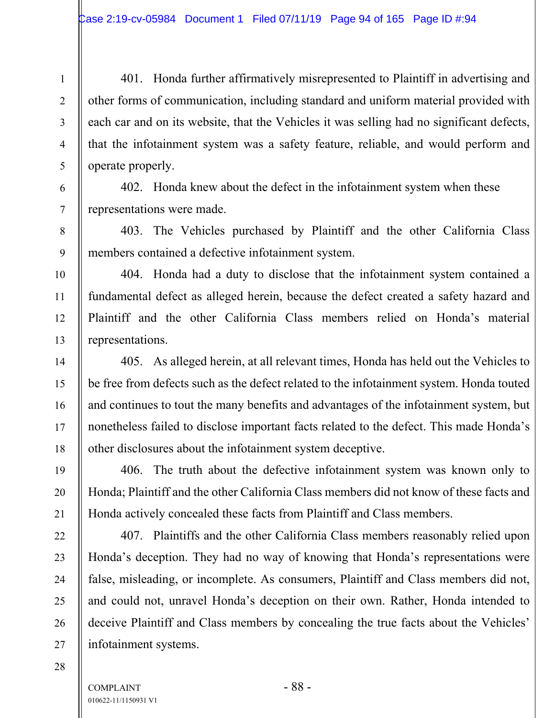401. Honda further affirmatively misrepresented to Plaintiff in advertising and other forms of communication, including standard and uniform material provided with each car and on its website, that the Vehicles it was selling had no significant defects, that the infotainment system was a safety feature, reliable, and would perform and operate properly.

402. Honda knew about the defect in the infotainment system when these representations were made.

403. The Vehicles purchased by Plaintiff and the other California Class members contained a defective infotainment system.

404. Honda had a duty to disclose that the infotainment system contained a fundamental defect as alleged herein, because the defect created a safety hazard and Plaintiff and the other California Class members relied on Honda's material representations.

405. As alleged herein, at all relevant times, Honda has held out the Vehicles to be free from defects such as the defect related to the infotainment system. Honda touted and continues to tout the many benefits and advantages of the infotainment system, but nonetheless failed to disclose important facts related to the defect. This made Honda's other disclosures about the infotainment system deceptive.

406. The truth about the defective infotainment system was known only to Honda; Plaintiff and the other California Class members did not know of these facts and Honda actively concealed these facts from Plaintiff and Class members.

407. Plaintiffs and the other California Class members reasonably relied upon Honda's deception. They had no way of knowing that Honda's representations were false, misleading, or incomplete. As consumers, Plaintiff and Class members did not, and could not, unravel Honda's deception on their own. Rather, Honda intended to deceive Plaintiff and Class members by concealing the true facts about the Vehicles' infotainment systems.

28

1

2

3

4

5

6

7

8

9

10

11

12

13

14

15

16

17

18

19

20

21

22

23

24

25

26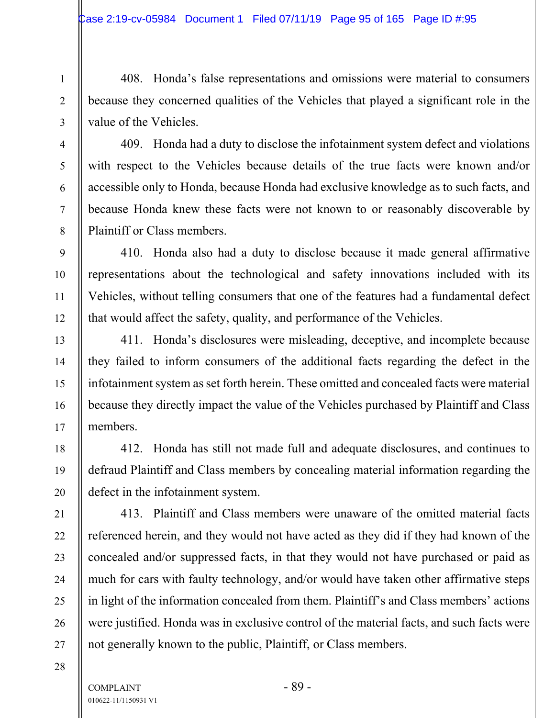408. Honda's false representations and omissions were material to consumers because they concerned qualities of the Vehicles that played a significant role in the value of the Vehicles.

409. Honda had a duty to disclose the infotainment system defect and violations with respect to the Vehicles because details of the true facts were known and/or accessible only to Honda, because Honda had exclusive knowledge as to such facts, and because Honda knew these facts were not known to or reasonably discoverable by Plaintiff or Class members.

410. Honda also had a duty to disclose because it made general affirmative representations about the technological and safety innovations included with its Vehicles, without telling consumers that one of the features had a fundamental defect that would affect the safety, quality, and performance of the Vehicles.

411. Honda's disclosures were misleading, deceptive, and incomplete because they failed to inform consumers of the additional facts regarding the defect in the infotainment system as set forth herein. These omitted and concealed facts were material because they directly impact the value of the Vehicles purchased by Plaintiff and Class members.

412. Honda has still not made full and adequate disclosures, and continues to defraud Plaintiff and Class members by concealing material information regarding the defect in the infotainment system.

413. Plaintiff and Class members were unaware of the omitted material facts referenced herein, and they would not have acted as they did if they had known of the concealed and/or suppressed facts, in that they would not have purchased or paid as much for cars with faulty technology, and/or would have taken other affirmative steps in light of the information concealed from them. Plaintiff's and Class members' actions were justified. Honda was in exclusive control of the material facts, and such facts were not generally known to the public, Plaintiff, or Class members.

28

1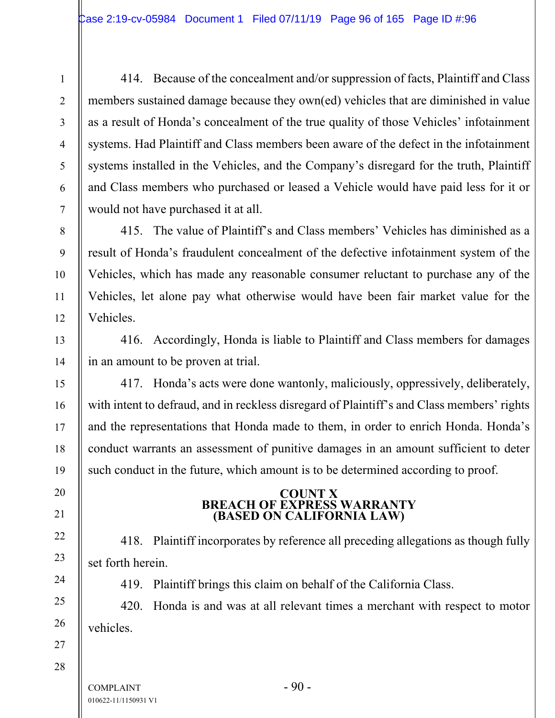414. Because of the concealment and/or suppression of facts, Plaintiff and Class members sustained damage because they own(ed) vehicles that are diminished in value as a result of Honda's concealment of the true quality of those Vehicles' infotainment systems. Had Plaintiff and Class members been aware of the defect in the infotainment systems installed in the Vehicles, and the Company's disregard for the truth, Plaintiff and Class members who purchased or leased a Vehicle would have paid less for it or would not have purchased it at all.

415. The value of Plaintiff's and Class members' Vehicles has diminished as a result of Honda's fraudulent concealment of the defective infotainment system of the Vehicles, which has made any reasonable consumer reluctant to purchase any of the Vehicles, let alone pay what otherwise would have been fair market value for the Vehicles.

416. Accordingly, Honda is liable to Plaintiff and Class members for damages in an amount to be proven at trial.

417. Honda's acts were done wantonly, maliciously, oppressively, deliberately, with intent to defraud, and in reckless disregard of Plaintiff's and Class members' rights and the representations that Honda made to them, in order to enrich Honda. Honda's conduct warrants an assessment of punitive damages in an amount sufficient to deter such conduct in the future, which amount is to be determined according to proof.

## **COUNT X BREACH OF EXPRESS WARRANTY (BASED ON CALIFORNIA LAW)**

418. Plaintiff incorporates by reference all preceding allegations as though fully set forth herein.

419. Plaintiff brings this claim on behalf of the California Class.

420. Honda is and was at all relevant times a merchant with respect to motor vehicles.

 $COMPLANT$   $-90$   $-$ 010622-11/1150931 V1

1

2

3

4

5

6

7

8

9

10

11

12

13

14

15

16

17

18

19

20

21

22

23

24

25

26

27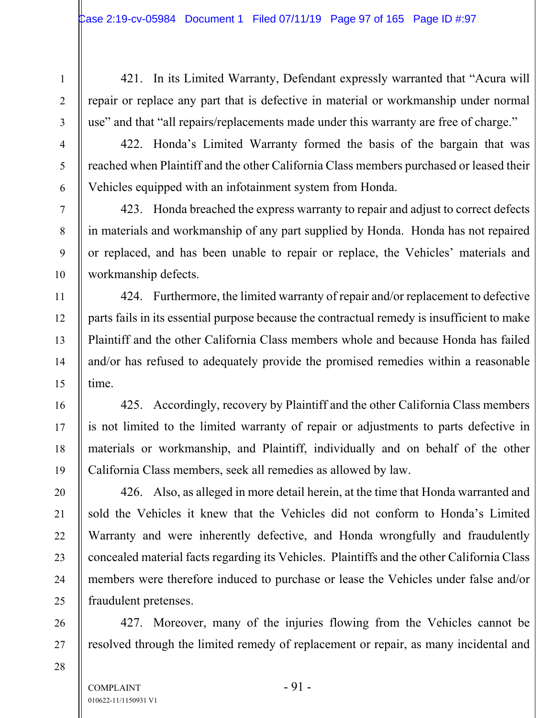421. In its Limited Warranty, Defendant expressly warranted that "Acura will repair or replace any part that is defective in material or workmanship under normal use" and that "all repairs/replacements made under this warranty are free of charge."

422. Honda's Limited Warranty formed the basis of the bargain that was reached when Plaintiff and the other California Class members purchased or leased their Vehicles equipped with an infotainment system from Honda.

423. Honda breached the express warranty to repair and adjust to correct defects in materials and workmanship of any part supplied by Honda. Honda has not repaired or replaced, and has been unable to repair or replace, the Vehicles' materials and workmanship defects.

424. Furthermore, the limited warranty of repair and/or replacement to defective parts fails in its essential purpose because the contractual remedy is insufficient to make Plaintiff and the other California Class members whole and because Honda has failed and/or has refused to adequately provide the promised remedies within a reasonable time.

425. Accordingly, recovery by Plaintiff and the other California Class members is not limited to the limited warranty of repair or adjustments to parts defective in materials or workmanship, and Plaintiff, individually and on behalf of the other California Class members, seek all remedies as allowed by law.

426. Also, as alleged in more detail herein, at the time that Honda warranted and sold the Vehicles it knew that the Vehicles did not conform to Honda's Limited Warranty and were inherently defective, and Honda wrongfully and fraudulently concealed material facts regarding its Vehicles. Plaintiffs and the other California Class members were therefore induced to purchase or lease the Vehicles under false and/or fraudulent pretenses.

427. Moreover, many of the injuries flowing from the Vehicles cannot be resolved through the limited remedy of replacement or repair, as many incidental and

1

2

3

4

5

6

7

8

9

10

11

12

13

14

15

16

17

18

19

20

21

22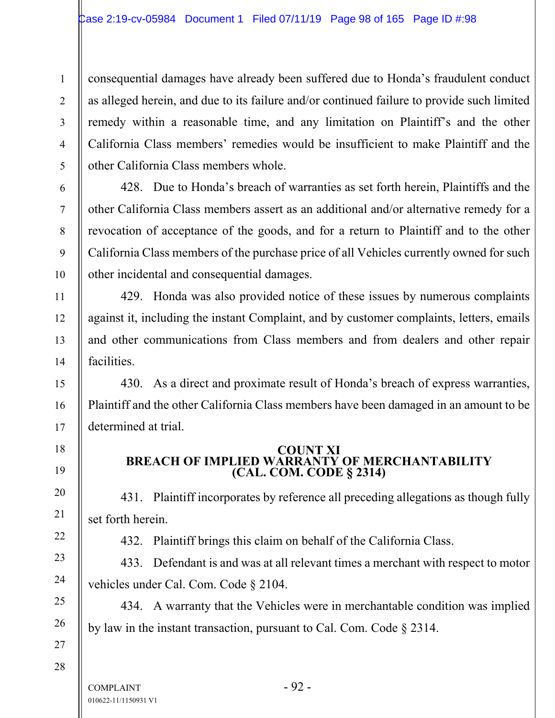consequential damages have already been suffered due to Honda's fraudulent conduct as alleged herein, and due to its failure and/or continued failure to provide such limited remedy within a reasonable time, and any limitation on Plaintiff's and the other California Class members' remedies would be insufficient to make Plaintiff and the other California Class members whole.

428. Due to Honda's breach of warranties as set forth herein, Plaintiffs and the other California Class members assert as an additional and/or alternative remedy for a revocation of acceptance of the goods, and for a return to Plaintiff and to the other California Class members of the purchase price of all Vehicles currently owned for such other incidental and consequential damages.

429. Honda was also provided notice of these issues by numerous complaints against it, including the instant Complaint, and by customer complaints, letters, emails and other communications from Class members and from dealers and other repair facilities.

430. As a direct and proximate result of Honda's breach of express warranties, Plaintiff and the other California Class members have been damaged in an amount to be determined at trial.

## **COUNT XI BREACH OF IMPLIED WARRANTY OF MERCHANTABILITY (CAL. COM. CODE § 2314)**

431. Plaintiff incorporates by reference all preceding allegations as though fully set forth herein.

432. Plaintiff brings this claim on behalf of the California Class.

433. Defendant is and was at all relevant times a merchant with respect to motor vehicles under Cal. Com. Code § 2104.

434. A warranty that the Vehicles were in merchantable condition was implied by law in the instant transaction, pursuant to Cal. Com. Code § 2314.

28

1

2

3

4

5

6

7

8

9

10

11

12

13

14

15

16

17

18

19

20

21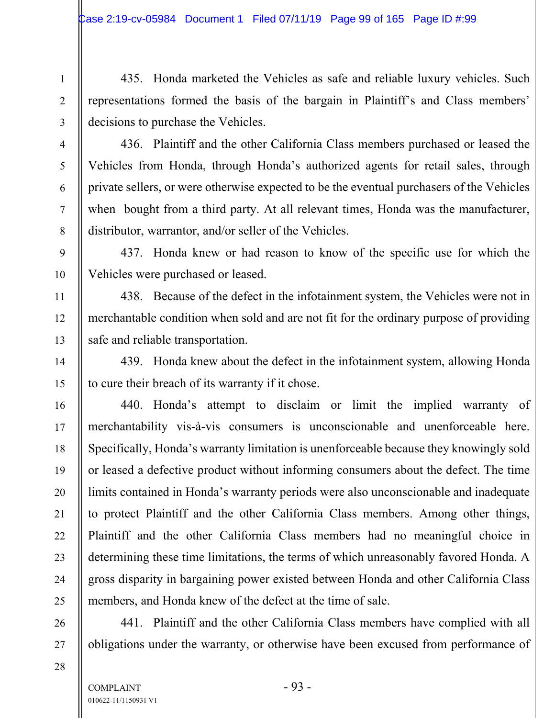435. Honda marketed the Vehicles as safe and reliable luxury vehicles. Such representations formed the basis of the bargain in Plaintiff's and Class members' decisions to purchase the Vehicles.

436. Plaintiff and the other California Class members purchased or leased the Vehicles from Honda, through Honda's authorized agents for retail sales, through private sellers, or were otherwise expected to be the eventual purchasers of the Vehicles when bought from a third party. At all relevant times, Honda was the manufacturer, distributor, warrantor, and/or seller of the Vehicles.

437. Honda knew or had reason to know of the specific use for which the Vehicles were purchased or leased.

438. Because of the defect in the infotainment system, the Vehicles were not in merchantable condition when sold and are not fit for the ordinary purpose of providing safe and reliable transportation.

439. Honda knew about the defect in the infotainment system, allowing Honda to cure their breach of its warranty if it chose.

440. Honda's attempt to disclaim or limit the implied warranty of merchantability vis-à-vis consumers is unconscionable and unenforceable here. Specifically, Honda's warranty limitation is unenforceable because they knowingly sold or leased a defective product without informing consumers about the defect. The time limits contained in Honda's warranty periods were also unconscionable and inadequate to protect Plaintiff and the other California Class members. Among other things, Plaintiff and the other California Class members had no meaningful choice in determining these time limitations, the terms of which unreasonably favored Honda. A gross disparity in bargaining power existed between Honda and other California Class members, and Honda knew of the defect at the time of sale.

441. Plaintiff and the other California Class members have complied with all obligations under the warranty, or otherwise have been excused from performance of

1

2

3

4

5

6

7

8

9

10

11

12

13

14

15

16

17

18

19

20

21

22

23

24

25

26

27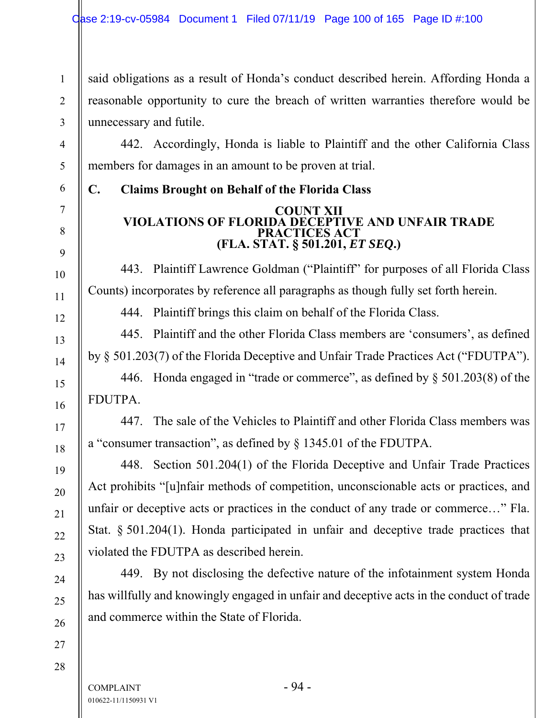said obligations as a result of Honda's conduct described herein. Affording Honda a reasonable opportunity to cure the breach of written warranties therefore would be unnecessary and futile.

442. Accordingly, Honda is liable to Plaintiff and the other California Class members for damages in an amount to be proven at trial.

**C. Claims Brought on Behalf of the Florida Class** 

### **COUNT XII VIOLATIONS OF FLORIDA DECEPTIVE AND UNFAIR TRADE PRACTICES ACT (FLA. STAT. § 501.201,** *ET SEQ***.)**

443. Plaintiff Lawrence Goldman ("Plaintiff" for purposes of all Florida Class Counts) incorporates by reference all paragraphs as though fully set forth herein.

444. Plaintiff brings this claim on behalf of the Florida Class.

445. Plaintiff and the other Florida Class members are 'consumers', as defined by § 501.203(7) of the Florida Deceptive and Unfair Trade Practices Act ("FDUTPA").

446. Honda engaged in "trade or commerce", as defined by § 501.203(8) of the FDUTPA.

447. The sale of the Vehicles to Plaintiff and other Florida Class members was a "consumer transaction", as defined by § 1345.01 of the FDUTPA.

448. Section 501.204(1) of the Florida Deceptive and Unfair Trade Practices Act prohibits "[u]nfair methods of competition, unconscionable acts or practices, and unfair or deceptive acts or practices in the conduct of any trade or commerce…" Fla. Stat. § 501.204(1). Honda participated in unfair and deceptive trade practices that violated the FDUTPA as described herein.

449. By not disclosing the defective nature of the infotainment system Honda has willfully and knowingly engaged in unfair and deceptive acts in the conduct of trade and commerce within the State of Florida.

1

2

3

4

5

6

7

8

9

10

11

12

13

14

15

16

17

18

19

20

21

22

23

24

25

26

27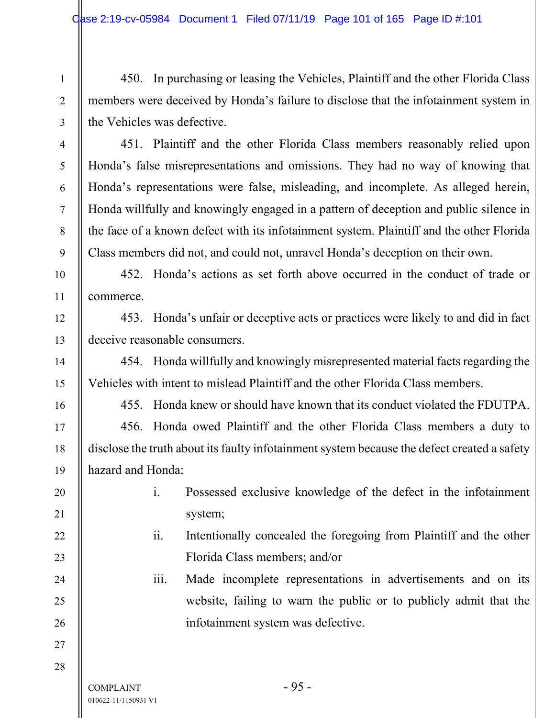450. In purchasing or leasing the Vehicles, Plaintiff and the other Florida Class members were deceived by Honda's failure to disclose that the infotainment system in the Vehicles was defective.

451. Plaintiff and the other Florida Class members reasonably relied upon Honda's false misrepresentations and omissions. They had no way of knowing that Honda's representations were false, misleading, and incomplete. As alleged herein, Honda willfully and knowingly engaged in a pattern of deception and public silence in the face of a known defect with its infotainment system. Plaintiff and the other Florida Class members did not, and could not, unravel Honda's deception on their own.

452. Honda's actions as set forth above occurred in the conduct of trade or commerce.

453. Honda's unfair or deceptive acts or practices were likely to and did in fact deceive reasonable consumers.

454. Honda willfully and knowingly misrepresented material facts regarding the Vehicles with intent to mislead Plaintiff and the other Florida Class members.

455. Honda knew or should have known that its conduct violated the FDUTPA.

456. Honda owed Plaintiff and the other Florida Class members a duty to disclose the truth about its faulty infotainment system because the defect created a safety hazard and Honda:

- i. Possessed exclusive knowledge of the defect in the infotainment system;
- ii. Intentionally concealed the foregoing from Plaintiff and the other Florida Class members; and/or

iii. Made incomplete representations in advertisements and on its website, failing to warn the public or to publicly admit that the infotainment system was defective.

1

2

3

4

5

6

7

8

9

10

11

12

13

14

15

16

17

18

19

20

21

22

23

24

25

26

27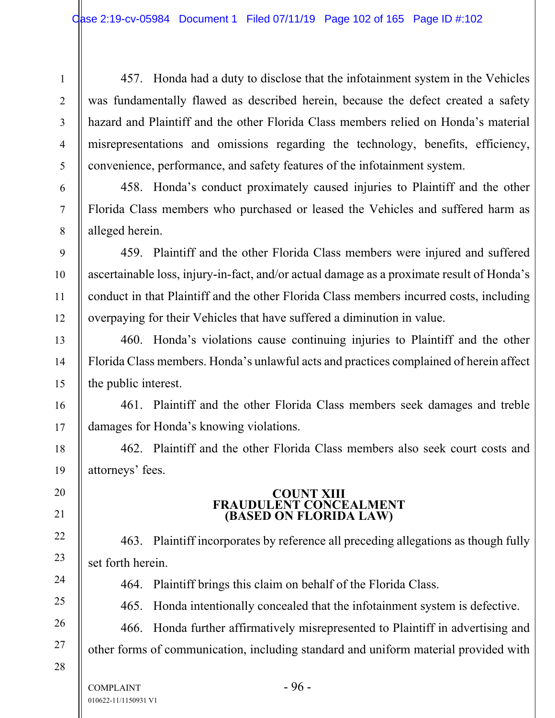457. Honda had a duty to disclose that the infotainment system in the Vehicles was fundamentally flawed as described herein, because the defect created a safety hazard and Plaintiff and the other Florida Class members relied on Honda's material misrepresentations and omissions regarding the technology, benefits, efficiency, convenience, performance, and safety features of the infotainment system.

458. Honda's conduct proximately caused injuries to Plaintiff and the other Florida Class members who purchased or leased the Vehicles and suffered harm as alleged herein.

459. Plaintiff and the other Florida Class members were injured and suffered ascertainable loss, injury-in-fact, and/or actual damage as a proximate result of Honda's conduct in that Plaintiff and the other Florida Class members incurred costs, including overpaying for their Vehicles that have suffered a diminution in value.

460. Honda's violations cause continuing injuries to Plaintiff and the other Florida Class members. Honda's unlawful acts and practices complained of herein affect the public interest.

461. Plaintiff and the other Florida Class members seek damages and treble damages for Honda's knowing violations.

462. Plaintiff and the other Florida Class members also seek court costs and attorneys' fees.

## **COUNT XIII FRAUDULENT CONCEALMENT (BASED ON FLORIDA LAW)**

463. Plaintiff incorporates by reference all preceding allegations as though fully set forth herein.

464. Plaintiff brings this claim on behalf of the Florida Class.

465. Honda intentionally concealed that the infotainment system is defective.

466. Honda further affirmatively misrepresented to Plaintiff in advertising and other forms of communication, including standard and uniform material provided with

28

1

2

3

4

5

6

7

8

9

10

11

12

13

14

15

16

17

18

19

20

21

22

23

24

25

26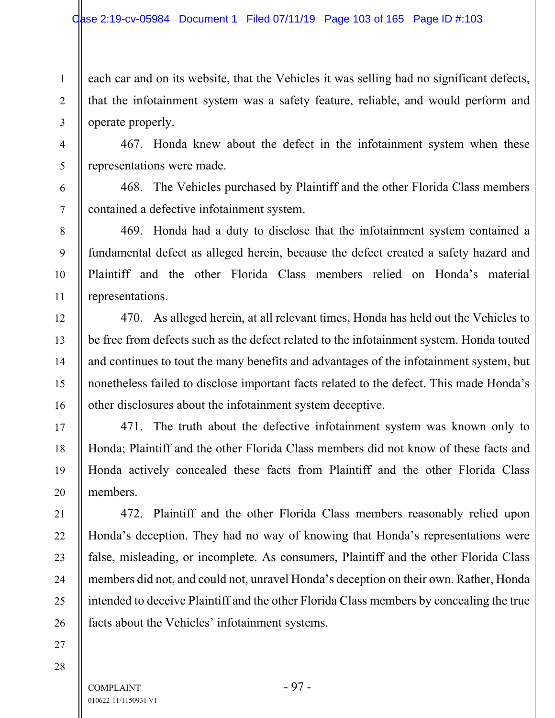each car and on its website, that the Vehicles it was selling had no significant defects, that the infotainment system was a safety feature, reliable, and would perform and operate properly.

467. Honda knew about the defect in the infotainment system when these representations were made.

468. The Vehicles purchased by Plaintiff and the other Florida Class members contained a defective infotainment system.

469. Honda had a duty to disclose that the infotainment system contained a fundamental defect as alleged herein, because the defect created a safety hazard and Plaintiff and the other Florida Class members relied on Honda's material representations.

470. As alleged herein, at all relevant times, Honda has held out the Vehicles to be free from defects such as the defect related to the infotainment system. Honda touted and continues to tout the many benefits and advantages of the infotainment system, but nonetheless failed to disclose important facts related to the defect. This made Honda's other disclosures about the infotainment system deceptive.

471. The truth about the defective infotainment system was known only to Honda; Plaintiff and the other Florida Class members did not know of these facts and Honda actively concealed these facts from Plaintiff and the other Florida Class members.

472. Plaintiff and the other Florida Class members reasonably relied upon Honda's deception. They had no way of knowing that Honda's representations were false, misleading, or incomplete. As consumers, Plaintiff and the other Florida Class members did not, and could not, unravel Honda's deception on their own. Rather, Honda intended to deceive Plaintiff and the other Florida Class members by concealing the true facts about the Vehicles' infotainment systems.

28

27

1

2

3

4

5

6

7

8

9

10

11

12

13

14

15

16

17

18

19

20

21

22

23

24

25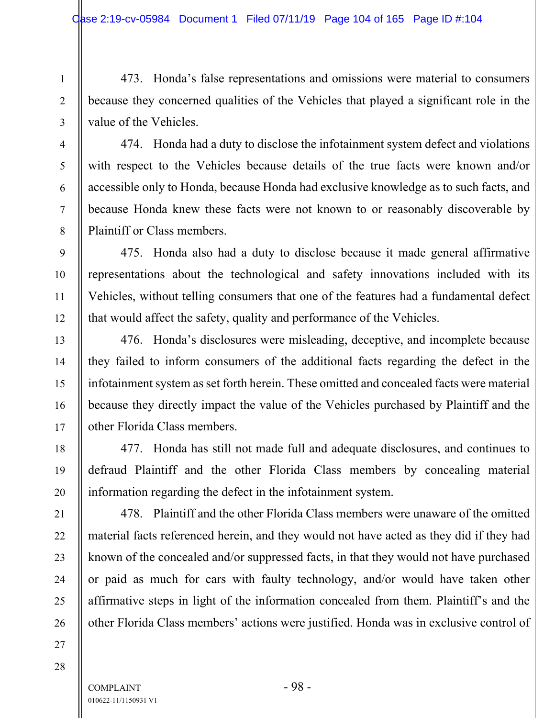473. Honda's false representations and omissions were material to consumers because they concerned qualities of the Vehicles that played a significant role in the value of the Vehicles.

474. Honda had a duty to disclose the infotainment system defect and violations with respect to the Vehicles because details of the true facts were known and/or accessible only to Honda, because Honda had exclusive knowledge as to such facts, and because Honda knew these facts were not known to or reasonably discoverable by Plaintiff or Class members.

475. Honda also had a duty to disclose because it made general affirmative representations about the technological and safety innovations included with its Vehicles, without telling consumers that one of the features had a fundamental defect that would affect the safety, quality and performance of the Vehicles.

476. Honda's disclosures were misleading, deceptive, and incomplete because they failed to inform consumers of the additional facts regarding the defect in the infotainment system as set forth herein. These omitted and concealed facts were material because they directly impact the value of the Vehicles purchased by Plaintiff and the other Florida Class members.

477. Honda has still not made full and adequate disclosures, and continues to defraud Plaintiff and the other Florida Class members by concealing material information regarding the defect in the infotainment system.

478. Plaintiff and the other Florida Class members were unaware of the omitted material facts referenced herein, and they would not have acted as they did if they had known of the concealed and/or suppressed facts, in that they would not have purchased or paid as much for cars with faulty technology, and/or would have taken other affirmative steps in light of the information concealed from them. Plaintiff's and the other Florida Class members' actions were justified. Honda was in exclusive control of

26 27 28

1

2

3

4

5

6

7

8

9

10

11

12

13

14

15

16

17

18

19

20

21

22

23

24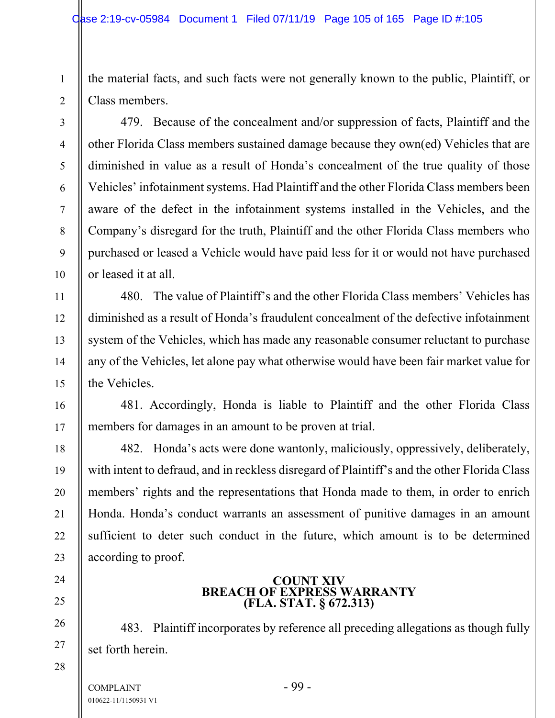the material facts, and such facts were not generally known to the public, Plaintiff, or Class members.

1

2

3

4

5

6

7

8

9

10

11

12

13

14

15

16

17

18

19

20

21

22

23

24

25

26

27

28

479. Because of the concealment and/or suppression of facts, Plaintiff and the other Florida Class members sustained damage because they own(ed) Vehicles that are diminished in value as a result of Honda's concealment of the true quality of those Vehicles' infotainment systems. Had Plaintiff and the other Florida Class members been aware of the defect in the infotainment systems installed in the Vehicles, and the Company's disregard for the truth, Plaintiff and the other Florida Class members who purchased or leased a Vehicle would have paid less for it or would not have purchased or leased it at all.

480. The value of Plaintiff's and the other Florida Class members' Vehicles has diminished as a result of Honda's fraudulent concealment of the defective infotainment system of the Vehicles, which has made any reasonable consumer reluctant to purchase any of the Vehicles, let alone pay what otherwise would have been fair market value for the Vehicles.

481. Accordingly, Honda is liable to Plaintiff and the other Florida Class members for damages in an amount to be proven at trial.

482. Honda's acts were done wantonly, maliciously, oppressively, deliberately, with intent to defraud, and in reckless disregard of Plaintiff's and the other Florida Class members' rights and the representations that Honda made to them, in order to enrich Honda. Honda's conduct warrants an assessment of punitive damages in an amount sufficient to deter such conduct in the future, which amount is to be determined according to proof.

# **COUNT XIV BREACH OF EXPRESS WARRANTY (FLA. STAT. § 672.313)**

483. Plaintiff incorporates by reference all preceding allegations as though fully set forth herein.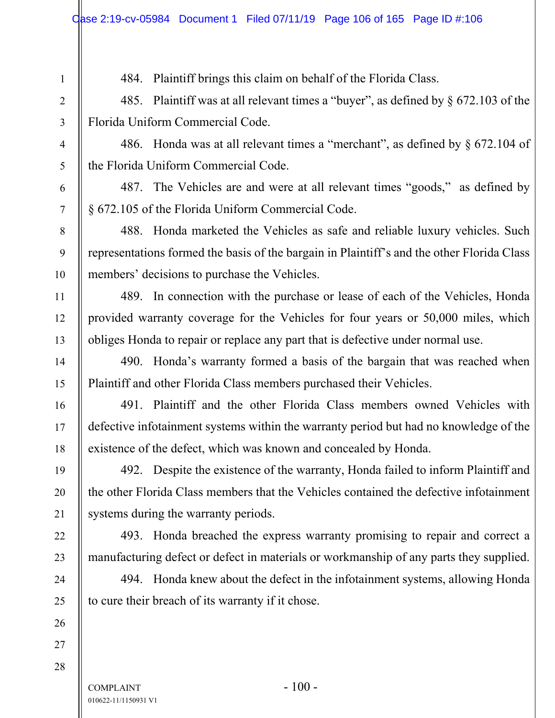484. Plaintiff brings this claim on behalf of the Florida Class.

485. Plaintiff was at all relevant times a "buyer", as defined by § 672.103 of the Florida Uniform Commercial Code.

486. Honda was at all relevant times a "merchant", as defined by § 672.104 of the Florida Uniform Commercial Code.

487. The Vehicles are and were at all relevant times "goods," as defined by § 672.105 of the Florida Uniform Commercial Code.

488. Honda marketed the Vehicles as safe and reliable luxury vehicles. Such representations formed the basis of the bargain in Plaintiff's and the other Florida Class members' decisions to purchase the Vehicles.

489. In connection with the purchase or lease of each of the Vehicles, Honda provided warranty coverage for the Vehicles for four years or 50,000 miles, which obliges Honda to repair or replace any part that is defective under normal use.

490. Honda's warranty formed a basis of the bargain that was reached when Plaintiff and other Florida Class members purchased their Vehicles.

491. Plaintiff and the other Florida Class members owned Vehicles with defective infotainment systems within the warranty period but had no knowledge of the existence of the defect, which was known and concealed by Honda.

492. Despite the existence of the warranty, Honda failed to inform Plaintiff and the other Florida Class members that the Vehicles contained the defective infotainment systems during the warranty periods.

493. Honda breached the express warranty promising to repair and correct a manufacturing defect or defect in materials or workmanship of any parts they supplied.

494. Honda knew about the defect in the infotainment systems, allowing Honda to cure their breach of its warranty if it chose.

 $COMPLANT$  - 100 -010622-11/1150931 V1

1

2

3

4

5

6

7

8

9

10

11

12

13

14

15

16

17

18

19

20

21

22

23

24

25

26

27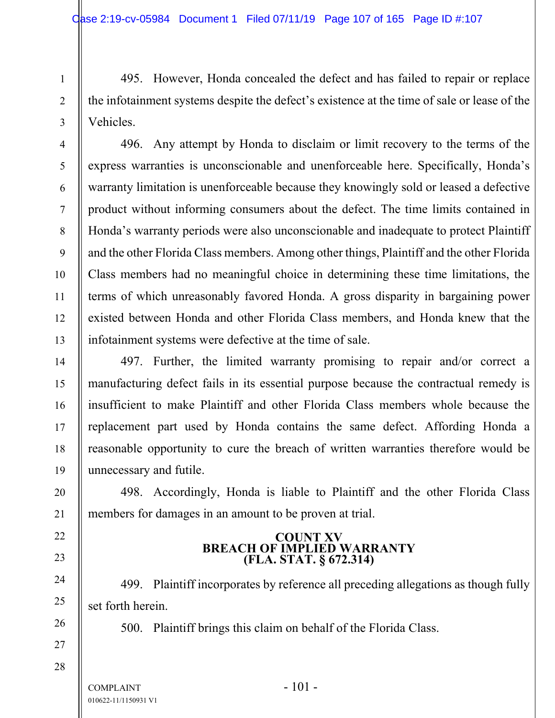495. However, Honda concealed the defect and has failed to repair or replace the infotainment systems despite the defect's existence at the time of sale or lease of the Vehicles.

496. Any attempt by Honda to disclaim or limit recovery to the terms of the express warranties is unconscionable and unenforceable here. Specifically, Honda's warranty limitation is unenforceable because they knowingly sold or leased a defective product without informing consumers about the defect. The time limits contained in Honda's warranty periods were also unconscionable and inadequate to protect Plaintiff and the other Florida Class members. Among other things, Plaintiff and the other Florida Class members had no meaningful choice in determining these time limitations, the terms of which unreasonably favored Honda. A gross disparity in bargaining power existed between Honda and other Florida Class members, and Honda knew that the infotainment systems were defective at the time of sale.

497. Further, the limited warranty promising to repair and/or correct a manufacturing defect fails in its essential purpose because the contractual remedy is insufficient to make Plaintiff and other Florida Class members whole because the replacement part used by Honda contains the same defect. Affording Honda a reasonable opportunity to cure the breach of written warranties therefore would be unnecessary and futile.

498. Accordingly, Honda is liable to Plaintiff and the other Florida Class members for damages in an amount to be proven at trial.

## **COUNT XV BREACH OF IMPLIED WARRANTY (FLA. STAT. § 672.314)**

499. Plaintiff incorporates by reference all preceding allegations as though fully set forth herein.

500. Plaintiff brings this claim on behalf of the Florida Class.

 $COMPLANT$  - 101 -010622-11/1150931 V1

1

2

3

4

5

6

7

8

9

10

11

12

13

14

15

16

17

18

19

20

21

22

23

24

25

26

27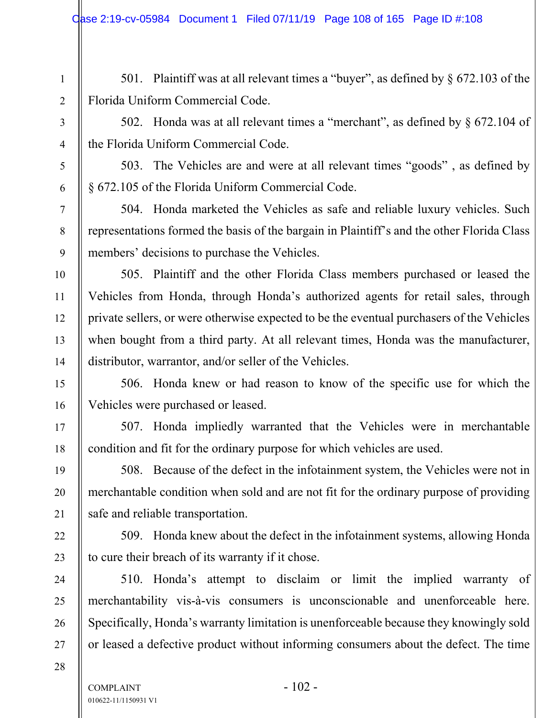501. Plaintiff was at all relevant times a "buyer", as defined by § 672.103 of the Florida Uniform Commercial Code.

502. Honda was at all relevant times a "merchant", as defined by § 672.104 of the Florida Uniform Commercial Code.

503. The Vehicles are and were at all relevant times "goods" , as defined by § 672.105 of the Florida Uniform Commercial Code.

504. Honda marketed the Vehicles as safe and reliable luxury vehicles. Such representations formed the basis of the bargain in Plaintiff's and the other Florida Class members' decisions to purchase the Vehicles.

505. Plaintiff and the other Florida Class members purchased or leased the Vehicles from Honda, through Honda's authorized agents for retail sales, through private sellers, or were otherwise expected to be the eventual purchasers of the Vehicles when bought from a third party. At all relevant times, Honda was the manufacturer, distributor, warrantor, and/or seller of the Vehicles.

506. Honda knew or had reason to know of the specific use for which the Vehicles were purchased or leased.

507. Honda impliedly warranted that the Vehicles were in merchantable condition and fit for the ordinary purpose for which vehicles are used.

508. Because of the defect in the infotainment system, the Vehicles were not in merchantable condition when sold and are not fit for the ordinary purpose of providing safe and reliable transportation.

509. Honda knew about the defect in the infotainment systems, allowing Honda to cure their breach of its warranty if it chose.

510. Honda's attempt to disclaim or limit the implied warranty of merchantability vis-à-vis consumers is unconscionable and unenforceable here. Specifically, Honda's warranty limitation is unenforceable because they knowingly sold or leased a defective product without informing consumers about the defect. The time

28

1

2

3

4

5

6

7

8

9

10

11

12

13

14

15

16

17

18

19

20

21

22

23

24

25

26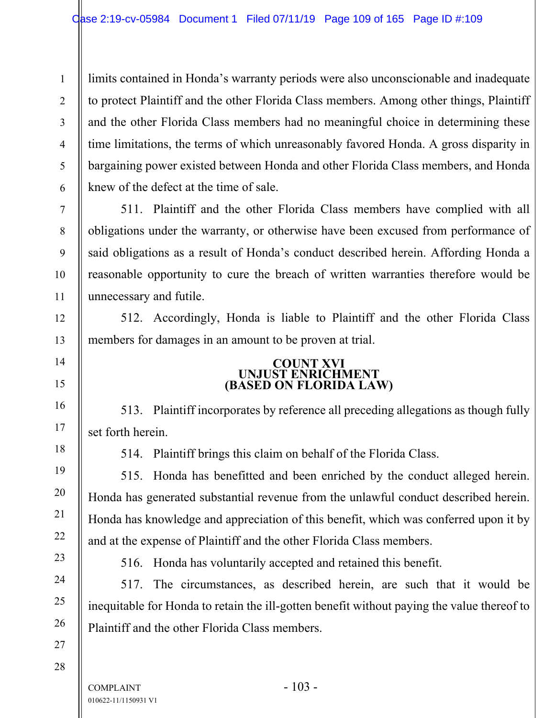limits contained in Honda's warranty periods were also unconscionable and inadequate to protect Plaintiff and the other Florida Class members. Among other things, Plaintiff and the other Florida Class members had no meaningful choice in determining these time limitations, the terms of which unreasonably favored Honda. A gross disparity in bargaining power existed between Honda and other Florida Class members, and Honda knew of the defect at the time of sale.

511. Plaintiff and the other Florida Class members have complied with all obligations under the warranty, or otherwise have been excused from performance of said obligations as a result of Honda's conduct described herein. Affording Honda a reasonable opportunity to cure the breach of written warranties therefore would be unnecessary and futile.

512. Accordingly, Honda is liable to Plaintiff and the other Florida Class members for damages in an amount to be proven at trial.

# **COUNT XVI UNJUST ENRICHMENT (BASED ON FLORIDA LAW)**

513. Plaintiff incorporates by reference all preceding allegations as though fully set forth herein.

1

2

3

4

5

6

7

8

9

10

11

12

13

14

15

16

17

18

19

20

21

22

23

24

25

26

27

514. Plaintiff brings this claim on behalf of the Florida Class.

515. Honda has benefitted and been enriched by the conduct alleged herein. Honda has generated substantial revenue from the unlawful conduct described herein. Honda has knowledge and appreciation of this benefit, which was conferred upon it by and at the expense of Plaintiff and the other Florida Class members.

516. Honda has voluntarily accepted and retained this benefit.

517. The circumstances, as described herein, are such that it would be inequitable for Honda to retain the ill-gotten benefit without paying the value thereof to Plaintiff and the other Florida Class members.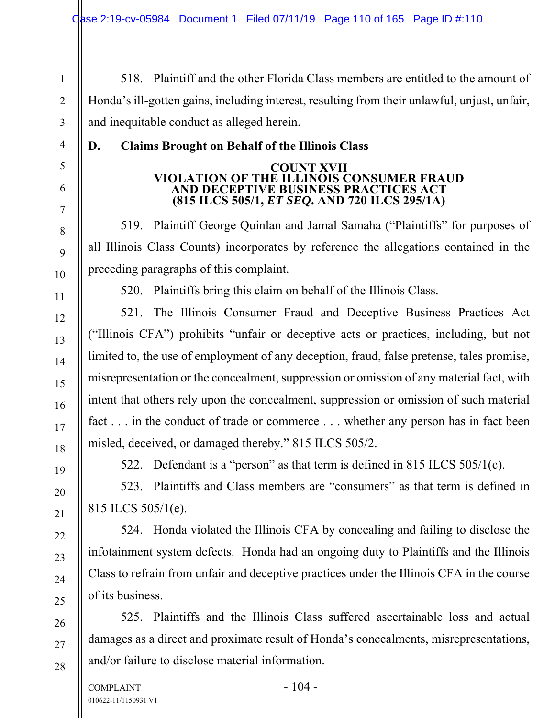518. Plaintiff and the other Florida Class members are entitled to the amount of Honda's ill-gotten gains, including interest, resulting from their unlawful, unjust, unfair, and inequitable conduct as alleged herein.

# **D. Claims Brought on Behalf of the Illinois Class**

#### **COUNT XVII VIOLATION OF THE ILLINOIS CONSUMER FRAUD AND DECEPTIVE BUSINESS PRACTICES ACT (815 ILCS 505/1,** *ET SEQ***. AND 720 ILCS 295/1A)**

519. Plaintiff George Quinlan and Jamal Samaha ("Plaintiffs" for purposes of all Illinois Class Counts) incorporates by reference the allegations contained in the preceding paragraphs of this complaint.

520. Plaintiffs bring this claim on behalf of the Illinois Class.

521. The Illinois Consumer Fraud and Deceptive Business Practices Act ("Illinois CFA") prohibits "unfair or deceptive acts or practices, including, but not limited to, the use of employment of any deception, fraud, false pretense, tales promise, misrepresentation or the concealment, suppression or omission of any material fact, with intent that others rely upon the concealment, suppression or omission of such material fact . . . in the conduct of trade or commerce . . . whether any person has in fact been misled, deceived, or damaged thereby." 815 ILCS 505/2.

1

2

3

4

5

6

7

8

9

10

11

12

13

14

15

16

17

18

19

20

21

22

23

24

25

26

27

28

522. Defendant is a "person" as that term is defined in 815 ILCS 505/1(c).

523. Plaintiffs and Class members are "consumers" as that term is defined in 815 ILCS 505/1(e).

524. Honda violated the Illinois CFA by concealing and failing to disclose the infotainment system defects. Honda had an ongoing duty to Plaintiffs and the Illinois Class to refrain from unfair and deceptive practices under the Illinois CFA in the course of its business.

525. Plaintiffs and the Illinois Class suffered ascertainable loss and actual damages as a direct and proximate result of Honda's concealments, misrepresentations, and/or failure to disclose material information.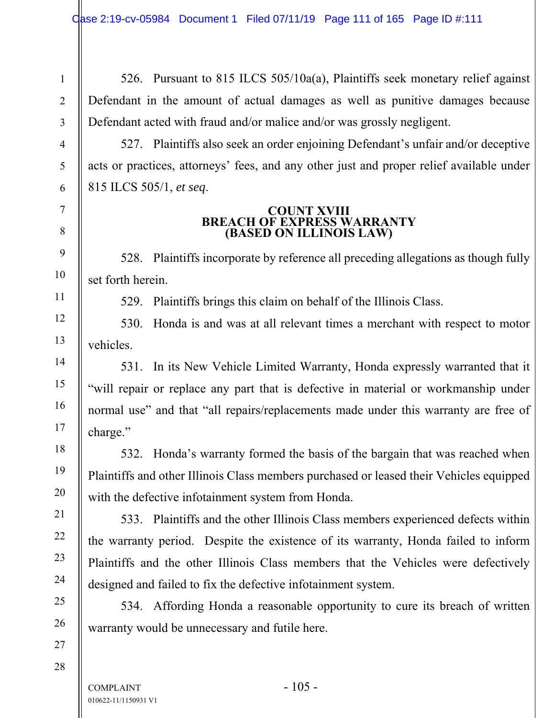526. Pursuant to 815 ILCS 505/10a(a), Plaintiffs seek monetary relief against Defendant in the amount of actual damages as well as punitive damages because Defendant acted with fraud and/or malice and/or was grossly negligent.

527. Plaintiffs also seek an order enjoining Defendant's unfair and/or deceptive acts or practices, attorneys' fees, and any other just and proper relief available under 815 ILCS 505/1, *et seq*.

#### **COUNT XVIII BREACH OF EXPRESS WARRANTY (BASED ON ILLINOIS LAW)**

528. Plaintiffs incorporate by reference all preceding allegations as though fully set forth herein.

529. Plaintiffs brings this claim on behalf of the Illinois Class.

530. Honda is and was at all relevant times a merchant with respect to motor vehicles.

531. In its New Vehicle Limited Warranty, Honda expressly warranted that it "will repair or replace any part that is defective in material or workmanship under normal use" and that "all repairs/replacements made under this warranty are free of charge."

532. Honda's warranty formed the basis of the bargain that was reached when Plaintiffs and other Illinois Class members purchased or leased their Vehicles equipped with the defective infotainment system from Honda.

533. Plaintiffs and the other Illinois Class members experienced defects within the warranty period. Despite the existence of its warranty, Honda failed to inform Plaintiffs and the other Illinois Class members that the Vehicles were defectively designed and failed to fix the defective infotainment system.

534. Affording Honda a reasonable opportunity to cure its breach of written warranty would be unnecessary and futile here.

28

1

2

3

4

5

6

7

8

9

10

11

12

13

14

15

16

17

18

19

20

21

22

23

24

25

26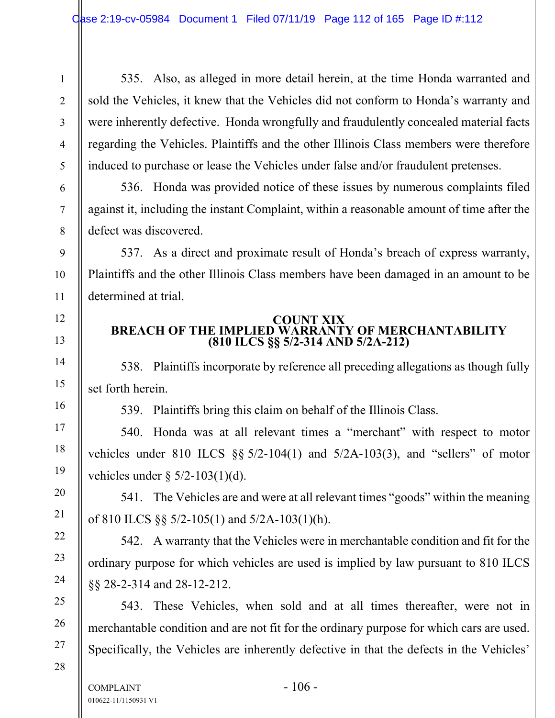535. Also, as alleged in more detail herein, at the time Honda warranted and sold the Vehicles, it knew that the Vehicles did not conform to Honda's warranty and were inherently defective. Honda wrongfully and fraudulently concealed material facts regarding the Vehicles. Plaintiffs and the other Illinois Class members were therefore induced to purchase or lease the Vehicles under false and/or fraudulent pretenses.

536. Honda was provided notice of these issues by numerous complaints filed against it, including the instant Complaint, within a reasonable amount of time after the defect was discovered.

537. As a direct and proximate result of Honda's breach of express warranty, Plaintiffs and the other Illinois Class members have been damaged in an amount to be determined at trial.

# **COUNT XIX BREACH OF THE IMPLIED WARRANTY OF MERCHANTABILITY (810 ILCS §§ 5/2-314 AND 5/2A-212)**

538. Plaintiffs incorporate by reference all preceding allegations as though fully set forth herein.

539. Plaintiffs bring this claim on behalf of the Illinois Class.

540. Honda was at all relevant times a "merchant" with respect to motor vehicles under 810 ILCS  $\S$ § 5/2-104(1) and 5/2A-103(3), and "sellers" of motor vehicles under  $\S 5/2-103(1)(d)$ .

541. The Vehicles are and were at all relevant times "goods" within the meaning of 810 ILCS §§ 5/2-105(1) and 5/2A-103(1)(h).

542. A warranty that the Vehicles were in merchantable condition and fit for the ordinary purpose for which vehicles are used is implied by law pursuant to 810 ILCS §§ 28-2-314 and 28-12-212.

543. These Vehicles, when sold and at all times thereafter, were not in merchantable condition and are not fit for the ordinary purpose for which cars are used. Specifically, the Vehicles are inherently defective in that the defects in the Vehicles'

27 28

1

2

3

4

5

6

7

8

9

10

11

12

13

14

15

16

17

18

19

20

21

22

23

24

25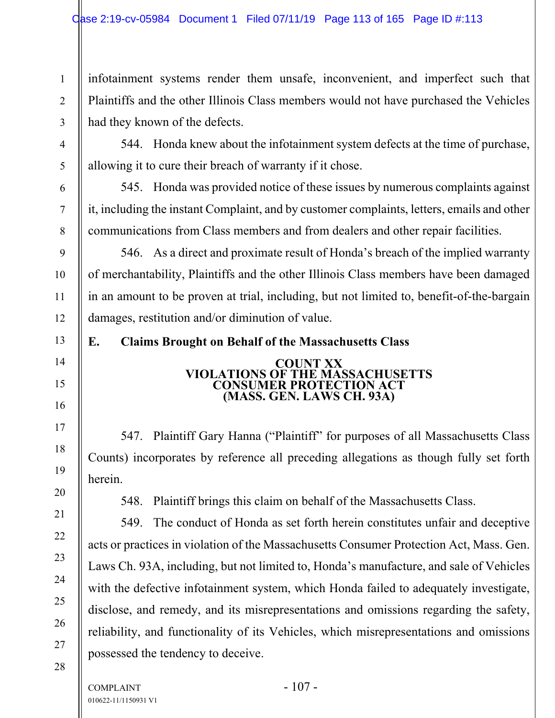infotainment systems render them unsafe, inconvenient, and imperfect such that Plaintiffs and the other Illinois Class members would not have purchased the Vehicles had they known of the defects.

544. Honda knew about the infotainment system defects at the time of purchase, allowing it to cure their breach of warranty if it chose.

545. Honda was provided notice of these issues by numerous complaints against it, including the instant Complaint, and by customer complaints, letters, emails and other communications from Class members and from dealers and other repair facilities.

546. As a direct and proximate result of Honda's breach of the implied warranty of merchantability, Plaintiffs and the other Illinois Class members have been damaged in an amount to be proven at trial, including, but not limited to, benefit-of-the-bargain damages, restitution and/or diminution of value.

**E. Claims Brought on Behalf of the Massachusetts Class** 

#### **COUNT XX VIOLATIONS OF THE MASSACHUSETTS CONSUMER PROTECTION ACT (MASS. GEN. LAWS CH. 93A)**

547. Plaintiff Gary Hanna ("Plaintiff" for purposes of all Massachusetts Class Counts) incorporates by reference all preceding allegations as though fully set forth herein.

548. Plaintiff brings this claim on behalf of the Massachusetts Class.

549. The conduct of Honda as set forth herein constitutes unfair and deceptive acts or practices in violation of the Massachusetts Consumer Protection Act, Mass. Gen. Laws Ch. 93A, including, but not limited to, Honda's manufacture, and sale of Vehicles with the defective infotainment system, which Honda failed to adequately investigate, disclose, and remedy, and its misrepresentations and omissions regarding the safety, reliability, and functionality of its Vehicles, which misrepresentations and omissions possessed the tendency to deceive.

1

2

3

4

5

6

7

8

9

10

11

12

13

14

15

16

17

18

19

20

21

22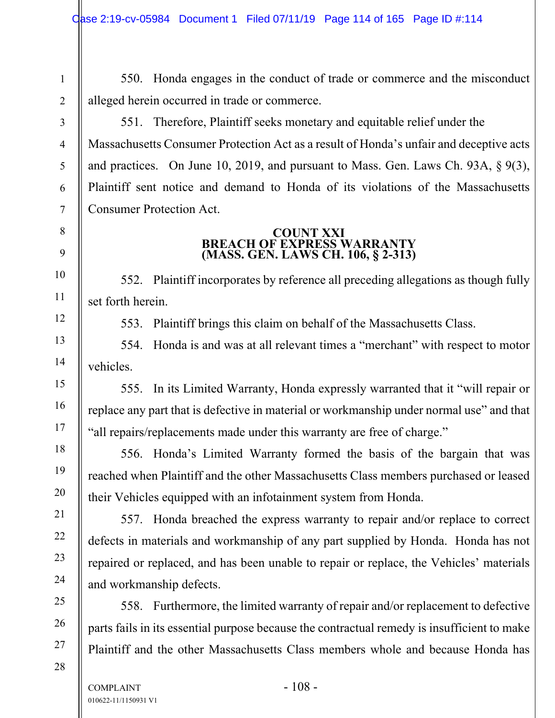550. Honda engages in the conduct of trade or commerce and the misconduct alleged herein occurred in trade or commerce.

551. Therefore, Plaintiff seeks monetary and equitable relief under the Massachusetts Consumer Protection Act as a result of Honda's unfair and deceptive acts and practices. On June 10, 2019, and pursuant to Mass. Gen. Laws Ch. 93A, § 9(3), Plaintiff sent notice and demand to Honda of its violations of the Massachusetts Consumer Protection Act.

## **COUNT XXI BREACH OF EXPRESS WARRANTY (MASS. GEN. LAWS CH. 106, § 2-313)**

552. Plaintiff incorporates by reference all preceding allegations as though fully set forth herein.

553. Plaintiff brings this claim on behalf of the Massachusetts Class.

554. Honda is and was at all relevant times a "merchant" with respect to motor vehicles.

555. In its Limited Warranty, Honda expressly warranted that it "will repair or replace any part that is defective in material or workmanship under normal use" and that "all repairs/replacements made under this warranty are free of charge."

556. Honda's Limited Warranty formed the basis of the bargain that was reached when Plaintiff and the other Massachusetts Class members purchased or leased their Vehicles equipped with an infotainment system from Honda.

557. Honda breached the express warranty to repair and/or replace to correct defects in materials and workmanship of any part supplied by Honda. Honda has not repaired or replaced, and has been unable to repair or replace, the Vehicles' materials and workmanship defects.

558. Furthermore, the limited warranty of repair and/or replacement to defective parts fails in its essential purpose because the contractual remedy is insufficient to make Plaintiff and the other Massachusetts Class members whole and because Honda has

1

2

3

4

5

6

7

8

9

10

11

12

13

14

15

16

17

18

19

20

21

22

23

24

25

26

27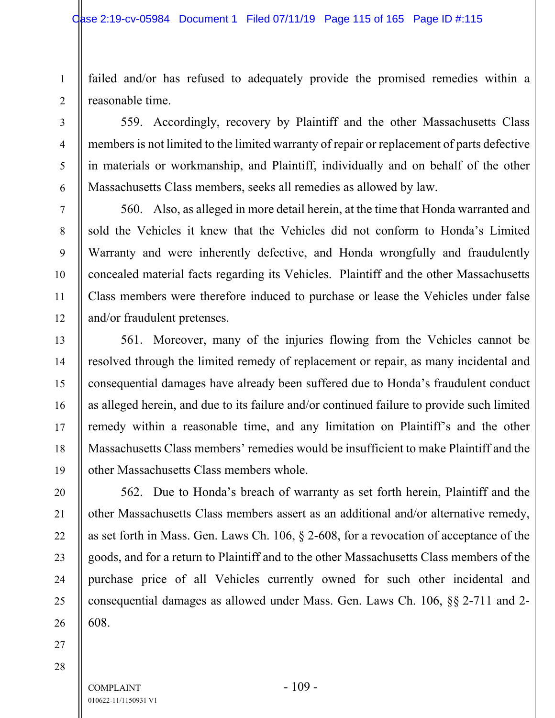failed and/or has refused to adequately provide the promised remedies within a reasonable time.

559. Accordingly, recovery by Plaintiff and the other Massachusetts Class members is not limited to the limited warranty of repair or replacement of parts defective in materials or workmanship, and Plaintiff, individually and on behalf of the other Massachusetts Class members, seeks all remedies as allowed by law.

560. Also, as alleged in more detail herein, at the time that Honda warranted and sold the Vehicles it knew that the Vehicles did not conform to Honda's Limited Warranty and were inherently defective, and Honda wrongfully and fraudulently concealed material facts regarding its Vehicles. Plaintiff and the other Massachusetts Class members were therefore induced to purchase or lease the Vehicles under false and/or fraudulent pretenses.

561. Moreover, many of the injuries flowing from the Vehicles cannot be resolved through the limited remedy of replacement or repair, as many incidental and consequential damages have already been suffered due to Honda's fraudulent conduct as alleged herein, and due to its failure and/or continued failure to provide such limited remedy within a reasonable time, and any limitation on Plaintiff's and the other Massachusetts Class members' remedies would be insufficient to make Plaintiff and the other Massachusetts Class members whole.

562. Due to Honda's breach of warranty as set forth herein, Plaintiff and the other Massachusetts Class members assert as an additional and/or alternative remedy, as set forth in Mass. Gen. Laws Ch. 106, § 2-608, for a revocation of acceptance of the goods, and for a return to Plaintiff and to the other Massachusetts Class members of the purchase price of all Vehicles currently owned for such other incidental and consequential damages as allowed under Mass. Gen. Laws Ch. 106, §§ 2-711 and 2- 608.

27 28

1

2

3

4

5

6

7

8

9

10

11

12

13

14

15

16

17

18

19

20

21

22

23

24

25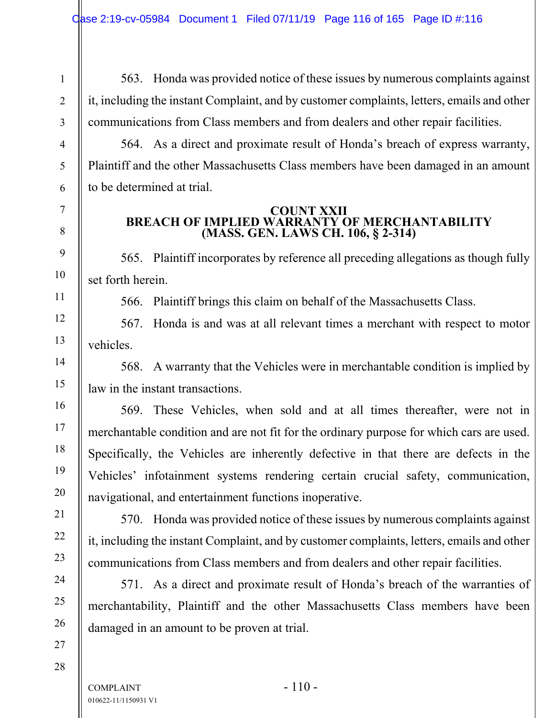563. Honda was provided notice of these issues by numerous complaints against it, including the instant Complaint, and by customer complaints, letters, emails and other communications from Class members and from dealers and other repair facilities.

564. As a direct and proximate result of Honda's breach of express warranty, Plaintiff and the other Massachusetts Class members have been damaged in an amount to be determined at trial.

#### **COUNT XXII BREACH OF IMPLIED WARRANTY OF MERCHANTABILITY (MASS. GEN. LAWS CH. 106, § 2-314)**

565. Plaintiff incorporates by reference all preceding allegations as though fully set forth herein.

566. Plaintiff brings this claim on behalf of the Massachusetts Class.

567. Honda is and was at all relevant times a merchant with respect to motor vehicles.

568. A warranty that the Vehicles were in merchantable condition is implied by law in the instant transactions.

569. These Vehicles, when sold and at all times thereafter, were not in merchantable condition and are not fit for the ordinary purpose for which cars are used. Specifically, the Vehicles are inherently defective in that there are defects in the Vehicles' infotainment systems rendering certain crucial safety, communication, navigational, and entertainment functions inoperative.

570. Honda was provided notice of these issues by numerous complaints against it, including the instant Complaint, and by customer complaints, letters, emails and other communications from Class members and from dealers and other repair facilities.

571. As a direct and proximate result of Honda's breach of the warranties of merchantability, Plaintiff and the other Massachusetts Class members have been damaged in an amount to be proven at trial.

27 28

1

2

3

4

5

6

7

8

9

10

11

12

13

14

15

16

17

18

19

20

21

22

23

24

25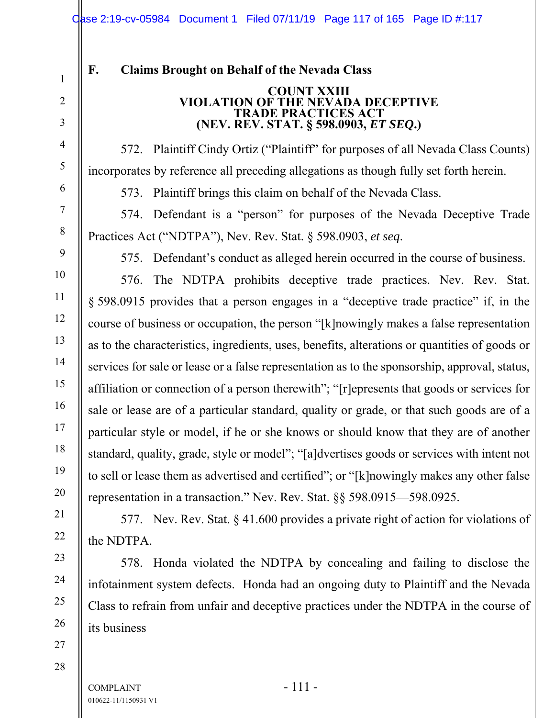# **F. Claims Brought on Behalf of the Nevada Class**

#### **COUNT XXIII VIOLATION OF THE NEVADA DECEPTIVE TRADE PRACTICES ACT (NEV. REV. STAT. § 598.0903,** *ET SEQ***.)**

572. Plaintiff Cindy Ortiz ("Plaintiff" for purposes of all Nevada Class Counts) incorporates by reference all preceding allegations as though fully set forth herein.

573. Plaintiff brings this claim on behalf of the Nevada Class.

574. Defendant is a "person" for purposes of the Nevada Deceptive Trade Practices Act ("NDTPA"), Nev. Rev. Stat. § 598.0903, *et seq*.

575. Defendant's conduct as alleged herein occurred in the course of business.

576. The NDTPA prohibits deceptive trade practices. Nev. Rev. Stat. § 598.0915 provides that a person engages in a "deceptive trade practice" if, in the course of business or occupation, the person "[k]nowingly makes a false representation as to the characteristics, ingredients, uses, benefits, alterations or quantities of goods or services for sale or lease or a false representation as to the sponsorship, approval, status, affiliation or connection of a person therewith"; "[r]epresents that goods or services for sale or lease are of a particular standard, quality or grade, or that such goods are of a particular style or model, if he or she knows or should know that they are of another standard, quality, grade, style or model"; "[a]dvertises goods or services with intent not to sell or lease them as advertised and certified"; or "[k]nowingly makes any other false representation in a transaction." Nev. Rev. Stat. §§ 598.0915—598.0925.

577. Nev. Rev. Stat. § 41.600 provides a private right of action for violations of the NDTPA.

578. Honda violated the NDTPA by concealing and failing to disclose the infotainment system defects. Honda had an ongoing duty to Plaintiff and the Nevada Class to refrain from unfair and deceptive practices under the NDTPA in the course of its business

 $COMPLANT$  - 111 -010622-11/1150931 V1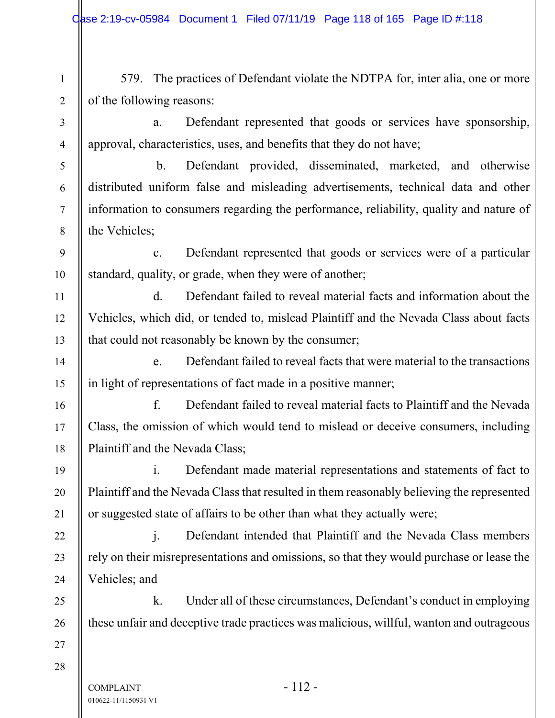$COMPLAINT$  - 112 -1 2 3 4 5 6 7 8 9 10 11 12 13 14 15 16 17 18 19 20 21 22 23 24 25 26 27 28 579. The practices of Defendant violate the NDTPA for, inter alia, one or more of the following reasons: a. Defendant represented that goods or services have sponsorship, approval, characteristics, uses, and benefits that they do not have; b. Defendant provided, disseminated, marketed, and otherwise distributed uniform false and misleading advertisements, technical data and other information to consumers regarding the performance, reliability, quality and nature of the Vehicles; c. Defendant represented that goods or services were of a particular standard, quality, or grade, when they were of another; d. Defendant failed to reveal material facts and information about the Vehicles, which did, or tended to, mislead Plaintiff and the Nevada Class about facts that could not reasonably be known by the consumer; e. Defendant failed to reveal facts that were material to the transactions in light of representations of fact made in a positive manner; f. Defendant failed to reveal material facts to Plaintiff and the Nevada Class, the omission of which would tend to mislead or deceive consumers, including Plaintiff and the Nevada Class; i. Defendant made material representations and statements of fact to Plaintiff and the Nevada Class that resulted in them reasonably believing the represented or suggested state of affairs to be other than what they actually were; j. Defendant intended that Plaintiff and the Nevada Class members rely on their misrepresentations and omissions, so that they would purchase or lease the Vehicles; and k. Under all of these circumstances, Defendant's conduct in employing these unfair and deceptive trade practices was malicious, willful, wanton and outrageous

010622-11/1150931 V1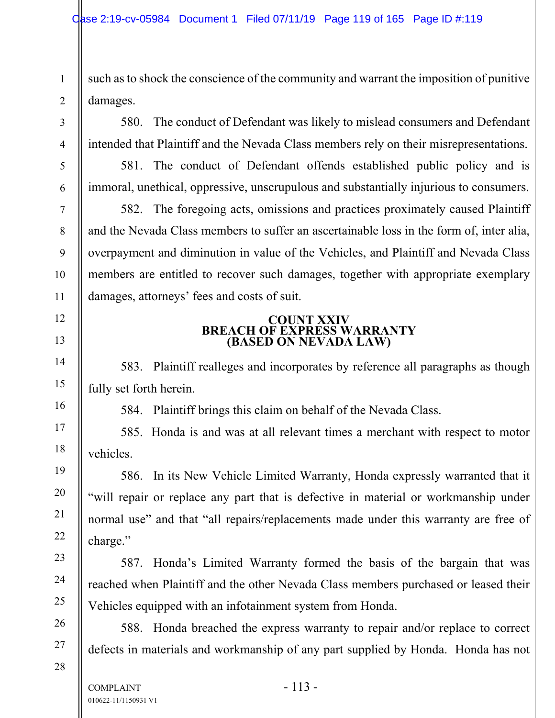such as to shock the conscience of the community and warrant the imposition of punitive damages.

580. The conduct of Defendant was likely to mislead consumers and Defendant intended that Plaintiff and the Nevada Class members rely on their misrepresentations.

581. The conduct of Defendant offends established public policy and is immoral, unethical, oppressive, unscrupulous and substantially injurious to consumers.

582. The foregoing acts, omissions and practices proximately caused Plaintiff and the Nevada Class members to suffer an ascertainable loss in the form of, inter alia, overpayment and diminution in value of the Vehicles, and Plaintiff and Nevada Class members are entitled to recover such damages, together with appropriate exemplary damages, attorneys' fees and costs of suit.

## **COUNT XXIV BREACH OF EXPRESS WARRANTY (BASED ON NEVADA LAW)**

583. Plaintiff realleges and incorporates by reference all paragraphs as though fully set forth herein.

584. Plaintiff brings this claim on behalf of the Nevada Class.

585. Honda is and was at all relevant times a merchant with respect to motor vehicles.

586. In its New Vehicle Limited Warranty, Honda expressly warranted that it "will repair or replace any part that is defective in material or workmanship under normal use" and that "all repairs/replacements made under this warranty are free of charge."

587. Honda's Limited Warranty formed the basis of the bargain that was reached when Plaintiff and the other Nevada Class members purchased or leased their Vehicles equipped with an infotainment system from Honda.

588. Honda breached the express warranty to repair and/or replace to correct defects in materials and workmanship of any part supplied by Honda. Honda has not

28

1

2

3

4

5

6

7

8

9

10

11

12

13

14

15

16

17

18

19

20

21

22

23

24

25

26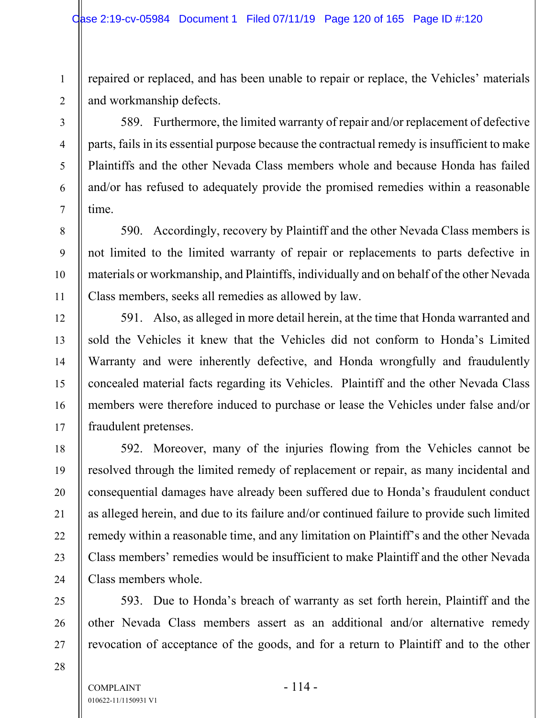repaired or replaced, and has been unable to repair or replace, the Vehicles' materials and workmanship defects.

589. Furthermore, the limited warranty of repair and/or replacement of defective parts, fails in its essential purpose because the contractual remedy is insufficient to make Plaintiffs and the other Nevada Class members whole and because Honda has failed and/or has refused to adequately provide the promised remedies within a reasonable time.

590. Accordingly, recovery by Plaintiff and the other Nevada Class members is not limited to the limited warranty of repair or replacements to parts defective in materials or workmanship, and Plaintiffs, individually and on behalf of the other Nevada Class members, seeks all remedies as allowed by law.

591. Also, as alleged in more detail herein, at the time that Honda warranted and sold the Vehicles it knew that the Vehicles did not conform to Honda's Limited Warranty and were inherently defective, and Honda wrongfully and fraudulently concealed material facts regarding its Vehicles. Plaintiff and the other Nevada Class members were therefore induced to purchase or lease the Vehicles under false and/or fraudulent pretenses.

592. Moreover, many of the injuries flowing from the Vehicles cannot be resolved through the limited remedy of replacement or repair, as many incidental and consequential damages have already been suffered due to Honda's fraudulent conduct as alleged herein, and due to its failure and/or continued failure to provide such limited remedy within a reasonable time, and any limitation on Plaintiff's and the other Nevada Class members' remedies would be insufficient to make Plaintiff and the other Nevada Class members whole.

593. Due to Honda's breach of warranty as set forth herein, Plaintiff and the other Nevada Class members assert as an additional and/or alternative remedy revocation of acceptance of the goods, and for a return to Plaintiff and to the other

28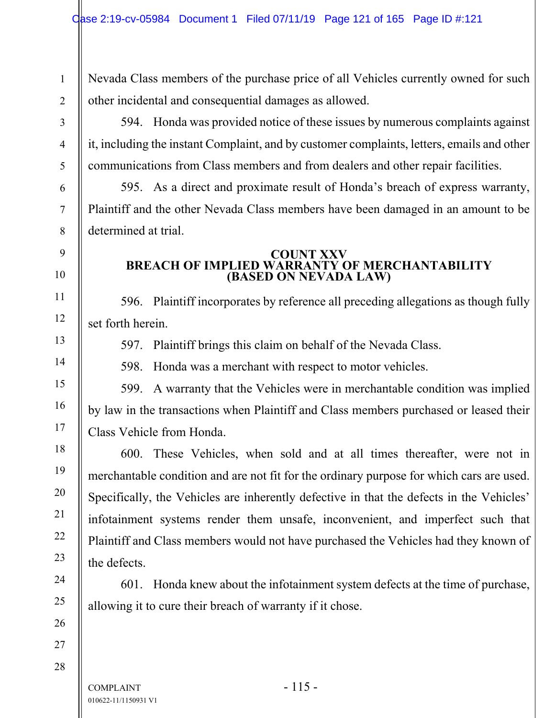Nevada Class members of the purchase price of all Vehicles currently owned for such other incidental and consequential damages as allowed.

594. Honda was provided notice of these issues by numerous complaints against it, including the instant Complaint, and by customer complaints, letters, emails and other communications from Class members and from dealers and other repair facilities.

595. As a direct and proximate result of Honda's breach of express warranty, Plaintiff and the other Nevada Class members have been damaged in an amount to be determined at trial.

#### **COUNT XXV BREACH OF IMPLIED WARRANTY OF MERCHANTABILITY (BASED ON NEVADA LAW)**

596. Plaintiff incorporates by reference all preceding allegations as though fully set forth herein.

597. Plaintiff brings this claim on behalf of the Nevada Class.

598. Honda was a merchant with respect to motor vehicles.

599. A warranty that the Vehicles were in merchantable condition was implied by law in the transactions when Plaintiff and Class members purchased or leased their Class Vehicle from Honda.

600. These Vehicles, when sold and at all times thereafter, were not in merchantable condition and are not fit for the ordinary purpose for which cars are used. Specifically, the Vehicles are inherently defective in that the defects in the Vehicles' infotainment systems render them unsafe, inconvenient, and imperfect such that Plaintiff and Class members would not have purchased the Vehicles had they known of the defects.

601. Honda knew about the infotainment system defects at the time of purchase, allowing it to cure their breach of warranty if it chose.

1

2

3

4

5

6

7

8

9

10

11

12

13

14

15

16

17

18

19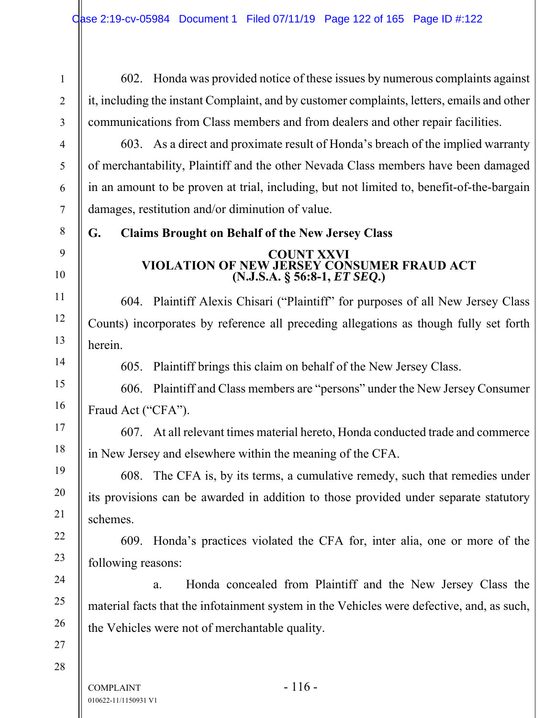602. Honda was provided notice of these issues by numerous complaints against it, including the instant Complaint, and by customer complaints, letters, emails and other communications from Class members and from dealers and other repair facilities.

603. As a direct and proximate result of Honda's breach of the implied warranty of merchantability, Plaintiff and the other Nevada Class members have been damaged in an amount to be proven at trial, including, but not limited to, benefit-of-the-bargain damages, restitution and/or diminution of value.

**G. Claims Brought on Behalf of the New Jersey Class** 

# **COUNT XXVI VIOLATION OF NEW JERSEY CONSUMER FRAUD ACT (N.J.S.A. § 56:8-1,** *ET SEQ***.)**

604. Plaintiff Alexis Chisari ("Plaintiff" for purposes of all New Jersey Class Counts) incorporates by reference all preceding allegations as though fully set forth herein.

605. Plaintiff brings this claim on behalf of the New Jersey Class.

606. Plaintiff and Class members are "persons" under the New Jersey Consumer Fraud Act ("CFA").

607. At all relevant times material hereto, Honda conducted trade and commerce in New Jersey and elsewhere within the meaning of the CFA.

608. The CFA is, by its terms, a cumulative remedy, such that remedies under its provisions can be awarded in addition to those provided under separate statutory schemes.

609. Honda's practices violated the CFA for, inter alia, one or more of the following reasons:

a. Honda concealed from Plaintiff and the New Jersey Class the material facts that the infotainment system in the Vehicles were defective, and, as such, the Vehicles were not of merchantable quality.

28

1

2

3

4

5

6

7

8

9

10

11

12

13

14

15

16

17

18

19

20

21

22

23

24

25

26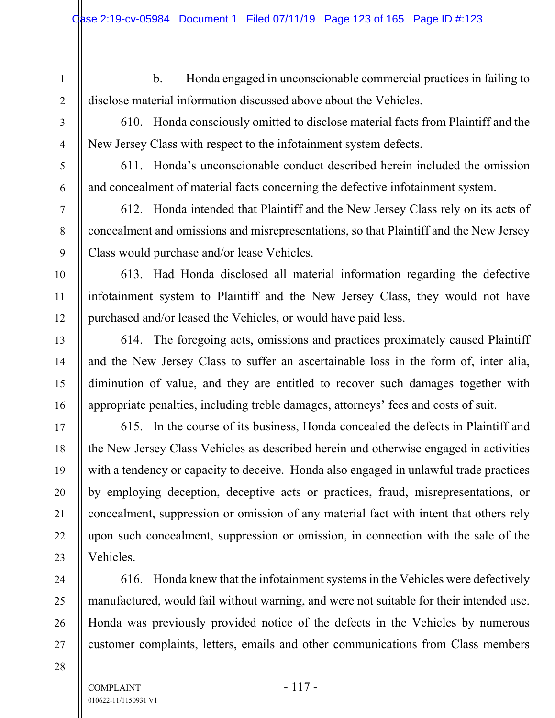1

2

3

4

5

6

7

8

9

10

11

12

13

14

15

16

17

18

19

20

21

22

23

24

25

26

27

28

b. Honda engaged in unconscionable commercial practices in failing to disclose material information discussed above about the Vehicles.

610. Honda consciously omitted to disclose material facts from Plaintiff and the New Jersey Class with respect to the infotainment system defects.

611. Honda's unconscionable conduct described herein included the omission and concealment of material facts concerning the defective infotainment system.

612. Honda intended that Plaintiff and the New Jersey Class rely on its acts of concealment and omissions and misrepresentations, so that Plaintiff and the New Jersey Class would purchase and/or lease Vehicles.

613. Had Honda disclosed all material information regarding the defective infotainment system to Plaintiff and the New Jersey Class, they would not have purchased and/or leased the Vehicles, or would have paid less.

614. The foregoing acts, omissions and practices proximately caused Plaintiff and the New Jersey Class to suffer an ascertainable loss in the form of, inter alia, diminution of value, and they are entitled to recover such damages together with appropriate penalties, including treble damages, attorneys' fees and costs of suit.

615. In the course of its business, Honda concealed the defects in Plaintiff and the New Jersey Class Vehicles as described herein and otherwise engaged in activities with a tendency or capacity to deceive. Honda also engaged in unlawful trade practices by employing deception, deceptive acts or practices, fraud, misrepresentations, or concealment, suppression or omission of any material fact with intent that others rely upon such concealment, suppression or omission, in connection with the sale of the Vehicles.

616. Honda knew that the infotainment systems in the Vehicles were defectively manufactured, would fail without warning, and were not suitable for their intended use. Honda was previously provided notice of the defects in the Vehicles by numerous customer complaints, letters, emails and other communications from Class members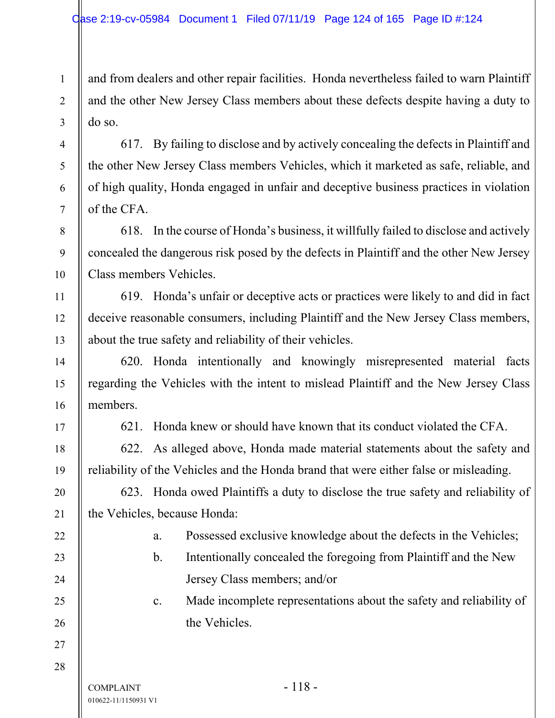and from dealers and other repair facilities. Honda nevertheless failed to warn Plaintiff and the other New Jersey Class members about these defects despite having a duty to do so.

617. By failing to disclose and by actively concealing the defects in Plaintiff and the other New Jersey Class members Vehicles, which it marketed as safe, reliable, and of high quality, Honda engaged in unfair and deceptive business practices in violation of the CFA.

618. In the course of Honda's business, it willfully failed to disclose and actively concealed the dangerous risk posed by the defects in Plaintiff and the other New Jersey Class members Vehicles.

619. Honda's unfair or deceptive acts or practices were likely to and did in fact deceive reasonable consumers, including Plaintiff and the New Jersey Class members, about the true safety and reliability of their vehicles.

620. Honda intentionally and knowingly misrepresented material facts regarding the Vehicles with the intent to mislead Plaintiff and the New Jersey Class members.

621. Honda knew or should have known that its conduct violated the CFA.

622. As alleged above, Honda made material statements about the safety and reliability of the Vehicles and the Honda brand that were either false or misleading.

623. Honda owed Plaintiffs a duty to disclose the true safety and reliability of the Vehicles, because Honda:

Jersey Class members; and/or

the Vehicles.

a. Possessed exclusive knowledge about the defects in the Vehicles;

b. Intentionally concealed the foregoing from Plaintiff and the New

c. Made incomplete representations about the safety and reliability of

22 23

24

25

1

2

3

4

5

6

7

8

9

10

11

12

13

14

15

16

17

18

19

20

21

26 27

28

010622-11/1150931 V1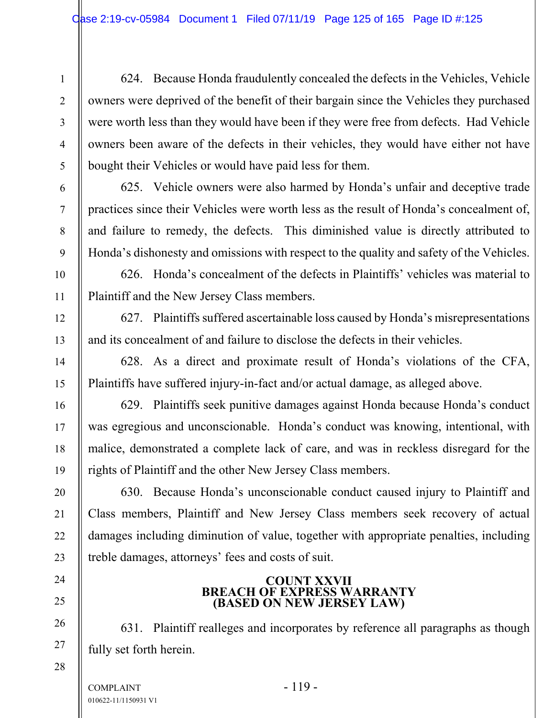624. Because Honda fraudulently concealed the defects in the Vehicles, Vehicle owners were deprived of the benefit of their bargain since the Vehicles they purchased were worth less than they would have been if they were free from defects. Had Vehicle owners been aware of the defects in their vehicles, they would have either not have bought their Vehicles or would have paid less for them.

625. Vehicle owners were also harmed by Honda's unfair and deceptive trade practices since their Vehicles were worth less as the result of Honda's concealment of, and failure to remedy, the defects. This diminished value is directly attributed to Honda's dishonesty and omissions with respect to the quality and safety of the Vehicles.

626. Honda's concealment of the defects in Plaintiffs' vehicles was material to Plaintiff and the New Jersey Class members.

627. Plaintiffs suffered ascertainable loss caused by Honda's misrepresentations and its concealment of and failure to disclose the defects in their vehicles.

628. As a direct and proximate result of Honda's violations of the CFA, Plaintiffs have suffered injury-in-fact and/or actual damage, as alleged above.

629. Plaintiffs seek punitive damages against Honda because Honda's conduct was egregious and unconscionable. Honda's conduct was knowing, intentional, with malice, demonstrated a complete lack of care, and was in reckless disregard for the rights of Plaintiff and the other New Jersey Class members.

630. Because Honda's unconscionable conduct caused injury to Plaintiff and Class members, Plaintiff and New Jersey Class members seek recovery of actual damages including diminution of value, together with appropriate penalties, including treble damages, attorneys' fees and costs of suit.

# **COUNT XXVII BREACH OF EXPRESS WARRANTY (BASED ON NEW JERSEY LAW)**

631. Plaintiff realleges and incorporates by reference all paragraphs as though fully set forth herein.

 $COMPLAINT$  - 119 -010622-11/1150931 V1

1

2

3

4

5

6

7

8

9

10

11

12

13

14

15

16

17

18

19

20

21

22

23

24

25

26

27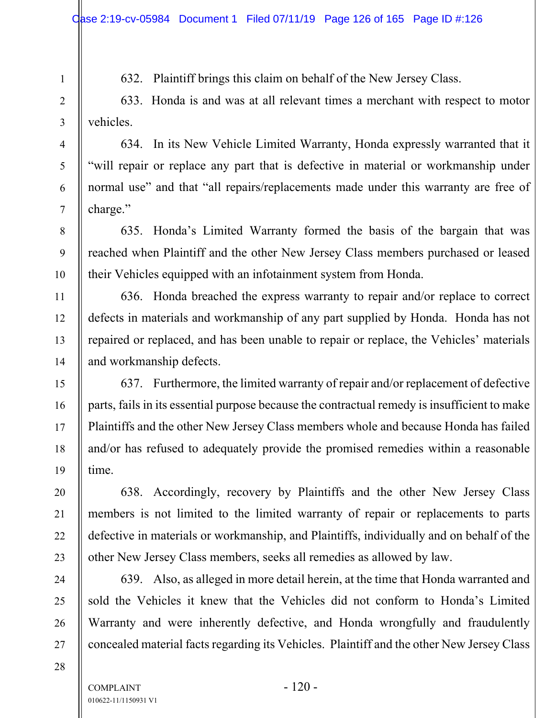632. Plaintiff brings this claim on behalf of the New Jersey Class.

633. Honda is and was at all relevant times a merchant with respect to motor vehicles.

634. In its New Vehicle Limited Warranty, Honda expressly warranted that it "will repair or replace any part that is defective in material or workmanship under normal use" and that "all repairs/replacements made under this warranty are free of charge."

635. Honda's Limited Warranty formed the basis of the bargain that was reached when Plaintiff and the other New Jersey Class members purchased or leased their Vehicles equipped with an infotainment system from Honda.

636. Honda breached the express warranty to repair and/or replace to correct defects in materials and workmanship of any part supplied by Honda. Honda has not repaired or replaced, and has been unable to repair or replace, the Vehicles' materials and workmanship defects.

637. Furthermore, the limited warranty of repair and/or replacement of defective parts, fails in its essential purpose because the contractual remedy is insufficient to make Plaintiffs and the other New Jersey Class members whole and because Honda has failed and/or has refused to adequately provide the promised remedies within a reasonable time.

638. Accordingly, recovery by Plaintiffs and the other New Jersey Class members is not limited to the limited warranty of repair or replacements to parts defective in materials or workmanship, and Plaintiffs, individually and on behalf of the other New Jersey Class members, seeks all remedies as allowed by law.

639. Also, as alleged in more detail herein, at the time that Honda warranted and sold the Vehicles it knew that the Vehicles did not conform to Honda's Limited Warranty and were inherently defective, and Honda wrongfully and fraudulently concealed material facts regarding its Vehicles. Plaintiff and the other New Jersey Class

1

2

3

4

5

6

7

8

9

10

11

12

13

14

15

16

17

18

19

20

21

22

23

24

25

26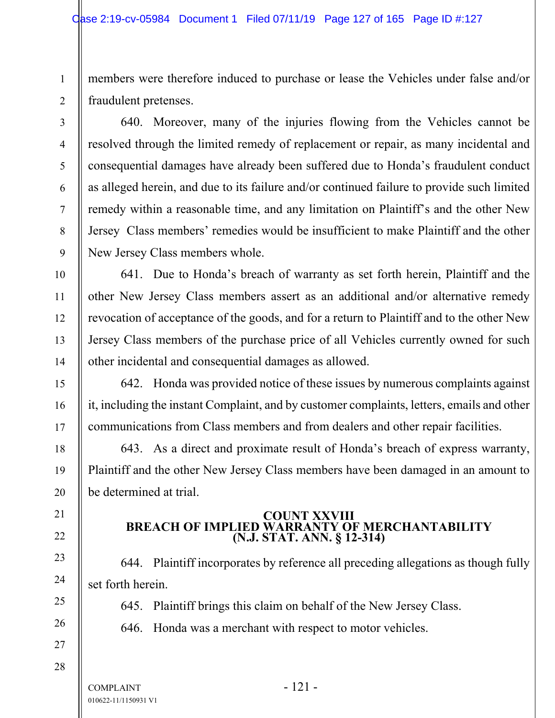members were therefore induced to purchase or lease the Vehicles under false and/or fraudulent pretenses.

1

2

3

4

5

6

7

8

9

10

11

12

13

14

15

16

17

18

19

20

21

22

23

24

25

26

27

28

640. Moreover, many of the injuries flowing from the Vehicles cannot be resolved through the limited remedy of replacement or repair, as many incidental and consequential damages have already been suffered due to Honda's fraudulent conduct as alleged herein, and due to its failure and/or continued failure to provide such limited remedy within a reasonable time, and any limitation on Plaintiff's and the other New Jersey Class members' remedies would be insufficient to make Plaintiff and the other New Jersey Class members whole.

641. Due to Honda's breach of warranty as set forth herein, Plaintiff and the other New Jersey Class members assert as an additional and/or alternative remedy revocation of acceptance of the goods, and for a return to Plaintiff and to the other New Jersey Class members of the purchase price of all Vehicles currently owned for such other incidental and consequential damages as allowed.

642. Honda was provided notice of these issues by numerous complaints against it, including the instant Complaint, and by customer complaints, letters, emails and other communications from Class members and from dealers and other repair facilities.

643. As a direct and proximate result of Honda's breach of express warranty, Plaintiff and the other New Jersey Class members have been damaged in an amount to be determined at trial.

# **COUNT XXVIII BREACH OF IMPLIED WARRANTY OF MERCHANTABILITY (N.J. STAT. ANN. § 12-314)**

644. Plaintiff incorporates by reference all preceding allegations as though fully set forth herein.

645. Plaintiff brings this claim on behalf of the New Jersey Class.

646. Honda was a merchant with respect to motor vehicles.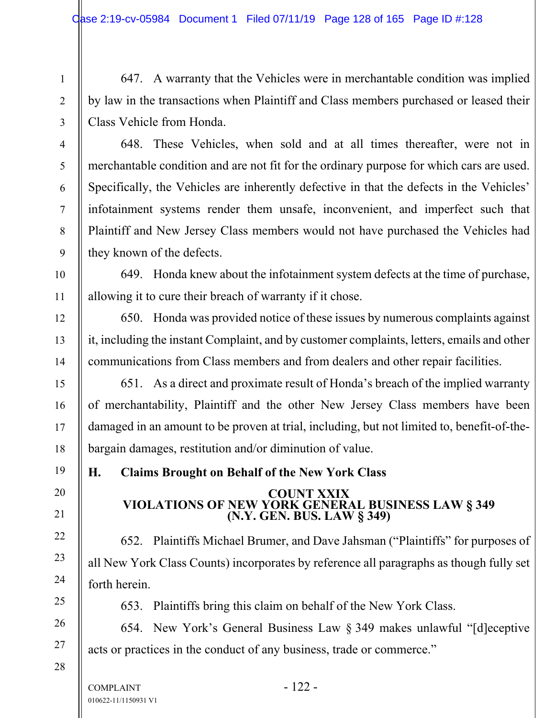647. A warranty that the Vehicles were in merchantable condition was implied by law in the transactions when Plaintiff and Class members purchased or leased their Class Vehicle from Honda.

648. These Vehicles, when sold and at all times thereafter, were not in merchantable condition and are not fit for the ordinary purpose for which cars are used. Specifically, the Vehicles are inherently defective in that the defects in the Vehicles' infotainment systems render them unsafe, inconvenient, and imperfect such that Plaintiff and New Jersey Class members would not have purchased the Vehicles had they known of the defects.

649. Honda knew about the infotainment system defects at the time of purchase, allowing it to cure their breach of warranty if it chose.

650. Honda was provided notice of these issues by numerous complaints against it, including the instant Complaint, and by customer complaints, letters, emails and other communications from Class members and from dealers and other repair facilities.

651. As a direct and proximate result of Honda's breach of the implied warranty of merchantability, Plaintiff and the other New Jersey Class members have been damaged in an amount to be proven at trial, including, but not limited to, benefit-of-thebargain damages, restitution and/or diminution of value.

**H. Claims Brought on Behalf of the New York Class** 

# **COUNT XXIX VIOLATIONS OF NEW YORK GENERAL BUSINESS LAW § 349 (N.Y. GEN. BUS. LAW § 349)**

652. Plaintiffs Michael Brumer, and Dave Jahsman ("Plaintiffs" for purposes of all New York Class Counts) incorporates by reference all paragraphs as though fully set forth herein.

653. Plaintiffs bring this claim on behalf of the New York Class.

654. New York's General Business Law § 349 makes unlawful "[d]eceptive acts or practices in the conduct of any business, trade or commerce."

27

28

1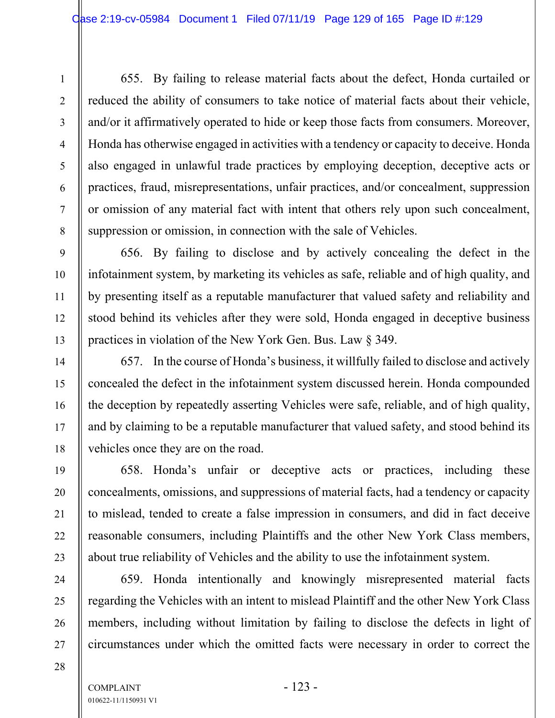655. By failing to release material facts about the defect, Honda curtailed or reduced the ability of consumers to take notice of material facts about their vehicle, and/or it affirmatively operated to hide or keep those facts from consumers. Moreover, Honda has otherwise engaged in activities with a tendency or capacity to deceive. Honda also engaged in unlawful trade practices by employing deception, deceptive acts or practices, fraud, misrepresentations, unfair practices, and/or concealment, suppression or omission of any material fact with intent that others rely upon such concealment, suppression or omission, in connection with the sale of Vehicles.

656. By failing to disclose and by actively concealing the defect in the infotainment system, by marketing its vehicles as safe, reliable and of high quality, and by presenting itself as a reputable manufacturer that valued safety and reliability and stood behind its vehicles after they were sold, Honda engaged in deceptive business practices in violation of the New York Gen. Bus. Law § 349.

657. In the course of Honda's business, it willfully failed to disclose and actively concealed the defect in the infotainment system discussed herein. Honda compounded the deception by repeatedly asserting Vehicles were safe, reliable, and of high quality, and by claiming to be a reputable manufacturer that valued safety, and stood behind its vehicles once they are on the road.

658. Honda's unfair or deceptive acts or practices, including these concealments, omissions, and suppressions of material facts, had a tendency or capacity to mislead, tended to create a false impression in consumers, and did in fact deceive reasonable consumers, including Plaintiffs and the other New York Class members, about true reliability of Vehicles and the ability to use the infotainment system.

659. Honda intentionally and knowingly misrepresented material facts regarding the Vehicles with an intent to mislead Plaintiff and the other New York Class members, including without limitation by failing to disclose the defects in light of circumstances under which the omitted facts were necessary in order to correct the

1

2

3

4

5

6

7

8

9

10

11

12

13

14

15

16

17

18

19

20

21

22

23

24

25

26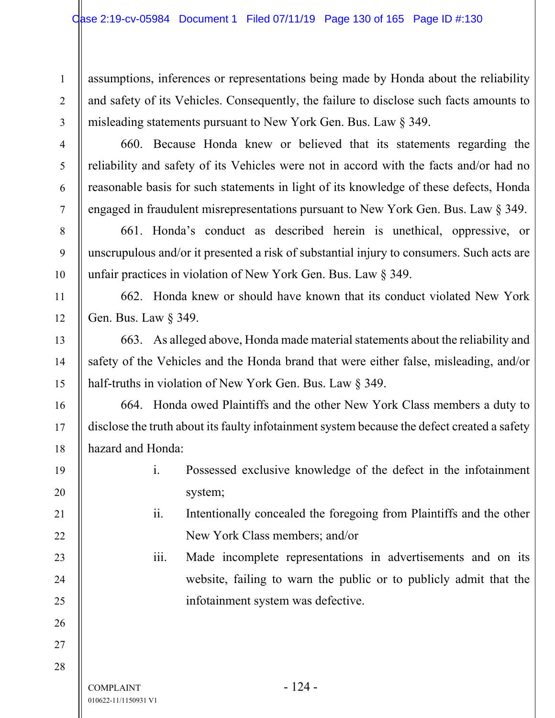assumptions, inferences or representations being made by Honda about the reliability and safety of its Vehicles. Consequently, the failure to disclose such facts amounts to misleading statements pursuant to New York Gen. Bus. Law § 349.

660. Because Honda knew or believed that its statements regarding the reliability and safety of its Vehicles were not in accord with the facts and/or had no reasonable basis for such statements in light of its knowledge of these defects, Honda engaged in fraudulent misrepresentations pursuant to New York Gen. Bus. Law § 349.

661. Honda's conduct as described herein is unethical, oppressive, or unscrupulous and/or it presented a risk of substantial injury to consumers. Such acts are unfair practices in violation of New York Gen. Bus. Law § 349.

662. Honda knew or should have known that its conduct violated New York Gen. Bus. Law § 349.

663. As alleged above, Honda made material statements about the reliability and safety of the Vehicles and the Honda brand that were either false, misleading, and/or half-truths in violation of New York Gen. Bus. Law § 349.

664. Honda owed Plaintiffs and the other New York Class members a duty to disclose the truth about its faulty infotainment system because the defect created a safety hazard and Honda:

- i. Possessed exclusive knowledge of the defect in the infotainment system;
	- ii. Intentionally concealed the foregoing from Plaintiffs and the other New York Class members; and/or

iii. Made incomplete representations in advertisements and on its website, failing to warn the public or to publicly admit that the infotainment system was defective.

 $COMPLANT$  - 124 -010622-11/1150931 V1

1

2

3

4

5

6

7

8

9

10

11

12

13

14

15

16

17

18

19

20

21

22

23

24

25

26

27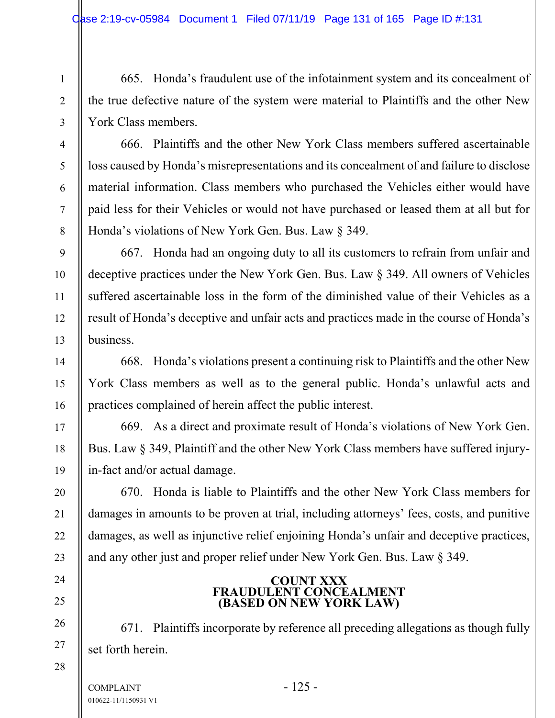665. Honda's fraudulent use of the infotainment system and its concealment of the true defective nature of the system were material to Plaintiffs and the other New York Class members.

666. Plaintiffs and the other New York Class members suffered ascertainable loss caused by Honda's misrepresentations and its concealment of and failure to disclose material information. Class members who purchased the Vehicles either would have paid less for their Vehicles or would not have purchased or leased them at all but for Honda's violations of New York Gen. Bus. Law § 349.

667. Honda had an ongoing duty to all its customers to refrain from unfair and deceptive practices under the New York Gen. Bus. Law § 349. All owners of Vehicles suffered ascertainable loss in the form of the diminished value of their Vehicles as a result of Honda's deceptive and unfair acts and practices made in the course of Honda's business.

668. Honda's violations present a continuing risk to Plaintiffs and the other New York Class members as well as to the general public. Honda's unlawful acts and practices complained of herein affect the public interest.

669. As a direct and proximate result of Honda's violations of New York Gen. Bus. Law § 349, Plaintiff and the other New York Class members have suffered injuryin-fact and/or actual damage.

670. Honda is liable to Plaintiffs and the other New York Class members for damages in amounts to be proven at trial, including attorneys' fees, costs, and punitive damages, as well as injunctive relief enjoining Honda's unfair and deceptive practices, and any other just and proper relief under New York Gen. Bus. Law § 349.

# **COUNT XXX FRAUDULENT CONCEALMENT (BASED ON NEW YORK LAW)**

671. Plaintiffs incorporate by reference all preceding allegations as though fully set forth herein.

1

2

3

4

5

6

7

8

9

10

11

12

13

14

15

16

17

18

19

20

21

22

23

24

25

26

27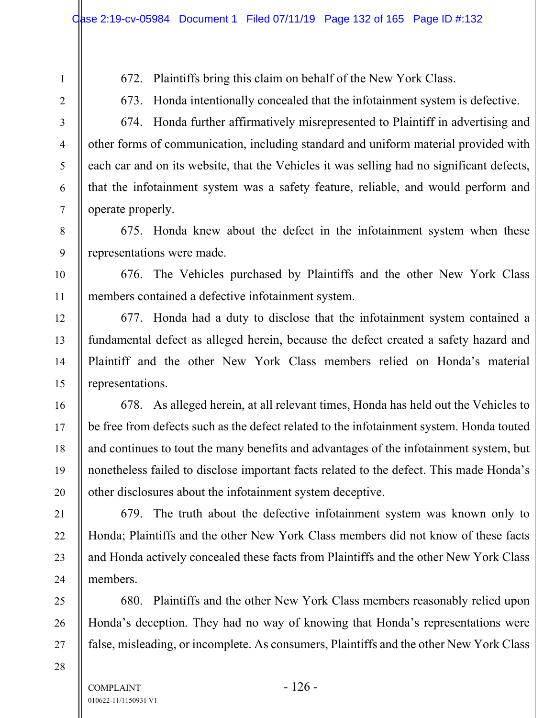- 672. Plaintiffs bring this claim on behalf of the New York Class.
- 673. Honda intentionally concealed that the infotainment system is defective.

674. Honda further affirmatively misrepresented to Plaintiff in advertising and other forms of communication, including standard and uniform material provided with each car and on its website, that the Vehicles it was selling had no significant defects, that the infotainment system was a safety feature, reliable, and would perform and operate properly.

675. Honda knew about the defect in the infotainment system when these representations were made.

676. The Vehicles purchased by Plaintiffs and the other New York Class members contained a defective infotainment system.

677. Honda had a duty to disclose that the infotainment system contained a fundamental defect as alleged herein, because the defect created a safety hazard and Plaintiff and the other New York Class members relied on Honda's material representations.

678. As alleged herein, at all relevant times, Honda has held out the Vehicles to be free from defects such as the defect related to the infotainment system. Honda touted and continues to tout the many benefits and advantages of the infotainment system, but nonetheless failed to disclose important facts related to the defect. This made Honda's other disclosures about the infotainment system deceptive.

679. The truth about the defective infotainment system was known only to Honda; Plaintiffs and the other New York Class members did not know of these facts and Honda actively concealed these facts from Plaintiffs and the other New York Class members.

680. Plaintiffs and the other New York Class members reasonably relied upon Honda's deception. They had no way of knowing that Honda's representations were false, misleading, or incomplete. As consumers, Plaintiffs and the other New York Class

28

1

2

3

4

5

6

7

8

9

10

11

12

13

14

15

16

17

18

19

20

21

22

23

24

25

26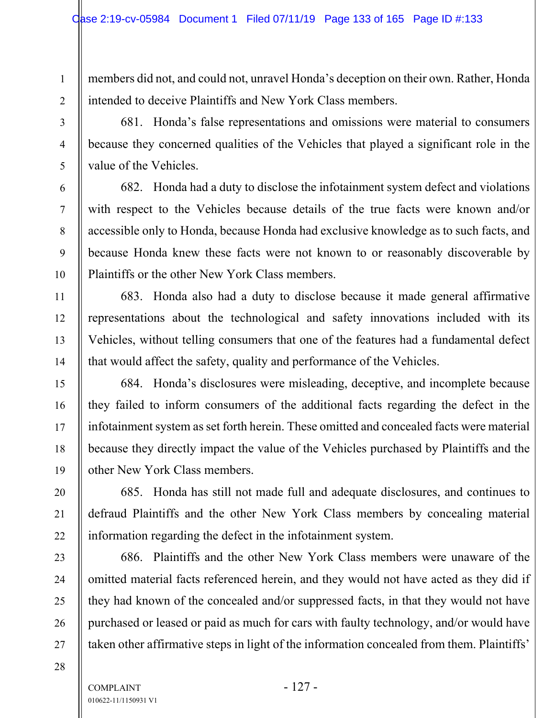members did not, and could not, unravel Honda's deception on their own. Rather, Honda intended to deceive Plaintiffs and New York Class members.

681. Honda's false representations and omissions were material to consumers because they concerned qualities of the Vehicles that played a significant role in the value of the Vehicles.

682. Honda had a duty to disclose the infotainment system defect and violations with respect to the Vehicles because details of the true facts were known and/or accessible only to Honda, because Honda had exclusive knowledge as to such facts, and because Honda knew these facts were not known to or reasonably discoverable by Plaintiffs or the other New York Class members.

683. Honda also had a duty to disclose because it made general affirmative representations about the technological and safety innovations included with its Vehicles, without telling consumers that one of the features had a fundamental defect that would affect the safety, quality and performance of the Vehicles.

684. Honda's disclosures were misleading, deceptive, and incomplete because they failed to inform consumers of the additional facts regarding the defect in the infotainment system as set forth herein. These omitted and concealed facts were material because they directly impact the value of the Vehicles purchased by Plaintiffs and the other New York Class members.

685. Honda has still not made full and adequate disclosures, and continues to defraud Plaintiffs and the other New York Class members by concealing material information regarding the defect in the infotainment system.

686. Plaintiffs and the other New York Class members were unaware of the omitted material facts referenced herein, and they would not have acted as they did if they had known of the concealed and/or suppressed facts, in that they would not have purchased or leased or paid as much for cars with faulty technology, and/or would have taken other affirmative steps in light of the information concealed from them. Plaintiffs'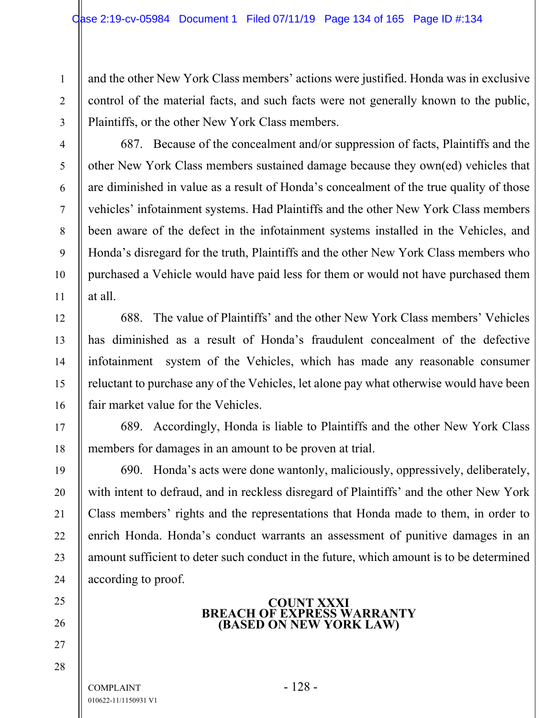and the other New York Class members' actions were justified. Honda was in exclusive control of the material facts, and such facts were not generally known to the public, Plaintiffs, or the other New York Class members.

687. Because of the concealment and/or suppression of facts, Plaintiffs and the other New York Class members sustained damage because they own(ed) vehicles that are diminished in value as a result of Honda's concealment of the true quality of those vehicles' infotainment systems. Had Plaintiffs and the other New York Class members been aware of the defect in the infotainment systems installed in the Vehicles, and Honda's disregard for the truth, Plaintiffs and the other New York Class members who purchased a Vehicle would have paid less for them or would not have purchased them at all.

688. The value of Plaintiffs' and the other New York Class members' Vehicles has diminished as a result of Honda's fraudulent concealment of the defective infotainment system of the Vehicles, which has made any reasonable consumer reluctant to purchase any of the Vehicles, let alone pay what otherwise would have been fair market value for the Vehicles.

689. Accordingly, Honda is liable to Plaintiffs and the other New York Class members for damages in an amount to be proven at trial.

690. Honda's acts were done wantonly, maliciously, oppressively, deliberately, with intent to defraud, and in reckless disregard of Plaintiffs' and the other New York Class members' rights and the representations that Honda made to them, in order to enrich Honda. Honda's conduct warrants an assessment of punitive damages in an amount sufficient to deter such conduct in the future, which amount is to be determined according to proof.

## **COUNT XXXI BREACH OF EXPRESS WARRANTY (BASED ON NEW YORK LAW)**

COMPLAINT - 128 -010622-11/1150931 V1

1

2

3

4

5

6

7

8

9

10

11

12

13

14

15

16

17

18

19

20

21

22

23

24

25

26

27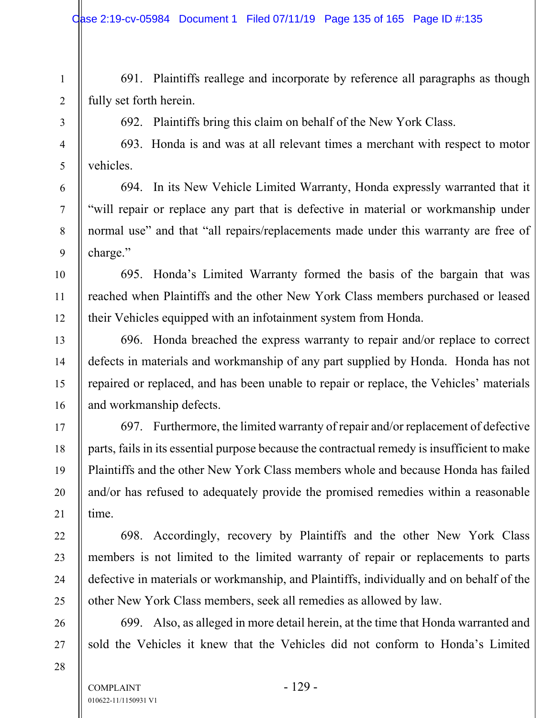691. Plaintiffs reallege and incorporate by reference all paragraphs as though fully set forth herein.

692. Plaintiffs bring this claim on behalf of the New York Class.

693. Honda is and was at all relevant times a merchant with respect to motor vehicles.

694. In its New Vehicle Limited Warranty, Honda expressly warranted that it "will repair or replace any part that is defective in material or workmanship under normal use" and that "all repairs/replacements made under this warranty are free of charge."

695. Honda's Limited Warranty formed the basis of the bargain that was reached when Plaintiffs and the other New York Class members purchased or leased their Vehicles equipped with an infotainment system from Honda.

696. Honda breached the express warranty to repair and/or replace to correct defects in materials and workmanship of any part supplied by Honda. Honda has not repaired or replaced, and has been unable to repair or replace, the Vehicles' materials and workmanship defects.

697. Furthermore, the limited warranty of repair and/or replacement of defective parts, fails in its essential purpose because the contractual remedy is insufficient to make Plaintiffs and the other New York Class members whole and because Honda has failed and/or has refused to adequately provide the promised remedies within a reasonable time.

698. Accordingly, recovery by Plaintiffs and the other New York Class members is not limited to the limited warranty of repair or replacements to parts defective in materials or workmanship, and Plaintiffs, individually and on behalf of the other New York Class members, seek all remedies as allowed by law.

699. Also, as alleged in more detail herein, at the time that Honda warranted and sold the Vehicles it knew that the Vehicles did not conform to Honda's Limited

1

2

3

4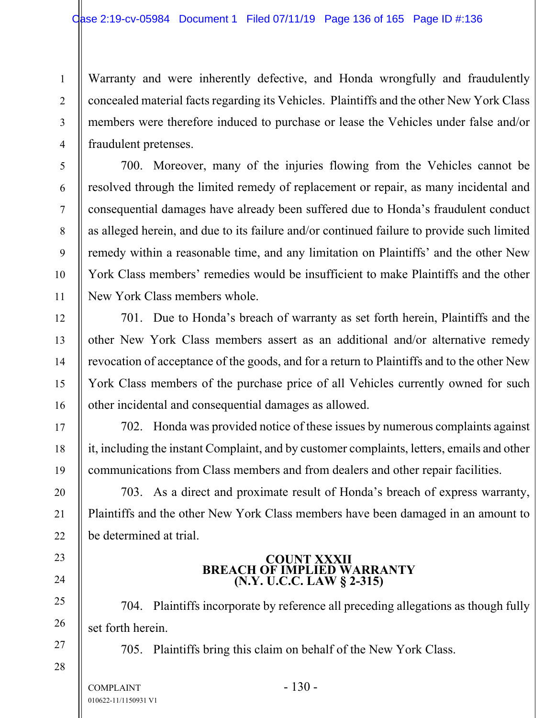Warranty and were inherently defective, and Honda wrongfully and fraudulently concealed material facts regarding its Vehicles. Plaintiffs and the other New York Class members were therefore induced to purchase or lease the Vehicles under false and/or fraudulent pretenses.

700. Moreover, many of the injuries flowing from the Vehicles cannot be resolved through the limited remedy of replacement or repair, as many incidental and consequential damages have already been suffered due to Honda's fraudulent conduct as alleged herein, and due to its failure and/or continued failure to provide such limited remedy within a reasonable time, and any limitation on Plaintiffs' and the other New York Class members' remedies would be insufficient to make Plaintiffs and the other New York Class members whole.

701. Due to Honda's breach of warranty as set forth herein, Plaintiffs and the other New York Class members assert as an additional and/or alternative remedy revocation of acceptance of the goods, and for a return to Plaintiffs and to the other New York Class members of the purchase price of all Vehicles currently owned for such other incidental and consequential damages as allowed.

702. Honda was provided notice of these issues by numerous complaints against it, including the instant Complaint, and by customer complaints, letters, emails and other communications from Class members and from dealers and other repair facilities.

703. As a direct and proximate result of Honda's breach of express warranty, Plaintiffs and the other New York Class members have been damaged in an amount to be determined at trial.

# **COUNT XXXII BREACH OF IMPLIED WARRANTY (N.Y. U.C.C. LAW § 2-315)**

704. Plaintiffs incorporate by reference all preceding allegations as though fully set forth herein.

705. Plaintiffs bring this claim on behalf of the New York Class.

1

2

3

4

5

6

7

8

9

10

11

12

13

14

15

16

17

18

19

20

21

22

23

24

25

26

27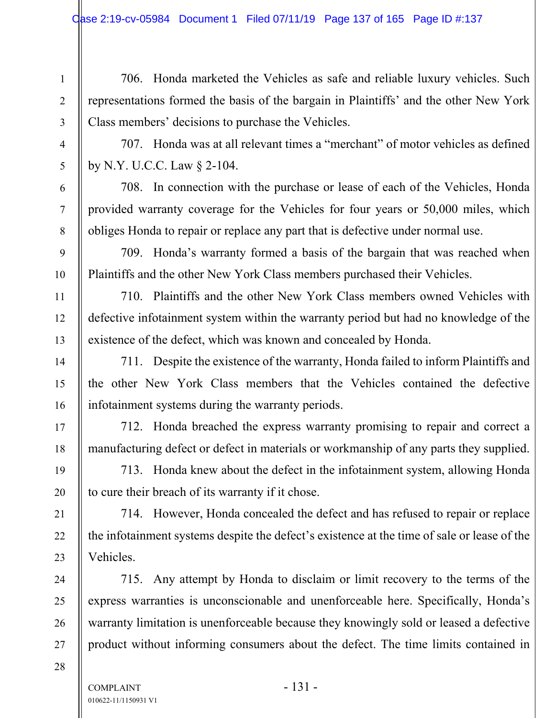706. Honda marketed the Vehicles as safe and reliable luxury vehicles. Such representations formed the basis of the bargain in Plaintiffs' and the other New York Class members' decisions to purchase the Vehicles.

707. Honda was at all relevant times a "merchant" of motor vehicles as defined by N.Y. U.C.C. Law § 2-104.

708. In connection with the purchase or lease of each of the Vehicles, Honda provided warranty coverage for the Vehicles for four years or 50,000 miles, which obliges Honda to repair or replace any part that is defective under normal use.

709. Honda's warranty formed a basis of the bargain that was reached when Plaintiffs and the other New York Class members purchased their Vehicles.

710. Plaintiffs and the other New York Class members owned Vehicles with defective infotainment system within the warranty period but had no knowledge of the existence of the defect, which was known and concealed by Honda.

711. Despite the existence of the warranty, Honda failed to inform Plaintiffs and the other New York Class members that the Vehicles contained the defective infotainment systems during the warranty periods.

712. Honda breached the express warranty promising to repair and correct a manufacturing defect or defect in materials or workmanship of any parts they supplied.

713. Honda knew about the defect in the infotainment system, allowing Honda to cure their breach of its warranty if it chose.

714. However, Honda concealed the defect and has refused to repair or replace the infotainment systems despite the defect's existence at the time of sale or lease of the Vehicles.

715. Any attempt by Honda to disclaim or limit recovery to the terms of the express warranties is unconscionable and unenforceable here. Specifically, Honda's warranty limitation is unenforceable because they knowingly sold or leased a defective product without informing consumers about the defect. The time limits contained in

28

1

2

3

4

5

6

7

8

9

10

11

12

13

14

15

16

17

18

19

20

21

22

23

24

25

26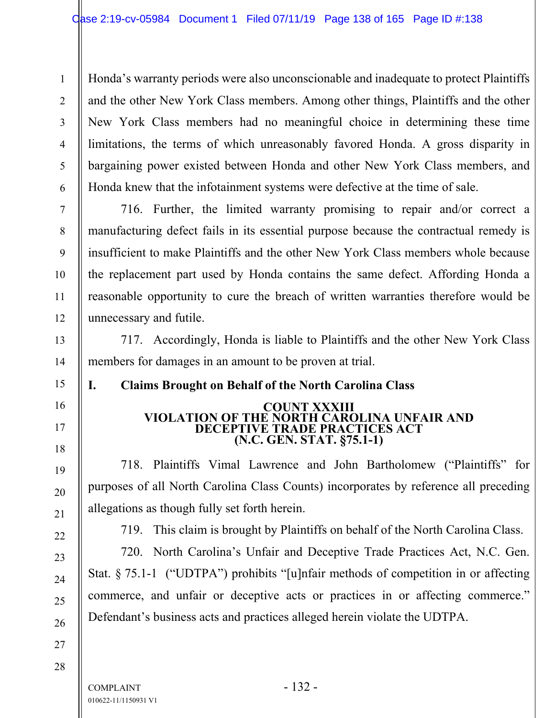Honda's warranty periods were also unconscionable and inadequate to protect Plaintiffs and the other New York Class members. Among other things, Plaintiffs and the other New York Class members had no meaningful choice in determining these time limitations, the terms of which unreasonably favored Honda. A gross disparity in bargaining power existed between Honda and other New York Class members, and Honda knew that the infotainment systems were defective at the time of sale.

716. Further, the limited warranty promising to repair and/or correct a manufacturing defect fails in its essential purpose because the contractual remedy is insufficient to make Plaintiffs and the other New York Class members whole because the replacement part used by Honda contains the same defect. Affording Honda a reasonable opportunity to cure the breach of written warranties therefore would be unnecessary and futile.

717. Accordingly, Honda is liable to Plaintiffs and the other New York Class members for damages in an amount to be proven at trial.

# **I. Claims Brought on Behalf of the North Carolina Class**

#### **COUNT XXXIII VIOLATION OF THE NORTH CAROLINA UNFAIR AND DECEPTIVE TRADE PRACTICES ACT (N.C. GEN. STAT. §75.1-1)**

718. Plaintiffs Vimal Lawrence and John Bartholomew ("Plaintiffs" for purposes of all North Carolina Class Counts) incorporates by reference all preceding allegations as though fully set forth herein.

719. This claim is brought by Plaintiffs on behalf of the North Carolina Class.

720. North Carolina's Unfair and Deceptive Trade Practices Act, N.C. Gen. Stat. § 75.1-1 ("UDTPA") prohibits "[u]nfair methods of competition in or affecting commerce, and unfair or deceptive acts or practices in or affecting commerce." Defendant's business acts and practices alleged herein violate the UDTPA.

28

1

2

3

4

5

6

7

8

9

10

11

12

13

14

15

16

17

18

19

20

21

22

23

24

25

26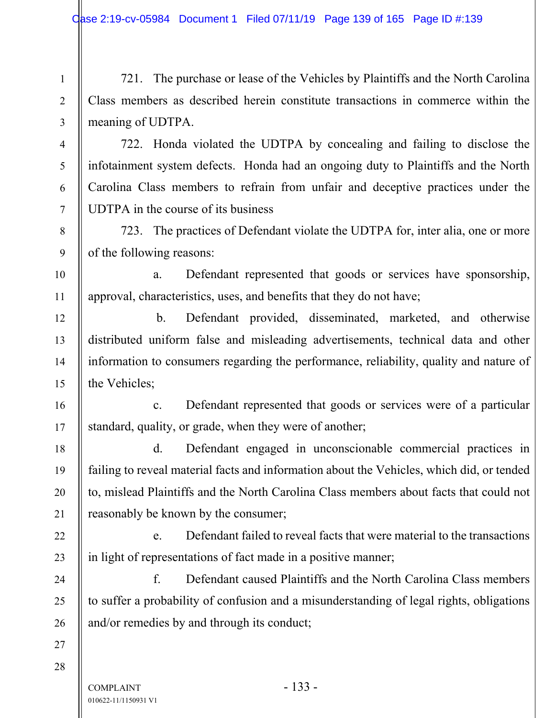721. The purchase or lease of the Vehicles by Plaintiffs and the North Carolina Class members as described herein constitute transactions in commerce within the meaning of UDTPA.

722. Honda violated the UDTPA by concealing and failing to disclose the infotainment system defects. Honda had an ongoing duty to Plaintiffs and the North Carolina Class members to refrain from unfair and deceptive practices under the UDTPA in the course of its business

723. The practices of Defendant violate the UDTPA for, inter alia, one or more of the following reasons:

 a. Defendant represented that goods or services have sponsorship, approval, characteristics, uses, and benefits that they do not have;

 b. Defendant provided, disseminated, marketed, and otherwise distributed uniform false and misleading advertisements, technical data and other information to consumers regarding the performance, reliability, quality and nature of the Vehicles;

 c. Defendant represented that goods or services were of a particular standard, quality, or grade, when they were of another;

 d. Defendant engaged in unconscionable commercial practices in failing to reveal material facts and information about the Vehicles, which did, or tended to, mislead Plaintiffs and the North Carolina Class members about facts that could not reasonably be known by the consumer;

 e. Defendant failed to reveal facts that were material to the transactions in light of representations of fact made in a positive manner;

 f. Defendant caused Plaintiffs and the North Carolina Class members to suffer a probability of confusion and a misunderstanding of legal rights, obligations and/or remedies by and through its conduct;

27 28

1

2

3

4

5

6

7

8

9

10

11

12

13

14

15

16

17

18

19

20

21

22

23

24

25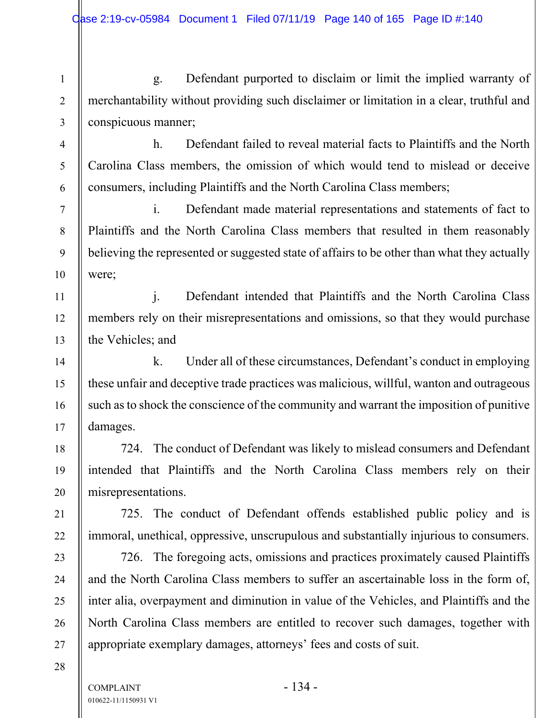g. Defendant purported to disclaim or limit the implied warranty of merchantability without providing such disclaimer or limitation in a clear, truthful and conspicuous manner;

 h. Defendant failed to reveal material facts to Plaintiffs and the North Carolina Class members, the omission of which would tend to mislead or deceive consumers, including Plaintiffs and the North Carolina Class members;

 i. Defendant made material representations and statements of fact to Plaintiffs and the North Carolina Class members that resulted in them reasonably believing the represented or suggested state of affairs to be other than what they actually were;

 j. Defendant intended that Plaintiffs and the North Carolina Class members rely on their misrepresentations and omissions, so that they would purchase the Vehicles; and

 k. Under all of these circumstances, Defendant's conduct in employing these unfair and deceptive trade practices was malicious, willful, wanton and outrageous such as to shock the conscience of the community and warrant the imposition of punitive damages.

724. The conduct of Defendant was likely to mislead consumers and Defendant intended that Plaintiffs and the North Carolina Class members rely on their misrepresentations.

725. The conduct of Defendant offends established public policy and is immoral, unethical, oppressive, unscrupulous and substantially injurious to consumers.

726. The foregoing acts, omissions and practices proximately caused Plaintiffs and the North Carolina Class members to suffer an ascertainable loss in the form of, inter alia, overpayment and diminution in value of the Vehicles, and Plaintiffs and the North Carolina Class members are entitled to recover such damages, together with appropriate exemplary damages, attorneys' fees and costs of suit.

28

1

2

3

4

5

6

7

8

9

10

11

12

13

14

15

16

17

18

19

20

21

22

23

24

25

26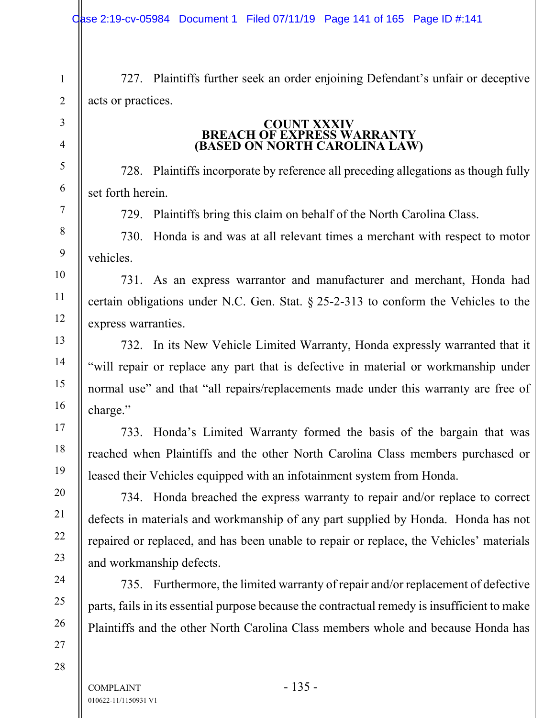727. Plaintiffs further seek an order enjoining Defendant's unfair or deceptive acts or practices.

# **COUNT XXXIV BREACH OF EXPRESS WARRANTY (BASED ON NORTH CAROLINA LAW)**

728. Plaintiffs incorporate by reference all preceding allegations as though fully set forth herein.

729. Plaintiffs bring this claim on behalf of the North Carolina Class.

730. Honda is and was at all relevant times a merchant with respect to motor vehicles.

731. As an express warrantor and manufacturer and merchant, Honda had certain obligations under N.C. Gen. Stat. § 25-2-313 to conform the Vehicles to the express warranties.

732. In its New Vehicle Limited Warranty, Honda expressly warranted that it "will repair or replace any part that is defective in material or workmanship under normal use" and that "all repairs/replacements made under this warranty are free of charge."

733. Honda's Limited Warranty formed the basis of the bargain that was reached when Plaintiffs and the other North Carolina Class members purchased or leased their Vehicles equipped with an infotainment system from Honda.

734. Honda breached the express warranty to repair and/or replace to correct defects in materials and workmanship of any part supplied by Honda. Honda has not repaired or replaced, and has been unable to repair or replace, the Vehicles' materials and workmanship defects.

735. Furthermore, the limited warranty of repair and/or replacement of defective parts, fails in its essential purpose because the contractual remedy is insufficient to make Plaintiffs and the other North Carolina Class members whole and because Honda has

1

2

3

4

5

6

7

8

9

10

11

12

13

14

15

16

17

18

19

20

21

22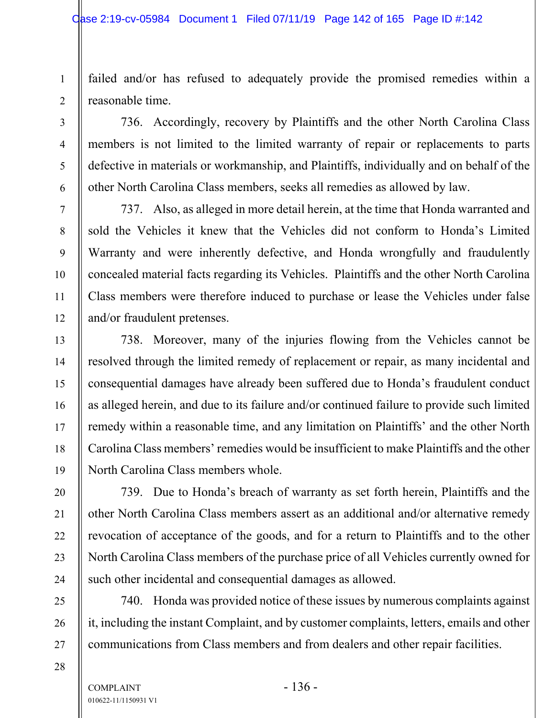failed and/or has refused to adequately provide the promised remedies within a reasonable time.

736. Accordingly, recovery by Plaintiffs and the other North Carolina Class members is not limited to the limited warranty of repair or replacements to parts defective in materials or workmanship, and Plaintiffs, individually and on behalf of the other North Carolina Class members, seeks all remedies as allowed by law.

737. Also, as alleged in more detail herein, at the time that Honda warranted and sold the Vehicles it knew that the Vehicles did not conform to Honda's Limited Warranty and were inherently defective, and Honda wrongfully and fraudulently concealed material facts regarding its Vehicles. Plaintiffs and the other North Carolina Class members were therefore induced to purchase or lease the Vehicles under false and/or fraudulent pretenses.

738. Moreover, many of the injuries flowing from the Vehicles cannot be resolved through the limited remedy of replacement or repair, as many incidental and consequential damages have already been suffered due to Honda's fraudulent conduct as alleged herein, and due to its failure and/or continued failure to provide such limited remedy within a reasonable time, and any limitation on Plaintiffs' and the other North Carolina Class members' remedies would be insufficient to make Plaintiffs and the other North Carolina Class members whole.

739. Due to Honda's breach of warranty as set forth herein, Plaintiffs and the other North Carolina Class members assert as an additional and/or alternative remedy revocation of acceptance of the goods, and for a return to Plaintiffs and to the other North Carolina Class members of the purchase price of all Vehicles currently owned for such other incidental and consequential damages as allowed.

740. Honda was provided notice of these issues by numerous complaints against it, including the instant Complaint, and by customer complaints, letters, emails and other communications from Class members and from dealers and other repair facilities.

28

1

2

3

4

5

6

7

8

9

10

11

12

13

14

15

16

17

18

19

20

21

22

23

24

25

26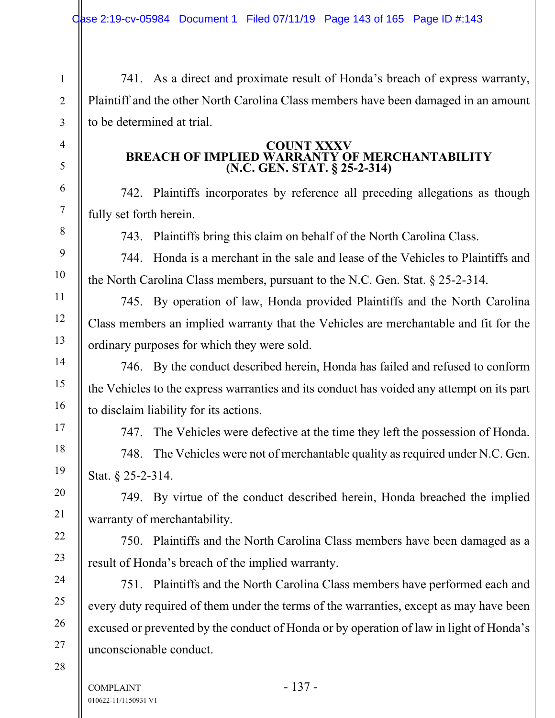741. As a direct and proximate result of Honda's breach of express warranty, Plaintiff and the other North Carolina Class members have been damaged in an amount to be determined at trial.

#### **COUNT XXXV BREACH OF IMPLIED WARRANTY OF MERCHANTABILITY (N.C. GEN. STAT. § 25-2-314)**

742. Plaintiffs incorporates by reference all preceding allegations as though fully set forth herein.

743. Plaintiffs bring this claim on behalf of the North Carolina Class.

744. Honda is a merchant in the sale and lease of the Vehicles to Plaintiffs and the North Carolina Class members, pursuant to the N.C. Gen. Stat. § 25-2-314.

745. By operation of law, Honda provided Plaintiffs and the North Carolina Class members an implied warranty that the Vehicles are merchantable and fit for the ordinary purposes for which they were sold.

746. By the conduct described herein, Honda has failed and refused to conform the Vehicles to the express warranties and its conduct has voided any attempt on its part to disclaim liability for its actions.

747. The Vehicles were defective at the time they left the possession of Honda.

748. The Vehicles were not of merchantable quality as required under N.C. Gen. Stat. § 25-2-314.

749. By virtue of the conduct described herein, Honda breached the implied warranty of merchantability.

750. Plaintiffs and the North Carolina Class members have been damaged as a result of Honda's breach of the implied warranty.

751. Plaintiffs and the North Carolina Class members have performed each and every duty required of them under the terms of the warranties, except as may have been excused or prevented by the conduct of Honda or by operation of law in light of Honda's unconscionable conduct.

28

1

2

3

4

5

6

7

8

9

10

11

12

13

14

15

16

17

18

19

20

21

22

23

24

25

26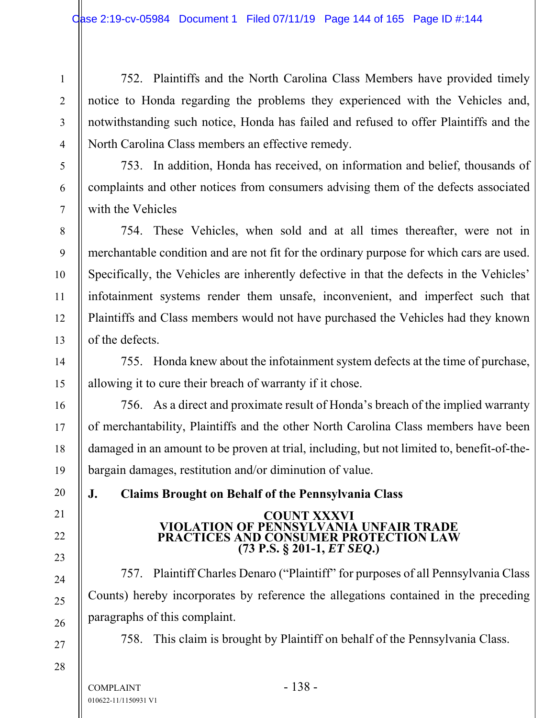752. Plaintiffs and the North Carolina Class Members have provided timely notice to Honda regarding the problems they experienced with the Vehicles and, notwithstanding such notice, Honda has failed and refused to offer Plaintiffs and the North Carolina Class members an effective remedy.

753. In addition, Honda has received, on information and belief, thousands of complaints and other notices from consumers advising them of the defects associated with the Vehicles

754. These Vehicles, when sold and at all times thereafter, were not in merchantable condition and are not fit for the ordinary purpose for which cars are used. Specifically, the Vehicles are inherently defective in that the defects in the Vehicles' infotainment systems render them unsafe, inconvenient, and imperfect such that Plaintiffs and Class members would not have purchased the Vehicles had they known of the defects.

755. Honda knew about the infotainment system defects at the time of purchase, allowing it to cure their breach of warranty if it chose.

 756. As a direct and proximate result of Honda's breach of the implied warranty of merchantability, Plaintiffs and the other North Carolina Class members have been damaged in an amount to be proven at trial, including, but not limited to, benefit-of-thebargain damages, restitution and/or diminution of value.

**J. Claims Brought on Behalf of the Pennsylvania Class** 

# **COUNT XXXVI VIOLATION OF PENNSYLVANIA UNFAIR TRADE PRACTICES AND CONSUMER PROTECTION LAW (73 P.S. § 201-1,** *ET SEQ***.)**

757. Plaintiff Charles Denaro ("Plaintiff" for purposes of all Pennsylvania Class Counts) hereby incorporates by reference the allegations contained in the preceding paragraphs of this complaint.

758. This claim is brought by Plaintiff on behalf of the Pennsylvania Class.

1

2

3

4

5

6

7

8

9

10

11

12

13

14

15

16

17

18

19

20

21

22

23

24

25

26

27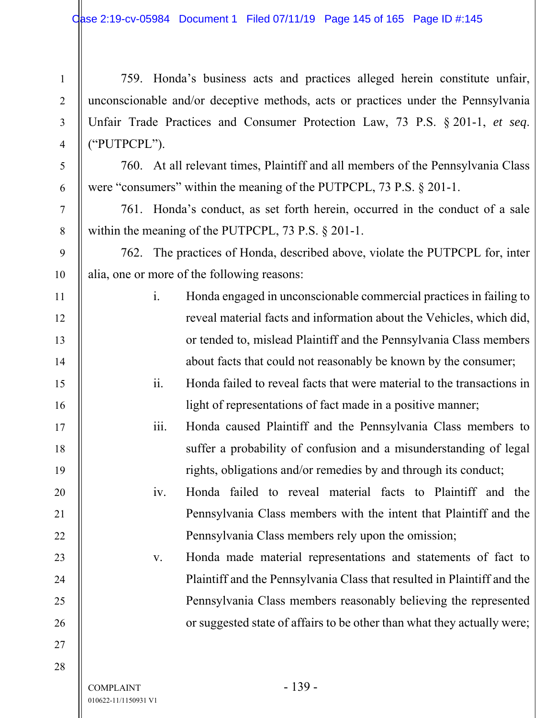759. Honda's business acts and practices alleged herein constitute unfair, unconscionable and/or deceptive methods, acts or practices under the Pennsylvania Unfair Trade Practices and Consumer Protection Law, 73 P.S. § 201-1, *et seq*. ("PUTPCPL").

760. At all relevant times, Plaintiff and all members of the Pennsylvania Class were "consumers" within the meaning of the PUTPCPL, 73 P.S. § 201-1.

761. Honda's conduct, as set forth herein, occurred in the conduct of a sale within the meaning of the PUTPCPL, 73 P.S. § 201-1.

762. The practices of Honda, described above, violate the PUTPCPL for, inter alia, one or more of the following reasons:

- i. Honda engaged in unconscionable commercial practices in failing to reveal material facts and information about the Vehicles, which did, or tended to, mislead Plaintiff and the Pennsylvania Class members about facts that could not reasonably be known by the consumer;
	- ii. Honda failed to reveal facts that were material to the transactions in light of representations of fact made in a positive manner;
- iii. Honda caused Plaintiff and the Pennsylvania Class members to suffer a probability of confusion and a misunderstanding of legal rights, obligations and/or remedies by and through its conduct;
	- iv. Honda failed to reveal material facts to Plaintiff and the Pennsylvania Class members with the intent that Plaintiff and the Pennsylvania Class members rely upon the omission;

v. Honda made material representations and statements of fact to Plaintiff and the Pennsylvania Class that resulted in Plaintiff and the Pennsylvania Class members reasonably believing the represented or suggested state of affairs to be other than what they actually were;

27 28

1

2

3

4

5

6

7

8

9

10

11

12

13

14

15

16

17

18

19

20

21

22

23

24

25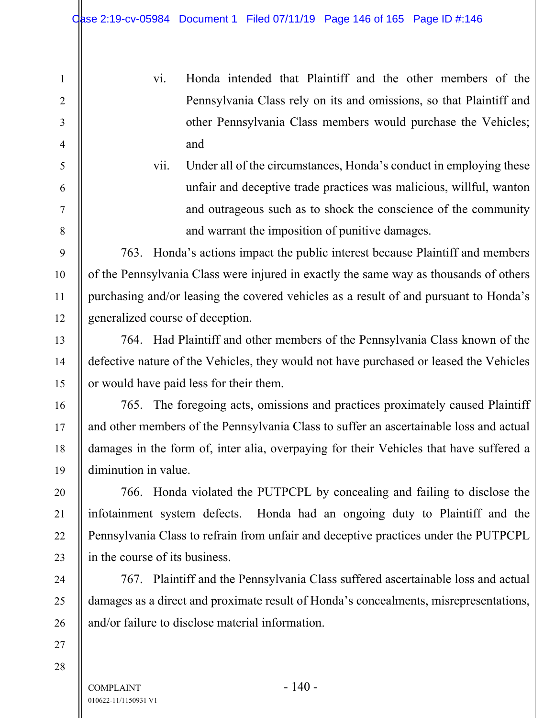vi. Honda intended that Plaintiff and the other members of the Pennsylvania Class rely on its and omissions, so that Plaintiff and other Pennsylvania Class members would purchase the Vehicles; and

vii. Under all of the circumstances, Honda's conduct in employing these unfair and deceptive trade practices was malicious, willful, wanton and outrageous such as to shock the conscience of the community and warrant the imposition of punitive damages.

763. Honda's actions impact the public interest because Plaintiff and members of the Pennsylvania Class were injured in exactly the same way as thousands of others purchasing and/or leasing the covered vehicles as a result of and pursuant to Honda's generalized course of deception.

764. Had Plaintiff and other members of the Pennsylvania Class known of the defective nature of the Vehicles, they would not have purchased or leased the Vehicles or would have paid less for their them.

765. The foregoing acts, omissions and practices proximately caused Plaintiff and other members of the Pennsylvania Class to suffer an ascertainable loss and actual damages in the form of, inter alia, overpaying for their Vehicles that have suffered a diminution in value.

766. Honda violated the PUTPCPL by concealing and failing to disclose the infotainment system defects. Honda had an ongoing duty to Plaintiff and the Pennsylvania Class to refrain from unfair and deceptive practices under the PUTPCPL in the course of its business.

767. Plaintiff and the Pennsylvania Class suffered ascertainable loss and actual damages as a direct and proximate result of Honda's concealments, misrepresentations, and/or failure to disclose material information.

28

1

2

3

4

5

6

7

8

9

10

11

12

13

14

15

16

17

18

19

20

21

22

23

24

25

26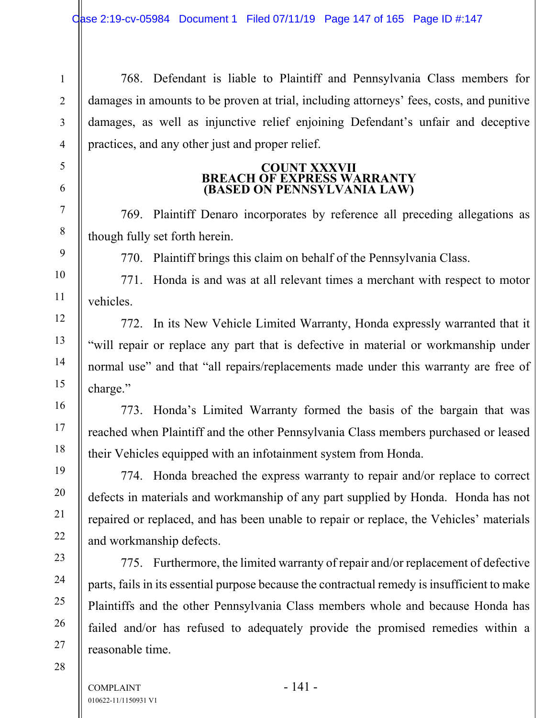768. Defendant is liable to Plaintiff and Pennsylvania Class members for damages in amounts to be proven at trial, including attorneys' fees, costs, and punitive damages, as well as injunctive relief enjoining Defendant's unfair and deceptive practices, and any other just and proper relief.

## **COUNT XXXVII BREACH OF EXPRESS WARRANTY (BASED ON PENNSYLVANIA LAW)**

769. Plaintiff Denaro incorporates by reference all preceding allegations as though fully set forth herein.

770. Plaintiff brings this claim on behalf of the Pennsylvania Class.

771. Honda is and was at all relevant times a merchant with respect to motor vehicles.

772. In its New Vehicle Limited Warranty, Honda expressly warranted that it "will repair or replace any part that is defective in material or workmanship under normal use" and that "all repairs/replacements made under this warranty are free of charge."

773. Honda's Limited Warranty formed the basis of the bargain that was reached when Plaintiff and the other Pennsylvania Class members purchased or leased their Vehicles equipped with an infotainment system from Honda.

774. Honda breached the express warranty to repair and/or replace to correct defects in materials and workmanship of any part supplied by Honda. Honda has not repaired or replaced, and has been unable to repair or replace, the Vehicles' materials and workmanship defects.

775. Furthermore, the limited warranty of repair and/or replacement of defective parts, fails in its essential purpose because the contractual remedy is insufficient to make Plaintiffs and the other Pennsylvania Class members whole and because Honda has failed and/or has refused to adequately provide the promised remedies within a reasonable time.

1

2

 $COMPLANT$  - 141 -010622-11/1150931 V1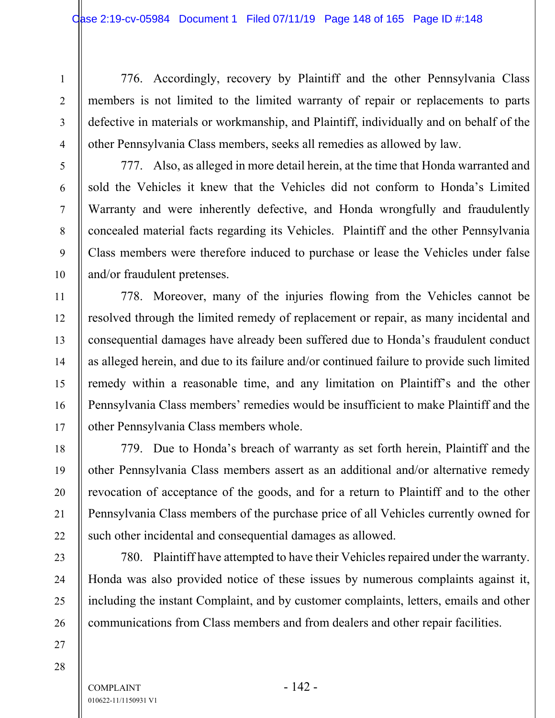776. Accordingly, recovery by Plaintiff and the other Pennsylvania Class members is not limited to the limited warranty of repair or replacements to parts defective in materials or workmanship, and Plaintiff, individually and on behalf of the other Pennsylvania Class members, seeks all remedies as allowed by law.

777. Also, as alleged in more detail herein, at the time that Honda warranted and sold the Vehicles it knew that the Vehicles did not conform to Honda's Limited Warranty and were inherently defective, and Honda wrongfully and fraudulently concealed material facts regarding its Vehicles. Plaintiff and the other Pennsylvania Class members were therefore induced to purchase or lease the Vehicles under false and/or fraudulent pretenses.

778. Moreover, many of the injuries flowing from the Vehicles cannot be resolved through the limited remedy of replacement or repair, as many incidental and consequential damages have already been suffered due to Honda's fraudulent conduct as alleged herein, and due to its failure and/or continued failure to provide such limited remedy within a reasonable time, and any limitation on Plaintiff's and the other Pennsylvania Class members' remedies would be insufficient to make Plaintiff and the other Pennsylvania Class members whole.

779. Due to Honda's breach of warranty as set forth herein, Plaintiff and the other Pennsylvania Class members assert as an additional and/or alternative remedy revocation of acceptance of the goods, and for a return to Plaintiff and to the other Pennsylvania Class members of the purchase price of all Vehicles currently owned for such other incidental and consequential damages as allowed.

780. Plaintiff have attempted to have their Vehicles repaired under the warranty. Honda was also provided notice of these issues by numerous complaints against it, including the instant Complaint, and by customer complaints, letters, emails and other communications from Class members and from dealers and other repair facilities.

1

2

3

4

5

6

7

8

9

10

11

12

13

14

15

16

17

18

19

20

21

22

23

24

25

26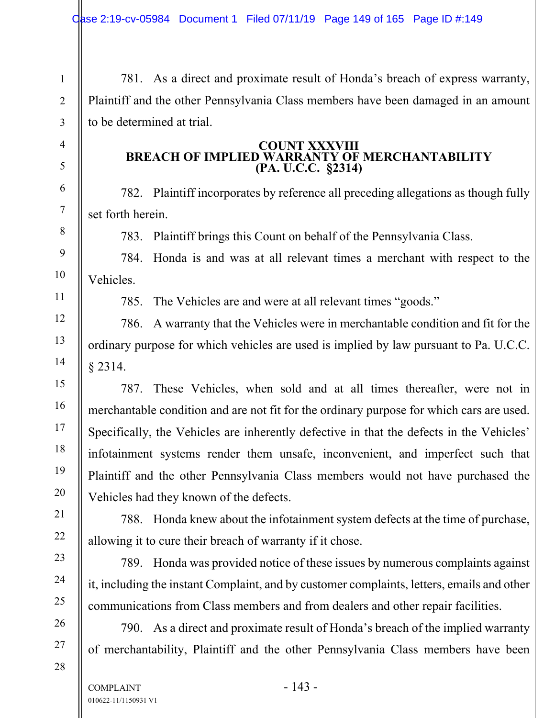781. As a direct and proximate result of Honda's breach of express warranty, Plaintiff and the other Pennsylvania Class members have been damaged in an amount to be determined at trial.

## **COUNT XXXVIII BREACH OF IMPLIED WARRANTY OF MERCHANTABILITY (PA. U.C.C. §2314)**

782. Plaintiff incorporates by reference all preceding allegations as though fully set forth herein.

783. Plaintiff brings this Count on behalf of the Pennsylvania Class.

784. Honda is and was at all relevant times a merchant with respect to the Vehicles.

1

2

3

4

5

6

7

8

9

10

11

12

13

14

15

16

17

18

19

20

21

22

23

24

25

26

27

28

785. The Vehicles are and were at all relevant times "goods."

786. A warranty that the Vehicles were in merchantable condition and fit for the ordinary purpose for which vehicles are used is implied by law pursuant to Pa. U.C.C. § 2314.

787. These Vehicles, when sold and at all times thereafter, were not in merchantable condition and are not fit for the ordinary purpose for which cars are used. Specifically, the Vehicles are inherently defective in that the defects in the Vehicles' infotainment systems render them unsafe, inconvenient, and imperfect such that Plaintiff and the other Pennsylvania Class members would not have purchased the Vehicles had they known of the defects.

788. Honda knew about the infotainment system defects at the time of purchase, allowing it to cure their breach of warranty if it chose.

789. Honda was provided notice of these issues by numerous complaints against it, including the instant Complaint, and by customer complaints, letters, emails and other communications from Class members and from dealers and other repair facilities.

790. As a direct and proximate result of Honda's breach of the implied warranty of merchantability, Plaintiff and the other Pennsylvania Class members have been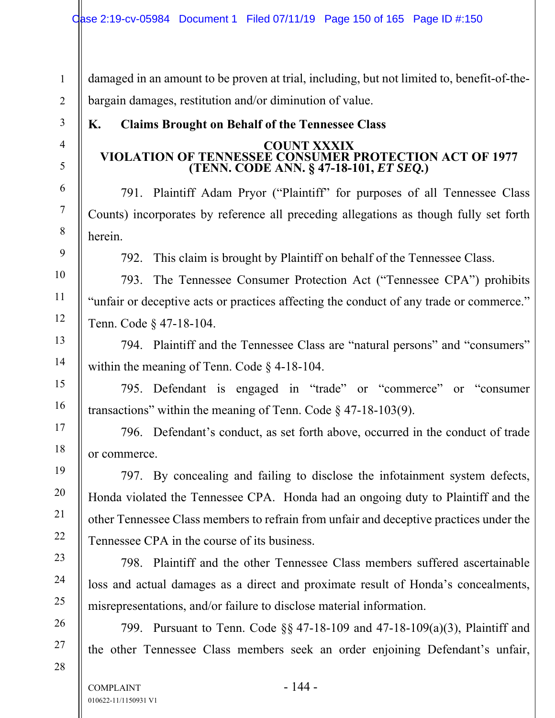damaged in an amount to be proven at trial, including, but not limited to, benefit-of-thebargain damages, restitution and/or diminution of value.

# **K. Claims Brought on Behalf of the Tennessee Class**

## **COUNT XXXIX VIOLATION OF TENNESSEE CONSUMER PROTECTION ACT OF 1977 (TENN. CODE ANN. § 47-18-101,** *ET SEQ.***)**

791. Plaintiff Adam Pryor ("Plaintiff" for purposes of all Tennessee Class Counts) incorporates by reference all preceding allegations as though fully set forth herein.

792. This claim is brought by Plaintiff on behalf of the Tennessee Class.

793. The Tennessee Consumer Protection Act ("Tennessee CPA") prohibits "unfair or deceptive acts or practices affecting the conduct of any trade or commerce." Tenn. Code § 47-18-104.

794. Plaintiff and the Tennessee Class are "natural persons" and "consumers" within the meaning of Tenn. Code § 4-18-104.

795. Defendant is engaged in "trade" or "commerce" or "consumer transactions" within the meaning of Tenn. Code  $\S$  47-18-103(9).

796. Defendant's conduct, as set forth above, occurred in the conduct of trade or commerce.

797. By concealing and failing to disclose the infotainment system defects, Honda violated the Tennessee CPA. Honda had an ongoing duty to Plaintiff and the other Tennessee Class members to refrain from unfair and deceptive practices under the Tennessee CPA in the course of its business.

798. Plaintiff and the other Tennessee Class members suffered ascertainable loss and actual damages as a direct and proximate result of Honda's concealments, misrepresentations, and/or failure to disclose material information.

799. Pursuant to Tenn. Code §§ 47-18-109 and 47-18-109(a)(3), Plaintiff and the other Tennessee Class members seek an order enjoining Defendant's unfair,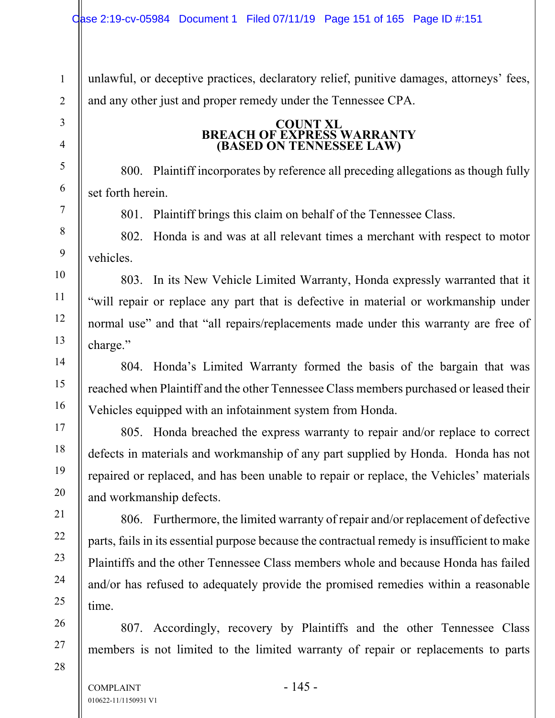unlawful, or deceptive practices, declaratory relief, punitive damages, attorneys' fees, and any other just and proper remedy under the Tennessee CPA.

# **COUNT XL BREACH OF EXPRESS WARRANTY (BASED ON TENNESSEE LAW)**

800. Plaintiff incorporates by reference all preceding allegations as though fully set forth herein.

801. Plaintiff brings this claim on behalf of the Tennessee Class.

802. Honda is and was at all relevant times a merchant with respect to motor vehicles.

803. In its New Vehicle Limited Warranty, Honda expressly warranted that it "will repair or replace any part that is defective in material or workmanship under normal use" and that "all repairs/replacements made under this warranty are free of charge."

804. Honda's Limited Warranty formed the basis of the bargain that was reached when Plaintiff and the other Tennessee Class members purchased or leased their Vehicles equipped with an infotainment system from Honda.

805. Honda breached the express warranty to repair and/or replace to correct defects in materials and workmanship of any part supplied by Honda. Honda has not repaired or replaced, and has been unable to repair or replace, the Vehicles' materials and workmanship defects.

806. Furthermore, the limited warranty of repair and/or replacement of defective parts, fails in its essential purpose because the contractual remedy is insufficient to make Plaintiffs and the other Tennessee Class members whole and because Honda has failed and/or has refused to adequately provide the promised remedies within a reasonable time.

807. Accordingly, recovery by Plaintiffs and the other Tennessee Class members is not limited to the limited warranty of repair or replacements to parts

1

2

3

4

5

6

7

8

9

10

11

12

13

14

15

16

17

18

19

20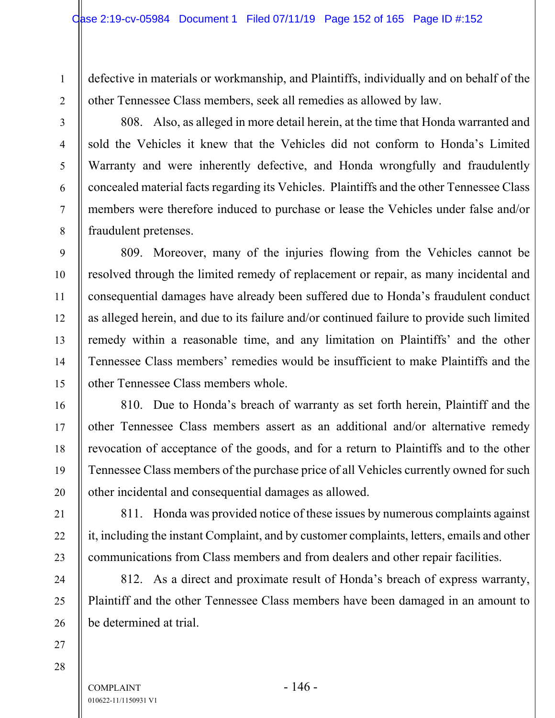defective in materials or workmanship, and Plaintiffs, individually and on behalf of the other Tennessee Class members, seek all remedies as allowed by law.

808. Also, as alleged in more detail herein, at the time that Honda warranted and sold the Vehicles it knew that the Vehicles did not conform to Honda's Limited Warranty and were inherently defective, and Honda wrongfully and fraudulently concealed material facts regarding its Vehicles. Plaintiffs and the other Tennessee Class members were therefore induced to purchase or lease the Vehicles under false and/or fraudulent pretenses.

809. Moreover, many of the injuries flowing from the Vehicles cannot be resolved through the limited remedy of replacement or repair, as many incidental and consequential damages have already been suffered due to Honda's fraudulent conduct as alleged herein, and due to its failure and/or continued failure to provide such limited remedy within a reasonable time, and any limitation on Plaintiffs' and the other Tennessee Class members' remedies would be insufficient to make Plaintiffs and the other Tennessee Class members whole.

810. Due to Honda's breach of warranty as set forth herein, Plaintiff and the other Tennessee Class members assert as an additional and/or alternative remedy revocation of acceptance of the goods, and for a return to Plaintiffs and to the other Tennessee Class members of the purchase price of all Vehicles currently owned for such other incidental and consequential damages as allowed.

811. Honda was provided notice of these issues by numerous complaints against it, including the instant Complaint, and by customer complaints, letters, emails and other communications from Class members and from dealers and other repair facilities.

812. As a direct and proximate result of Honda's breach of express warranty, Plaintiff and the other Tennessee Class members have been damaged in an amount to be determined at trial.

28

1

2

3

4

5

6

7

8

9

10

11

12

13

14

15

16

17

18

19

20

21

22

23

24

25

26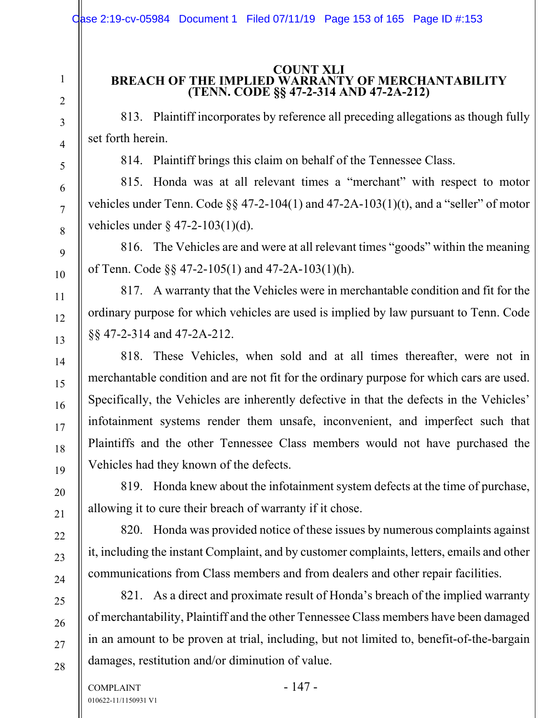# **COUNT XLI BREACH OF THE IMPLIED WARRANTY OF MERCHANTABILITY (TENN. CODE §§ 47-2-314 AND 47-2A-212)**

813. Plaintiff incorporates by reference all preceding allegations as though fully set forth herein.

814. Plaintiff brings this claim on behalf of the Tennessee Class.

815. Honda was at all relevant times a "merchant" with respect to motor vehicles under Tenn. Code §§ 47-2-104(1) and 47-2A-103(1)(t), and a "seller" of motor vehicles under § 47-2-103(1)(d).

816. The Vehicles are and were at all relevant times "goods" within the meaning of Tenn. Code §§ 47-2-105(1) and 47-2A-103(1)(h).

817. A warranty that the Vehicles were in merchantable condition and fit for the ordinary purpose for which vehicles are used is implied by law pursuant to Tenn. Code §§ 47-2-314 and 47-2A-212.

818. These Vehicles, when sold and at all times thereafter, were not in merchantable condition and are not fit for the ordinary purpose for which cars are used. Specifically, the Vehicles are inherently defective in that the defects in the Vehicles' infotainment systems render them unsafe, inconvenient, and imperfect such that Plaintiffs and the other Tennessee Class members would not have purchased the Vehicles had they known of the defects.

819. Honda knew about the infotainment system defects at the time of purchase, allowing it to cure their breach of warranty if it chose.

820. Honda was provided notice of these issues by numerous complaints against it, including the instant Complaint, and by customer complaints, letters, emails and other communications from Class members and from dealers and other repair facilities.

821. As a direct and proximate result of Honda's breach of the implied warranty of merchantability, Plaintiff and the other Tennessee Class members have been damaged in an amount to be proven at trial, including, but not limited to, benefit-of-the-bargain damages, restitution and/or diminution of value.

1

2

3

4

5

6

7

8

9

10

11

12

13

14

15

16

17

18

19

20

21

22

23

24

25

26

27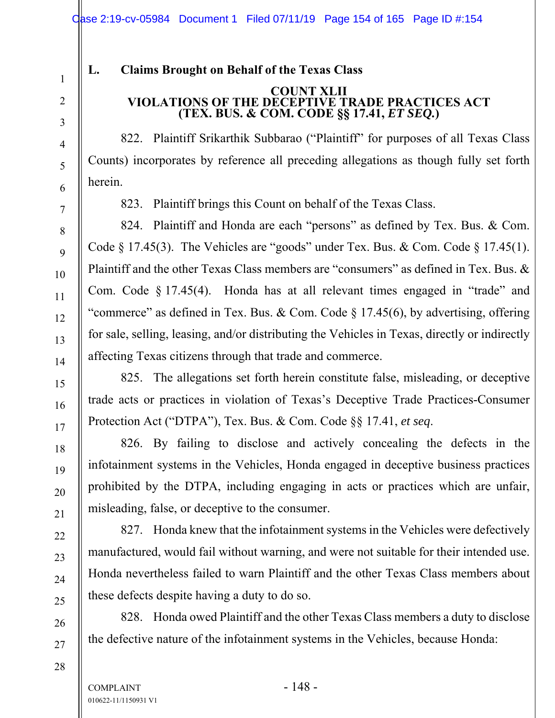# **L. Claims Brought on Behalf of the Texas Class**

#### **COUNT XLII VIOLATIONS OF THE DECEPTIVE TRADE PRACTICES ACT (TEX. BUS. & COM. CODE §§ 17.41,** *ET SEQ.***)**

822. Plaintiff Srikarthik Subbarao ("Plaintiff" for purposes of all Texas Class Counts) incorporates by reference all preceding allegations as though fully set forth herein.

823. Plaintiff brings this Count on behalf of the Texas Class.

824. Plaintiff and Honda are each "persons" as defined by Tex. Bus. & Com. Code  $\S 17.45(3)$ . The Vehicles are "goods" under Tex. Bus. & Com. Code  $\S 17.45(1)$ . Plaintiff and the other Texas Class members are "consumers" as defined in Tex. Bus. & Com. Code § 17.45(4). Honda has at all relevant times engaged in "trade" and "commerce" as defined in Tex. Bus. & Com. Code § 17.45(6), by advertising, offering for sale, selling, leasing, and/or distributing the Vehicles in Texas, directly or indirectly affecting Texas citizens through that trade and commerce.

825. The allegations set forth herein constitute false, misleading, or deceptive trade acts or practices in violation of Texas's Deceptive Trade Practices-Consumer Protection Act ("DTPA"), Tex. Bus. & Com. Code §§ 17.41, *et seq*.

826. By failing to disclose and actively concealing the defects in the infotainment systems in the Vehicles, Honda engaged in deceptive business practices prohibited by the DTPA, including engaging in acts or practices which are unfair, misleading, false, or deceptive to the consumer.

827. Honda knew that the infotainment systems in the Vehicles were defectively manufactured, would fail without warning, and were not suitable for their intended use. Honda nevertheless failed to warn Plaintiff and the other Texas Class members about these defects despite having a duty to do so.

828. Honda owed Plaintiff and the other Texas Class members a duty to disclose the defective nature of the infotainment systems in the Vehicles, because Honda:

 $COMPLAINT$  - 148 -010622-11/1150931 V1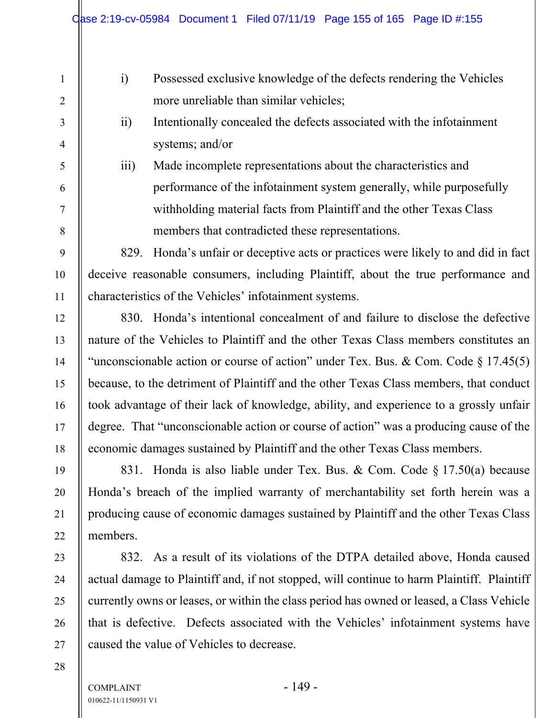5

6

7

8

9

10

11

12

13

14

15

16

17

18

19

20

21

22

23

24

25

26

27

- i) Possessed exclusive knowledge of the defects rendering the Vehicles more unreliable than similar vehicles;
- ii) Intentionally concealed the defects associated with the infotainment systems; and/or
- iii) Made incomplete representations about the characteristics and performance of the infotainment system generally, while purposefully withholding material facts from Plaintiff and the other Texas Class members that contradicted these representations.

829. Honda's unfair or deceptive acts or practices were likely to and did in fact deceive reasonable consumers, including Plaintiff, about the true performance and characteristics of the Vehicles' infotainment systems.

830. Honda's intentional concealment of and failure to disclose the defective nature of the Vehicles to Plaintiff and the other Texas Class members constitutes an "unconscionable action or course of action" under Tex. Bus. & Com. Code  $\S 17.45(5)$ because, to the detriment of Plaintiff and the other Texas Class members, that conduct took advantage of their lack of knowledge, ability, and experience to a grossly unfair degree. That "unconscionable action or course of action" was a producing cause of the economic damages sustained by Plaintiff and the other Texas Class members.

831. Honda is also liable under Tex. Bus. & Com. Code § 17.50(a) because Honda's breach of the implied warranty of merchantability set forth herein was a producing cause of economic damages sustained by Plaintiff and the other Texas Class members.

832. As a result of its violations of the DTPA detailed above, Honda caused actual damage to Plaintiff and, if not stopped, will continue to harm Plaintiff. Plaintiff currently owns or leases, or within the class period has owned or leased, a Class Vehicle that is defective. Defects associated with the Vehicles' infotainment systems have caused the value of Vehicles to decrease.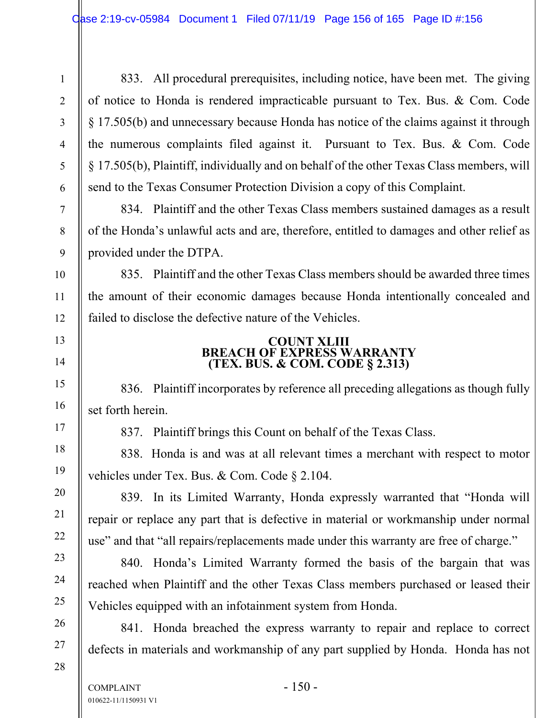833. All procedural prerequisites, including notice, have been met. The giving of notice to Honda is rendered impracticable pursuant to Tex. Bus. & Com. Code § 17.505(b) and unnecessary because Honda has notice of the claims against it through the numerous complaints filed against it. Pursuant to Tex. Bus. & Com. Code § 17.505(b), Plaintiff, individually and on behalf of the other Texas Class members, will send to the Texas Consumer Protection Division a copy of this Complaint.

834. Plaintiff and the other Texas Class members sustained damages as a result of the Honda's unlawful acts and are, therefore, entitled to damages and other relief as provided under the DTPA.

835. Plaintiff and the other Texas Class members should be awarded three times the amount of their economic damages because Honda intentionally concealed and failed to disclose the defective nature of the Vehicles.

# **COUNT XLIII BREACH OF EXPRESS WARRANTY (TEX. BUS. & COM. CODE § 2.313)**

836. Plaintiff incorporates by reference all preceding allegations as though fully set forth herein.

837. Plaintiff brings this Count on behalf of the Texas Class.

838. Honda is and was at all relevant times a merchant with respect to motor vehicles under Tex. Bus. & Com. Code § 2.104.

839. In its Limited Warranty, Honda expressly warranted that "Honda will repair or replace any part that is defective in material or workmanship under normal use" and that "all repairs/replacements made under this warranty are free of charge."

840. Honda's Limited Warranty formed the basis of the bargain that was reached when Plaintiff and the other Texas Class members purchased or leased their Vehicles equipped with an infotainment system from Honda.

841. Honda breached the express warranty to repair and replace to correct defects in materials and workmanship of any part supplied by Honda. Honda has not

1

2

3

4

5

6

7

8

9

10

11

12

13

14

15

16

17

18

19

20

21

22

23

24

25

26

27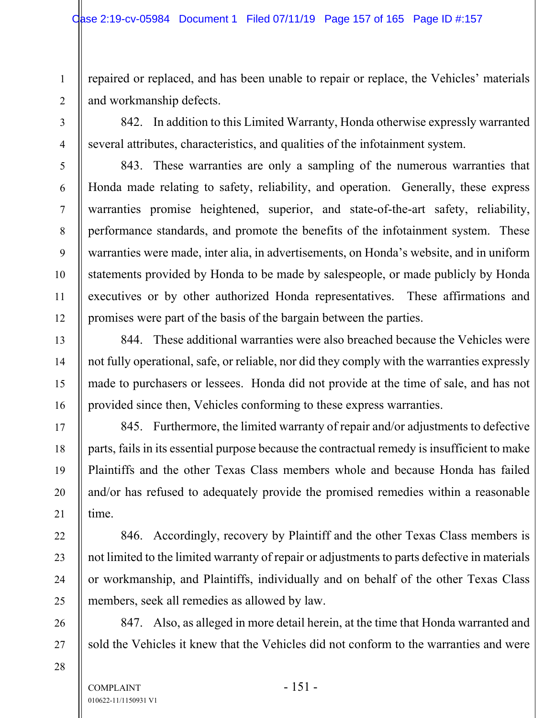repaired or replaced, and has been unable to repair or replace, the Vehicles' materials and workmanship defects.

842. In addition to this Limited Warranty, Honda otherwise expressly warranted several attributes, characteristics, and qualities of the infotainment system.

843. These warranties are only a sampling of the numerous warranties that Honda made relating to safety, reliability, and operation. Generally, these express warranties promise heightened, superior, and state-of-the-art safety, reliability, performance standards, and promote the benefits of the infotainment system. These warranties were made, inter alia, in advertisements, on Honda's website, and in uniform statements provided by Honda to be made by salespeople, or made publicly by Honda executives or by other authorized Honda representatives. These affirmations and promises were part of the basis of the bargain between the parties.

844. These additional warranties were also breached because the Vehicles were not fully operational, safe, or reliable, nor did they comply with the warranties expressly made to purchasers or lessees. Honda did not provide at the time of sale, and has not provided since then, Vehicles conforming to these express warranties.

845. Furthermore, the limited warranty of repair and/or adjustments to defective parts, fails in its essential purpose because the contractual remedy is insufficient to make Plaintiffs and the other Texas Class members whole and because Honda has failed and/or has refused to adequately provide the promised remedies within a reasonable time.

846. Accordingly, recovery by Plaintiff and the other Texas Class members is not limited to the limited warranty of repair or adjustments to parts defective in materials or workmanship, and Plaintiffs, individually and on behalf of the other Texas Class members, seek all remedies as allowed by law.

847. Also, as alleged in more detail herein, at the time that Honda warranted and sold the Vehicles it knew that the Vehicles did not conform to the warranties and were

1

2

3

4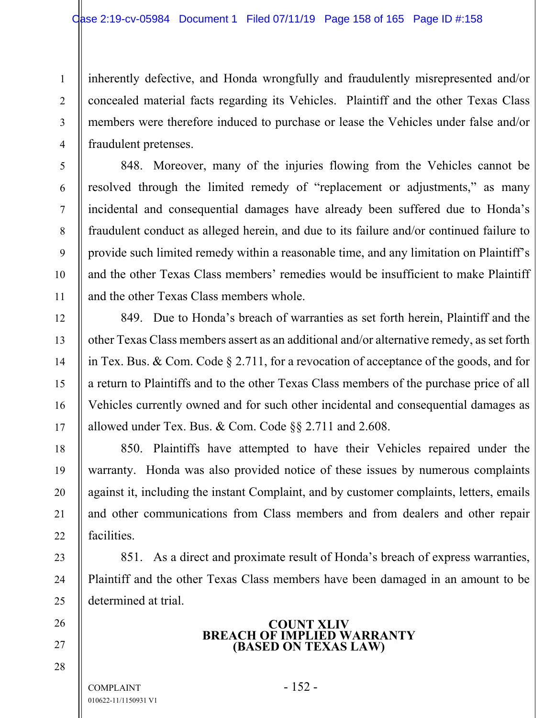inherently defective, and Honda wrongfully and fraudulently misrepresented and/or concealed material facts regarding its Vehicles. Plaintiff and the other Texas Class members were therefore induced to purchase or lease the Vehicles under false and/or fraudulent pretenses.

848. Moreover, many of the injuries flowing from the Vehicles cannot be resolved through the limited remedy of "replacement or adjustments," as many incidental and consequential damages have already been suffered due to Honda's fraudulent conduct as alleged herein, and due to its failure and/or continued failure to provide such limited remedy within a reasonable time, and any limitation on Plaintiff's and the other Texas Class members' remedies would be insufficient to make Plaintiff and the other Texas Class members whole.

849. Due to Honda's breach of warranties as set forth herein, Plaintiff and the other Texas Class members assert as an additional and/or alternative remedy, as set forth in Tex. Bus. & Com. Code § 2.711, for a revocation of acceptance of the goods, and for a return to Plaintiffs and to the other Texas Class members of the purchase price of all Vehicles currently owned and for such other incidental and consequential damages as allowed under Tex. Bus. & Com. Code §§ 2.711 and 2.608.

850. Plaintiffs have attempted to have their Vehicles repaired under the warranty. Honda was also provided notice of these issues by numerous complaints against it, including the instant Complaint, and by customer complaints, letters, emails and other communications from Class members and from dealers and other repair facilities.

851. As a direct and proximate result of Honda's breach of express warranties, Plaintiff and the other Texas Class members have been damaged in an amount to be determined at trial.

## **COUNT XLIV BREACH OF IMPLIED WARRANTY (BASED ON TEXAS LAW)**

 $COMPLANT$  - 152 -010622-11/1150931 V1

1

2

3

4

5

6

7

8

9

10

11

12

13

14

15

16

17

18

19

20

21

22

23

24

25

26

27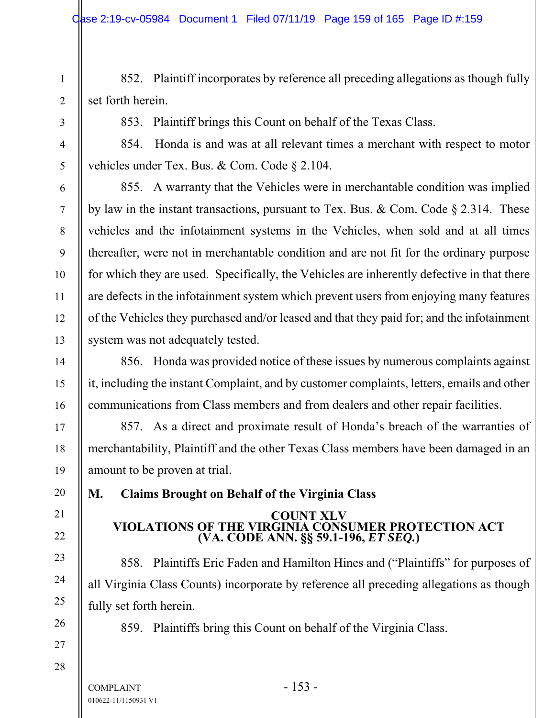852. Plaintiff incorporates by reference all preceding allegations as though fully set forth herein.

853. Plaintiff brings this Count on behalf of the Texas Class.

854. Honda is and was at all relevant times a merchant with respect to motor vehicles under Tex. Bus. & Com. Code § 2.104.

855. A warranty that the Vehicles were in merchantable condition was implied by law in the instant transactions, pursuant to Tex. Bus. & Com. Code § 2.314. These vehicles and the infotainment systems in the Vehicles, when sold and at all times thereafter, were not in merchantable condition and are not fit for the ordinary purpose for which they are used. Specifically, the Vehicles are inherently defective in that there are defects in the infotainment system which prevent users from enjoying many features of the Vehicles they purchased and/or leased and that they paid for; and the infotainment system was not adequately tested.

856. Honda was provided notice of these issues by numerous complaints against it, including the instant Complaint, and by customer complaints, letters, emails and other communications from Class members and from dealers and other repair facilities.

857. As a direct and proximate result of Honda's breach of the warranties of merchantability, Plaintiff and the other Texas Class members have been damaged in an amount to be proven at trial.

**M. Claims Brought on Behalf of the Virginia Class** 

# **COUNT XLV VIOLATIONS OF THE VIRGINIA CONSUMER PROTECTION ACT (VA. CODE ANN. §§ 59.1-196,** *ET SEQ.***)**

858. Plaintiffs Eric Faden and Hamilton Hines and ("Plaintiffs" for purposes of all Virginia Class Counts) incorporate by reference all preceding allegations as though fully set forth herein.

859. Plaintiffs bring this Count on behalf of the Virginia Class.

28

1

2

3

4

5

6

7

8

9

10

11

12

13

14

15

16

17

18

19

20

21

22

23

24

25

26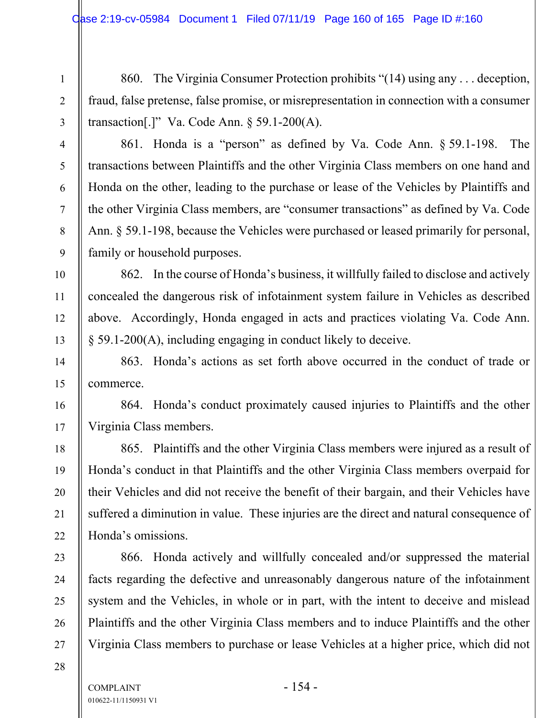860. The Virginia Consumer Protection prohibits "(14) using any . . . deception, fraud, false pretense, false promise, or misrepresentation in connection with a consumer transaction[.]" Va. Code Ann.  $\S$  59.1-200(A).

861. Honda is a "person" as defined by Va. Code Ann. § 59.1-198. The transactions between Plaintiffs and the other Virginia Class members on one hand and Honda on the other, leading to the purchase or lease of the Vehicles by Plaintiffs and the other Virginia Class members, are "consumer transactions" as defined by Va. Code Ann. § 59.1-198, because the Vehicles were purchased or leased primarily for personal, family or household purposes.

862. In the course of Honda's business, it willfully failed to disclose and actively concealed the dangerous risk of infotainment system failure in Vehicles as described above. Accordingly, Honda engaged in acts and practices violating Va. Code Ann. § 59.1-200(A), including engaging in conduct likely to deceive.

863. Honda's actions as set forth above occurred in the conduct of trade or commerce.

864. Honda's conduct proximately caused injuries to Plaintiffs and the other Virginia Class members.

865. Plaintiffs and the other Virginia Class members were injured as a result of Honda's conduct in that Plaintiffs and the other Virginia Class members overpaid for their Vehicles and did not receive the benefit of their bargain, and their Vehicles have suffered a diminution in value. These injuries are the direct and natural consequence of Honda's omissions.

866. Honda actively and willfully concealed and/or suppressed the material facts regarding the defective and unreasonably dangerous nature of the infotainment system and the Vehicles, in whole or in part, with the intent to deceive and mislead Plaintiffs and the other Virginia Class members and to induce Plaintiffs and the other Virginia Class members to purchase or lease Vehicles at a higher price, which did not

1

2

3

4

5

6

7

8

9

10

11

12

13

14

15

16

17

18

19

20

21

22

23

24

25

26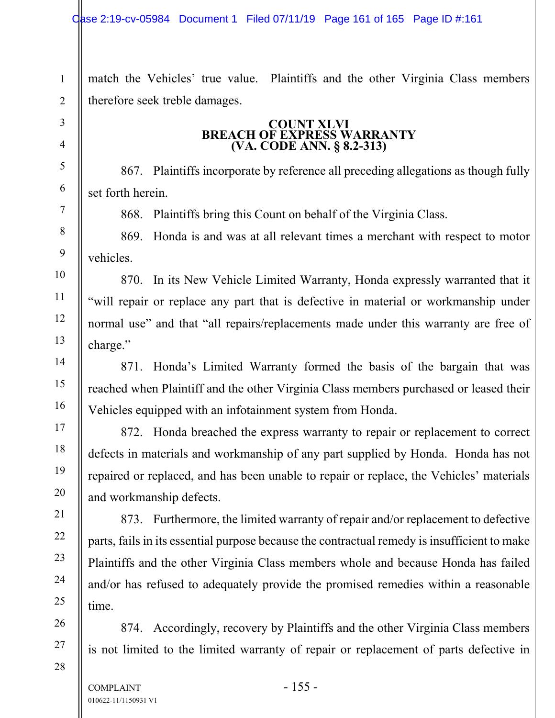match the Vehicles' true value. Plaintiffs and the other Virginia Class members therefore seek treble damages.

# **COUNT XLVI BREACH OF EXPRESS WARRANTY (VA. CODE ANN. § 8.2-313)**

867. Plaintiffs incorporate by reference all preceding allegations as though fully set forth herein.

868. Plaintiffs bring this Count on behalf of the Virginia Class.

869. Honda is and was at all relevant times a merchant with respect to motor vehicles.

870. In its New Vehicle Limited Warranty, Honda expressly warranted that it "will repair or replace any part that is defective in material or workmanship under normal use" and that "all repairs/replacements made under this warranty are free of charge."

871. Honda's Limited Warranty formed the basis of the bargain that was reached when Plaintiff and the other Virginia Class members purchased or leased their Vehicles equipped with an infotainment system from Honda.

872. Honda breached the express warranty to repair or replacement to correct defects in materials and workmanship of any part supplied by Honda. Honda has not repaired or replaced, and has been unable to repair or replace, the Vehicles' materials and workmanship defects.

873. Furthermore, the limited warranty of repair and/or replacement to defective parts, fails in its essential purpose because the contractual remedy is insufficient to make Plaintiffs and the other Virginia Class members whole and because Honda has failed and/or has refused to adequately provide the promised remedies within a reasonable time.

874. Accordingly, recovery by Plaintiffs and the other Virginia Class members is not limited to the limited warranty of repair or replacement of parts defective in

1

2

3

4

5

6

7

8

9

10

11

12

13

14

15

16

17

18

19

20

21

22

23

24

25

26

27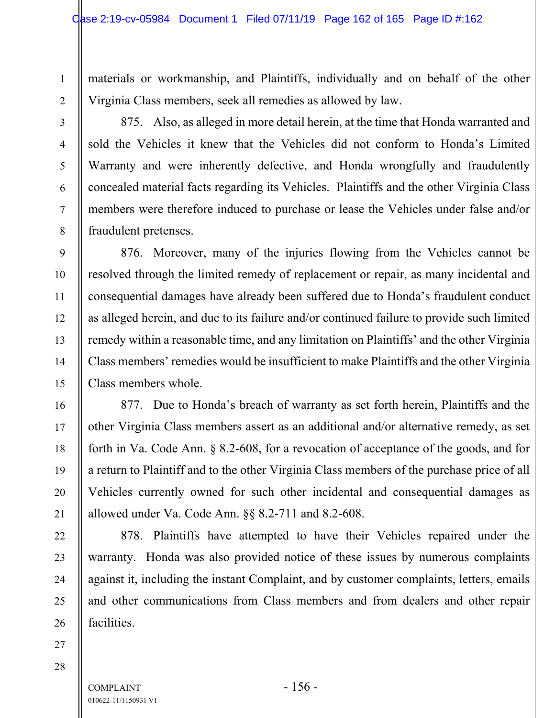materials or workmanship, and Plaintiffs, individually and on behalf of the other Virginia Class members, seek all remedies as allowed by law.

1

2

3

4

5

6

7

8

9

10

11

12

13

14

15

16

17

18

19

20

21

22

23

24

25

26

875. Also, as alleged in more detail herein, at the time that Honda warranted and sold the Vehicles it knew that the Vehicles did not conform to Honda's Limited Warranty and were inherently defective, and Honda wrongfully and fraudulently concealed material facts regarding its Vehicles. Plaintiffs and the other Virginia Class members were therefore induced to purchase or lease the Vehicles under false and/or fraudulent pretenses.

876. Moreover, many of the injuries flowing from the Vehicles cannot be resolved through the limited remedy of replacement or repair, as many incidental and consequential damages have already been suffered due to Honda's fraudulent conduct as alleged herein, and due to its failure and/or continued failure to provide such limited remedy within a reasonable time, and any limitation on Plaintiffs' and the other Virginia Class members' remedies would be insufficient to make Plaintiffs and the other Virginia Class members whole.

877. Due to Honda's breach of warranty as set forth herein, Plaintiffs and the other Virginia Class members assert as an additional and/or alternative remedy, as set forth in Va. Code Ann. § 8.2-608, for a revocation of acceptance of the goods, and for a return to Plaintiff and to the other Virginia Class members of the purchase price of all Vehicles currently owned for such other incidental and consequential damages as allowed under Va. Code Ann. §§ 8.2-711 and 8.2-608.

878. Plaintiffs have attempted to have their Vehicles repaired under the warranty. Honda was also provided notice of these issues by numerous complaints against it, including the instant Complaint, and by customer complaints, letters, emails and other communications from Class members and from dealers and other repair facilities.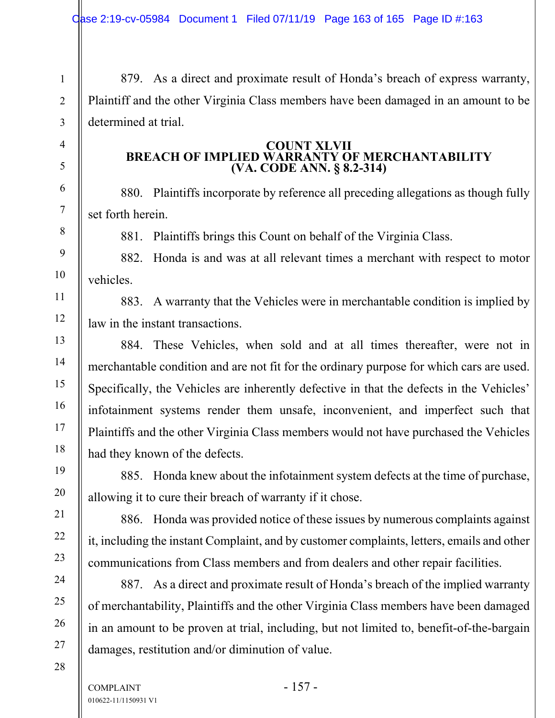879. As a direct and proximate result of Honda's breach of express warranty, Plaintiff and the other Virginia Class members have been damaged in an amount to be determined at trial.

### **COUNT XLVII BREACH OF IMPLIED WARRANTY OF MERCHANTABILITY (VA. CODE ANN. § 8.2-314)**

880. Plaintiffs incorporate by reference all preceding allegations as though fully set forth herein.

881. Plaintiffs brings this Count on behalf of the Virginia Class.

882. Honda is and was at all relevant times a merchant with respect to motor vehicles.

883. A warranty that the Vehicles were in merchantable condition is implied by law in the instant transactions.

884. These Vehicles, when sold and at all times thereafter, were not in merchantable condition and are not fit for the ordinary purpose for which cars are used. Specifically, the Vehicles are inherently defective in that the defects in the Vehicles' infotainment systems render them unsafe, inconvenient, and imperfect such that Plaintiffs and the other Virginia Class members would not have purchased the Vehicles had they known of the defects.

885. Honda knew about the infotainment system defects at the time of purchase, allowing it to cure their breach of warranty if it chose.

886. Honda was provided notice of these issues by numerous complaints against it, including the instant Complaint, and by customer complaints, letters, emails and other communications from Class members and from dealers and other repair facilities.

887. As a direct and proximate result of Honda's breach of the implied warranty of merchantability, Plaintiffs and the other Virginia Class members have been damaged in an amount to be proven at trial, including, but not limited to, benefit-of-the-bargain damages, restitution and/or diminution of value.

28

1

2

3

4

5

6

7

8

9

10

11

12

13

14

15

16

17

18

19

20

21

22

23

24

25

26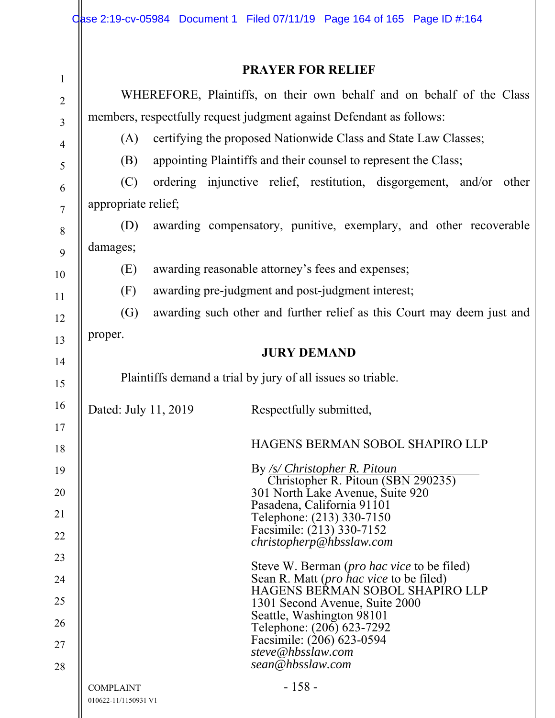| $\mathbf{1}$   | <b>PRAYER FOR RELIEF</b>                                                                              |
|----------------|-------------------------------------------------------------------------------------------------------|
| $\overline{2}$ | WHEREFORE, Plaintiffs, on their own behalf and on behalf of the Class                                 |
| 3              | members, respectfully request judgment against Defendant as follows:                                  |
| $\overline{4}$ | certifying the proposed Nationwide Class and State Law Classes;<br>(A)                                |
| 5              | appointing Plaintiffs and their counsel to represent the Class;<br>(B)                                |
| 6              | (C)<br>ordering injunctive relief, restitution, disgorgement, and/or other                            |
| $\overline{7}$ | appropriate relief;                                                                                   |
| 8              | awarding compensatory, punitive, exemplary, and other recoverable<br>(D)                              |
| 9              | damages;                                                                                              |
| 10             | awarding reasonable attorney's fees and expenses;<br>(E)                                              |
| 11             | (F)<br>awarding pre-judgment and post-judgment interest;                                              |
| 12             | $\left( G\right)$<br>awarding such other and further relief as this Court may deem just and           |
| 13             | proper.                                                                                               |
| 14             | <b>JURY DEMAND</b>                                                                                    |
| 15             | Plaintiffs demand a trial by jury of all issues so triable.                                           |
| 16             | Dated: July 11, 2019<br>Respectfully submitted,                                                       |
| 17<br>18       | HAGENS BERMAN SOBOL SHAPIRO LLP                                                                       |
| 19             | By <u>/s/ Christopher R. Pitoun</u>                                                                   |
| 20             | Christopher R. Pitoun (SBN 290235)<br>301 North Lake Avenue, Suite 920                                |
| 21             | Pasadena, California 91101                                                                            |
| 22             | Telephone: (213) 330-7150<br>Facsimile: (213) 330-7152                                                |
| 23             | christopherp@hbsslaw.com                                                                              |
| 24             | Steve W. Berman ( <i>pro hac vice</i> to be filed)<br>Sean R. Matt ( <i>pro hac vice</i> to be filed) |
| 25             | HAGENS BERMAN SOBOL SHAPIRO LLP<br>1301 Second Avenue, Suite 2000                                     |
| 26             | Seattle, Washington 98101                                                                             |
| 27             | Telephone: (206) 623-7292<br>Facsimile: (206) 623-0594<br>steve@hbsslaw.com                           |
| 28             | sean@hbsslaw.com                                                                                      |
|                | $-158-$<br><b>COMPLAINT</b><br>010622-11/1150931 V1                                                   |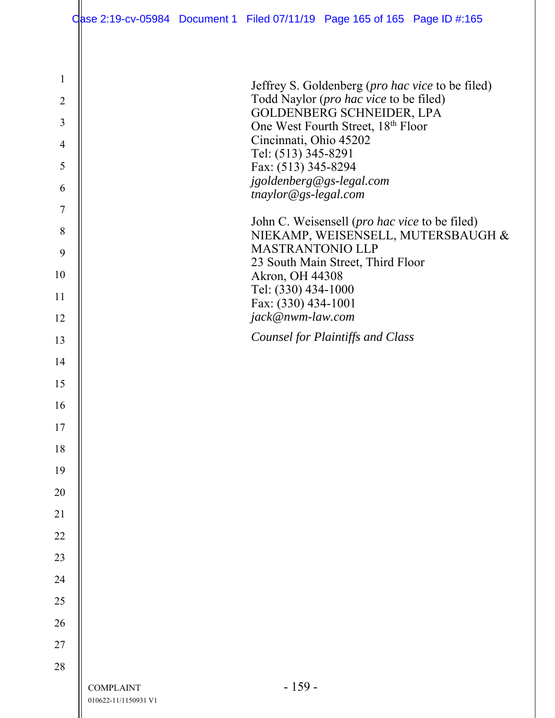|                | Oase 2:19-cv-05984 Document 1 Filed 07/11/19 Page 165 of 165 Page ID #:165 |                                                 |                                                                     |                                    |
|----------------|----------------------------------------------------------------------------|-------------------------------------------------|---------------------------------------------------------------------|------------------------------------|
|                |                                                                            |                                                 |                                                                     |                                    |
| $\mathbf{1}$   |                                                                            |                                                 | Jeffrey S. Goldenberg ( <i>pro hac vice</i> to be filed)            |                                    |
| $\overline{2}$ |                                                                            |                                                 | Todd Naylor (pro hac vice to be filed)<br>GOLDENBERG SCHNEIDER, LPA |                                    |
| 3              |                                                                            |                                                 | One West Fourth Street, 18th Floor                                  |                                    |
| $\overline{4}$ |                                                                            | Cincinnati, Ohio 45202<br>Tel: (513) 345-8291   |                                                                     |                                    |
| 5              |                                                                            | Fax: (513) 345-8294<br>jgoldenberg@gs-legal.com |                                                                     |                                    |
| 6              |                                                                            | tnaylor@gs-legal.com                            |                                                                     |                                    |
| $\tau$<br>8    |                                                                            |                                                 | John C. Weisensell (pro hac vice to be filed)                       |                                    |
| 9              |                                                                            | <b>MASTRANTONIO LLP</b>                         |                                                                     | NIEKAMP, WEISENSELL, MUTERSBAUGH & |
| 10             |                                                                            | Akron, OH 44308                                 | 23 South Main Street, Third Floor                                   |                                    |
| 11             |                                                                            | Tel: (330) 434-1000<br>Fax: (330) 434-1001      |                                                                     |                                    |
| 12             |                                                                            | jack@nwm-law.com                                |                                                                     |                                    |
| 13             |                                                                            |                                                 | <b>Counsel for Plaintiffs and Class</b>                             |                                    |
| 14             |                                                                            |                                                 |                                                                     |                                    |
| 15             |                                                                            |                                                 |                                                                     |                                    |
| 16             |                                                                            |                                                 |                                                                     |                                    |
| 17             |                                                                            |                                                 |                                                                     |                                    |
| 18             |                                                                            |                                                 |                                                                     |                                    |
| 19<br>20       |                                                                            |                                                 |                                                                     |                                    |
| 21             |                                                                            |                                                 |                                                                     |                                    |
| 22             |                                                                            |                                                 |                                                                     |                                    |
| 23             |                                                                            |                                                 |                                                                     |                                    |
| 24             |                                                                            |                                                 |                                                                     |                                    |
| 25             |                                                                            |                                                 |                                                                     |                                    |
| 26             |                                                                            |                                                 |                                                                     |                                    |
| 27             |                                                                            |                                                 |                                                                     |                                    |
| 28             |                                                                            |                                                 |                                                                     |                                    |
|                | <b>COMPLAINT</b><br>010622-11/1150931 V1                                   | $-159-$                                         |                                                                     |                                    |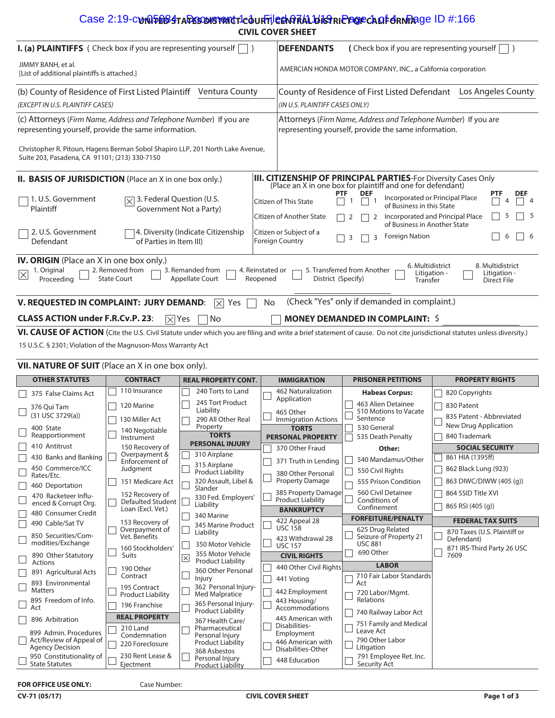## Case 2:19-c**vnQ5e63taResoN91RNt1c3uRTjleeNf7A1.b1sfrICPOFcAQF6rN7**Age ID #:166 **CIVIL COVER SHEET**

| I. (a) PLAINTIFFS ( Check box if you are representing yourself                                                                                                                                                                                                                                                                                                                 | <b>DEFENDANTS</b><br>(Check box if you are representing yourself                                                                                                                                       |  |  |  |
|--------------------------------------------------------------------------------------------------------------------------------------------------------------------------------------------------------------------------------------------------------------------------------------------------------------------------------------------------------------------------------|--------------------------------------------------------------------------------------------------------------------------------------------------------------------------------------------------------|--|--|--|
| JIMMY BANH, et al.<br>[List of additional plaintiffs is attached.]                                                                                                                                                                                                                                                                                                             | AMERCIAN HONDA MOTOR COMPANY, INC., a California corporation                                                                                                                                           |  |  |  |
| (b) County of Residence of First Listed Plaintiff Ventura County<br>(EXCEPT IN U.S. PLAINTIFF CASES)                                                                                                                                                                                                                                                                           | County of Residence of First Listed Defendant<br>Los Angeles County<br>(IN U.S. PLAINTIFF CASES ONLY)                                                                                                  |  |  |  |
| (c) Attorneys (Firm Name, Address and Telephone Number) If you are<br>representing yourself, provide the same information.                                                                                                                                                                                                                                                     | Attorneys (Firm Name, Address and Telephone Number) If you are<br>representing yourself, provide the same information.                                                                                 |  |  |  |
| Christopher R. Pitoun, Hagens Berman Sobol Shapiro LLP, 201 North Lake Avenue,<br>Suite 203, Pasadena, CA 91101; (213) 330-7150                                                                                                                                                                                                                                                |                                                                                                                                                                                                        |  |  |  |
| II. BASIS OF JURISDICTION (Place an X in one box only.)                                                                                                                                                                                                                                                                                                                        | <b>III. CITIZENSHIP OF PRINCIPAL PARTIES</b> -For Diversity Cases Only (Place an X in one box for plaintiff and one for defendant)                                                                     |  |  |  |
| 1. U.S. Government<br>3. Federal Question (U.S.<br>Ι×<br>Government Not a Party)<br>Plaintiff                                                                                                                                                                                                                                                                                  | <b>DEF</b><br><b>DEF</b><br><b>PTF</b><br>Incorporated or Principal Place<br>Citizen of This State<br>$\overline{4}$<br>of Business in this State                                                      |  |  |  |
| 2. U.S. Government<br>4. Diversity (Indicate Citizenship<br>of Parties in Item III)<br>Defendant                                                                                                                                                                                                                                                                               | Citizen of Another State<br>Incorporated and Principal Place<br>-5<br>of Business in Another State<br>Citizen or Subject of a<br><b>Foreign Nation</b><br>  6<br>6<br>3<br>3<br><b>Foreign Country</b> |  |  |  |
| <b>IV. ORIGIN</b> (Place an X in one box only.)<br>6. Multidistrict<br>8. Multidistrict<br>2. Removed from<br>5. Transferred from Another<br>3. Remanded from<br>4. Reinstated or<br>1. Original<br>$\times$<br>Litigation -<br>Litigation -<br><b>Appellate Court</b><br><b>State Court</b><br>District (Specify)<br>Reopened<br>Proceeding<br>Transfer<br><b>Direct File</b> |                                                                                                                                                                                                        |  |  |  |
| V. REQUESTED IN COMPLAINT: JURY DEMAND:<br>$\overline{\times}$<br><b>Yes</b>                                                                                                                                                                                                                                                                                                   | (Check "Yes" only if demanded in complaint.)<br>No                                                                                                                                                     |  |  |  |
| <b>CLASS ACTION under F.R.Cv.P. 23:</b><br>$\mathbb{R}$ Yes<br>No                                                                                                                                                                                                                                                                                                              | <b>MONEY DEMANDED IN COMPLAINT: \$</b>                                                                                                                                                                 |  |  |  |
|                                                                                                                                                                                                                                                                                                                                                                                | VI. CAUSE OF ACTION (Cite the U.S. Civil Statute under which you are filing and write a brief statement of cause. Do not cite jurisdictional statutes unless diversity.)                               |  |  |  |

15 U.S.C. § 2301; Violation of the Magnuson-Moss Warranty Act

| VII. NATURE OF SUIT (Place an X in one box only). |                                                                            |  |                                             |                  |                                                             |  |                                                                        |                                                                      |                                              |
|---------------------------------------------------|----------------------------------------------------------------------------|--|---------------------------------------------|------------------|-------------------------------------------------------------|--|------------------------------------------------------------------------|----------------------------------------------------------------------|----------------------------------------------|
|                                                   | <b>OTHER STATUTES</b>                                                      |  | <b>CONTRACT</b>                             |                  | <b>REAL PROPERTY CONT.</b>                                  |  | <b>IMMIGRATION</b>                                                     | <b>PRISONER PETITIONS</b>                                            | <b>PROPERTY RIGHTS</b>                       |
|                                                   | 375 False Claims Act                                                       |  | 110 Insurance                               |                  | 240 Torts to Land                                           |  | 462 Naturalization<br>Application                                      | <b>Habeas Corpus:</b>                                                | 820 Copyrights                               |
|                                                   | 376 Oui Tam<br>(31 USC 3729(a))                                            |  | 120 Marine<br>130 Miller Act                |                  | 245 Tort Product<br>Liability<br>290 All Other Real         |  | 465 Other<br><b>Immigration Actions</b>                                | 463 Alien Detainee<br>510 Motions to Vacate<br>Sentence              | 830 Patent<br>835 Patent - Abbreviated       |
|                                                   | 400 State<br>Reapportionment                                               |  | 140 Negotiable<br>Instrument                |                  | Property<br><b>TORTS</b>                                    |  | <b>TORTS</b><br><b>PERSONAL PROPERTY</b>                               | 530 General<br>535 Death Penalty                                     | <b>New Drug Application</b><br>840 Trademark |
|                                                   | 410 Antitrust                                                              |  | 150 Recovery of                             |                  | <b>PERSONAL INJURY</b>                                      |  | 370 Other Fraud                                                        | Other:                                                               | <b>SOCIAL SECURITY</b>                       |
|                                                   | 430 Banks and Banking                                                      |  | Overpayment &<br>Enforcement of             |                  | 310 Airplane                                                |  | 371 Truth in Lending                                                   | 540 Mandamus/Other                                                   | 861 HIA (1395ff)                             |
|                                                   | 450 Commerce/ICC<br>Rates/Etc.                                             |  | Judgment                                    |                  | 315 Airplane<br><b>Product Liability</b>                    |  | 380 Other Personal                                                     | 550 Civil Rights                                                     | 862 Black Lung (923)                         |
|                                                   | 460 Deportation                                                            |  | 151 Medicare Act                            |                  | 320 Assault, Libel &<br>Slander                             |  | <b>Property Damage</b>                                                 | 555 Prison Condition                                                 | 863 DIWC/DIWW (405 (q))                      |
|                                                   | 470 Racketeer Influ-<br>enced & Corrupt Org.                               |  | 152 Recovery of<br><b>Defaulted Student</b> |                  | 330 Fed. Employers'<br>Liability                            |  | 385 Property Damage<br><b>Product Liability</b>                        | 560 Civil Detainee<br>Conditions of<br>Confinement                   | 864 SSID Title XVI<br>865 RSI (405 (q))      |
|                                                   | 480 Consumer Credit                                                        |  | Loan (Excl. Vet.)                           |                  | 340 Marine                                                  |  | <b>BANKRUPTCY</b>                                                      | <b>FORFEITURE/PENALTY</b>                                            |                                              |
|                                                   | 490 Cable/Sat TV                                                           |  | 153 Recovery of<br>Overpayment of           |                  | 345 Marine Product                                          |  | 422 Appeal 28<br><b>USC 158</b>                                        | 625 Drug Related                                                     | <b>FEDERAL TAX SUITS</b>                     |
|                                                   | 850 Securities/Com-<br>modities/Exchange                                   |  | Vet. Benefits<br>160 Stockholders'          |                  | Liability<br>350 Motor Vehicle                              |  | 423 Withdrawal 28<br><b>USC 157</b>                                    | Seizure of Property 21<br><b>USC 881</b>                             | 870 Taxes (U.S. Plaintiff or<br>Defendant)   |
|                                                   | 890 Other Statutory<br><b>Actions</b>                                      |  | <b>Suits</b>                                | $\boxed{\times}$ | 355 Motor Vehicle<br><b>Product Liability</b>               |  | <b>CIVIL RIGHTS</b>                                                    | 690 Other                                                            | 871 IRS-Third Party 26 USC<br>7609           |
|                                                   | 891 Agricultural Acts                                                      |  | 190 Other<br>Contract                       |                  | 360 Other Personal<br>Injury                                |  | 440 Other Civil Rights                                                 | <b>LABOR</b><br>710 Fair Labor Standards                             |                                              |
|                                                   | 893 Environmental<br><b>Matters</b>                                        |  | 195 Contract                                |                  | 362 Personal Injury-                                        |  | 441 Voting<br>442 Employment                                           | Act<br>720 Labor/Mgmt.                                               |                                              |
|                                                   | 895 Freedom of Info.<br>Act                                                |  | <b>Product Liability</b><br>196 Franchise   |                  | Med Malpratice<br>365 Personal Injury-                      |  | 443 Housing/<br>Accommodations                                         | Relations                                                            |                                              |
|                                                   | 896 Arbitration                                                            |  | <b>REAL PROPERTY</b>                        |                  | Product Liability<br>367 Health Care/                       |  | 445 American with                                                      | 740 Railway Labor Act                                                |                                              |
|                                                   | 899 Admin, Procedures<br>Act/Review of Appeal of<br><b>Agency Decision</b> |  | 210 Land<br>Condemnation<br>220 Foreclosure |                  | Pharmaceutical<br>Personal Injury<br>Product Liability      |  | Disabilities-<br>Employment<br>446 American with<br>Disabilities-Other | 751 Family and Medical<br>Leave Act<br>790 Other Labor<br>Litigation |                                              |
|                                                   | 950 Constitutionality of<br><b>State Statutes</b>                          |  | 230 Rent Lease &<br>Ejectment               |                  | 368 Asbestos<br>Personal Injury<br><b>Product Liability</b> |  | 448 Education                                                          | 791 Employee Ret. Inc.<br>Security Act                               |                                              |

#### **FOR OFFICE USE ONLY:**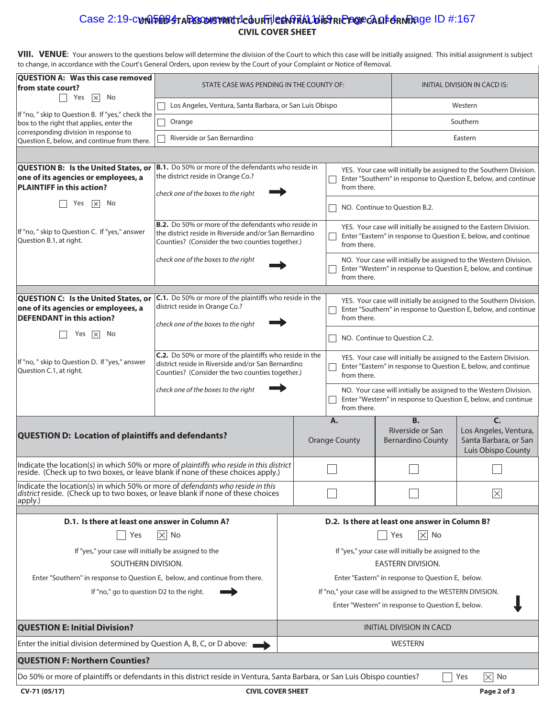# Case 2:19-c**unQ5e63 ta Desonsment 1-courtile en Pral bistricte de ca of <del>d</del>en Page ID #:167 CIVIL COVER SHEET**

VIII. VENUE: Your answers to the questions below will determine the division of the Court to which this case will be initially assigned. This initial assignment is subject to change, in accordance with the Court's General Orders, upon review by the Court of your Complaint or Notice of Removal.

| to change, in accordance with the Court's General Orders, upon review by the Court of your Complaint or Notice of Removal.                                                    |                                                                                                                                                                         |                                                                                                                                                       |                                                                                                                                                       |                                                           |                                                                            |  |  |
|-------------------------------------------------------------------------------------------------------------------------------------------------------------------------------|-------------------------------------------------------------------------------------------------------------------------------------------------------------------------|-------------------------------------------------------------------------------------------------------------------------------------------------------|-------------------------------------------------------------------------------------------------------------------------------------------------------|-----------------------------------------------------------|----------------------------------------------------------------------------|--|--|
| QUESTION A: Was this case removed<br>from state court?<br>$\overline{\times}$ No<br>Yes                                                                                       | STATE CASE WAS PENDING IN THE COUNTY OF:                                                                                                                                |                                                                                                                                                       | INITIAL DIVISION IN CACD IS:                                                                                                                          |                                                           |                                                                            |  |  |
|                                                                                                                                                                               | Los Angeles, Ventura, Santa Barbara, or San Luis Obispo                                                                                                                 |                                                                                                                                                       | Western                                                                                                                                               |                                                           |                                                                            |  |  |
| If "no, " skip to Question B. If "yes," check the<br>box to the right that applies, enter the                                                                                 | Orange                                                                                                                                                                  |                                                                                                                                                       |                                                                                                                                                       |                                                           | Southern                                                                   |  |  |
| corresponding division in response to<br>Question E, below, and continue from there.                                                                                          | Riverside or San Bernardino                                                                                                                                             |                                                                                                                                                       |                                                                                                                                                       |                                                           | Eastern                                                                    |  |  |
|                                                                                                                                                                               |                                                                                                                                                                         |                                                                                                                                                       |                                                                                                                                                       |                                                           |                                                                            |  |  |
| QUESTION B: Is the United States, or<br>one of its agencies or employees, a<br><b>PLAINTIFF in this action?</b>                                                               | B.1. Do 50% or more of the defendants who reside in<br>the district reside in Orange Co.?                                                                               |                                                                                                                                                       | YES. Your case will initially be assigned to the Southern Division.<br>Enter "Southern" in response to Question E, below, and continue<br>from there. |                                                           |                                                                            |  |  |
| Yes<br>No<br>$\vert \times \vert$                                                                                                                                             | check one of the boxes to the right                                                                                                                                     | NO. Continue to Question B.2.                                                                                                                         |                                                                                                                                                       |                                                           |                                                                            |  |  |
| If "no, " skip to Question C. If "yes," answer<br>Question B.1, at right.                                                                                                     | <b>B.2.</b> Do 50% or more of the defendants who reside in<br>the district reside in Riverside and/or San Bernardino<br>Counties? (Consider the two counties together.) |                                                                                                                                                       | YES. Your case will initially be assigned to the Eastern Division.<br>Enter "Eastern" in response to Question E, below, and continue<br>from there.   |                                                           |                                                                            |  |  |
|                                                                                                                                                                               | check one of the boxes to the right                                                                                                                                     | NO. Your case will initially be assigned to the Western Division.<br>Enter "Western" in response to Question E, below, and continue<br>from there.    |                                                                                                                                                       |                                                           |                                                                            |  |  |
| QUESTION C: Is the United States, or<br>one of its agencies or employees, a<br><b>DEFENDANT</b> in this action?                                                               | <b>C.1.</b> Do 50% or more of the plaintiffs who reside in the<br>district reside in Orange Co.?<br>check one of the boxes to the right                                 | YES. Your case will initially be assigned to the Southern Division.<br>Enter "Southern" in response to Question E, below, and continue<br>from there. |                                                                                                                                                       |                                                           |                                                                            |  |  |
| No<br>Yes<br>$\vert \times \vert$                                                                                                                                             |                                                                                                                                                                         | NO. Continue to Question C.2.                                                                                                                         |                                                                                                                                                       |                                                           |                                                                            |  |  |
| If "no, " skip to Question D. If "yes," answer<br>Question C.1, at right.                                                                                                     | C.2. Do 50% or more of the plaintiffs who reside in the<br>district reside in Riverside and/or San Bernardino<br>Counties? (Consider the two counties together.)        |                                                                                                                                                       | YES. Your case will initially be assigned to the Eastern Division.<br>Enter "Eastern" in response to Question E, below, and continue<br>from there.   |                                                           |                                                                            |  |  |
|                                                                                                                                                                               | check one of the boxes to the right                                                                                                                                     | NO. Your case will initially be assigned to the Western Division.<br>Enter "Western" in response to Question E, below, and continue<br>from there.    |                                                                                                                                                       |                                                           |                                                                            |  |  |
| <b>QUESTION D: Location of plaintiffs and defendants?</b>                                                                                                                     |                                                                                                                                                                         | Α.<br><b>Orange County</b>                                                                                                                            |                                                                                                                                                       | <b>B.</b><br>Riverside or San<br><b>Bernardino County</b> | C.<br>Los Angeles, Ventura,<br>Santa Barbara, or San<br>Luis Obispo County |  |  |
| Indicate the location(s) in which 50% or more of plaintiffs who reside in this district<br>reside. (Check up to two boxes, or leave blank if none of these choices apply.)    |                                                                                                                                                                         |                                                                                                                                                       |                                                                                                                                                       |                                                           |                                                                            |  |  |
| Indicate the location(s) in which 50% or more of defendants who reside in this<br>district reside. (Check up to two boxes, or leave blank if none of these choices<br>apply.) |                                                                                                                                                                         |                                                                                                                                                       |                                                                                                                                                       |                                                           | $\boxed{\times}$                                                           |  |  |
| D.1. Is there at least one answer in Column A?                                                                                                                                |                                                                                                                                                                         |                                                                                                                                                       |                                                                                                                                                       | D.2. Is there at least one answer in Column B?            |                                                                            |  |  |
| Yes                                                                                                                                                                           | $ \times $ No                                                                                                                                                           | $ \overline{\times} $ No<br>Yes                                                                                                                       |                                                                                                                                                       |                                                           |                                                                            |  |  |
| If "yes," your case will initially be assigned to the                                                                                                                         |                                                                                                                                                                         | If "yes," your case will initially be assigned to the                                                                                                 |                                                                                                                                                       |                                                           |                                                                            |  |  |
| SOUTHERN DIVISION.                                                                                                                                                            |                                                                                                                                                                         | <b>EASTERN DIVISION.</b>                                                                                                                              |                                                                                                                                                       |                                                           |                                                                            |  |  |
| Enter "Southern" in response to Question E, below, and continue from there.                                                                                                   |                                                                                                                                                                         | Enter "Eastern" in response to Question E, below.                                                                                                     |                                                                                                                                                       |                                                           |                                                                            |  |  |
| If "no," go to question D2 to the right.                                                                                                                                      |                                                                                                                                                                         | If "no," your case will be assigned to the WESTERN DIVISION.<br>Enter "Western" in response to Question E, below.                                     |                                                                                                                                                       |                                                           |                                                                            |  |  |
| <b>QUESTION E: Initial Division?</b>                                                                                                                                          |                                                                                                                                                                         | <b>INITIAL DIVISION IN CACD</b>                                                                                                                       |                                                                                                                                                       |                                                           |                                                                            |  |  |
| Enter the initial division determined by Question A, B, C, or D above:                                                                                                        |                                                                                                                                                                         | <b>WESTERN</b>                                                                                                                                        |                                                                                                                                                       |                                                           |                                                                            |  |  |
| <b>QUESTION F: Northern Counties?</b>                                                                                                                                         |                                                                                                                                                                         |                                                                                                                                                       |                                                                                                                                                       |                                                           |                                                                            |  |  |
| Do 50% or more of plaintiffs or defendants in this district reside in Ventura, Santa Barbara, or San Luis Obispo counties?                                                    |                                                                                                                                                                         |                                                                                                                                                       |                                                                                                                                                       |                                                           | $ \times $ No<br>Yes                                                       |  |  |
|                                                                                                                                                                               |                                                                                                                                                                         |                                                                                                                                                       |                                                                                                                                                       |                                                           |                                                                            |  |  |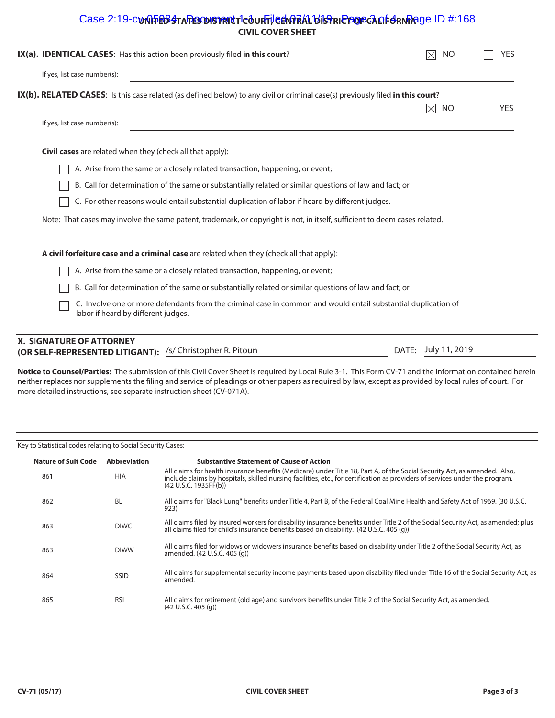# Case 2:19-c**unQ5e63 ta Desonsment 1-c3 un Tileen Prafal bistricte Gracia fehn Pa**ge ID #:168 **CIVIL COVER SHEET**

| IX(a). IDENTICAL CASES: Has this action been previously filed in this court?                                                                          | NO                 | YES |
|-------------------------------------------------------------------------------------------------------------------------------------------------------|--------------------|-----|
| If yes, list case number(s):                                                                                                                          |                    |     |
| IX(b). RELATED CASES: Is this case related (as defined below) to any civil or criminal case(s) previously filed in this court?                        |                    |     |
|                                                                                                                                                       | $\boxtimes$<br>NO. | YES |
| If yes, list case number(s):                                                                                                                          |                    |     |
| <b>Civil cases</b> are related when they (check all that apply):                                                                                      |                    |     |
| A. Arise from the same or a closely related transaction, happening, or event;                                                                         |                    |     |
| B. Call for determination of the same or substantially related or similar questions of law and fact; or                                               |                    |     |
| C. For other reasons would entail substantial duplication of labor if heard by different judges.                                                      |                    |     |
| Note: That cases may involve the same patent, trademark, or copyright is not, in itself, sufficient to deem cases related.                            |                    |     |
| A civil forfeiture case and a criminal case are related when they (check all that apply):                                                             |                    |     |
| A. Arise from the same or a closely related transaction, happening, or event;                                                                         |                    |     |
| B. Call for determination of the same or substantially related or similar questions of law and fact; or                                               |                    |     |
| C. Involve one or more defendants from the criminal case in common and would entail substantial duplication of<br>labor if heard by different judges. |                    |     |
|                                                                                                                                                       |                    |     |

# **X. S**I**GNATURE OF ATTORNEY**

**(OR SELF-REPRESENTED LITIGANT):** /s/ Christopher R. Pitoun July 11, 2019

DATE: July 11, 2019

**Notice to Counsel/Parties:** The submission of this Civil Cover Sheet is required by Local Rule 3-1. This Form CV-71 and the information contained herein neither replaces nor supplements the filing and service of pleadings or other papers as required by law, except as provided by local rules of court. For more detailed instructions, see separate instruction sheet (CV-071A).

#### Key to Statistical codes relating to Social Security Cases:

| <b>Nature of Suit Code</b> | <b>Abbreviation</b> | <b>Substantive Statement of Cause of Action</b>                                                                                                                                                                                                                                    |
|----------------------------|---------------------|------------------------------------------------------------------------------------------------------------------------------------------------------------------------------------------------------------------------------------------------------------------------------------|
| 861                        | <b>HIA</b>          | All claims for health insurance benefits (Medicare) under Title 18, Part A, of the Social Security Act, as amended. Also,<br>include claims by hospitals, skilled nursing facilities, etc., for certification as providers of services under the program.<br>(42 U.S.C. 1935FF(b)) |
| 862                        | <b>BL</b>           | All claims for "Black Lung" benefits under Title 4, Part B, of the Federal Coal Mine Health and Safety Act of 1969. (30 U.S.C.<br>923)                                                                                                                                             |
| 863                        | <b>DIWC</b>         | All claims filed by insured workers for disability insurance benefits under Title 2 of the Social Security Act, as amended; plus<br>all claims filed for child's insurance benefits based on disability. (42 U.S.C. 405 (q))                                                       |
| 863                        | <b>DIWW</b>         | All claims filed for widows or widowers insurance benefits based on disability under Title 2 of the Social Security Act, as<br>amended. (42 U.S.C. 405 (g))                                                                                                                        |
| 864                        | <b>SSID</b>         | All claims for supplemental security income payments based upon disability filed under Title 16 of the Social Security Act, as<br>amended.                                                                                                                                         |
| 865                        | <b>RSI</b>          | All claims for retirement (old age) and survivors benefits under Title 2 of the Social Security Act, as amended.<br>(42 U.S.C. 405 (q))                                                                                                                                            |